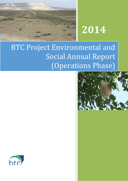

# **2014**

# BTC Project Environmental and Social Annual Report (Operations Phase)



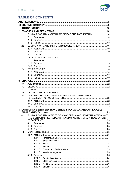

# **TABLE OF CONTENTS**

| 1. |     |                                                    |                                                                 |
|----|-----|----------------------------------------------------|-----------------------------------------------------------------|
|    |     |                                                    |                                                                 |
|    | 2.1 |                                                    | SUMMARY OF ANY MATERIAL MODIFICATIONS TO THE ESIAS  10          |
|    |     |                                                    |                                                                 |
|    |     |                                                    |                                                                 |
|    |     |                                                    |                                                                 |
|    | 2.2 |                                                    |                                                                 |
|    |     |                                                    |                                                                 |
|    |     |                                                    |                                                                 |
|    |     |                                                    |                                                                 |
|    | 2.3 |                                                    |                                                                 |
|    |     |                                                    |                                                                 |
|    |     |                                                    |                                                                 |
|    |     |                                                    |                                                                 |
|    | 2.4 |                                                    |                                                                 |
|    |     |                                                    |                                                                 |
|    |     |                                                    |                                                                 |
|    |     |                                                    |                                                                 |
|    |     |                                                    |                                                                 |
|    | 3.1 |                                                    |                                                                 |
|    | 3.2 |                                                    |                                                                 |
|    | 3.3 |                                                    |                                                                 |
|    | 3.4 |                                                    |                                                                 |
|    | 3.5 | DESCRIPTION OF ANY MATERIAL AMENDMENT, SUPPLEMENT, |                                                                 |
|    |     |                                                    |                                                                 |
|    |     |                                                    |                                                                 |
|    |     |                                                    |                                                                 |
|    |     |                                                    | 4 COMPLIANCE WITH ENVIRONMENTAL STANDARDS AND APPLICABLE        |
|    |     |                                                    |                                                                 |
|    | 4.1 |                                                    | SUMMARY OF ANY NOTICES OF NON-COMPLIANCE, REMEDIAL ACTION, ANY  |
|    |     |                                                    | FINES OR PENALTIES PAID AND FINAL DISPOSITION OF ANY REGULATORY |
|    |     |                                                    |                                                                 |
|    |     |                                                    |                                                                 |
|    |     |                                                    |                                                                 |
|    |     |                                                    |                                                                 |
|    | 4.2 |                                                    |                                                                 |
|    |     |                                                    |                                                                 |
|    |     | 4.2.1.1                                            |                                                                 |
|    |     | 4.2.1.2                                            |                                                                 |
|    |     | 4.2.1.3                                            |                                                                 |
|    |     | 4.2.1.4                                            |                                                                 |
|    |     | 4.2.1.5                                            |                                                                 |
|    |     | 4.2.1.6                                            |                                                                 |
|    |     |                                                    |                                                                 |
|    |     | 4.2.2.1                                            |                                                                 |
|    |     | 4.2.2.2                                            |                                                                 |
|    |     | 4.2.2.3<br>4.2.2.4                                 |                                                                 |
|    |     |                                                    |                                                                 |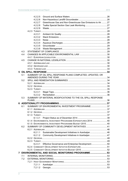|     |         | 4.2.2.5 |                                                                |  |
|-----|---------|---------|----------------------------------------------------------------|--|
|     |         | 4.2.2.6 |                                                                |  |
|     |         | 4.2.2.7 | Greenhouse Gas and Non-Greenhouse Gas Emissions to Air  27     |  |
|     |         | 4.2.2.8 |                                                                |  |
|     |         | 4.2.2.9 |                                                                |  |
|     |         |         |                                                                |  |
|     |         | 4.2.3.1 |                                                                |  |
|     |         | 4.2.3.2 |                                                                |  |
|     |         | 4.2.3.3 |                                                                |  |
|     |         | 4.2.3.4 |                                                                |  |
|     |         | 4.2.3.5 |                                                                |  |
|     |         | 4.2.3.6 |                                                                |  |
| 4.3 |         |         |                                                                |  |
| 4.4 |         |         |                                                                |  |
|     |         |         |                                                                |  |
| 4.5 |         |         |                                                                |  |
|     |         |         |                                                                |  |
|     |         |         |                                                                |  |
|     |         |         |                                                                |  |
|     |         |         |                                                                |  |
| 5.1 |         |         | SUMMARY OF OIL SPILL RESPONSE PLANS COMPLETED, UPDATED, OR     |  |
|     |         |         |                                                                |  |
| 5.2 |         |         |                                                                |  |
|     |         |         |                                                                |  |
|     |         |         |                                                                |  |
|     |         |         |                                                                |  |
|     |         | 5.2.3.1 |                                                                |  |
|     |         |         |                                                                |  |
| 5.3 |         |         | SUMMARY OF MATERIAL MODIFICATIONS TO THE OIL SPILL RESPONSE    |  |
|     |         |         |                                                                |  |
|     |         |         |                                                                |  |
| 6.1 |         |         | SUMMARY OF ENVIRONMENTAL INVESTMENT PROGRAMME 37               |  |
|     |         |         |                                                                |  |
|     |         |         |                                                                |  |
|     |         |         |                                                                |  |
|     |         | 6.1.3.1 |                                                                |  |
|     |         |         | 6.1.4 ENVIRONMENTAL INVESTMENT PROGRAMME EXPENDITURES 2014  40 |  |
|     |         |         | 6.1.5 ENVIRONMENTAL INVESTMENT PROGRAMME BUDGET 2015 40        |  |
| 6.2 |         |         | SUMMARY OF COMMUNITY DEVELOPMENT INITIATIVES41                 |  |
|     |         |         |                                                                |  |
|     |         | 6.2.1.1 | Sustainable Development Initiatives in Azerbaijan  46          |  |
|     |         | 6.2.1.2 | Community Development Initiatives in Azerbaijan47              |  |
|     |         |         |                                                                |  |
|     |         |         |                                                                |  |
|     |         |         | 6.2.3.1 Effective Governance and Enterprise Development 50     |  |
|     |         |         |                                                                |  |
|     |         |         |                                                                |  |
|     |         |         | 7 ENVIRONMENTAL AND SOCIAL MONITORING PROGRAMME 53             |  |
| 7.1 |         |         |                                                                |  |
| 7.2 |         |         |                                                                |  |
|     |         |         |                                                                |  |
|     |         |         |                                                                |  |
|     | 7.2.1.2 |         |                                                                |  |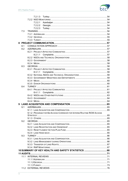

|     | 7.2.1.3                                                             |  |
|-----|---------------------------------------------------------------------|--|
|     |                                                                     |  |
|     | 7.2.2.1                                                             |  |
|     | 7.2.2.2                                                             |  |
|     | 7.2.2.3                                                             |  |
| 7.3 |                                                                     |  |
|     |                                                                     |  |
|     |                                                                     |  |
|     |                                                                     |  |
|     |                                                                     |  |
| 8.1 |                                                                     |  |
| 8.2 |                                                                     |  |
|     |                                                                     |  |
|     |                                                                     |  |
|     |                                                                     |  |
|     |                                                                     |  |
|     |                                                                     |  |
| 8.3 |                                                                     |  |
|     |                                                                     |  |
|     | 8.3.1.1                                                             |  |
|     |                                                                     |  |
|     |                                                                     |  |
|     |                                                                     |  |
|     |                                                                     |  |
| 8.4 |                                                                     |  |
|     |                                                                     |  |
|     | 8.4.1.1                                                             |  |
|     |                                                                     |  |
|     |                                                                     |  |
|     |                                                                     |  |
|     |                                                                     |  |
| 9.1 |                                                                     |  |
|     |                                                                     |  |
|     | 9.1.2 PROGRAM FOR 6M ACCESS CORRIDOR FOR INTERIM ROUTINE ROW ACCESS |  |
|     |                                                                     |  |
|     |                                                                     |  |
| 9.2 |                                                                     |  |
|     |                                                                     |  |
|     |                                                                     |  |
|     |                                                                     |  |
|     |                                                                     |  |
| 9.3 |                                                                     |  |
|     |                                                                     |  |
|     |                                                                     |  |
|     |                                                                     |  |
|     |                                                                     |  |
|     | 10 SUMMARY OF KEY HEALTH AND SAFETY STATISTICS  68                  |  |
|     |                                                                     |  |
|     |                                                                     |  |
|     |                                                                     |  |
|     |                                                                     |  |
|     |                                                                     |  |
|     |                                                                     |  |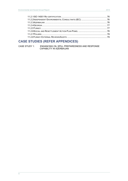# **CASE STUDIES (REFER APPENDICES)**

CASE STUDY 1: ENHANCING OIL SPILL PREPAREDNESS AND RESPONSE CAPABILITY IN AZERBAIJAN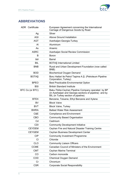

# **ABBREVIATIONS**

| <b>ADR</b> Certificate |                          | European Agreement concerning the International<br>Carriage of Dangerous Goods by Road                                                                |
|------------------------|--------------------------|-------------------------------------------------------------------------------------------------------------------------------------------------------|
| Ag                     | L                        | Silver                                                                                                                                                |
| <b>AGI</b>             | L,                       | <b>Above Ground Installation</b>                                                                                                                      |
| <b>AGT</b>             |                          | Azerbaijan-Georgia-Turkey                                                                                                                             |
| Al                     | L.                       | Aluminium                                                                                                                                             |
| As                     | L,                       | Arsenic                                                                                                                                               |
| <b>ASRC</b>            | L,                       | Azerbaijan Social Review Commission                                                                                                                   |
| В                      | L                        | <b>Boron</b>                                                                                                                                          |
| bbl                    |                          | <b>Barrel</b>                                                                                                                                         |
| <b>BIL</b>             | L,                       | <b>BOTAŞ International Limited</b>                                                                                                                    |
| <b>BNB</b>             |                          | Rural and Urban Development Foundation (now called<br>BNB)                                                                                            |
| <b>BOD</b>             |                          | <b>Biochemical Oxygen Demand</b>                                                                                                                      |
| <b>BOTAŞ</b>           |                          | Boru Hatlari ile Petrol Taşima A.Ş. (Petroleum Pipeline<br>Corporation, Turkey)                                                                       |
| <b>BPEO</b>            | L                        | <b>Best Practicable Environmental Option</b>                                                                                                          |
| <b>BSI</b>             |                          | <b>British Standard Institute</b>                                                                                                                     |
| BTC Co (or BTC)        |                          | Baku-Tbilisi-Ceyhan Pipeline Company operated by BP<br>(in Azerbaijan and Georgia sections of pipeline) and by<br>BIL (in Turkey section of pipeline) |
|                        | L,                       | Benzene, Toluene, Ethyl Benzene and Xylene                                                                                                            |
| <b>BTEX</b>            |                          |                                                                                                                                                       |
| BV                     | $\overline{\phantom{0}}$ | <b>Block Valve</b>                                                                                                                                    |
| <b>BVT</b>             | $\overline{a}$           | <b>Block Valve, Turkey</b>                                                                                                                            |
| <b>BWRA</b>            | L,                       | <b>Ballast Water Risk Assessment</b>                                                                                                                  |
| C&E                    | L                        | <b>Compliance and Environment</b>                                                                                                                     |
| <b>CBO</b>             |                          | <b>Community Based Organisation</b>                                                                                                                   |
| Cd                     |                          | Cadmium                                                                                                                                               |
| <b>CDI</b>             |                          | <b>Community Development Initiative</b>                                                                                                               |
| <b>CEYDEM</b>          | $\overline{\phantom{0}}$ | Ceyhan Fire and Natural Disaster Training Centre                                                                                                      |
| <b>CEYGEM</b>          | ÷,                       | Ceyhan Business Development Center                                                                                                                    |
| <b>CIP</b>             | $\overline{\phantom{0}}$ | <b>Community Investment Programme</b>                                                                                                                 |
| CI                     | L                        | Chloride                                                                                                                                              |
| <b>CLO</b>             |                          | <b>Community Liaison Officers</b>                                                                                                                     |
| <b>CCME</b>            |                          | Canadian Council of Ministers of the Environment                                                                                                      |
| <b>CMT</b>             | i.                       | Ceyhan Marine Terminal                                                                                                                                |
| CO                     | L,                       | Carbon monoxide                                                                                                                                       |
| COD                    |                          | <b>Chemical Oxygen Demand</b>                                                                                                                         |
| Cr<br><b>CSR</b>       | L,                       | Chromium<br><b>Corporate Social Responsibility</b>                                                                                                    |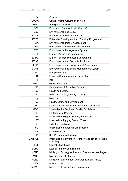| Cu            |                          | Copper                                                                 |
|---------------|--------------------------|------------------------------------------------------------------------|
| <b>CWAA</b>   |                          | <b>Central Waste Accumulation Area</b>                                 |
| dB(A)         | $\bar{ }$                | A-weighted decibels                                                    |
| <b>DSA</b>    |                          | Designated State Authority (Turkey)                                    |
| E&S           | L,                       | <b>Environmental and Social</b>                                        |
| <b>EDDF</b>   | L,                       | <b>Emergency Drain Down Facility</b>                                   |
| <b>EDTP</b>   | L,                       | <b>Enterprise Development and Training Programme</b>                   |
| <b>EIA</b>    | L,                       | <b>Environmental Impact Assessment</b>                                 |
| <b>EIP</b>    | L,                       | <b>Environmental Investment Programme</b>                              |
| <b>EMS</b>    | $\bar{ }$                | <b>Environmental Management System</b>                                 |
| <b>EPF</b>    | $\overline{\phantom{a}}$ | Eurasia Partnership Foundation                                         |
| <b>EPPD</b>   | L,                       | <b>Export Pipelines Protection Department</b>                          |
| <b>ESAP</b>   | u                        | <b>Environmental and Social Action Plan</b>                            |
| <b>ESIA</b>   |                          | <b>Environmental and Social Impact Assessment</b>                      |
| <b>ESMS</b>   | L,                       | <b>Environmental and Social Management System</b>                      |
| EU            | L,                       | European Union                                                         |
| <b>FCI</b>    | L,                       | <b>Facilities Construction and Installation</b>                        |
| Fe            |                          | Iron                                                                   |
| <b>GHG</b>    | i,                       | <b>Greenhouse Gas</b>                                                  |
| <b>GIS</b>    | Ĺ,                       | Geographical Information System                                        |
| H&S           | i.                       | <b>Health and Safety</b>                                               |
| H1            | L,                       | First half of year (January - June)                                    |
| Hg            | i,                       | Mercury                                                                |
| <b>HSE</b>    | i,                       | Health, Safety and Environment                                         |
| <b>IEC</b>    |                          | Lenders' Independent Environmental Consultant                          |
| <b>ISQG</b>   |                          | Interim Marine Sediment Quality Guidelines                             |
| IP            |                          | <b>Implementing Partner</b>                                            |
| <b>IPA</b>    |                          | Intermediate Pigging Station, Azerbaijan                               |
| <b>IPT</b>    |                          | Intermediate Pigging Station, Turkey                                   |
| IS            | ÷,                       | <b>Industrial Symbiosis</b>                                            |
| <b>ISO</b>    |                          | <b>International Standards Organisation</b>                            |
| KP            |                          | <b>Kilometre Point</b>                                                 |
| <b>KPI</b>    |                          | Key Performance Indicator                                              |
| <b>MARPOL</b> |                          | International Convention for the Prevention of Pollution<br>from Ships |
| LEL           |                          | <b>Lowest Effect Level</b>                                             |
| <b>LOPC</b>   |                          | Loss of Primary Containment                                            |
| <b>MENR</b>   | L,                       | Ministry of Ecology and Natural Resources, Azerbaijan                  |
| <b>MOC</b>    | $\overline{\phantom{m}}$ | Management of Change                                                   |
| MoEU          | $\overline{\phantom{a}}$ | Ministry of Environment and Urbanization, Turkey                       |
| <b>MOL</b>    |                          | Main Oil Line                                                          |
| <b>MSME</b>   |                          | Micro, Small and Medium Enterprises                                    |
|               |                          |                                                                        |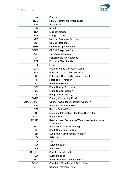

| Na              |                          | Sodium                                                           |
|-----------------|--------------------------|------------------------------------------------------------------|
| <b>NGO</b>      |                          | Non-Governmental Organisation                                    |
| NH <sub>4</sub> | $\overline{\phantom{a}}$ | Ammonium                                                         |
| Ni              | $\overline{\phantom{a}}$ | <b>Nickel</b>                                                    |
| NO <sub>2</sub> | $\overline{\phantom{a}}$ | Nitrogen dioxide                                                 |
| NO <sub>x</sub> | i,                       | Nitrogen oxides                                                  |
| <b>NRC</b>      | $\overline{\phantom{a}}$ | National Response Company                                        |
| <b>OSR</b>      |                          | Oil Spill Response                                               |
| <b>OSRB</b>     |                          | Oil Spill Response Base                                          |
| <b>OSRP</b>     | ÷,                       | Oil Spill Response Plan                                          |
| <b>OWS</b>      | $\overline{\phantom{a}}$ | <b>Oily Water Separator</b>                                      |
| <b>PAH</b>      |                          | Polyaromatic hydrocarbons                                        |
| <b>PEL</b>      |                          | <b>Probable Effect Levels</b>                                    |
| <b>Pb</b>       | $\overline{\phantom{a}}$ | Lead                                                             |
| <b>PCAR</b>     |                          | <b>Preventive and Corrective Action</b>                          |
| <b>PCR</b>      |                          | <b>Public and Community Relations</b>                            |
| <b>PCRE</b>     | L.                       | <b>Public and Community Relation Experts</b>                     |
| pH              | $\overline{\phantom{a}}$ | Potential of Hydrogen                                            |
| <b>PM</b>       |                          | <b>Particulate Matter</b>                                        |
| <b>PSA</b>      | $\overline{\phantom{a}}$ | Pump Station, Azerbaijan                                         |
| <b>PSG</b>      | L.                       | Pump Station, Georgia                                            |
| PT.             |                          | Pump Station, Turkey                                             |
| <b>PWHP</b>     |                          | <b>Primary Withholding Pond</b>                                  |
| Q1/Q2/Q3/Q4     |                          | Quarter 1/Quarter 2/Quarter 3/Quarter 4                          |
| <b>RAP</b>      |                          | <b>Resettlement Action Plan</b>                                  |
| <b>RDF</b>      |                          | <b>Refuse Derived Fuel</b>                                       |
| <b>RISC</b>     |                          | Resource Information Standards Committee                         |
| <b>ROW</b>      |                          | <b>Right of Way</b>                                              |
| <b>RWIHC</b>    |                          | Regulation on Concerning Water Intended for Human<br>Consumption |
| <b>SEM</b>      |                          | <b>Stack Emissions Monitoring</b>                                |
| <b>SCP</b>      |                          | South Caucasus Pipeline                                          |
| <b>SDI</b>      | $\overline{\phantom{a}}$ | Sustainable Development Initiative                               |
| Se              | $\overline{\phantom{a}}$ | Selenium                                                         |
| Sn              | L.                       | Tin                                                              |
| SO <sub>2</sub> |                          | Sulphur dioxide                                                  |
| SO <sub>4</sub> | ÷,                       | Sulphate                                                         |
| <b>SODES</b>    | i,                       | Social Support Fund                                              |
| $SO_{x}$        | $\overline{\phantom{m}}$ | Sulphur oxides                                                   |
| <b>SPM</b>      | $\overline{\phantom{a}}$ | School of Project Management                                     |
| <b>SRAP</b>     |                          | Social and Resettlement Action Plan                              |
| <b>STP</b>      |                          | <b>Sewage Treatment Plant</b>                                    |
|                 |                          |                                                                  |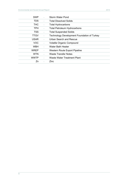|                          | <b>Storm Water Pond</b>                     |
|--------------------------|---------------------------------------------|
| ÷.                       | <b>Total Dissolved Solids</b>               |
|                          | <b>Total Hydrocarbons</b>                   |
| ÷                        | <b>Total Petroleum Hydrocarbons</b>         |
| $\overline{\phantom{a}}$ | <b>Total Suspended Solids</b>               |
|                          | Technology Development Foundation of Turkey |
|                          | <b>Urban Search and Rescue</b>              |
|                          | <b>Volatile Organic Compound</b>            |
|                          | <b>Water Bath Heater</b>                    |
| $\overline{\phantom{0}}$ | <b>Western Route Export Pipeline</b>        |
|                          | <b>Waste Transfer Notes</b>                 |
|                          | Waste Water Treatment Plant                 |
|                          | Zinc                                        |
|                          |                                             |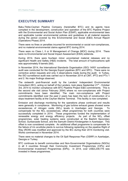

# **EXECUTIVE SUMMARY**

Baku-Tbilisi-Ceyhan Pipeline Company (hereinafter BTC) and its agents have complied in the development, construction and operation of the BTC Pipeline Project with the Environmental and Social Action Plan (ESAP), applicable environmental laws and applicable Lender environmental policies and guidelines in all material respects during the period covered by this Environmental and Social (E&S) Annual Report (Operations Phase) 2014.

There were no fines or penalties incurred for environmental or social non-compliances, and no material environmental claims against BTC during 2014.

There were no Class I, II or III Management of Change (MOC) during 2014. There were no Environmental and Social Impact Assessment (ESIA) addenda.

During 2014, there were fourteen minor uncontained material releases and no significant Health and Safety (H&S) incidents. The total amount of hydrocarbons spilt was approximately 9 barrels (bbl).

In November 2014, the International Standards Organisation (ISO) 14001 surveillance audit was conducted for the Georgia Export pipelines (BTC and SPC). There were no corrective action requests and only 3 observations made during the audit. In Turkey, the ISO surveillance audit was carried out in November 2014 at CMT, IPT2 and PTs 1 and 2. No major findings observed.

The sixteenth post-financial audit by the Lenders' Independent Environmental Consultant (IEC), acting on behalf of the Lenders, took place September  $21<sup>st</sup>$  - October 3rd, 2014 to monitor compliance with BTC Pipeline Project E&S commitments. This is the second site visit (since February 2004) where no non-compliances with Project commitments have been identified. The main non-compliance with Project commitments identified over the past 2 years has been the lack of construction of a slops treatment facility at the Ceyhan Marine Terminal. This facility is now completed.

Emission and discharge monitoring for the operations phase continued and results were generally in compliance. Monitoring of gas turbine exhaust gases showed some exceedances of nitrogen oxide  $(NO_x)$  levels in Azerbaijan and Georgia. To compensate for the  $N_{\text{O}_x}$  exceedances, offset programmes for both countries were successfully completed in 2014. These programmes funded the implementation of renewable energy and energy efficiency projects. As part of the  $NO<sub>x</sub>$  offset programmes, solar heating systems were constructed at the Bashirli Secondary School, Gurbanzade School, and the Samukh District Kindergarten in Azerbaijan. This offset is now considered complete. An additional offset programme to compensate for the failure of *Iris acutiloba* plants to survive following replanting on the pipeline Right of Way (ROW) was modified and approved by the IEC during their 2014 monitoring visit. Works commenced in November 2014.

There were no material changes to the Oil Spill Response Plan (OSRP) in Azerbaijan, Georgia or Turkey.

BTC continues to benefit communities and Non-Governmental Organisations (NGOs) in all 3 countries through their Community Investment Programmes (CIPs) and Environmental Investment Programmes (EIPs). In 2014, over US\$3,239,775 was invested in these programmes.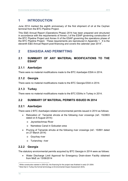June 2014 marked the eighth anniversary of the first shipment of oil at the Ceyhan terminal from the BTC Pipeline Project.

This E&S Annual Report (Operations Phase) 2014 has been prepared and structured in accordance with the requirements of Annex J of the ESAP governing construction of the BTC Pipeline Project and Annex H of the ESAP governing the operations phase of the BTC Pipeline Project. These requirements are reproduced in Appendix 1. It is the eleventh E&S Annual Report post-financing and covers the calendar year 2014<sup>1</sup>.

# **2 ESIAS/EIA AND PERMITTING**

# **2.1 SUMMARY OF ANY MATERIAL MODIFICATIONS TO THE ESIAS2**

# **2.1.1 Azerbaijan**

There were no material modifications made to the BTC Azerbaijan ESIA in 2014.

# **2.1.2 Georgia**

There were no material modifications made to the BTC Georgia ESIA in 2014.

# **2.1.3 Turkey**

There were no material modifications made to the BTC ESIAs in Turkey in 2014.

# **2.2 SUMMARY OF MATERIAL PERMITS ISSUED IN 2014**

# **2.2.1 Azerbaijan**

There were 2 BTC Azerbaijan-related environmental permits issued in 2014 as follows:

- Relocation of Tamarisk shrubs at the following river crossings (ref.: 15/2803) dated on 8 August 2014):
	- o Jeyrankechmaz River
	- o Nameless Canal in Gobustan area
- Pruning of Tamarisk shrubs at the following river crossings (ref.: 15/891 dated on 27 March 2014)
	- o Goychay river
	- o Turianchay river

# **2.2.2 Georgia**

The statutory environmental permits acquired by BTC Georgia in 2014 were as follows:

 Water Discharge Limit Approval for Emergency Drain-down Facility obtained from MoE on 13/06/2014

l

<sup>&</sup>lt;sup>1</sup> While construction started in 2003-Q2, the financing for the project was finalised in early Q1-2004.

 $^2$  Note that in Turkey the formal terminology is Environmental Impact Assessment (EIA).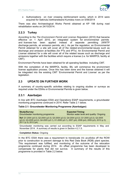

 Authorizations on river crossing reinforcement works, which in 2014 were acquired for Sakirula,Varkhaneleand Kumiska rivers on 5/06/2014

There was also Archaeological Works Permit obtained at KP 198 during road rehabilitation works on 24/10/2014.

# **2.2.3 Turkey**

According to the *The Environment Permit and License Regulation* (2010) that became effective on 1 April 2010, an integrated system for environmental permits and licenses has been applied instead of seperate permitting (WWTP discharge permits, air emission permits, etc.). As per the regulation, an Environmental Permit obtained for a site will cover all of the related environmental issues such as discharge and emission at facilities (for PTs and IPTs). An Environmental Permit and License obtained for a site will cover all of the related issues such as discharge and emissions together with the facilities which require a license (i.e. for MARPOL facility at CMT).

Environment Permits have been obtained for all operating facilities including CMT.

With the completion of the MARPOL facility, BIL will commence the environment license application process. Once this has been done and the license obtained it will be integrated into the existing CMT 'Environmental Permit and License' as per the legislation.

# **2.3 UPDATE ON FURTHER WORK**

A summary of country-specific activities relating to ongoing studies or surveys as required under the ESIAs or Environmental Permits is given below.

# **2.3.1 Azerbaijan**

In line with BTC Azerbaijan ESIA and Operations ESAP requirements, a groundwater monitoring programme continued in 2014. Refer Table 2.1 below.

### **Table 2.1: Groundwater Monitoring Programme (Azerbaigan)**

| <b>Study/Survey:</b><br>Groundwater monitoring programme                                                                                                                                                                      | <b>Expected Timing:</b><br>Monitor water level and quality: Ongoing |
|-------------------------------------------------------------------------------------------------------------------------------------------------------------------------------------------------------------------------------|---------------------------------------------------------------------|
| Ref: Q1-2004 (p5-3); Q2-2004 (p3-3); Q3-2004 (p3-2); Q4-2004 (p3-2); Q1-2005 (p3-2); Q2-2005<br>(p3-2); Q3-2005 (p3-2); Q4-2005 (p3-1), H1-2006 (p3-1), 2007 (p4); 2008 (p4); 2009 (p3); 2010 (p3);<br>2011 (p 3); 2012 (p4). |                                                                     |
| Croundwater monitoring was corried out coording to ECAD requirements in May and                                                                                                                                               |                                                                     |

Groundwater monitoring was carried out according to ESAP requirements in May and November 2014. A summary of results is given in Section 4.2.1.5.

### **Completion Status:** Ongoing

In the BTC ESIA there was a requirement to translocate *Iris acutiloba* off the ROW prior to construction to prevent damage to this Red Data Book (RDB) plant species. This requirement was fulfilled, and monitoring of the outcome of the relocation programme continued during 2014. An offset programme has been developed to compensate for plants that did not survive. A summary of the results of this programme is provided in Table 2.2 below.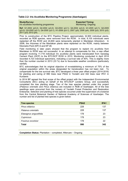### **Table 2.2: Iris Acutiloba Monitoring Programme (Azerbaigan)**

#### **Study/Survey:**  *Iris acutiloba* monitoring programme

#### **Expected Timing:**  Monitoring: Ongoing

**Ref:** Q1-2004 (p5-2); Q2-2004 (p3-2); Q3-2004 (p3-1); Q4-2004 (p3-2); Q1-2005 (p3-1); Q2-2005 (p3-2); Q3-2005 (p3-1); Q4-2005 (p3-1), H1-2006 (p3-1), 2007 (p5); 2008 (p4); 2009 (p3); 2010 (p3); 2011 (p3); 2012 (p4).

Prior to construction of the BTC Pipeline Project, approximately 32,900 individual plants, recorded as RDB species, were removed from the ROW. In total, 8,105 individuals were replanted off the ROW and 24,800 were temporarily planted in Mardakan Arboretum. In 2006, the rhizomes of the Mardakan plants were replanted on the ROW, mainly between Kilometre Point (KP) 6 and KP 28.

Field monitoring in later years showed that the program to replant *Iris acutiloba* from Mardakan to ROW was not successful. In an attempt to compensate for this, a new offset program involving 11,718 individual *Iris acutiloba* plants were translocated from Garadag Cement Plant (GCP) to the BTC/SCP ROW in 2010. Monitoring conducted in April 2014 recorded 4,723 individual specimens, indicating a survival rate of 40%. This is slightly more than the number counted in 2013 (33 %) due to favourable weather conditions (particularly rainfall).

BTC acknowledges that its original objective of re-establishing a minimum of 75% of the original population within the areas designated for translocation has not been met. To compensate for the low survival rate, BTC developed a three year offset project (2014-2016) for planting and caring of 990 trees near PSA2 in Yevlakh and 342 trees near IPA1 in Kurdamir.

In 2014 BP agreed the final scope of the offset project with the Independent Environmental Consultants (IEC) acting on behalf of the BTC/SCP Lenders Group, and successfully completed the tree planting stage. Two of the tree species planted under this project (*Platanus orientalis* and *Pinus eldarica*) are included in RDB of Azerbaijan. All of the tree seedlings were procurred from the nursery of Yevlakh Forest Protection and Restoration Enterprise. Selection and planting of tree species occurred under the supervision of a botanist from the Central Botanical Garden of National Academy of Sciences of Azerbaijan. The number and list of planted tree species is given below:

| <b>Tree species</b>    | <b>PSA2</b> | IPA <sub>1</sub> |
|------------------------|-------------|------------------|
| Pinus eldarica         | 228         | 137              |
| Platanus orientalis    | 228         | 137              |
| Elaeagnus angustifolia | 178         | 23               |
| Cupressus              | 178         | 23               |
| Fraxinus excelsior     | 178         | 22               |
| <b>Total</b>           | 990         | 342              |
|                        |             |                  |

**Completion Status:** Plantation – completed; Aftercare – Ongoing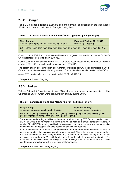

# **2.3.2 Georgia**

Table 2.3 outlines additional ESIA studies and surveys, as specified in the Operations ESAP, which were conducted in Georgia during 2014.

### **Table 2.3: Kodiana Special Project and Other Legacy Projects (Georgia)**

| <b>Study/Survey:</b>                                                                                         | <b>Expected Timing: 2012-2016</b> |
|--------------------------------------------------------------------------------------------------------------|-----------------------------------|
| Kodiana special projects and other legacy projects                                                           | <b>Monitoring: Ongoing</b>        |
| Ref: H1-2006 (p3-2); 2007 (p-6); 2008 (p-5); 2009 (p-4); 2010 (p-4); 2011 (p-4); 2012 (p-4), 2013 (p-<br>12) |                                   |

Construction of PSG 2 accommodation addition is in progress. Completion is planned for 2015- Q4 with reinstatement to follow in 2016-Q2.

Construction of a new access road at PSG 1 to future accommodation and warehouse facilities started in 2014-Q3 and is planned for completion in 2015-Q1.

The design of new accommodation and warehouse facilities at PSG 1 was completed in 2014- Q4 and construction contractor bidding initiated. Construction is scheduled to start in 2015-Q3.

A new STP was installed and commissioned at EDDF in 2014-Q3.

**Completion Status:** Ongoing

# **2.3.3 Turkey**

Tables 2.4 and 2.5 outline additional ESIA studies and surveys, as specified in the Operations ESAP, which were conducted in Turkey during 2014.

### **Table 2.4: Landscape Plans and Monitoring for Facilities (Turkey)**

| <b>Study/Survey:</b>                                                                                                                                                | <b>Expected Timing:</b>            |
|---------------------------------------------------------------------------------------------------------------------------------------------------------------------|------------------------------------|
| Landscape plans and monitoring for facilities                                                                                                                       | <b>Construction and Operations</b> |
| Ref: 2005-Q1 (p3-4); 2005-Q2 (p3-4); 2005-Q3 (p3-4); 2005-Q4 (p3-4); 2006 (p6); 2007 (p7); 2008<br>(p16); 2009 (p4) ; 2010 (p5) ; 2011 (p5) ; 2012 (p5); 2013 (p13) |                                    |

The status of landscaping activities implemented at all facilities by BTC Co. and handed over to BIL in late 2008 is being monitored during *ad-hoc* site visits and annual compliance audits. In parallel, BIL's ROW Monitoring and Maintenance team, supported by local site teams, monitor the condition of landscaping and take necessary action when required.

In 2014, assessment of the status and condition of the trees and shrubs planted at all facilities as part of previous landscaping projects was conducted. The objectives were to understand how the maintenance was being carried out, provide maintenance training if and where necessary, and update the 'As-built' Landscaping Plans to reflect the prevailing situation. The outcomes of the assessment, including updated drawings and recommendations for better maintenance, were shared with BIL for their implementation.

**Completion Status:** Monitoring ongoing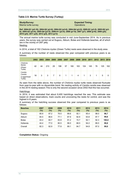### **Table 2.5: Marine Turtle Survey (Turkey)**

| <b>Study/Survey:</b> | <b>Expected Timing:</b> |
|----------------------|-------------------------|
| Marine turtle survey | Operations              |
|                      |                         |

**Ref: 2004-Q1 (p5-10); 2004-Q2 (p3-8); 2004-Q3 (p3-6); 2004-Q4 (p3-5); 2005-Q1 (p3-5); 2005-Q2 (p3- 6); 2005-Q3 (p3-6); 2005-Q4 (p3-5); 2006-H1 (p3-4); 2006 (p7-8); 2007 (p7); 2008 (p16); 2009 (p5); 2010 (p5); 2011 p(5); 2012 (p5), 2013 (p13)**

The annual marine turtle survey was conducted in mid June-September 2014. As in previous years, the survey was carried out at Sugozu, Akkum, Botas and Hollanda beaches, all of which are in the vicinity of CMT jetty.

Nesting:

In 2014, a total of 162 *Chelonia mydas* (Green Turtle) nests were observed in the study area.

A summary of the number of nests observed this year compared with previous years is as follows:

|                                              | 2002 | 2003 | 2004 | 2005 | 2006 2007 |    | 2008 | 2009 | 2010 | 2011 |    | 2012 2013 2014 |     |
|----------------------------------------------|------|------|------|------|-----------|----|------|------|------|------|----|----------------|-----|
| Chelonia<br>Mydas<br>(Green<br>Turtle)       | 42   | 44   | 213  | 29   | 198       | 57 | 160  | 163  | 104  | 145  | 76 | 125            | 162 |
| Caretta<br>Caretta<br>(Loggerhead<br>Turtle) | 18   | 3    | 3    |      | 0         |    |      | 4    |      | 3    |    | 5              | 0   |

As seen from the table above, the number of *Chelonia mydas* turtle nests observed fluctuate from year-to-year with no discernible trend. No nesting activity of *Caretta caretta* was observed in the 2014 nesting season.This is only the second occasion since 2002 that this has occurred.

### Hatchlings:

In 2014, it was estimated that about 8,400 hatchlings reached the sea. This estimate was based on direct observations, track counts and uncovering the nests for control, and was the highest in 8 years.

A summary of the hatchling success observed this year compared to previous years is as follows:

| <b>Beaches</b> | 2007<br>$(\%)$ | 2008<br>$(\%)$ | 2009<br>(%) | 2010<br>(%) | 2011<br>(%) | 2012<br>$(\%)$ | 2013<br>$(\%)$ | 2014<br>(%) |
|----------------|----------------|----------------|-------------|-------------|-------------|----------------|----------------|-------------|
| Sugozu         | 80.9           | 87.2           | 76.5        | 86.6        | 92.1        | 95.4           | 98.0           | 96,7        |
| Akkum          | 84.5           | 86.6           | 77.1        | 87.9        | 82.8        | 93.8           | 97.7           | 99,8        |
| <b>Botas</b>   | 44.4           | 60.7           | 83.9        | 91.2        | 72.7        | 92.1           | 92.3           | 100,0       |
| Hollanda       | 44.4           | 77.0           | 80.5        | 96.0        | 68.5        | 94.2           | 89.5           | 99,8        |
| Overall        | 82.3           | 82.9           | 77.8        | 89.1        | 84.7        | 94.8           | 97.0           | 99,0        |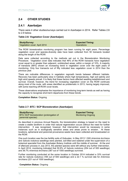

# **2.4 OTHER STUDIES**

# **2.4.1 Azerbaijan**

There were 4 other studies/surveys carried out in Azerbaijan in 2014. Refer Tables 2.6 to 2.9 below.

### **Table 2.6: Vegetation Cover (Azerbaijan)**

| Study/Survey:                | <b>Expected Timing:</b> |
|------------------------------|-------------------------|
| Vegetation cover: April 2014 | <b>Operations</b>       |
|                              |                         |

The ROW biorestoration monitoring program has been running for eight years. Percentage vegetation cover and species-diversity data have been collected from 50 transects located along the length of the ROW.

Data were collected according to the methods set out in the Biorestoration Monitoring Procedure. Vegetation cover data indicates that 46% of the ROW transects have vegetation cover equal to or greater than adjacent, undisturbed areas, within a margin of 10%. A majority of transects (88%) shown an increasing trend in vegetation cover over the eight years of monitoring. Only four transects out of fifty indicated less vegetation cover in 2014 than the previous year.

There are noticable differences in vegetation regrowth trends between different habitats. Recovery has been particularly slow in habitats where high temperatures, high soil salinity and high wind speeds prevail. It is likely that these factors have affected seedling establishment and survival. Overall, however, the trend for increasing vegetation cover on the ROW continues along most of the route, with areas identified as problematic in 2013, having largely improved, with some reaching off-ROW cover levels.

These observations emphasise the importance of monitoring long-term trends as well as having the capacity to recognise short-term departures from these trends.

**Completion Status**: Ongoing

### **Table 2.7: BTC / SCP Biorestoration (Azerbaijan)**

**Study/Survey:**  BTC/ SCP biorestoration (prolongation of perennial species)

 **Expected Timing:**  Monitoring Ongoing

As described in previous Annual Reports, the biorestoration strategy is based on the need to create a stable landform in order that natural regeneration occurs without the need for further intervention. It was recognised, however, that intervention would be necessary in some instances such as in ecologically sensitive areas and areas prone to erosion. At these locations, ephemeral and perennial provenance seeds have been collected and broadcasted on the ROW.

One such location was the low fertility soils of Gobustan. In May 2013 1,500 *Artemisia lerchiana* and *Salsola nodulosa* seedlings were planted, soil-tilled and watered under the supervision of a botanical specialist from the Azerbaijan Botany Institute until the middle of summer. At the end of aftercare process in July 2013, the planted species were left without any further intervention. In April 2014, monitoring indicated that 50.8% of *Salsola nodulosa* (254 out of 500 seedlings) and 38.7% *Artemisia lerchiana* (387 out of 1000 seedlings) survived.

Further monitoring conducted at the some location in October 2014 indicated a 33% survival rate for *Salsola nodulosa* (165 out of 500 seedlings) and a 22.1 % survival rate for *Artemisia lerchiana* (221 out of 1000 seedlings).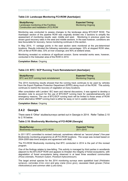### **Table 2.8: Landscape Monitoring FCI-ROW (Azerbaijan)**

| <b>Study/Survey:</b>                    |  |
|-----------------------------------------|--|
| Landscape monitoring of the Facilities  |  |
| Construction and Installation (FCI) ROW |  |

Monitoring was conducted to assess changes to the landscape along BTC/SCP ROW. The Azerbaijan section of the pipeline ROW was originally divided into 3 sections to simplify the assessment of monitoring results: east, middle and west. Monitoring in previous years has shown good recovery rates in the west and middle sections. In the east however, conditions are less favourable for recovery, hence monitoring continues in this section.

 **Expected Timing:**  Monitoring Ongoing

In May 2014, 11 vantage points in the east section were monitored at the pre-determined locations. Results indicated the following restoration percentages: 33% at slopped ROW sites; 30% at flat at ROW sites; 33% at river crossings; and 40% at wetland areas.

Monitoring revealed no evidence of significant erosion. Some remedial works were, however, conducted in the Gobustan area of the ROW in 2014.

### **Completion Status:** Ongoing

### **Table 2.9: BTC / SCP Running Track Reinstatement (Azerbaijan)**

| <b>Study/Survey:</b>                    | <b>Expected Timing:</b>   |
|-----------------------------------------|---------------------------|
| BTC and SCP running track reinstatement | <b>Monitoring Ongoing</b> |

The 2014 monitoring results showed that the running track continues to be used by vehicles from the Export Pipelines Protection Department (EPPD) along much of the ROW. This activity continues to restrict the recovery of vegetation at many locations.

After consultation with Lenders' IEC team and internal discussions, it was agreed to develop a deviation note to account for the use of BTC/SCP running track for operational/security and emergency reasons. The use of BTC/SCP running track will be limited to those areas of ROW where alternative WREP running track is either far away or not in usable condition.

### **Completion Status:** Ongoing

## **2.4.2 Georgia**

There were 6 'Other' studies/surveys carried out in Georgia in 2014. Refer Tables 2.10 to 2.16 below.

### **Table 2.10: Biodiversity Monitoring of FCI-ROW (Georgia)**

| <b>Study/Survey:</b>               | <b>Expected Timing:</b> |
|------------------------------------|-------------------------|
| Biodiversity monitoring of FCI ROW | 2011-2015               |

In 2011 BTC committed to revised (reduced, sometimes referred as "second phase") five-year Biodiversity monitoring programme at off FCI-ROW locations. The scope was revised based on 2004-2009 data trend analysis and agreement with MoE.

The FCI-ROW Biodiversity monitoring that BTC conducted in 2014 is the part of this revised program.

One of the findings relates to tree-felling. This activity is managed by third parties in woodlands adjacent to the BTC/SCP ROW and appears to threaten the integrity of forest ecosystems, with degradation of forest ecosystems being observed in at least three woodland communities (*Picea orientalis, Piceetum nudum, Piceetum-hylocomiosum*).

The target animal species for the 2014 monitoring surveys were spadefoot toad (*Pelobates syriacus*), corncrake (*Crex crex*) and grey crane (*Grus grus*), caucasian black grouse (*Tetrao mlokosiewiczi*) and common otter (*Lutra lutra*).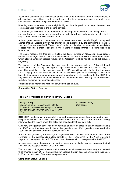

Absence of spadefoot toad was noticed and is likely to be attributable to a dry winter adversely affecting breeding habitats, and increased levels of anthropogenic pressure, over and above impacts associated with the pipeline operation activities.

Breeding corncrakes counts were slightly higher than in previous surveys, however, no corncrakes were recorded in the pipeline corridor.

No cranes (or their calls) were recorded at the targeted monitored sites during the 2014 surveys; however, a crane was recorded near Narianis Veli wetlands, which indicates that it may return to Narianis Veli wetlands in future.

Anthropogenic pressure is increasing around monitoring areas, namely illegal hunting and animal grazing. Grazing activity has intensified, as evidenced by the significant increase in shepherds' camps since 2011. These type of continuous disturbances associated with activities of local residents is most likely one of the reasons of disappearance of nesting cranes at Narianis Veli.

The same reasons are thought to explain the lower number of Caucasian black grouse numbers at all target sites (Kodiana and Tskhratskaro passes). In addition, a Government Order which allowed hunting of species included in the Georgian Red List, has affected black grouses negatively.

The presence of the Common otter was recorded at Narianis Veli and Potskhovi I and Potskhovi II river crossings, although no signs were found at the Mtkvari I river crossing. It should be noted that an otter track was recorded at Potskhovi II crossing for the first time since 2005. Judging from the observations at the control sites, periodical deserting of individual habitats does ocurr and does not depend on the position of a site in relation to the ROW. It is very likely that the presence of this mobile animal depends on the availability of food resources (e.g. fish) and direct human-induced stress.

Floral and faunal monitoring will be continued from spring 2015.

### **Completion Status:** Ongoing

### **Table 2.11: Vegetation Cover Recovery (Georgia)**

BTC ROW vegetation cover regrowth trends and erosion risk potential are monitored annually using a combination of satellite and field data. Satellite data captured in 2014 are still being interpreted so the results presented below are based on 2014 field data only.

Over 75% of vegetation cover has been achieved at all pre-selected 18 survey locations along the ROW, except for two plots in the Alpine grassland and Xeric grassland combined with South-Eastern Sub-Mediterranean deciduous thickets.

At the Alpine grassland, the coverage of vegetation within the RoW was equal to 58% of the coverage in the corresponding plots outside of the ROW, while at the Xeric grassland vegetation coverage within the ROW was 32% of the vegetation coverage outside the ROW.

A visual assessment of erosion risk along the permanent monitoring transects revealed that all 49 sites were assigned Erosion Class 3 or lower.

The next round of vegetation cover and erosion potential assessment monitoring is scheduled to commence in April 2015. The next round of species diversity assessment is due to take place in 2016, i.e. 10th year of the monitoring programme.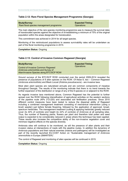| Study/Survey:                            | <b>Expected Timing:</b> |
|------------------------------------------|-------------------------|
| Rare floral species management programme | Operations              |

The main objective of the rare species monitoring programme was to measure the survival rates of translocated species against the objective of re-establishing a minimum of 75% of the original population within the areas designated for translocation.

This commitment was achieved in 2014 for all target species.

Monitoring of the reintroduced populations to assess survivability rates will be undertaken as part of the floral monitoring programme in 2015.

#### **Completion Status:** Ongoing

### **Table 2.13: Control of Invasive Common Ragweed (Georgia)**

#### **Study/Survey:**

Control of Invasive Common Ragweed *Ambrosia artemisifolia* and Survey of Alien/invasive Species along BTC/SCP ROW  **Expected Timing: Operations** 

Ground surveys of the BTC/SCP ROW conducted over the period 2009-2014 revealed the presence of populations of 8 alien species on the ROW. Of these 8, two – Common Ragweed (*Ambrosia artemisiifolia*) and Black Locust (*Robinia pseudoacacia*) - are invasive taxa.

Most alien plant species are naturalized annuals and are common components of meadow throughout Georgia. The results of the monitoring indicate that there is no trend towards the further expansion of the distribution or range of any of the 8 species on or adjacent to the ROW.

As regards invasive taxa mentioned above, Common Ragweed has the potential to further spread over the ROW following intensification of agricultural activities on the western sections of the pipeline route (KPs 212-220) and associated soil fertilisation practices. Since 2010 different control measures have been tested to reduce the dispersal ability of Ragweed including a combined management treatment consisting of mechanical intervention (using a brush weeder) just before female flowering, followed by the application of approved, broadspectrum herbicides. The management treatment (cutting & applying herbicide) greatly reduced cover (to 44% of controls) and height (to 22% of controls) of *Ambrosia* at all sampling sites. Thus, the number of flowering plants, flowers per plant and therefore total pollen and seed output is expected to be considerably reduced in areas where this technique has been applied. These results also increase the competitive ability of the non-invasive vegetation cover and minimize negative effects on the species diversity.

Ambrosia sites will continue to be monitored, as will the presence of alien plants and their invasion status at intersections of roads with the pipeline routes. In addition the dynamics of *Ambrosia* populations and their natural enemies (insects and pathogens) will be investigated as part of the recently launched EU-COST Action on "Sustainable management of *Ambrosia artemisiifolia* in Europe (SMARTER)".

The control of Ragweed and monitoring of alien species will be continued in 2015.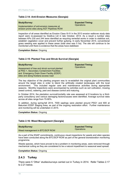

### **Table 2.14: Anti-Erosion Measures (Georgia)**

### **Study/Survey:**

Implementation of anti-erosion measures at erosion prone sites along AGT Pipelines ROW

Inspection of all areas identified as Erosion Class III-IV in the 2013 erosion walkover study data report were re-assessed by Dzelkva Ltd in late October, 2014. As a result a number sites between KPs 230 and 244 were identified as requiring remedial works in order to stabilize soil, establish vegetation cover and prevent further gullying. In early November 2014, conventional grass seeding was applied to these areas (total area was 5 ha). The site will continue to be monitoried until there is evidence that the areas have stabilised.

### **Completion Status:** Ongoing

### **Table 2.15: Planted Tree and Shrub Survival (Georgia)**

### **Study/Survey:**

Assessment of tree and shrub survival planted at PSG 1, Secondary Containment Facilities and Emergency Drain Down Facility (EDDF) sites and along Kodiana access road

 **Expected Timing: Operations** 

 **Expected Timing:** 

**Operations** 

The key objective of the planting program was to re-establish the original plant communities around the target sites in order to blend the artificially created landscapes with the local environment. This included regular care and maintenance activities during appropriate seasons. Monthly inspections were accompanied by activities such as soil cultivation, mowing (weed control), watering, pest and disease control and maturing.

In October 2014, the plantation survival/mortality rate was assessed at 8 locations by a thirdparty consultancy and various damaging factors/causes were identified. Average survival rates across all sites range from 70-90%.

In addition, during spring-fall 2014, 7000 saplings were planted around PSG1 and 600 at Bakuriani EDDF Staging Area, as part of the ongoing restoration effort. Further maintenance and monitoring will be undertaken in 2015.

**Completion Status:** Ongoing

### **Table 2.16: Weed Management (Georgia)**

**Study/Survey:** Weed management in BTC/SCP ROW  **Expected Timing: Operations** 

As a part of the ESAP commitments, continuous visual inspections for weeds and alien species have been conducted along the BTC/SCP ROW as part of the general biorestoration monitoring programme.

Weeds species, which have proved to be a problem in monitoring areas, were removed through mechanical cutting as they are considered to be a natural impediment to seasonal seed spread.

**Completion Status:** Ongoing

# **2.4.3 Turkey**

There were 5 'Other' studies/surveys carried out in Turkey in 2014. Refer Tables 2.17 to 2.21 below.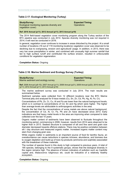### **Study/Survey:**

Ecological monitoring (species diversity and vegetation cover)

 **Expected Timing: Operations** 

**Ref: 2010 Annual (p11); 2012 Annual (p11); 2013 Annual (p19)**

The 2014 field-based vegetation cover monitoring program along the Turkey section of the BTC pipeline was conducted in July 2014. Species diversity monitoring was not required in 2014; it will next be conducted in 2016.

In general, vegetation cover continues to increase in areas disturbed by the project. At a small number of locations (16 out of 119 monitoring locations) vegetation cover was observed to be declining due to overgrazing, erosion and agricultural usage. In addition, in 2013, there was very low snow precipitation in winter, and combined with unusually high summer rainfall that led to high surface runoff and contributed the surface erosion, resulted in unfavourable conditions for vegetation regeneration.

**Completion Status:** Ongoing

### **Table 2.18: Marine Sediment and Ecology Survey (Turkey)**

**Study/Survey:** 

Marine sediment and ecology survey

 **Expected Timing: Operations** 

**Ref:** 2006 Annual (p9-10); 2007 Annual (p11); 2008 Annual (p21); 2009 Annual (p22); 2010 Annual (p11); 2012 Annual (p11); 2013 Annual (p19)

The marine sediment survey was conducted in July 2014. The main results are summarised below.

Sediment samples were collected from 12 different locations near the BTC Marine Terminal jetty and analyzed for 9 trace metals (Cu, Sn, Zn, Cd, Pb, Hg, Al, Fe, Cr).

Concentrations of Pb, Zn, Cr, Cu, Al and Fe are lower than the natural background levels, which is in contrast to concentrations of Cd, Sn and Hg which were higher. The higher than average levels are attributable to anthropogenic activities in the area.

Despite the fact that the concentrations of some metals are above natural background, the concentration of Cd, Al, Cr, Fe, Pb and Zn have decreased since 2013. Early indications are that heavy metal levels in the area are improving when compared to data collected over the last 10 years.

Organic matter content of sediments have been observed to fluctuate throughout the monitoring period, commencing in 2006, however, results from 2014 were observed to be higher than in 2013. Seabed structure is composed of silt and fine sand and grain size diameter decreased towards offshore stations. There may be positive correlation between silt / clay structure and measured organic matter. Increased organic matter content may stem from changing grain size.

While organic matter in sediments is an important source of food for benthic fauna, an overabundance can cause reductions in species richness, abundance, and biomass due to oxygen depletion and build-up of toxic by-products (ammonia and sulphide) associated with the breakdown of these materials.

The number of species found in this study is high compared to previous years. A total of 185 species, belonging to the 9 systematic groups, shows that the biological diversity in the region remains high. The absence of known indicators of pollution such as *Capitella capitat* and, *Malacoceros fuliginosus* etc. could be indicative of a relatively heathly ecosystem.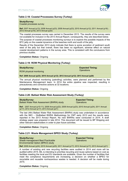

### **Table 2.18: Coastal Processess Survey (Turkey)**

### **Study/Survey:**

Coastal processes survey

**Ref:** 2007 Annual (p13); 2008 Annual (p23); 2009 Annual (p23); 2010 Annual (p12); 2011 Annual (p16) ; 2012 Annual (p16); 2013 Annual (p20)

The coastal processes survey was carried in December 2013. The results of the survey were not available for inclusion in the 2013 Annual Report, consequently, they are described below.

The purpose of coastal processes monitoring surveys is to explore the possible impacts of the BTC jetty on the coastal dynamics of the beaches north and south of the jetty.

Results of the December 2013 study indicate that there is some accretion of sediment south west of the jetty but that overall, there has been no significant, adverse effect on natural coastal development patterns in the survey area. This is consistent with the conclusions from previous studies.

### **Completion Status:** Ongoing

### **Table 2.19: ROW Physical Monitoring (Turkey)**

### **Study/Survey:**

ROW physical monitoring

**Ref: 2009 Annual (p23); 2010 Annual (p12); 2012 Annual (p12); 2013 Annual (p20)**

The annual physical monitoring (patrolling) activities, were planned and performed by the Maintenance Management team. In 2014 the entire pipeline was inspected, resulting in precautionary and corrective actions at 32 locations.

### **Completion Status:** Ongoing

### **Table 2.20: Ballast Water Risk Assessment Study (Turkey)**

**Study/Survey:** 

Ballast Water Risk Assessment (BWRA) study

 **Expected Timing: Operations** 

**Expected Timing:** 

**Operations** 

**Ref:** : 2007 Annual (p10-11); 2008 Annual (p22); 2009 Annual (p23); 2010 Annual (p24); 2011 Annual (p17); 2012 Annual (p17); 2013 Annual (p21)

The last (4th) Ballast Water Risk Assessment (BWRA) study was undertaken in accordance with the IMO – GloBallast BWRA Methodology for CMT early 2013 and the results were reported in the 2013 Annaul Report. No new BWRAs were conducted in 2014. A draft strategy paper was prepared in late 2014. This document will be issued to BP Shipping and other relevant stakeholders in order to plan future activities.

**Completion Status:** Ongoing

### **Table 2.21: Waste Management BPEO Study (Turkey)**

**Study/Survey:** 

Waste management Best Practicable Environmental Option (BPEO) study

 **Expected Timing: Operations** 

**Ref:** 2009 Annual (p24); 2010 Annual (p25); 2011 Annual (p17); 2012 Annual (p17); 2013 Annual (p21)

A number of existing and new recycling facilities were audited in 2014 and more will be audited within 2015. BIL is intending to prioritise recycling and reuse options based on cost as facilities meeting the local and EU standards are available. Given the number of facilities that meet the compliance requirements are increasing, a decision on whether a BPEO for recyclable and reusable nonhazardous wastes is needed. A decision will be made during 2015.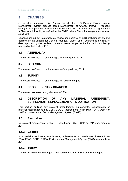# **3 CHANGES**

As reported in previous E&S Annual Reports, the BTC Pipeline Project uses a management system process called Management of Change (MoC). Proposed changes with potential associated environmental or social impacts are graded by 3 Classes – I, II or III, as defined in the ESAP, where Class III changes are the most significant.

Changes are subject to a process of review and approval by BTC, including review and approval by the Lenders for Class III changes. Class I and II changes do not require direct approval by the Lenders, but are assessed as part of the in-country monitoring process by the Lenders' IEC.

# **3.1 AZERBAIJAN**

There were no Class I, II or III changes in Azerbaijan in 2014.

# **3.2 GEORGIA**

There were no Class I, II or III changes in Georgia during 2014

# **3.3 TURKEY**

There were no Class I, II or III changes in Turkey during 2014.

# **3.4 CROSS-COUNTRY CHANGES**

There were no cross-country changes in 2014.

# **3.5 DESCRIPTION OF ANY MATERIAL AMENDMENT, SUPPLEMENT, REPLACEMENT OR MODIFICATION**

This section outlines any material amendments, supplements, replacements or material modification to any ESIA, ESAP, Resettlement Action Plan (RAP), OSRP or the Environmental and Social Management System (ESMS).

# **3.5.1 Azerbaijan**

No material amendments to the BTC Azerbaijan ESIA, ESAP or RAP were made in 2014.

# **3.5.2 Georgia**

No material amendments, supplements, replacements or material modifications to an ESIA, ESAP, OSRP, RAP or Environmental Management System (EMS) were made in 2014.

# **3.5.3 Turkey**

There were no material changes to the Turkey BTC EIA, ESAP or RAP during 2014.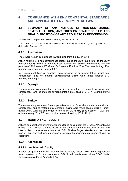

# **4 COMPLIANCE WITH ENVIRONMENTAL STANDARDS AND APPLICABLE ENVIRONMENTAL LAW**

# **4.1 SUMMARY OF ANY NOTICES OF NON-COMPLIANCE, REMEDIAL ACTION, ANY FINES OR PENALTIES PAID AND FINAL DISPOSITION OF ANY REGULATORY PROCEEDINGS**

No new non-compliances were raised by the IEC in 2014.

The status of all notices of non-compliance raised in previous years by the IEC is detailed in Appendix 2.

# **4.1.1 Azerbaijan**

There were no non-compliances in Azerbaijan from the IEC in 2014.

Action relating to a non-conformance raised during the 2010 audit (refer to the 2010 Annual Report) relating to the Red Book species *Iris acutiloba* commenced with the planting of 990 trees at PSA2 and 342 trees at IPA 1 in 2014. The tree-planting offset program is described in Section 2.3.1.

No Government fines or penalties were incurred for environmental or social noncompliances, and no material environmental claims were made against BTC Azerbaijan during 2014.

# **4.1.2 Georgia**

There were no Government fines or penalties incurred for environmental or social noncompliances, and no material environmental claims against BTC in Georgia during 2014.

# **4.1.3 Turkey**

There were no government fines or penalties incurred for environmental or social noncompliances, and no material environmental claims were made against BTC in Turkey during 2014. With the completion of the MARPOL Facility (See Section 11.2.2), the only remaining 2013 IEC non compliance was closed by IEC in 2014.

# **4.2 MONITORING RESULTS**

Actions on operational environmental monitoring arising from the BTC ESAP continued during 2014. These planned activities were implemented in accordance with the internal plans to ensure compliance with BTC Pipeline Project standards as well as to monitor, minimise and, where necessary, mitigate the environmental impact of pipeline operations.

# **4.2.1 Azerbaijan**

## **4.2.1.1 Ambient Air Quality**

Ambient air quality monitoring was conducted in July-August 2014. Sampling devices were deployed at 5 locations around PSA 2. All results were within ESAP limits. Details are provided in Appendix 3.1a.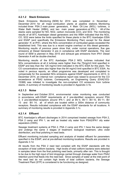Stack Emissions Monitoring (SEM) for 2014 was completed in November - December 2014 for all major combustion plants at pipeline stations. Monitoring included three PSA 2 main power generators, 4 Main Oil Line (MOL) turbines, a Water Bath Heater (WBH), and two main power generators at IPA 1. All of the stacks were sampled for NO, NO2, carbon monoxide (CO), and SO2. The monitoring results of all BTC Azerbaijan diesel generators and the WBH indicated that the NOx, CO, SO2 were below the limits specified for these plants in the BTC Azerbaijan ESIA and ESAP (and specifically the Emissions Monitoring Plan) except for the diesel generator 'A' at IPA1, where the NOx concentration of combusted gases exceeded the established limit. This was due to a recent engine overhaul on this diesel generator. Monitoring results of previous years show that, under normal operations, flue gas emissions at Diesel Generator A are in compliance with ESAP standards. The next round of SEM is planned in May 2015 and exhaust gas emissions from IPA1 Diesel Generator A will be double-checked.

Monitoring results of the BTC Azerbaijan PSA 2 MOL turbines indicated that NOx concentrations at all 4 turbines were higher than the 75mg/m3 limit specified in ESAP and less than the 125 mg/m3 limit indicated in the BTC ESIA for this plant. The CO concentrations were also higher than the 64 mg/m3 limit specified in BTC ESIA. As noted in pevious reports, an offset programme was developed and completed to compensate for the exceeded NOx emissions against ESAP requirements in 2013. In December 2014, an internal non- compliance report was raised to account for the CO exceedance at PSA2 turbines. Consequently, an Engineering Query (EXAZ-EQ-15388) was initiated to investigate the non-compliant CO emissions from turbine stacks. A summary of monitoring results is provided in Appendix 3.1b.

# **4.2.1.3 Noise**

In September and October 2014, environmental noise monitoring was conducted in accordance with ESAP requirements at 2 pre-identified receptors around PSA 2, 3 pre-identified receptors around IPA 1, and at BV 4, BV 7, BV 10, BV 11, BV 13 and BV 14, all of which are located within a 300m distance of community receptors. Results indicated compliance with the ESAP standards for all locations. A summary of monitoring results is provided in Appendix 3.1c.

# **4.2.1.4 Effluent**

BTC Azerbaijan's effluent discharges in 2014 comprised treated sewage from PSA 2, PSA 2 camp and IPA 1, as well as treated oily water from PSA2/IPA1 oily water separators (OWS).

Sewage treatment systems at PSA 2, PSA 2 camp and IPA 1 have the same design and undergo the same 3 stages of treatment: biological treatment, ultra violet disinfection, and final polishing in reed beds.

Effluent monitoring included sampling and analysis of treated effluent for parameters specified in the ESAP, and at pre-defined monitoring locations. Results are provided in Appendix 3.1d.

All results from the PSA 2 reed bed complied with the ESAP standards with the exception of total coliform bacteria. High levels of total coliform bacteria were detected in samples taken from the final polishing reed beds, primarily after rain. This is thought to be due to the high input of bird droppings carried through drainage water from PSA2 retention pond that feeds into the reed bed. Since samples of water at the inlet point of the reed bed do not contain high levels of total coliform bacteria, the Sewage Treatment Plant (STP) is considered to be functioning as designed.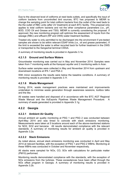

Due to the observed level of coliforms at reed beds outlets, and specifically the input of coliform bacteria from uncontrolled bird sources, BTC has proposed to MENR to change the sampling point for total coliform bacteria from the outlet of the reed beds to the the outlet of RBC units (after UV treatment) at each BTC facility. This proposal only applies to total coliform bacteria and not the other compliance parameters (i.e., pH, BOD, COD Oil and Grease and TSS). MENR is currently considering the proposal. If approved, the new monitoring program will optimize the assessment of inputs from the sewage (RBC) and effluent (RP and OWS) water treatment facilities.

Treated oily water is only permitted to be discharged into the environment if pre-tested samples are shown to be within relevant ESAP limits (i.e., oil and grease parameter). If the limit is exceeded the water is either recycled back for further treatment in the OWS or transported to the Sangachal terminal CWAA.

A summary of monitoring results is provided in Appendix 3.1e.

# **4.2.1.5 Ground and Surface Waters**

Groundwater monitoring was carried out in May and November 2014. Samples were taken from 7 monitoring wells at the Karayazi aquifer and 2 monitoring wells in Aran.

Surface water samples were collected in May and November 2014 from upstream and downstream locations at IPA 1 and PSA 2.

With minor exceptions the results were below the baseline conditions. A summary of monitoring results is provided in Appendix 3.1f.

## **4.2.1.6 Waste Management**

During 2014, waste management practices were maintained and improvements undertaken to minimise waste generation through awareness sessions, toolbox talks and the like.

All wastes were handled and disposed of in accordance with the BTC AGT Regional Waste Manual and the AzExports Pipelines Waste Management Procedure. A summary of waste generated is provided in Appendix 3.1g.

# **4.2.2 Georgia**

### **4.2.2.1 Ambient Air Quality**

Annual ambient air quality monitoring at PSG 1 and PSG 2 was conducted between April-May 2014 and was timed to coincide with stack emissions monitoring. Measurements were taken at 5 locations around each of the above-mentioned stations for NO2, SO2 and benzene. All results demonstrated compliance with the relevant standards. A summary of monitoring results for ambient air quality is provided in Appendix 3.2a.

## **4.2.2.2 Stack Emissions**

As noted above, annual stack emissions monitoring was conducted in April and May 2014 at relevant facilities, with the exception of PSG 1 and PSG 2 WBHs. Monitoring at these WBHs was conducted in October and November respectively.

All stacks were sampled for NOx, CO, SOx with calculations for particulate matter (PM10) performed.

Monitoring results demonstrated compliance with the standards, with the exception of NOx emissions from the turbines. These exceedances have been offset through the NOx offset program in Georgia. A summary of monitoring results is provided in Appendix 3.2b.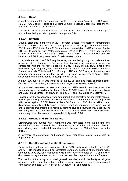Annual environmental noise monitoring at PSG 1 (including Area 72), PSG 1 camp, PSG 2, PSG 2 camp, Tsalka and Borjomi Oil Spill Response Bases (OSRBs) and the EDDF was conducted in October 2014.

The results at all locations indicate compliance with the standards. A summary of relevant monitoring results is provided in Appendix 3.2c.

# **4.2.2.4 Effluent**

Effluent discharge monitoring in 2014 covered treated hydrocarbon contaminated water from PSG 1 and PSG 2 retention ponds, treated sewage from PSG 1 camp, PSG 2 camp, PSG 2 site, Area 80 Permanent Accommodation and Borjomi and Tsalka OSRBs. In addition, Oily Water Separators (OWS) at PSG 1, Tsalka and Borjomi OSRBs, EDDF OWS 1 and OWS 2, PSG 1 camp, PSG 2 bore well OWS and two locations at PSG 2 camp were tested for oil-in-water content.

In accordance with the ESAP requirements, the monitoring program underwent an annual revision to decrease the frequency of monitoring for the parameters that were in compliance with the relevant standards in 2013. Heavy metals, BOD, phenol and chlorine analysis frequency was changed from quarterly to annual for PSG 1 and PSG 2 retention ponds. Total N and P, coliform, pH, TDS and COD analysis frequency was changed from monthly to quarterly for all STPs expect for coliform at Area 80 STP, which remained monthly due to noncompliance in 2013.

A new RBC type STP was installed at the EDDF and has been operating since October 2014. Since then, waste water is no longer transported to Area 80.

All measured parameters at retention ponds and STPs were in compliance with the standards expect for coliform bacteria at Area 80 STP (twice - in February and May) and EDDF (in December) and BOD at Area 80 STP and PSG 2 site (in September).

Reasons for the exceedances were determined and corrective actions implemented. Follow-up sampling confirmed that all effluent discharge standards were in compliance with the exception of BOD levels at Area 80 Camp and PSG 2 site STPs. Here, discharges were only slightly above the limit. Operations representatives were notified and a practice implemented to regularly remove sludge accumulations. Subsequent monitoring demonstrated that BOD at both locations was within the prescribed limits. A summary of monitoring results is provided in Appendix 3.2d.

## **4.2.2.5 Ground and Surface Waters**

Groundwater and surface water monitoring was conducted along the pipeline and around PSGs in two phases in 2014: June to July and October to November. Results of monitoring demonstrated full compliance with the specified Method Detection Limits (MDLs).

A summary of groundwater and surface water monitoring results is provided in Appendix 3.2e.

# **4.2.2.6 Non-Hazardous Landfill Groundwater**

Groundwater monitoring was conducted at the BTC non-hazardous landfill in Q1, Q2 and Q4. No monitoring could be completed during Q3 because all monitoring wells were found to be dry. Only monitoring wells 3 and 4 where sampled as 1, 2 and 5 were dry. Note that dry wells are not uncommon, as described in previous Annual Reports.

The results of the analysis showed general compliance with the background geochemistry, with some fluctuations within several parameters, such as electrical conductivity, sulphate (SO4), chloride (Cl), sodium (Na) and boron (B).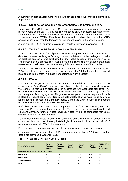

A summary of groundwater monitoring results for non-hazardous landfills is provided in Appendix 3.2e

# **4.2.2.7 Greenhouse Gas and Non-Greenhouse Gas Emissions to Air**

Greenhouse Gas (GHG) and non-GHG air emission calculations were completed on a monthly basis during 2014. Calculations were based on fuel consumption data for the MOL turbines and equipment specifications and fuel used from assumed running hours for generators and WBHs. Results of the calculations show that the actual GHG emissions are lower than the forecast, as has been the case in the previous years.

A summary of GHG air emissions calculation results is provided in Appendix 3.2f.

## **4.2.2.8 Tsalka Special Section Gas Leak Monitoring**

In accordance with the BTC Oil Spill Response Plan approval conditions, a special leak detection process involving sniffer dogs, trained in detection of the underground leaks on pipelines and tanks, was established on the Tsalka section of the pipeline in 2013. The purpose of this process is to supplement the existing pipeline leakage prevention measures and leak detection systems along this sensitive section of the pipeline.

Twenty-six locations were monitored in this manner on a monthly basis throughout 2014. Each location was monitored over a length of 1 km (500 m before the prescribed location and 500 m after). No leaks were detected on any ocassion.

### **4.2.2.9 Waste**

The main waste generation areas are PSG 1 and PSG 2. The Central Waste Accumulation Area (CWAA) continues operations for the storage of hazardous waste that cannot be recycled or disposed of in accordance with applicable standards. All non-hazardous wastes are collected at the waste processing and recycling centre for secondary and final segregation. Recyclable waste (plastic bottles, paper/cardboard) is stored in special containers. Non-recyclable waste, after compacting, is sent to a landfill for final disposal on a monthly basis. During the 2014,  $552m<sup>3</sup>$  of compacted non-hazardous waste was disposed to the landfill.

BTC Georgia continued using local companies for BTC waste recycling, such as: Caucasus PET Company for plastic waste; Vargi Limited for paper/cardboard; and NSM and Company for metal waste recycling. In total, 410  $m<sup>3</sup>$  of compacted recyclable waste was sent to local companies.

To minimise stored waste volume, BTC continues usage of heave shredder, in drum compactor, lump crusher. A newly installed glycol treatment unit processed 32  $m^3$  of used/mixed glycol in to 12  $\text{m}^3$  of new product.

BTC site camps continue using food waste macerators and a dewatering system.

A summary of waste generated in 2014 is summarised in Table 4.1 below. Further details are provided in Appendix 3.2g.

| Type of Waste $(m^3)$                   | PSG <sub>1</sub><br>(Site and<br>Camp) | PSG <sub>2</sub><br>(Site and<br>Camp) | <b>OSRB</b><br><b>Tsalka</b> | <b>OSRB</b><br><b>Borjomi</b> | <b>OSRB</b><br><b>Rustavi</b> | <b>Tbilisi Office</b><br>and<br>warehouse |  |  |
|-----------------------------------------|----------------------------------------|----------------------------------------|------------------------------|-------------------------------|-------------------------------|-------------------------------------------|--|--|
| <b>Hazardous Waste Disposed Offsite</b> |                                        |                                        |                              |                               |                               |                                           |  |  |
| Oily solids                             | 56.5                                   | 41.9                                   | 0                            | 2.6                           | 0.8                           | 0.7                                       |  |  |
| Oily liquids                            | 15                                     | 11.6                                   | 0                            | 5.1                           | 0.4                           | 0                                         |  |  |
| Sewage sludge                           | 310                                    | 119                                    | 0                            | 0                             | 0                             | 0                                         |  |  |
| Wax                                     | 1.2                                    | 1.4                                    | 0                            | 0                             | 0                             | 0                                         |  |  |

### **Table 4.1: Waste Generation 2014 (Georgia)**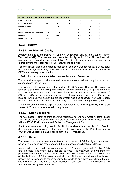| Non-hazardous Waste Recycled/Recovered Offsite |      |      |      |          |     |     |  |
|------------------------------------------------|------|------|------|----------|-----|-----|--|
| Plastic (recycled)                             | 82.3 | 22   | 3.4  | 2.9      | 7.1 |     |  |
| Paper (recycled)                               | 166  | 24   | 9.4  | 1.2      | 11  | 82  |  |
| Metal (recycled)                               | 27.8 | 5.4  | 0    | 2.5      | 14  | 0   |  |
| Wood                                           | 25   | 1.8  | 0    | 0        | 0   | 0   |  |
| Organic wastes (food wastes)                   | 59.4 | 11.4 | 0    | 0        | 0   | 0   |  |
| General                                        | 310  | 440  | 12.3 | 4.9      | 6.6 | 403 |  |
| Other (recycled)                               | 2329 | 0    | 0    | $\Omega$ | 0   | 307 |  |

# **4.2.3 Turkey**

# **4.2.3.1 Ambient Air Quality**

Ambient air quality monitoring in Turkey is undertaken only at the Ceyhan Marine Terminal (CMT). The results are presented in Appendix 3.2a. No ambient air monitoring is required at the Pump Stations (PTs) as the major sources of emissions (pump drivers and water heaters) use natural gas as a fuel.

Passive diffuser tubes were used to monitor air quality. VOCs (benzene, toluene, ethyl benzene and xylene–BTEX), SO2 and NOx are measured at 8 locations at and around CMT once in every three months.

In 2014, 4 surveys were undertaken between March and December.

The annual average of all measured parameters complied with applicable project standards and limit values.

The highest BTEX values were observed at CMT-3 Karatepe Quarter. This sampling location is adjacent to a third party crude oil loading terminal (BOTAS), and therefore impacted by associated VOC emissions. Some occasional fluctuations (increase of SO2 and NO2 at two locations during the Fall monitoring period and SO2 at one location during Spring, as per the previous year) was also observed, however in each case the emissions were below the regulatory limits and lower than previous years.

The annual average values of parameters measured in 2014 were generally lower than values of 2013, all of which were in compliance.

## **4.2.3.2 Stack Emissions**

The fuel gases originating from gas fired reciprocating engines, water heaters, diesel fired generators and wax handling boilers were monitored by DOKAY in accordance with the ESAP Environmental and Emissions Management Plan.

Stack emissions monitoring results for 2014 are shown in Appendix 3.2b. Results demonstrate compliance at all facilities with the exception of the PT2 driver engine 3 which was undergoing maintenance at the time of monitoring.

## **4.2.3.3 Noise**

The project standard for noise specifies a maximum of 45dBA for night time ambient noise levels at sensitive receptors or a 3dBA increase above background levels.

Noise modelling was undertaken as part of the ESIA process (Volume II, Section 7.9.4) and indicated that noise levels peaked at 40dBA at maximum of 50m from the perimeter fence at each pump station. Given that the closest residential receptor to any of the facilities is 1.5 km away, monitoring at off-site residential receptors is only undertaken in response to concerns raised by residents or if there is evidence that onsite noise is rising. Neither of these situations arose during 2014, consequently, no ambient monitoring was conducted.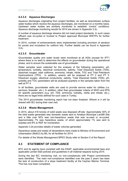

# **4.2.3.4 Aqueous Discharges**

Aqueous discharges originating from project facilities, as well as downstream surface water bodies which receive the aqueous discharges, are monitored on a monthly basis. Upstream water bodies are similarly monitored to establish 'control' conditions. Aqueous discharge monitoring results for 2014 are shown in Appendix 3.2c.

A number of aqueous discharge streams did not meet project standards. In such cases effluent was re-cycled or trucked to Project approved Municipal WWTPs for further treatment.

In 2014, number of enhancements were implemented including provision of aerators for ponds and incubators for coliform kits. Further details can be found in Appendix 3.2c.

# **4.2.3.5 Groundwater**

Groundwater quality and water levels were monitored at all AGIs (except for IPT1 where there is no well) to determine the effects on groundwater during the operational phase, and to ensure the sustainable use of groundwater.

Water samples were collected for the analysis of the following parameters: pH, temperature, turbidity, electrical conductivity, salinity, Total Dissolved Solids (TDS), dissolved oxygen, total coliforms, ammonia, nitrate, nitrite, TOC and Total Petroleum Hydrocarbons (TPH). In addition, arsenic will be analysed at PT 2 and PT 3. Dissolved oxygen, electrical conductivity, salinity, Total Dissolved Solids (TDS), pH, turbidity and TOC parameters will be analysed quarterly in the samples taken from the well at PT 4.

In all facilities, groundwater wells are used to provide service water for utilities (i.e. services, firewater, etc.). In addition, other than groundwater criteria of WHO and EPA for specific parameters (e.g. pH, TDS, ammonia, turbidity, nitrite and nitrate, etc.), there are no legal limits defined for such uses in Turkey.

The 2014 groundwater monitoring report has not been finalized. Whenit is it will be shared with IEC during their next visit.

# **4.2.3.6 Waste Management**

In 2014, about 418 tonnes of solid waste was disposed off-site. Approximately 40% of the total waste generated was domestic waste sent to Antakya Municipal Landfill Site and a little over 50% was non-hazardous waste that was re-used or re-cycled. Approximately 7% was hazardous waste, of which approxmately 1% was sent to Izaydas and 6% to RDF for incineration.

Appendix 3.2d provides details of waste volumes generated.

Hazardous waste and waste oil declarations were made to Ministry of Environment and Urbanisation (MoEU) by BIL for all facilities for 2014.

For details of the Waste Management BPEO Study refer to Section 0 of the Report.

# **4.3 STATEMENT OF COMPLIANCE**

BTC and its agents have complied with the ESAP, applicable environmental laws and applicable Lender E&S policies and guidelines in all material respects during 2014.

During the last IEC monitoring visit, no non-compliances with Project commitments were identified. The main non-compliance identified over the past 2 years has been the lack of construction of a slops treatment facility at the Ceyhan Marine Terminal. This has now been completed.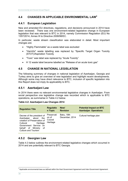# **4.4 CHANGES IN APPLICABLE ENVIRONMENTAL LAW3**

# **4.4.1 European Legislation**

New and amended EU directives, regulations, and decisions announced in 2014 have been reviewed. There was one environment-related legislative change in European legislation that was relevant to BTC in 2014, namely Commission Regulation (EU) No 1357/2014, Annex III to Directive 2008/98/EC.

In particular, waste stream classification was elaborated in detail. Most important changes are:

- "Highly Flammable" as a waste label was excluded
- "Harmful" waste labelling was replaced by "Specific Target Organ Toxicity (STOT)/Aspiration Toxicity
- "Toxic" was label was replaced by "Acute Toxicity"
- H 12 waste label became labelled as "Release of an acute toxic gas"

# **4.5 CHANGE IN NATIONAL LEGISLATION**

The following summary of changes in national legislation of Azerbaijan, Georgia and Turkey aims to give an overview of new legislation and highlight recent developments. Although some may have direct relevance to BTC, inclusion of specific legislation into this Report does not imply its applicability to BTC.

# **4.5.1 Azerbaijani Law**

In 2014 there were no relevant environmental legislative changes in Azerbaijan. From social perspective one legislative change was recorded which is applicable to BTC operations, as summarise in Table 4.2 below.

### **Table 4.2: Azerbaijani Law Changes 2014**

| <b>Regulation Title</b>                                                                                                                                                                                   | <b>Regulatio</b>                           | New/                         | <b>Potential Impact on BTC</b> |
|-----------------------------------------------------------------------------------------------------------------------------------------------------------------------------------------------------------|--------------------------------------------|------------------------------|--------------------------------|
|                                                                                                                                                                                                           | n Topic                                    | <b>Revision</b>              | <b>Azerbaijan Operations</b>   |
| Decree of the president of<br>Azerbaijan<br>the<br>about<br>creation of Preservation of<br>Heritage<br>Cultural<br>Government Service<br>-on<br>behalf of<br>Ministry<br>οf<br><b>Culture and Tourism</b> | Preservati<br>on of<br>Culural<br>Heritage | Baku, 18th<br>December, 2014 | Cultural heritage plan         |

# **4.5.2 Georgian Law**

Table 4.3 below outlines the environment-related legislative changes which occurred in 2014 and are potentially relevant to BTC Georgia.

l <sup>3</sup> Applicable environmental laws as defined within the Host Government Agreement and Inter-Government Agreement.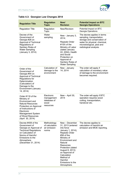

|  | Table 4.3: Georgian Law Changes 2014 |  |  |  |
|--|--------------------------------------|--|--|--|
|--|--------------------------------------|--|--|--|

| <b>Regulation Title</b>                                                                                                                                                                                            | <b>Regulation</b><br><b>Topic</b>                            | New/<br><b>Revision</b>                                                                                                                                                                                                                                                                               | <b>Potential Impact on BTC</b><br><b>Georgia Operations</b>                                                                                                                     |  |
|--------------------------------------------------------------------------------------------------------------------------------------------------------------------------------------------------------------------|--------------------------------------------------------------|-------------------------------------------------------------------------------------------------------------------------------------------------------------------------------------------------------------------------------------------------------------------------------------------------------|---------------------------------------------------------------------------------------------------------------------------------------------------------------------------------|--|
| <b>Regulation Title</b>                                                                                                                                                                                            | Regulation<br>Topic                                          | New/Revision                                                                                                                                                                                                                                                                                          | Potential Impact on BTC<br>Georgia Operations                                                                                                                                   |  |
| Decree of the<br>Government of<br>Georgia #26 on<br>Approval of Technical<br>Regulations of<br>Sanitary Rules of<br><b>Water Sampling</b><br>(January 3, 2014)                                                     | Water<br>sampling                                            | New - January 3,<br>2014;<br>Repeals Order<br>$#15/6$ of the<br>Ministry of Labor<br>(dated January<br>22, 2004), Health<br>and Social<br>Protection on<br>Approval of<br>Sanitary Rules of<br><b>Water Sampling</b>                                                                                  | The decree applies in terms<br>sampling, transportation,<br>storage and conservation of<br>water for physical, chemical,<br>microbiological, pest and<br>radiological analysis. |  |
| Order of the<br>Government of<br>Georgia #54 on<br>Approval of Technical<br>Regulations for<br>Determination<br>(Calculation) of<br>Damage to the<br>Environment (January<br>14, 2014)                             | Calculation of<br>damage to the<br>environment               | New - January<br>14, 2014                                                                                                                                                                                                                                                                             | The order will apply if<br>calculation of monetary value<br>of damage to the environment<br>becomes required.                                                                   |  |
| Order #118 of the<br>Ministry of<br>Environment and<br><b>Natural Resources</b><br>Protection on Approval<br>of Instructions of<br>Electronic<br><b>Management System</b><br>of Wood Resources<br>(April 30, 2014) | Electronic<br>management<br>database of<br>wood<br>resources | New - April 30,<br>2014                                                                                                                                                                                                                                                                               | The order will apply if BTC<br>operation requires wood<br>cutting, transportation,<br>handover etc.                                                                             |  |
| Decree #408 of the<br>Government of<br>Georgia on Approval of<br><b>Technical Regulations</b><br>on Calculation of<br>Norms of Harmful<br>Emissions to the<br>Atmosphere<br>(December 31, 2014)                    | Methodology<br>of calculation<br>air emission<br>norms       | New - December<br>31, 2013 (entered<br>into force<br>January 1, 2014);<br>Repeals Order<br>$#56$ of the<br>Ministry of<br>Environment and<br>Natural<br>Resources<br>Protection (dated<br>August 8, 2013)<br>on Approval of<br>Calculation<br>Method of<br>Harmful<br>Emissions to the<br>Atmosphere. | The decree applies to<br>calculation of harmful air<br>emission and MOE reporting.                                                                                              |  |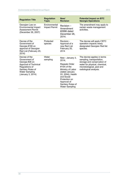| <b>Regulation Title</b>                                                                                                                                        | <b>Regulation</b><br><b>Topic</b> | New/<br><b>Revision</b>                                                                                                                                                                                               | <b>Potential Impact on BTC</b><br><b>Georgia Operations</b>                                                                                                                     |
|----------------------------------------------------------------------------------------------------------------------------------------------------------------|-----------------------------------|-----------------------------------------------------------------------------------------------------------------------------------------------------------------------------------------------------------------------|---------------------------------------------------------------------------------------------------------------------------------------------------------------------------------|
| Georgian Law on<br><b>Environmental Impact</b><br><b>Assessment Permit</b><br>(December 26, 2007)                                                              | Environmental<br>Impact Permit    | Revision –<br>Amendment<br>#2996 dated<br>December 26,<br>2014.                                                                                                                                                       | The amendment may apply to<br>certain waste management<br>activities.                                                                                                           |
| Decree of the<br>Government of<br>Georgia #190 on<br>approval of Georgian<br>Red List (February 20,<br>2014)                                                   | Protected<br>species              | Revision -<br>Approval of a<br>new Red List<br>February 20,<br>2014                                                                                                                                                   | The decree will apply if BTC<br>operation impacts newly<br>designated Georgian Red list<br>species.                                                                             |
| Decree of the<br>Government of<br>Georgia #26 on<br>Approval of Technical<br>Regulations of<br>Sanitary Rules of<br><b>Water Sampling</b><br>(January 3, 2014) | Water<br>sampling                 | New - January 3,<br>2014:<br>Repeals Order<br>$\#15/6$ of the<br>Ministry of Labor<br>(dated January<br>22, 2004), Health<br>and Social<br>Protection on<br>Approval of<br>Sanitary Rules of<br><b>Water Sampling</b> | The decree applies in terms<br>sampling, transportation,<br>storage and conservation of<br>water for physical, chemical,<br>microbiological, pest and<br>radiological analysis. |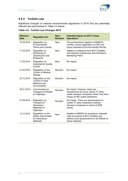

# **4.5.3 Turkish Law**

Significant changes of national environmental regulations in 2014 that are potentially relavant are summarised in Table 4.4 below.

| <b>Effective</b><br>Date | <b>Regulation On:</b>                                                               | New /<br><b>Revision</b> | <b>Potential Impact on BTC Turkey</b><br><b>Operations</b>                                                                                                          |
|--------------------------|-------------------------------------------------------------------------------------|--------------------------|---------------------------------------------------------------------------------------------------------------------------------------------------------------------|
| 10.09.2014               | Regulation on<br>Environmental<br><b>Permit and License</b>                         | <b>New</b>               | The ammendment applies to MARPOL<br>Facility License application at CMT and<br>future renewals of Environmental Permits                                             |
| 17.05.2014               | Regulation on<br>Monitoring of<br>Greenhouse Gas<br>Emissions                       | <b>New</b>               | Applies to emissions from BTC Facilities<br>and requires Greenhouse Gas Emissions<br><b>Monitoring Plans</b>                                                        |
| 17.05.2014               | Regulation on<br><b>Industrial Air Quality</b><br>Control                           | <b>New</b>               | No impact.                                                                                                                                                          |
| 21.03.2014               | Regulation on the<br><b>Control of Medical</b><br>Wastes                            | Revision                 | No impact.                                                                                                                                                          |
| 23.12.2014               | Regulation on the<br>Control of Used<br>Batteries and<br>Accumulators               | Revision                 | No impact.                                                                                                                                                          |
| 30.01.2014               | Communique on<br><b>Transport of Wastes</b><br>on Highways                          | Revision                 | No impact. However, there are<br>requirements for some certain 3 <sup>rd</sup> party<br>waste transport companies which may have<br>impact on BIL waste operations. |
| 27.08.2014               | Regulation on<br>Transport of<br>Hazardous<br>Materials on<br>Highways              | <b>Revision</b>          | No impact. There are requirements for<br>certain 3 <sup>rd</sup> party hazardous material<br>transport companies in terms of ADR<br>issues.                         |
| 13.12.2014               | Regulation on the<br><b>Safety Data Sheets</b><br>for Hazardous<br><b>Materials</b> | <b>New</b>               | Applies to MSDSs for hazardous materials<br>used and stored at BTC facilities and<br>defines local requirements for the MSDS of<br>those materials.                 |

**Table 4.4: Turkish Law Changes 2014**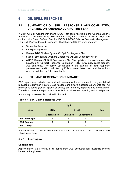# **5 OIL SPILL RESPONSE**

# **5.1 SUMMARY OF OIL SPILL RESPONSE PLANS COMPLETED, UPDATED, OR AMENDED DURING THE YEAR**

In 2014 Oil Spill Contingency Plans (OSCP) for each Azerbaijan and Georgia Exports Pipelines assets (collectively Midstream Assets) have been re-written to align and conform with Group Defined Practice (GDP) 4.6-0002 Crisis & Continuity Management – Oil Spill Preparedness & Response. The following OSCPs were updated:

- Sangachal Terminal
- Az Export Pipelines
- Georgia BTC Pipeline System Oil Spill Contingency Plan
- Supsa Terminal and Offshore Operations Oil Spill Contingency Plan
- WREP Georgia Oil Spill Contingency Plan.The update of the containment site database by Oil Spill Response Contractor - NRC (previously called Seacor) was continued. The follow up actions of the external oil spill response preparedness audit, conducted by Polaris, were determined and the actions were being taken by BIL, accordingly.

# **5.2 SPILL AND REMEDIATION SUMMARIES**

BTC reports any material, uncontained releases to the environment or any contained releases greater than 1 barrel. Gas releases are always classified as uncontained. All material releases (liquids, gases or solids) are internally reported and investigated. There is no minimum reportable volume for internal release reporting and investigation.

A summary of releases is provided in Table 5.1.

|  | Table 5.1: BTC Material Releases 2014 |
|--|---------------------------------------|
|--|---------------------------------------|

| <b>Asset</b>          | $1$ bbl     | $>1$ bbl         |             | Gas |
|-----------------------|-------------|------------------|-------------|-----|
|                       | Uncontained | <b>Contained</b> | Uncontained |     |
| <b>BTC Azerbaijan</b> |             |                  | 0           | 0   |
| <b>BTC Georgia</b>    |             | 0                | 0           |     |
| <b>BTC Turkey</b>     |             |                  |             |     |

Further details on the material releases shown in Table 5.1 are provided in the following sections.

# **5.2.1 Azerbaijan**

## **Uncontained**

Approximately 0.2 l hydraulic oil leaked from JCB excavator fork hydraulic system located in the pipeyard.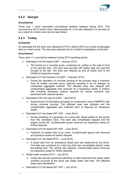

# **5.2.2 Georgia**

## **Uncontained**

There was 1 minor reportable uncontained material releases during 2014. This occurred at a GC13 check valve. Approximately 4L of oil was released in a concrete pit as a result of a check valve bonnet seal failure.

# **5.2.3 Turkey**

## **Contained**

An estimated 8.8 bbl foam was released at PT4 in March 2014 as a result of damaged seal on a foam pump. The seal was replaced and an incident investigation conducted.

## **Uncontained**

There were 11 uncontained releases during 2014 reporting period.

- Estimated 0.03 bbl diesel (CMT January 2014)
	- o The bucket on a concrete pump, containing oil, spilled on the road in front of the security door. The area was secured with safety tape and spill kits brought to the site. The area was cleaned up and all waste sent to the CWAA as hazardous waste.
- Estimated 0.01 bbl hydraulic oil (CMT February 2014)
	- During the operation of concrete pouring at the process area a hydraulic hose at mobile concrete pump ruptured resulting in an oil leakage on compacted aggregate material. The affected area was stripped and contaminated aggregate was removed as a hazardous waste. A toolbox talk including necessary actions required for similar incidents was performed with relevant parties.
- Estimated 0.001 bbl lube oil (CMT April 2014)
	- Small amount of lubricating oil leaked on construction road of MARPOL site during concrete pouring. The affected area was stripped and the contaminated aggregate was collected prior to disposal as hazardous waste.
- Estimated 0.01 bbl diesel (KP 1007 June 2014)
	- o During refuelling of a generator at a camp site, diesel spilled on the gravel from the ventilation valve. The work was immediately stopped and the engine turned off. Contaminated gravel removed as hazardous waste for further disposal.
- Estimated 0.03 bbl diesel (KP 1007 June 2014)
	- o Hydraulic oil spilled from hi-up crane. Contaminated gravel was removed as hazardous waste for further disposal.
- Estimated 0.01 bbl diesel (PT4 June 2014)
	- o A diesel leak from an ambulance diesel tank was observed by the driver. The leak was contained by a drip tray that was immediately placed under the leaking tank. The vehicle was repaired. Contaminated gravel removed as hazardous waste for further disposal.
- Waste water overflow (PT4 July 2014)
	- o Camp site security personnel patrolling at night observed that waste water overflow occurred at the camp site waste water inlet tank. The affected areas were disinfected. .
- Estimated 0.01 bbl diesel (KP 1007 July 2014)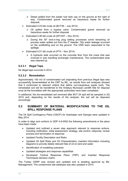- o Diesel spilled from the loader fuel tank cap on the ground at the right of way. Contaminated gravel removed as hazardous waste for further disposal.
- Estimated 0.03 bbl crude oil (BVT39 July 2014)
	- o Oil spilled from a bypass valve. Contaminated gravel removed as hazardous waste for further disposal.
- Estimated 0.06 bbl crude oil (KP1007 Nov 2014)
	- o During the 30" lock-o-ring plug setting processes some remaining oil process water spilled out from the 2" bleeder. Oily water leakage occurred on the scaffolding and on the ground. The OSR team responded to the spillage.
- Estimated 0.01 bbl crude oil (PT4 Nov 2014)
	- o A hydraulic leak occurred on the concrete floor from the crane that was involved in wax handling exchanger maintenance. The contaminated area was cleaned-up.

### **5.2.3.1 Illegal Taps**

No illegal taps occurred in 2014.

### **5.2.3.2 Remediation**

Approximately 150 m3 of contaminated soil originating from previous illegal taps was successfully bioremediated at the CMT by BIL, as results from soil analyses showed that it conformed to relevant criteria that define non-hazardous waste (soil). The remediated soil will be transferred to the Antakya Municipal Landfill Site for disposal once all the formalities with the appropriate authorities have been completed.

In additional, the bio-remediated soil removed after BVT 24 spill will be sampled in 2Q 2015 and, depending on the results of the analysis, the soil will be disposed accordingly.

## **5.3 SUMMARY OF MATERIAL MODIFICATIONS TO THE OIL SPILL RESPONSE PLANS**

The Oil Spill Contingency Plans (OSCP) for Azerbaijan and Georgia were updated in May 2014.

In order to align and conform to GDP 4.6-0002 the following amendments in the plans have been made:

- Updated and outlined a seven step approach relevant to response actions, including notification, initial assessment, strategy, site control, response, review process and termination of response
- Updated Facility Description and Risks
- Updated Oil Spill Risks and Oil Characteristics; inserted information including diagrams to provide details relevant fate of oil on land and water
- Identification of modelling scenarios
- Updated strategies and response capabilities
- Developed Tactical Response Plans (TRP); and Inserted Response Techniques decision matrix.

The Turkey OSRP was revised and updated and is awaiting approval by BIL Management. The containment site database was also updated in 2014.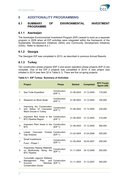

# **6 ADDITIONALITY PROGRAMMING**

## **6.1 SUMMARY OF ENVIRONMENTAL INVESTMENT PROGRAMME**

## **6.1.1 Azerbaijan**

The Azerbaijan Environmental Investment Program (EIP) ceased to exist as a separate program in 2009 when all EIP activities were integrated within the framework of the Sustainable Development Initiatives (SDIs) and Community Development Initiatives (CDIs). Refer to Section 6.2.1.

## **6.1.2 Georgia**

The Georgian EIP was completed in 2013, as described in previous Annual Reports.

## **6.1.3 Turkey**

Ten construction phase projects (EIP I) and seven operation phase projects (EIP 2) are complete. One of the EIP 2 projects was completed in 2014. A new project was initiated in 2014 (see Item 22 in Table 6.1). There are five on-going projects.

### **Table 6.1: EIP Turkey: Summary of Activities**

|   | <b>Project</b>                                                                                              | <b>Phase</b>                    | <b>Started</b> | <b>Completed</b> | <b>BTC Funds</b><br><b>Spent US\$</b> |
|---|-------------------------------------------------------------------------------------------------------------|---------------------------------|----------------|------------------|---------------------------------------|
| 1 | Sea Turtle Expedition                                                                                       | Construction<br>(EIP 1)         | 01.08.2003     | 31.12.2005       | 175,000                               |
| 2 | Research on Monk Seals                                                                                      | Construction<br>(EIP 1)         | 01.08.2003     | 31.12.2004       | 100,000                               |
| 3 | Improving the Conservation<br>and Status of Caucasian<br><b>Black Grouse in Turkey</b>                      | Construction<br>(EIP 1)         | 01.08.2003     | 31.12.2005       | 230,000                               |
| 4 | Important Bird Areas in the<br><b>BTC Pipeline Region</b>                                                   | Construction<br>(EIP 1)         | 01.08.2003     | 31.12.2005       | 215,000                               |
| 5 | Important Plant Areas in the Construction<br><b>BTC</b>                                                     | (EIP 1)                         | 01.08.2003     | 31.12.2005       | 260,000                               |
| 6 | Caucuses<br>Lesser<br>Gap Analysis                                                                          | Forests Construction<br>(EIP 1) | 01.02.2004     | 31.04.2006       | 305,000                               |
| 7 | <b>Small Investments</b><br>Fund - Phase 1                                                                  | Construction<br>(EIP 1)         | 01.09.2004     | 30.04.2007       | 250,000                               |
| 8 | <b>Awareness Raising Materials</b><br>Biodiversity Along<br>the<br>on<br><b>BTC Pipeline</b>                | Construction<br>(EIP 1)         | 01.11.2004     | 30.10.2008       | 200,000                               |
| 9 | Yumurtalik Lagoons Wetland<br>Management<br>Plan<br>Erzurum<br>Marshes (EIP 1)<br><b>Conservation Zones</b> | and Construction                | 01.11.2004     | 31.12.2007       | 545,000                               |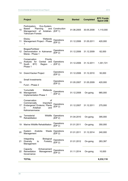|                   | <b>Project</b>                                                                                                                 | <b>Phase</b>                   | <b>Started</b> | <b>Completed</b> | <b>BTC Funds</b><br><b>Spent US\$</b> |
|-------------------|--------------------------------------------------------------------------------------------------------------------------------|--------------------------------|----------------|------------------|---------------------------------------|
| 10                | Eco-System-<br>Participatory<br>Planning<br>Based<br>of Ardahan- (EIP 1)<br>Management<br><b>Yalnizcam Forests</b>             | and Construction               | 01.06.2005     | 30.05.2008       | 1,110,000                             |
| 11                | Eksisu<br>Wetlands<br>Management Project - Phase<br>1                                                                          | Operations<br>(EIP 2)          | 01.12.2006     | 31.05.2011       | 420,000                               |
| $12 \overline{ }$ | <b>Biogas/Fertilizer</b><br>Demonstration in Kahraman<br>Maras - Phase 1                                                       | Operations<br>(EIP 2)          | 01.12.2006     | 31.12.2009       | 62,000                                |
| 13                | Conservation<br>Priority<br>for<br>Central<br>Analysis<br>South<br><b>BTC</b><br>Region<br>$\overline{\phantom{0}}$<br>Phase 1 | and Operations<br>(EIP 2)      | 01.12.2006     | 31.12.2011       | 1,351,721                             |
| 14                | <b>Grand Kackar Project</b>                                                                                                    | Operations<br>(EIP 2)          | 01.12.2006     | 31.12.2010       | 50,000                                |
| 15                | <b>Small Investments</b><br>Fund - Phase 2                                                                                     | Operations<br>(EIP 2)          | 01.05.2007     | 31.05.2009       | 420,000                               |
| 16                | Yumurtalik<br>Wetlands<br>Management<br>Implementation Phase 1                                                                 | Operations<br>(EIP 2)          | 01.12.2008     | On-going         | 985,000                               |
| 17                | Conservation<br>of<br>Commercially<br>Important<br>Endangered Endemic Plants<br>Ardahan<br>in<br>and<br>Kahramanmaras          | Operations<br>(EIP 2)          | 01.12.2007     | 31.12.2011       | 275,000                               |
| 18                | Terresterial<br>Rehabilitation                                                                                                 | Wildlife Operations<br>(EIP 2) | 01.04.2010     | On-going         | 395,000                               |
| 19                | Marine Wildlife Rehabilitation                                                                                                 | Operations<br>(EIP 2)          | 01.01.2011     | On-going         | 350,000                               |
| 20                | Eastern<br>Anatolia<br>Waste<br>Management                                                                                     | Operations<br>(EIP 2)          | 01.01.2011     | 31.12.2014       | 240,000                               |
| 21                | Integrating<br><b>Biological</b><br><b>Diversity</b><br>Forestry<br>to<br>Management                                           | Operations<br>(EIP 2)          | 01.01.2012     | On-going         | 283,397                               |
| 22                | Capacity<br>Enhancement<br>Remediation<br>Management<br>Governance                                                             | Operations<br>(EIP 2)          | 01.11.2014     | On-going         | 10,000                                |
|                   | <b>TOTAL</b>                                                                                                                   |                                |                |                  | 8,232,118                             |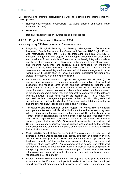

EIP continued to promote biodiversity as well as extending the themes into the following areas:

- National environmental infrastructure (i.e. waste disposal and waste water treatment facilities)
- Wildlife care
- Regulator capacity support (awareness and experience)

### **6.1.3.1 Project Status as of December 2014**

A summary of key EIP developments in 2014 are as follows:

- Integrating Biological Diversity to Forestry Management: Conservation Investment Priority Analysis for the Central and Southern BTC Region Project was restructured under the Project on Integrating Biological Diversity to Forestry Management. The project aims to support government on biodiversity and non-timber forest products in Turkey via a biodiversity integration study in priority forest areas along the BTC pipeline. In this regard, Forest Management and Planning Guidelines are currently being developed for integrating ecological management into forest management. Climate change adaptation recommendations were integrated to a selected pilot forest management plan in Adana in 2014. Similar effort in Konya is on-going. Ecological monitoring has started in 6 sections within the pipeline region.
- Implementation of the Yumurtalik Lagoons Management Plan (Phase II): The project aims to maintain momentum towards conservation of a wetland ecosystem and reducing some of the land use complexities that the local stakeholders are facing. One key action was to support the reduction of the protection status of Yumurtalık Wetlands by one level to facilitate the attainment of defined management objectives. This proposal was approved by the relevant Ministry, however it was ruled out by the court in 2014. As a result, the approved wetland management plan was revised in 2014. Also, technical support was provided to the Ministry of Forest and Water Affairs in developing and implementing new species protection plans in Turkey.
- Terrestrial Wildlife Rehabilitation Centre Project: The project aims to establish and operate a terrestrial wildlife rehabilitation centre and an operation system with the aim of caring for sick, injured and orphaned wildlife and acclimatizing in Turkey in wildlife rehabilitation. Training on wildlife rescue and rehabilitation and oiled wildlife response was provided in November to about 100 people from a range of groups including NGOs, Government departments, Universities, and Oil Spill Contractors. Significant funding support was secured by the grantee from Government to enhance the capacity of the Kars Kafkas University Wildlife Rehabilitation Center.
- Marine Wildlife Rehabilitation Centre Project: The project aims to enhance and operate a marine wildlife rehabilitation centre, establish an operation system with the aim of caring for sick, injured and orphaned wildlife. Operational and treatment capacity of the center was enhanced through purchase and installation of sea pens in 2014. A new communication network was established for reporting injured or dead animals. Also a network of mobile equipment for transporting the injured sea turtles was developed. Seven sea turtles were rehabilitated and released back to the ocean. Nine individuals were under rehabilitation as of end of 2014.
- Eastern Anatolia Waste Management: The project aims to provide technical assistance to the Erzurum Municipality in order to enhance their municipal landfill operational procedures and practices in line with EU standards. The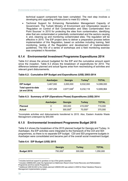technical support component has been completed. The next step involves a developing and upgrading infrastructure to meet EU criteria.

 Technical Support for Enhancing Remediation Management Capacity of Government. The Turkish Ministry of Environment and Urbanization issued a 'Regulation on Control of Soil Contamination and Sites Contaminated from Point Sources' in 2010 for protecting the sites from contamination, identifying sites that are contaminated or potentially contaminated and the sectors causing it; and, cleaning up and monitoring contaminated sites. The regulation will be effective in 2015. The EIP project aims to deliver a preparation process before implementation of this Regulation, based on activities including training, field monitoring, testing of the Regulation and development of implementation guidelines. The first of a series of workshops and a field monitoring exercise was completed in November.

## **6.1.4 Environmental Investment Programme Expenditures 2014**

Table 6.2 shows the amount budgeted for the EIP and the cumulative amount spent since the inception. Table 6.3 shows the breakdown of expenditures for 2014. The difference between planned and actual figures arise from rescheduling of activities and relevant grant disbursements.

|                                             | Azerbaijan | Georgia   | Turkey <sup>4</sup> | <b>TOTAL</b> |
|---------------------------------------------|------------|-----------|---------------------|--------------|
| <b>EIP budget</b>                           | 3,467,000  | 3,000,000 | 8,532,000           | 14,999,000   |
| <b>Total spent-to-date</b><br>(at end 2014) | 1,697,298  | 2,877,548 | 8,232,118           | 12,806,964   |

#### **Table 6.2: Cumulative EIP Budget and Expenditures (US\$) 2003-2014**

### **Table 6.3: Summary of EIP (Operations Phase) Expenditures (US\$) 2014**

|                | Azerbaijan | Georgia     | <b>Turkey</b> | <b>TOTAL</b> |
|----------------|------------|-------------|---------------|--------------|
| <b>Planned</b> |            | 300,000     | 415.000*      | 715.000      |
| Actual         |            | $300,000^6$ | 70,000*       | 370,000      |

\*Incomplete activities and disbursements transferred to 2015. Also, Eastern Anatolia Waste Management underspent by \$40,000

## **6.1.5 Environmental Investment Programme Budget 2015**

Table 6.4 shows the breakdown of the 2015 planned budget for Georgia and Turkey. In Azerbaijan, the EIP activities were integrated to the framework of the CDI and SDI programmes, so there is no separate EIP budget. CDI and SDI programme budgets in Azerbaijan were consolidated and became part of the overall social investment budget.

### **Table 6.4: EIP Budget (US\$) 2015**

|             | Georgia     | Turkey  | <b>TOTAL</b> |
|-------------|-------------|---------|--------------|
| Budget 2015 | $750,000^7$ | 300,000 | 1,050,000    |

<sup>&</sup>lt;sup>4</sup> Includes technical support to grantees on top of the grants awarded.

l

<sup>&</sup>lt;sup>5</sup> Includes US\$500,000 under the Agreement on Bakhmaro Resort Zone Forest Recovery and Reforestation

Programme and Eco-wards Programme.

<sup>&</sup>lt;sup>6</sup> Additional US\$145,000 to the initially planned US\$300,000 was added in 2009 for Ktsia-Tabatskuri Reserve Management implementation project.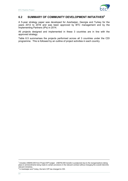

# **6.2 SUMMARY OF COMMUNITY DEVELOPMENT INITIATIVES<sup>8</sup>**

A 5-year strategy paper was developed for Azerbaijan, Georgia and Turkey for the years 2012 to 2016 and was been approved by BTC management and by the Implementing Partners (IPs) in 2014.

All projects designed and implemented in these 3 countries are in line with the approved strategy.

Table 6.5 summarises the projects performed across all 3 countries under the CDI programme. This is followed by an outline of project activities in each country.

<sup>&</sup>lt;sup>7</sup> Includes US\$450,000 from Project EIP budget. US\$750,000 transfer is postponed due to the reorganisations taking place in ammendments being made to certain provisions in the relevant contract without changing the overall intent,the relevant ministries..<br><sup>8</sup> In Azerbaijan and Turkey, the term CIP has changed to CDI.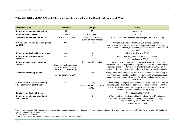## **Table 6.5: BTC and SCP CDI and Other Investments – Visualising the Benefits (to year-end 2014)**

| <b>Investment Type</b>                               | Azerbaijan                                                                         | Georgia                                           | <b>Turkey</b>                                                                                                                                                                                                                               |
|------------------------------------------------------|------------------------------------------------------------------------------------|---------------------------------------------------|---------------------------------------------------------------------------------------------------------------------------------------------------------------------------------------------------------------------------------------------|
| <b>Number of communities benefiting</b>              | 99                                                                                 | 97                                                | 330 in total                                                                                                                                                                                                                                |
| <b>Amount invested (US\$)</b>                        | 17.7 million <sup>9</sup>                                                          | 6,800,98410                                       | 34,811,631                                                                                                                                                                                                                                  |
| <b>IP/Number of local/national NGOs</b>              | 2 local NGOs in 2014                                                               | 2 local NGOs (5 others<br>during previous phases) | 7 IPs (4 local and 3 national) and 4 Project Partners (national)                                                                                                                                                                            |
| % Women in community action groups                   | 48%                                                                                | 22%                                               | Average 12% varies from 6% to 20% according to region                                                                                                                                                                                       |
| for 2012                                             |                                                                                    |                                                   | All CDIs have separate individual Small Support Fund projects targeting<br>100% women. In addition, 622 women/girls have applied to open school<br>programmes.                                                                              |
| Number of medical facilities improved                | n/a                                                                                | 2                                                 | 11 (Not applicable in 2014)                                                                                                                                                                                                                 |
| Number of education facilities<br>improved           | n/a                                                                                | 5                                                 | 134 schools upgraded and 164 schools painted.<br>(Not applicable in 2014)                                                                                                                                                                   |
| Number of water supply systems                       | 2                                                                                  | 61 potable, 37 irrigation                         | From 2003 to end 2014, 127 potable water systems including 12                                                                                                                                                                               |
| improved                                             | (Renovation of water pipes<br>used for households and<br>water supply to cemetery) |                                                   | electrical motor pump systems, 97 irrigation systems (drip, sprinkling and<br>concrete channel), 180 water systems for animals. In 2014, 4 drilling<br>works for drinking and irrigation water and 2 water system for animals.              |
| Kilometres of road upgraded                          | 3<br>no new activities in 2014                                                     | 17 km                                             | Village roads were improved as part of reinstatement activities during the<br>construction and reinstatement phase. However, BTC's pipeline repair<br>contractors have upgraded some of the village roads or access roads to<br>the fields. |
| % Infrastructure project achieving                   |                                                                                    | 100%                                              | 500 quick impact projects completed between 2003 and 2012. 95% of                                                                                                                                                                           |
| >25% community contribution                          |                                                                                    | Contribution was average<br>$52\%^{11}$           | all infrastructure projects have cash or in-kind beneficiary's contribution.<br>In 2014 - All Small Support Fund projects have at least 25% cash or in-<br>kind beneficiary's contribution as equity capital.                               |
| Number of medical staff trained                      |                                                                                    | 0                                                 | 401 (Not applicable in 2014)                                                                                                                                                                                                                |
| Number of people receiving direct<br>medical support |                                                                                    | $\mathbf 0$                                       | 37,963 people received general health training (over 13,000 people<br>received reproductive health training from an EU funded project<br>implemented by a CIP IP in Ardahan)                                                                |
|                                                      |                                                                                    |                                                   | Not applicable in 2014                                                                                                                                                                                                                      |

<sup>9</sup> Amount invested: until 31 December 2006 – accruals plus amount disbursed, from 1 January 2007 – only amount disbursed. This amount includes spend on BTC/SCP projects within SDI, but for 2011 only the amount of CDI projects added.

 $^{10}$  Only BTC and SCP share.<br><sup>11</sup> Due to the new CBO involvement contribution was lower in some of the communities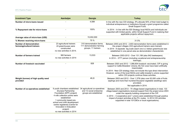

| <b>Investment Type</b>                                 | Azerbaijan                                                                                                                                                                                                  | Georgia                                                                      | <b>Turkey</b>                                                                                                                                                                                                  |
|--------------------------------------------------------|-------------------------------------------------------------------------------------------------------------------------------------------------------------------------------------------------------------|------------------------------------------------------------------------------|----------------------------------------------------------------------------------------------------------------------------------------------------------------------------------------------------------------|
| Number of micro-loans issued                           |                                                                                                                                                                                                             | 4,589                                                                        | In line with the new CDI strategy, IPs allocate 50% of their total budget to<br>individual entrepreneurs or institutions through a grant programme called<br>Small Support Fund.                               |
| % Repayment rate for micro-loans                       |                                                                                                                                                                                                             | 100%                                                                         | In 2014 - In line with the SDI Strategy local NGOs and individuals are<br>supported with limited grants, within Small Support Fund in realizing their<br>applicable projects without repayment.                |
| Average value of micro-loan (US\$)                     | $\overline{\phantom{a}}$                                                                                                                                                                                    | 15,002,000                                                                   |                                                                                                                                                                                                                |
| % Women receiving micro-loans                          |                                                                                                                                                                                                             | 70 %                                                                         | 31.5%                                                                                                                                                                                                          |
| Number of demonstration<br>farms/agricultural trainers | 23 agricultural trainers<br>24 greenhouses were<br>constructed                                                                                                                                              | 310 demonstration farms.<br>111 demonstration farming<br>groups; 11 trainers | Between 2003 and 2012 - 2,603 demonstration farms were established in<br>the project villages (333 agricultural trainers were trained).<br>In 2014 - 8 separate big scale (each one is 2 dekar) greenhouse was |
|                                                        | no new activities in 2014.                                                                                                                                                                                  |                                                                              | established in one parcel area as demonstration characteristic.                                                                                                                                                |
| <b>Number of farmers trained</b>                       | 360 farmers                                                                                                                                                                                                 | 13,533                                                                       | Between 2003-2012 - Over 131,199 (also 842 beekeepers)                                                                                                                                                         |
|                                                        | no new activities in 2014                                                                                                                                                                                   |                                                                              | In 2014 - 3777 person (including vocational and entrepreneurship<br>trainings).                                                                                                                                |
| Number of livestock vaccinated                         |                                                                                                                                                                                                             | 828                                                                          | Between 2003 and 2012 - 1,066,804 livestock vaccinated, CIP is giving<br>support to Cattle Breeders' Unions; 60,722 cows have been artificially<br>inseminated.                                                |
|                                                        |                                                                                                                                                                                                             |                                                                              | In 2014 - New CDI strategy does not include this type direct intervention.<br>However, some of the local NGOs and cattle breeder's unions supported<br>within CDI projects continue these activities.          |
| Weight (tonnes) of high quality seed<br>provided       |                                                                                                                                                                                                             | 48,2t                                                                        | Between 2003 and 2012 - Over 1,375t (also over 63,000 units of fruits<br>saplings and more than hundred thousand vegetable seedlings were<br>provided).                                                        |
|                                                        |                                                                                                                                                                                                             |                                                                              | Not applicable in 2014.                                                                                                                                                                                        |
| Number of co-operatives established                    | 9 youth chambers established 34 agricultural co-operatives<br>(Eurasia Partnership<br>Foundation (EPF) project)                                                                                             | and 12 social enterprise<br>groups are established                           | Between 2003 and 2012 - 70 village-based organisations In total, 133<br>village-based organisations received support from the project since 2003<br>under the capacity building component of the CIP.          |
|                                                        | 4 milk collection points were<br>established<br>1 community based pre-<br>school and child development<br>centre registered (Centre for<br>Innovation in Education<br>project)<br>no new activities in 2014 |                                                                              | In 2014 - 3 cooperative and 1 unions were established through positive<br>impact of project activities at the P/L routes. In 2014 CDI activities<br>supported in total 101CBOs or local organizations).        |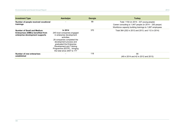| <b>Investment Type</b>                                                                                    | Azerbaijan                                                                                                                                                                                                                                                       | Georgia | <b>Turkey</b>                                                                                                                                                   |
|-----------------------------------------------------------------------------------------------------------|------------------------------------------------------------------------------------------------------------------------------------------------------------------------------------------------------------------------------------------------------------------|---------|-----------------------------------------------------------------------------------------------------------------------------------------------------------------|
| Number of people received vocational<br>trainings                                                         |                                                                                                                                                                                                                                                                  | 88      | Total: 1154 (in 2014 - 337 young people)<br>Career consulting to 1,847 people (in 2014 - 250 peope)<br>Workforce capacity building trainings to 1,687 employees |
| Number of Small and Medium<br><b>Enterprises (SMEs) benefited from</b><br>enterprise development supports | In 2014<br>245 local companies engaged<br>in enterprise development<br>activities:<br>28 companies completed the<br>development process and<br>graduated the Enterprise<br>Development and Training<br>Programme (EDTP), bringing<br>the total since 2007 to 177 | 370     | Total 364 (252 in 2012 and 2013, and 112 in 2014)                                                                                                               |
| <b>Number of new enterprises</b><br>established                                                           |                                                                                                                                                                                                                                                                  | 118     | 90<br>(48 in 2014 and 42 in 2012 and 2013)                                                                                                                      |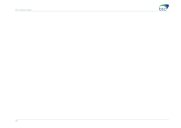BTC Pipeline Project

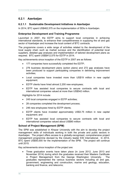# **6.2.1 Azerbaijan**

## **6.2.1.1 Sustainable Development Initiatives in Azerbaijan**

In 2014, BTC spent US\$462,575 on the implementation of SDIs in Azerbaijan.

### **Enterprise Development and Training Programme**

Launched in 2007, the EDTP aims to support local companies in achieving international standards, to enhance their competitiveness in supplying the oil and gas sector of Azerbaijan and increase the local content of BTC contracts.

The programme covers a wide range of activities related to the development of the local supply chain such as market surveys and the identification of potential local suppliers, detailed gap analyses and implementation of tailored development plans as required. BTC spent US\$\$412,575 for EDTP in 2014.

Key achievements since inception of the EDTP in 2007 are as follows:

- 177 companies have successfully completed the EDTP;
- 276 business development plans (action plans) and 272 gap analyses have been produced to support participating companies in delivering improvement activities;
- Local companies have invested more than US\$19 million in new capital equipment;
- EDTP clients have hired almost 2,200 new employees;
- EDTP has assisted local companies to secure contracts with local and international companies valued at more than US\$542 million.

Highlights for 2014 include:

- 245 local companies engaged in EDTP activities;
- 28 companies completed the development process;
- 246 new employees hired by EDTP clients;
- EDTP clients have invested approximately US\$3.75 million in new capital equipment; and
- EDTP has assisted local companies to secure contracts with local and international companies valued about US\$90 million

### **School of Project Management (SPM)**

The SPM was established in Khazar University with the aim to develop the project management skills of individuals working in both the private and public sectors in Azerbaijan. The project offers access to a globally-recognised, comprehensive project management programme devised by the industry leader ESI International. In 2014, BTC spent US\$50,000 for the implementation of the SPM. The project will continue until 2015.

Key achievements since inception of the project are:

 Three graduation events have taken place (in June 2012, June 2013 and November 2014) during which the graduates received their Masters Certificate in Project Management from the George Washington University. The graduates represented the various business sectors including oil and gas, government, engineering and construction, marine and geology, education, banking and finance, and telecoms;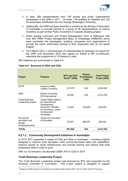

- In total, 298 representatives from 109 private and public organisations participated in the SPM in 2011. Of those, 176 qualified for Masters and 122 for Associates Certificates from the George Washington University;
- Additionally, the SPM has been awarded a contract by the Ministry of Education of Azerbaijan to provide training to a group of 30 representatives of various ministries as part of their Public Investment in Capacity Building project;
- Entire training curriculum and Project Management Term of Reference with over 800 PMI® Project Management Body of Knowledge (PMBoK®) terms were translated into Azerbaijani, enabling companies and organisations to provide the same, world-class training to their employees who do not speak English.
- On 5 March 2014, a memorandum of understanding on extension of support for the SPM until November 2015 was signed on behalf of BP co-venturers, extending the programme to 15 Streams in total.

SDI initiatives are summarised in Table 6.6.

| <b>Project</b>                                            | <b>Partners</b>                                                                                                                          | <b>BTC and SCP</b><br>Grant <sup>12</sup> (US\$) | <b>Partner</b><br><b>Contribution</b><br>(US\$) | <b>Total Project</b><br><b>Funds (US\$)</b> |
|-----------------------------------------------------------|------------------------------------------------------------------------------------------------------------------------------------------|--------------------------------------------------|-------------------------------------------------|---------------------------------------------|
| <b>EDTP</b>                                               | Azerms Limited<br><b>Liability Company</b>                                                                                               | 412,575                                          | N/A                                             | 3,000,000                                   |
| <b>SPM</b>                                                | Khazar University,<br><b>ESI</b> International                                                                                           | 50,000                                           | N/A                                             | 2,015,705                                   |
| <b>Youth Business</b><br>Leadership project               | <b>United States Agency</b><br>for International<br>Development,<br>American Chamber<br>of Commerce, Junior<br>Achievement<br>Azerbaijan | 15,000                                           | 100,000                                         | 200,000                                     |
| Pre-school<br>education and<br>female<br>entrepreneurship | Centre for Innovation<br>in Education                                                                                                    | 26,407                                           | 268,074                                         | 226,224                                     |
| TOTAL                                                     |                                                                                                                                          | 503,982                                          | N/A                                             | 5,441,929                                   |

### **Table 6.6: Summary of SDIs and CDIs**

## **6.2.1.2 Community Development Initiatives in Azerbaijan**

In 2014, BTC supported a variety of CDIs and SDIs in Azerbaijan – including projects designed to improve local education, build community-based skills and capabilities, improve access to social infrastructure and provide training and finance that local enterprises need in order to grow.

With our co-venturers, we allocated US\$41,407 to CDIs in 2014.

## **Youth Business Leadership Project**

The Youth Business Leadership project was financed by BTC and supported by the American Chamber of Commerce. This 2-year project is designed to support

l

 $12$  Budget of all SDI projects in Azerbaijan are divided equally between BTC, SD Ltd, AIOC and SCP Company.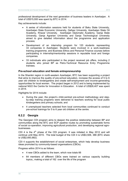professional development of the next generation of business leaders in Azerbaijan. A total of US\$15,000 was spent by BTC in 2014.

Key achievements include:

- A series of information sessions held for students of Baku State University, Azerbaijan State Economic University, Qafqaz University, Azerbaijan State Oil Academy, Khazar University. Azerbaijan Diplomatic Academy, Ganja State University, Ganja Agrarian University and Ganja Technological University aimed to give detailed information about the programme and application process;
- Development of an internship program for 120 students representing 33 companies in Azerbaijan. Students were involved in a work-readiness training programme, and Business Ethics and Personal Finance courses before participating in internship/mentorship sessions in reputable local and foreign companies.
- 33 individuals who participated in the project received job offers, including 2 students who joined BP as Petro-Technical Resource Entry Programme trainees.

## **Pre-school education and female entrepreneurship**

In the Shamkir region in north-western Azerbaijan, BTC has been supporting a project that aims to improve the quality of pre-school education, increase the access of 5 to 6 year old children to kindergartens and create self-employment and income-generating opportunities for local women. The project began in 2012 and is being implemented by national NGO the Centre for Innovation in Education. A total of US\$26,407 was spent in 2014.

Highlights for 2014 include:

- During the year, the project's child-centred pre-school methodology and stepby-step training programs were delivered to teachers working for local public kindergartens and primary schools; and
- 4 unemployed teachers selected from local communities continued to conduct pre-school trainings for 5 to 6 year old children at the centre.

## **6.2.2 Georgia**

The Georgian CDI program aims to deepen the positive relationship between BP and communities along the BTC and SCP pipeline routes by promoting sustainable forms of social co-operation, improving agricultural production, and developing regional agrobusinesses.

CDI 4 is the  $4<sup>th</sup>$  phase of the CDI program. It was initiated in May 2012 and will continue until May 2015. The total budget of the CDI 4 is US\$3,506, 386 (BTC share is US\$2,693,882).

CDI 4 supports the establishment of social enterprises, which help develop business ideas promoted by community-based organisations (CBOs).

Progress within 2014 is as follows:

- 4 new CBOs added to the team, which now totals 66
- 64 members of different CBOs were trained on various capacity building topics;, making a total of 162 over the life of the program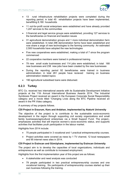

- 13 rural infrastructure rehabilitation projects were completed during the reporting period; in total 45 rehabilitation projects have been implemented, benefitting 8,180 households
- 11 not-for-profit social enterprises were established and have already provided 1,247 services to the communities
- 3 financial and legal service groups were established, providing 127 services to the beneficiaries on financial and taxation issues
- 31 agricultural demonstration groups and 1 more individual demonstration farm were established. In total 296 demonstration farms have been established and now share a ange of new technologies to the farming community An estimated 2,500 households have adopted the new technologies
- Five new cooperatives were established, making a total of 7 since the program commenced
- 22 cooperative members were trained in professional training
- 79 new small scale businesses and 114 jobs were established; in total 168 new busineses and 238 new jobs have been created by the new businesses
- During the reporting period 92 beneficiaries were trained in business administration; in total 261 people have recieved training on business administration related topics
- 190 agricultural subsidised loans were disbursed.

## **6.2.3 Turkey**

BTC Co. received two international awards with its Sustainable Development Initiative projects at the 11th Annual International Business Awards 2014. The Industrial Symbiosis Project received an award in the European Corporate Social Responsibility category and a movie titled "Changing Lives along the BTC Pipeline received an award in the PR Video category.

A summary of key projects follows.

### **CDI Project in Erzurum, Kars and Ardahan, implemented by Ataturk University**

The objective of the project is to contribute to the sustainable socio-economic development in the region through supporting civil society organizations and small family businesses/agricultural enterprises via a Small Support Fund. The project,, emphasizes activities that will improve women's socio-economic status, and supports activities that facilitates youth participation in the labour market.

Highlights from 2014 include:

- 70 people participated in 3 vocational and 1 practical entrepreneurship courses.
- Project activities were covered as news by 1 TV channel, 12 local newspapers and 95 internet news sites in 2014.

### **CDI Project in Erzincan and Gümüşhane, implemented by Erzincan University**

The project aim is to develop the capacities of local organizations, individuals and entrepreneurs as well as contribute to increased employment.

Highlights from the first implementation year of this project are as follows:

- A stakeholder and need analysis was conducted
- 79 people participated in two practical entrepreneurship courses and one vocational training. Six participants of entreprenurship courses started up their own business following the training.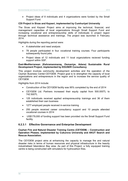Project ideas of 8 individuals and 4 organizations were funded by the Small Support Fund.

#### **CDI Project in Sivas and Kayseri, implemented by Cumhuriyet University**

The Sivas and Kayseri Project aims at improving the technical, financial, and management capacities of local organizations through Small Support Fund and increasing vocational and entrepreneurship skills of individuals in project region through technical assistance and trainings. The project was launched in February 2014.

Highlights during the reporting period were:

- A stakeholder and need analysis
- 78 people participated in four vocational training courses. Four participants subsequently found jobs.
- Project ideas of 12 individuals and 11 local organziations recieved funding support within SSF.

#### **East-Mediterranean (Kahramanmaraş, Osmaniye, Adana) Sustainable Rural Development Project, implemented by EDUSER Consultancy**

This project involves community development activities and the operation of the Ceyhan Business Center-CEYGEM. Project goal is to strengthen the capacity of local organizations and entrepreneurs in the region and to increase the service quality of CEYGEM.

Highlights from 2014 include:

- Construction of the CEYGEM facility was 95% completed by the end of 2014
- CEYGEM Ltd. Partners increased their equity capital from 500.000TL to 742.500TL
- 125 individuals received applied entrepreneurship trainings and 36 of them established their own business
- 1277 employed people received in-service training
- 250 people received career consultancy support and 10 people attended vocational courses in 2014
- US\$179,000 of funding support has been provided via the Small Support Fund facility.

### **6.2.3.1 Effective Governance and Enterprise Development**

#### **Ceyhan Fire and Natural Disaster Training Centre (CEYDEM) – Construction and Operation Phases; implemented by Cukurova University and AKUT Search and Rescue Association.**

The CEYDEM project aims at enhamcing the capacity to manage fire and natural disaster risks in terms of human resources and physical infrastructure in the heavily industrialised İskenderun Bay area. As part of this Project, a fully equipped training centre is being constructed with simulators for hydrocarbon fires.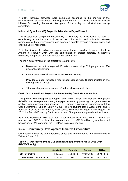

In 2014, technical drawings were completed according to the findings of the commissioning study conducted by Project Partners in 2013. Preparations have been initiated for meeting the construction gaps of the facility for industrial fire training simulators.

### **Industrial Symbiosis (IS) Project in Iskenderun Bay – Phase II**

This Project was completed successfully in February 2014 achieving its goal of establishing a mechanism to increase the collaboration and solidarity between companies for both environmental and economic benefits through reducing waste and effective use of resources.

Project achievements and outcomes were presented at a two-day closure event held in Ankara in February 2014 with the participation of project partners, IS network members, and private and public sector representatives.

The main achievements of the project were as follows;

- Developed an active regional IS network comprising 528 people from 264 different organizations
- First application of IS successfully realized in Turkey
- Provided a model for nation-wide IS applications, with IS being initiated in two new regions in Turkey
- 19 regional agencies integrated IS in their development plans

### **Credit Guarantee Fund Project**, **implemented by Credit Guarantee Fund**

This project was designed to support local Micro, Small and Medium Enterprises (MSMEs) and entrepreneurs along the pipeline route by providing loan guarantees to enable them to access bank financing. BTC signed a co-funding agreement with the Credit Guarantee Fund of Turkey in 2008. The Agricultural Bank (Ziraat Bank) and İş Bankası, 2 of the largest country-wide banks, were then engaged in the Project. In 2012, the Turkish Economy Bank became one of the partners to provide further loans.

As of end December 2014, total bank credit amount being used by 77 MSMEs has reached to US\$3.3 million that corresponds to US\$2.5 million guarantees. All beneficiary MSMEs are from the BTC Pipeline project regions.

## **6.2.4 Community Development Initiative Expenditure**

CDI expenditure for the total operations phase and for the year 2014 is summarised in Tables 6.7 and 6.8.

#### **Table 6.7: Operations Phase CDI Budget and Expenditure (US\$), 2006-2014 (BTC/SCP only)**

|                             | <b>Azerbaijan</b> | Georgia   | <b>Turkey</b> | <b>TOTAL</b> |
|-----------------------------|-------------------|-----------|---------------|--------------|
| CDI (BTC/SCP)               | 11.358.598        | 7.808.048 | 19.995.000    | 36.161.646   |
| Total spend to the end 2014 | 10,756,580        | ΝA        | 19.656.257    | 30.412.837   |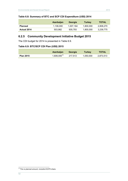## **Table 6.8: Summary of BTC and SCP CDI Expenditure (US\$) 2014**

|                    | <b>Azerbaijan</b> | Georgia   | Turkey    | <b>TOTAL</b> |
|--------------------|-------------------|-----------|-----------|--------------|
| <b>Planned</b>     | 1,106,000         | 1.007.164 | 1,800,000 | 2,808,270    |
| <b>Actual 2014</b> | 503.982           | 935.793   | 1,800,000 | 3,239,775    |

# **6.2.5 Community Development Initiative Budget 2015**

The CDI budget for 2014 is presented in Table 6.9.

## **Table 6.9: BTC/SCP CDI Plan (US\$) 2015**

|                  | <b>Azerbaijan</b> | Georgia | Turkey    | <b>TOTAL</b> |
|------------------|-------------------|---------|-----------|--------------|
| <b>Plan 2015</b> | $1,606,000^{13}$  | 217.513 | 1,050,000 | 2,873,513    |

l

 $13$  This is planned amount, includind SCPX share.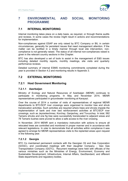

# **7 ENVIRONMENTAL AND SOCIAL MONITORING PROGRAMME**

# **7.1 INTERNAL MONITORING**

Internal monitoring takes place on a daily basis, as required, or through theme audits and reviews. In some cases the review might result in actions and recommendations for implementation.

Non-compliances against ESAP are only raised by BTC Company or BIL in certain circumstances, generally for persistent issues that need management attention. If the matter can be rectified in a timely manner through local site intervention, noncompliance is not generally raised. The status of all internal non-compliances raised is given in the relevant country sections in this Chapter.

BTC has also developed a set of tools to assist in the management of E&S issues including detailed monthly reports, monthly meetings, site visits and quarterly performance reviews.

Detailed summary of internal ESMS monitoring commitments completed during the year is provided in Section 4.2 and monitoring results in Appendix 3.

# **7.2 EXTERNAL MONITORING**

## **7.2.1 Host Government Monitoring**

## **7.2.1.1 Azerbaijan**

Ministry of Ecology and Natural Resources of Azerbaijan (MENR) continues to participate in monitoring programs. In May and November 2014, MENR representatives participated in groundwater monitoring at Karayazi.

Over the course of 2014 a number of visits of representatives of regional MENR departments to BTC/SCP river crossings were organized to monitor tree and shrub translocation activities. Such activities are required where trees and shrubs impede the implementation of bank and river bed reinforcement activities at BTC/SCP river crossings, such as Jeyrankechmez, Korchay, Ganjachay, and Tovuzchay. In total, 582 Tamarix shrubs and one fig tree were successfully translocated to adjacent areas and 78 Tamarix bushes were pruned to allow a safe access to the river crossing.

In November, 2014 MENR sent a mandatory instruction with actions to ensure all relocated trees are controlled and monitored in proper manner and in accordance with relevant legislations. In oder to demonstrate that all activities within compliance it was agreed to arrange for MENR representatives visits to the replanted areas upon request in the following year.

## **7.2.1.2 Georgia**

BTC Co maintained permanent contacts with the Georgian Oil and Gas Corporation (GOGC), and coordinated meetings with their daughter Company - Geo Gas Transportation Company (GGTC). Recurrent meetings were held with officials of the various ministries such as the Ministries of Energy, Environment, Economy and Sustainable Development, Infrastructure, Internal Affairs, GeoStandard, and different State departments and regulatory bodies.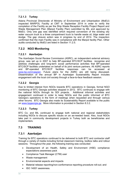Adana Provincial Directorate of Ministry of Environment and Urbanisation (MoEU) inspected MARPOL Facility at CMT in September 2014 in order to verify the completion of the Facility as per the Ship Waste Reception Facility Project Report and Waste Management Plan (Marpol Facility Plan) submitted by BIL and approved by MoEU. Only one gap was identified which required conversion of the existing oily water vacuum truck to a three compartment truck to handle waste oil, bilge water and sludge. The gap closure action was in progress by end of 2014. The inspection confirmed that the main Facility was in compliance with the Marpol facility Plan. Other audits conducted by MoEU are listed in Section 11.2.5.

# **7.2.2 NGO Monitoring**

## **7.2.2.1 Azerbaijan**

The Azerbaijan Social Review Commission (ASRC), an independent external advisory group, was set up in 2007 to help BP-operated BTC/SCP facilities recognise and address challenges and long-term social performance activities that BP-operated BTC/SCP facilities undertakes on behalf of its joint venture partners. All ASRC reports and BP-operated BTC/SCP facilities responses can be accessed at www.bp.com/caspian. Future plans for the ASRC are still being discussed. Dissemination of the annual BP in Azerbaijan Sustainability Report includes engagement with the local civil society through a face-to-face feedback session.

## **7.2.2.2 Georgia**

Due to limited interest from NGOs towards BTC operations in Georgia, formal NGO monitoring of BTC Georgia activities stopped in 2012. BTC continues to engage with the national NGOs through its SDI projects. Additional informal activities and engagement continued in order to keep NGOs and the public informed of BTC Georgia's operations in the form of meetings when requested and through various other forums. BTC Georgia also made its Sustainability Report available to the public on www.bpgeorgia.ge. More information is provided in Section 8.3.2.

## **7.2.2.3 Turkey**

BTC Co. and BIL continued to engage both national and regional stakeholders including NGOs to discuss specific issues on an as-needed basis. Also, local NGOs take part in community development projects in Turkey both as beneficiaries and implementers.

# **7.3 TRAINING**

## **7.3.1 Azerbaijan**

Training for BTC operations continued to be delivered to both BTC and contractor staff through a variety of media including formal classroom training, toolbox talks and rollout sessions. Throughout the year, the following training was conducted:

- Development of an Health, Safety and Environment (HSE) compliance expectations awareness pack
- Compliance Task Manager (CTM) user
- Waste management
- Environmental aspects and impacts
- Material release reporting/non-conformance reporting procedure roll-out; and
- ISO 14001 awareness.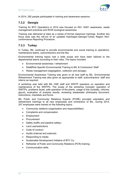

In 2014, 292 people participated in training and awareness sessions.

# **7.3.2 Georgia**

Training for BTC Operations in 2014 was focused on ISO 14001 awareness, waste management practices and ROW ecological awareness.

Training was delivered at sites as a series of formal classroom trainings. Another key focus area was the roll-out of an updated Azerbaijan-Georgia-Turkey Region Nonconformance Reporting Procedure.

## **7.3.3 Turkey**

In Turkey, BIL continued to provide environmental and social training to operations, maintenance teams, subcontractors and the like.

Environmental training topics had a wide scope and have been tailored to the departmental teams according to their roles. The topics included:

- Environmental awareness / refreshment
- Site&Role Specific Environmental Training to BIL & Contractors' Staff
- Waste management (segregation, collection and storage).

Environmental Awareness Training was given to all new staff by BIL. Environmental Refreshment Training was also given as appropriate to staff, subcontractors' staff and interns as required.

A workshop was held with BIL HSE staff and WWTP operators on operation and maintenance of the WWTPs. The scope of the workshop included: operation of WWTPs, problems faced, safe operation of the plants, usage of kits (turbidity, chlorine, glycol), evaluation of analysis results, reviewing wastewater philosophy document, instructions, checklists and forms.

BIL Public and Community Relations Experts (PCRE) provided orientation and refreshment trainings to all new employees and contractors of BIL. During 2014, 247 employees were trained on the following topics:

- Community relations (organisation and responsibilities)
- Complaints and compensation
- Employment
- Procurement
- Safety (traffic and pipeline safety)
- Land use/restrictions
- Code of conduct
- Audits (internal and external)
- Responding to media
- Sustainable Development Initiative of BTC Co.
- Refresher of Public and Community Relations (PCR) training
- **Communication skills.**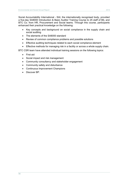Social Accountability International - SAI, the internationally recognised body, provided a five-day SA8000 Introduction & Basic Auditor Training Course to 25 staff of BIL and BTC Co. from HR, Procurement and Social teams. Through this course, participants enhanced their practical knowledge on the following:

- Key concepts and background on social compliance in the supply chain and social auditing
- The elements of the SA8000 standard
- Review of common compliance problems and possible solutions
- Effective auditing techniques related to each social compliance element
- Effective methods for managing risk in a facility or across a whole supply chain.

BTC CSR team have attended individual training sessions on the following topics:

- First aid
- Social impact and risk management
- Community consultancy and stakeholder engagement
- Community safety and disturbance
- Continuous Improvement Champions
- Discover BP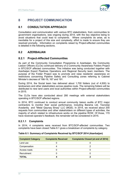

# **8 PROJECT COMMUNICATION**

# **8.1 CONSULTATION APPROACH**

Consultation and communication with various BTC stakeholders, from communities to government organisations, was ongoing during 2014, with the key objective being to avoid situations that could lead to complaints. Where complaints do arise, as is inevitable for a project of this size and complexity, effort is made to ensure they are resolved promptly. Information on complaints raised by Project-affected communities is detailed in the following sections.

# **8.2 AZERBAIJAN**

# **8.2.1 Project-Affected Communities**

As part of the Community Consultation Programme in Azerbaijan, the Community Liaison Officers (CLOs) continued delivery of a Community Awareness Folders Project in BTC/SCP affected communities. This initiative was being conducted together with Azerbaijan Export Pipelines Operations and Regional Security team members. The purpose of the Folder Project was to promote and raise residents' awareness on restrictions concerning Pipeline Safety and Consulting zones referring to Cabinet Minister's decrees of 166-19, 167 and 191.

During 2014, the Social team has delivered about 1,700 folders (out of 4,500) to landowners and other stakeholders across pipeline route. The remaining folders will be distributed to new land users and local authorities within Project-affected communities in 2015.

The CLOs have also conducted about 280 meetings with external stakeholders operating in BTC/SCP affected regions.

In 2014, BTC continued to conduct annual community liaison audits of BTC major contractors to monitor their social performance, including Barama Ltd, Texnoloji Avadanliq and "Metal Qaynaq Sinaq" LLC (MQS). In 2014, we received about 200 requests from communities and other stakeholders on different types of activities, the majority of which related to infrastructure works on the pipeline ROW. Of those, 170 have received operator's feedback; the remainder will be considered in 2015.

## **8.2.1.1 Complaints**

In 2014, 4 complaints were received from BTC/SCP-affected communities. Two complaints have been closed.Table 8.1 gives a breakdown of complaints by category.

| <b>Complaint Category</b> | <b>Complaints Received</b> | <b>Complaints Closed (at end of 2014)</b> |
|---------------------------|----------------------------|-------------------------------------------|
| Land use                  |                            |                                           |
| Compensation              | 4                          |                                           |
| Access roads              |                            |                                           |
| Recruitment               |                            |                                           |
| <b>TOTAL</b>              |                            |                                           |

## **Table 8.1: Summary of Complaints Received by BTC/SCP 2014 (Azerbaijan)**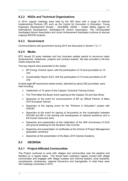# **8.2.2 NGOs and Technical Organisations**

In 2014, regular meetings were held by the SDI team with a range of national Implementing Partners (IP) such as the Centre for Innovation in Education, Young Engineers Development Society – GencMIIB, USAID – United States Agency for International Development, Azerbaijan-UK Alumni Association, The US-Educated Azerbaijani Alumni Association and Junior Achievement Azerbaijan continue to discuss ongoing SDI/CDI projects.

# **8.2.3 Government**

Communications with government during 2014 are discussed in Section 7.2.1.1.

# **8.2.4 Media**

BTC issued 22 press releases and four business update reports to announce major achievements, milestones, projects and contract awards. We also provided a 24-hour media response line.

Two key reports were presented to the media:

- *BP Energy Outlook* report, with the participation of 15 local journalists on 10 July
- *Sustainability Report 2013,* with the participation of 10 local journalists on 25 July.

At least eight BP-sponsored media events, attended by about 250 journalists, were held including:

- Celebration of 10 years of the Caspian Technical Training Centre
- The Third Meet the Buyer event opening at the Caspian Oil and Gas Show
- Speeches at the event for announcement of BP as Official Partner of Baku 2015 European Games
- Speeches at the signing event for the "Partners in Education" project with UNICEF
- Speeches at the event for signing of documents on the cooperation between SOCAR and BP in the training and development of national workforce and in the human resources area
- Speeches and presentation at the celebration of the 20th anniversary of ACG and ground breaking for the Southern Gas Corridor
- Speeches and presentation of certificates at the School of Project Management graduation ceremony
- Speeches at the presentation of the Baku 2015 Games Academy.

# **8.3 GEORGIA**

# **8.3.1 Project-Affected Communities**

The Project continues to work with villages and communities near the pipeline and facilities on a regular basis. The Social team maintains regular contact with village communities and engages with village trustees and informal leaders, local residents, complainants, landowners, regional Governors and Gamgebelis. In total there were 443 meetings conducted in 2014.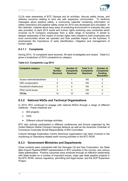

CLOs raise awareness of BTC Georgia and its activities, discuss safety issues, and address concerns relating to land use with respective communities. To reinforce messages about pipeline safety, a community calendar containing information on safety restrictions and pipeline safety zones for 2015 was developed and circulated. In this calendar, material about easy ways of protecting environment in everyday like was also provided. In April 2014 social and human rights workshop was conducted which involved ca.70 Company employees from a wide range of functions. It aimed to deepen awareness of the impact of human rights risks (related to both employees and local communities where we operate) and their possible impact on the business. It emphasized the importance of early identification, mitigation and management of human rights.

## **8.3.1.1 Complaints**

During 2014, 15 complaints were received. All were investigated and closed. Table 8.2 gives a breakdown of 2014 complaints by category.

| <b>Complaint category</b>   | Total<br><b>Number</b><br><b>Received</b> | Number of<br><b>Complaints</b><br><b>Resolved</b> | Total % of<br><b>Complaints</b><br><b>Resolved</b> | Number of<br><b>Complaints</b><br><b>Pending</b><br><b>Resolution</b> |
|-----------------------------|-------------------------------------------|---------------------------------------------------|----------------------------------------------------|-----------------------------------------------------------------------|
| Access restricted/abolished |                                           |                                                   | 100                                                |                                                                       |
| CBO compensation            | 9                                         | 9                                                 | 100                                                | 0                                                                     |
| Household infrastructure    | 2                                         | 2                                                 | 100                                                |                                                                       |
| Other social issues         | 3                                         | 3                                                 | 100                                                | 0                                                                     |
| TOTAL                       | 15                                        | 15                                                | 100                                                | 0                                                                     |

### **Table 8.2: Complaints Log 2014**

# **8.3.2 National NGOs and Technical Organisations**

In 2014, BTC continued to engage with national NGOs through a range of different initiatives. These initiatives are:

- SDI projects
- CDIs
- Different cultural heritage activities.

BTC also actively participated in different conferences and forums organised by the United Nations Global Compact Georgia Network as well as the American Chamber of Commerce Corporate Social Responsibility (CSR) Committee.

Cultural Heritage Exploration Centre (technical organization) has been involved in the monitoring of Operations-related earth moving activities in the BTC ROW.

## **8.3.3 Government Ministries and Departments**

Close contacts were maintained with the Georgian Oil and Gas Corporation, the State Main Export Pipeline/WREP representative in BTC activities in the country, and various State stakeholders. Positive outcomes were achieved through an effective relationship with State bodies on a number of important issues, major gas state pipeline projects in the BTC ROW, various regulatory, permitting and legal issues, and the SCP Expansion Project.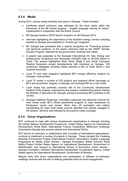# **8.3.4 Media**

During 2014, various media activities took place in Georgia. These included:

- Certificate award ceremony was delivered for the local media within the framework of the BP funded program - "English language training for media", implemented in cooperation with the British Council
- BP Georgia hosted a SCPX launch reception on 28 February 2014
- Interview highlighting the importance of the Southern energy corridor including benefits to Georgia was published in "Investor.ge" magazine
- BP Georgia was presented with a special recognition for "Promoting women into technical positions" at the award ceremony held by the UNDP "Gender Equality Program" attended by the government, business and media
- A speech was presented at the Georgian International Oil, Gas, Energy and Infrastructure Conference and Showcase (GIOGIE) held on 26-27th March in Tbilisi. The speech highlighted Shah Deniz Stage 2 and South Caucasus Pipeline Expansion project developments with emphasis on Georgia. 120 conference delegates including media watched a film on Shah Deniz 2 and received brochures
- Local TV and radio programs highlighed BP's energy efficiency projects for Georgian communities
- Local TV visited a number of CDI projects and prepared 45min reportage on BP's and its partners' program in Georgia, and portrayed BP as a role model
- Local media has positively covered visit to the Community Development Initiative (CDI) projects, organized by the program implementing partner hosting the Minister of Agriculture for Georgia, aiming at promoting BP's activities in the country
- Georgian National Paralympic committee organized and delivered seminar for local media under BP's official partnership program to raise awareness on Paralympic sports and issues. More than 25 journalists and editors representing all major local media sources attended and actively engaged in the session. Seminar was followed by the positive media coverage.

# **8.3.5 Donor Organisations**

BTC continued to meet with various development organisations in Georgia including the United Nations Development Programme, United States Agency for International Development, World Bank, International Finance Corporation, Millennium Challenge Commission Georgia and several national and international NGOs.

BTC and its co-venturers, in collaboration with a number of international organisations, continue to implement a number of projects in Georgia. These included the: Enabling Business Environment Project (International Finance Corporation); English Language Programme for Media (Open Society - Georgia Foundation, British Council); Road Safety Project (United States Agency for International Development, Government of Netherlands); and Support to International School of Economics (Open Society - Georgia Foundation, Swedish International Development Co-operation Agency, United States Agency for International Development, Government of Norway).

Regular talks with donor organisations and participation in different co-ordination meetings continue with the aim of defining potential areas for future engagement.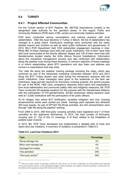

# **8.4 TURKEY**

# **8.4.1 Project Affected Communities**

For the Turkish section of BTC Pipeline, BIL (BOTAŞ International Limited) is the designated state authority for the operation phase. In this regard, Public and Community Relations (PCR) team of BIL carries out community relations activities.

PCR team conducted various consultations and training sessions with local stakeholders. After the local elections in Turkey in March, the list of stakeholders has changed to a great extent. Introductory meetings were conducted with the newly elected mayors and muhtars as well as other public institutions and gendarmerie. In 2014, BIL's PCR Department held 1254 stakeholder engagement meetings in total. While 685 of these meetings were held with public institutions, 434 of them were held with local communities at the directly affected villages and 135 of them were held with Gendarmeries located nearby the AGIs (Above Ground Installations). Information about the complaints management process was also reinforced with stakeholders along the pipeline route during these sessions. A common objective of these meetings is to inform stakeholders about BTC operations and also listen and address any concern or expectations that may arise.

The "safe life along the pipeline" training package including the video, which was produced as part of the awareness campaing conducted between 2012 and 2013 along the BTC Turkey section was used during the introductory sessions with the public institutions. Clear messages were given to the audiences on the land use restrictions, legal permits required for third-party crossing projects, the permit process for use of the ROW, H&S rules, emergency response action plans and expectations from local stakeholders and community safety risks and mitigation measures. BIL PCR Team conducted 38 separate sessions for this purpose with the Gendarmerie Stations with the participation of 519 gendarmeries. Similar awareness raising sessions were held at 7 public institutions with the participation of 83 public officers.

At 43 villages near where BVT fortification, landslide mitigation and river crossing enhancements works were carried out, these trainings were repeated and attracted 393 local people. As part of KP1007 Re-Route activities, the 424 schoolchildren went through "safe life along the pipeline" training.

From 2006 to 2013, 266 third-party crossing activities were registered and 7 of them cancelled by the applicants themselves. In 2014, the total number of third-party crossing was 21. Out of this 21 crossings, 9 of them related to the installation of potable water channel.

In 2014, BIL PCR Team developed and implemented a detailed plan to track and report land use violations. A summary of violations is presented in Table 8.3.

| <b>Type</b>                        | <b>Percentage</b> |
|------------------------------------|-------------------|
| Riprap damage risk                 | 2%                |
| Block valve damage risk            | 4%                |
| Damaged line marker                | 7%                |
| Tree plantation                    | 28%               |
| Third party activity <sup>14</sup> | 59%               |

## **Table 8.3: Land Use Violations 2014**

l

<sup>14</sup> There are wide variety of activities covered by this terms, all of them undertaken by third parties and requiring community relations action in the subsequent stages. Some examples: an irrigation channel crossing, a construction of a building or any suspicious signs that may be man made.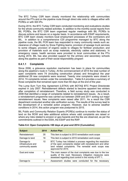During 2014, the BTC Turkey CSR team conducted monitoring and evaluations studies for the whole community related activities. In addition to the monthly social reports from BIL PCREs, the BTC CSR team organised regular meetings with BIL PCREs to discuss actions and issues on a regular basis. In accordance with ESAP requirements, BTC CSR team closely monitors local employment processes of the contractors and BIL. In addition to a comprehensive CDI programme managed by BTC along the pipeline route, the BIL PCR team has responded to many community needs such as: clearance of village roads by Snow Fighting teams; provision of sewage truck services to some villages; provision of organic waste to villages for fertilizer production; and provision of materials such as scrap materials, electricity cables and stationery. In emergency cases, health services were provided to local communities at the PTs during 2014. BIL has also provided support for the primary and secondary schools along the pipeline as part of their social responsibility program

## **8.4.1.1 Complaints**

Since 2006, a grievance resolution mechanism has been in place for communities along the pipeline's route in Turkey. At the commencement of 2014 the total number of open complaints were 74 (including construction phase) and throughout the year additional 29 new complaints were received. Twenty nine complaints were closed in 2014; 74 complaints remain under the consideration. Table 8.4 provides a summary of those complaints that remained open more than 60 days at the end of the year.

The Lump Sum Turn Key Agreement (LSTKA) with BOTAŞ BTC Project Directorate expired in July 2007. Reinstatement defects started to become apparent two winters after completion of reinstatement. Therefore, a field survey study was conducted in 2008 that identified a range of complaints related to reinstatement issues. As a result, a reinstatement programme was carried out between 2009 and 2011 sorting out major reinstatement issues. New complaints were raised after 2011. As a result the CSR department conducted another site verification survey. The results of the survey lead to the development of a remedial action program. However, due to adverse weather conditions in 2014, this action program was postponed to 2015.

BIL Public and Community Relation Experts (PCREs) continue to monitor the status of land on the ROW and take additional actions where valid complaints are raised or where any risks related to erosion or geo-hazards and the like are observed, as per the commitments outlined in the ESIA, the ESAP and the RAP.

| <b>Subject</b>                                      | 2014 | <b>Action Plan</b>                                                                                                                                                                                       |
|-----------------------------------------------------|------|----------------------------------------------------------------------------------------------------------------------------------------------------------------------------------------------------------|
| Reinstatement                                       | 35   | This item is subject to 2015 remediation work scope                                                                                                                                                      |
| Damage to land                                      | 16   | This item is subject to 2015 remediation work scope                                                                                                                                                      |
| Damage to<br>infrastructure and<br>community assets | 10   | BTC Turkey has initiated a process regarding the resolution<br>of the open complaints related with reinstatement and other<br>land related complaints. The remedial work scope was<br>approved for 2015. |
| Dust and noise                                      | 3    | The main reason of the dust complaints was due to the low<br>quality of the road. Necessary mitigation measures were<br>assessed regarding dust control in the vicinity of IPT 1.                        |
| Damage to                                           | 3    | Assessment studies were conducted for the necessary                                                                                                                                                      |

### **Table 8.4: Open Complaints >60 days at year-end 2014 (Cumulative)**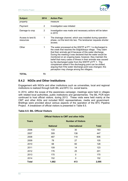

| <b>Subject</b>                | 2014           | <b>Action Plan</b>                                                                                                                                                                                                                                                                                                                                                                                                                                                                                                                                                                                                 |
|-------------------------------|----------------|--------------------------------------------------------------------------------------------------------------------------------------------------------------------------------------------------------------------------------------------------------------------------------------------------------------------------------------------------------------------------------------------------------------------------------------------------------------------------------------------------------------------------------------------------------------------------------------------------------------------|
| property                      |                | measure                                                                                                                                                                                                                                                                                                                                                                                                                                                                                                                                                                                                            |
| Payment                       | $\overline{2}$ | Investigation was initiated                                                                                                                                                                                                                                                                                                                                                                                                                                                                                                                                                                                        |
| Damage to crop                | $\overline{2}$ | Investigation was made and necessary actions will be taken<br>in 2015                                                                                                                                                                                                                                                                                                                                                                                                                                                                                                                                              |
| Access to land &<br>resources | 1              | The drainage channel, which was installed during operation<br>phase, cut the land into two. The landowner requests shorter<br>access.                                                                                                                                                                                                                                                                                                                                                                                                                                                                              |
| Other                         | 1              | The water processed at the WWTP at PT 1 is discharged to<br>the creek that reaches the Söğütlükaya village. They claim<br>that their animals get ill because of this water discharge.<br>During the meeting it was declared that the water would be<br>monitored on an ongoing basis; however, they maintain the<br>belief that many cases of illness in their animals was caused<br>by the discharged water from the WWTP of PT 1. The<br>complainant asked if the discharging point can be shifted,<br>arguing that if the water discharge point was changed, this<br>perception may change among the villagers. |
| TOTAL                         | 73             |                                                                                                                                                                                                                                                                                                                                                                                                                                                                                                                                                                                                                    |

## **8.4.2 NGOs and Other Institutions**

Engagement with NGOs and other institutions such as universities, local and regional institutions is realized through both BIL and BTC Co. social teams.

In 2014, within the scope of the awareness campaign, meetings were held in villages with related local authorities, public institutions and gendarmeries. The BIL PCR team continued to host official visitors. during 2013. These visits were held mainly at the CMT and other AGIs and included NGO representatives, media and government. Briefings were provided about various aspects of the operation of the BTC Pipeline Project. A breakdown of official visitors is presented in Table 8.5.

| <b>Official Visitors to CMT and other AGIs</b> |                 |                           |              |  |  |
|------------------------------------------------|-----------------|---------------------------|--------------|--|--|
| <b>Years</b>                                   |                 | <b>Number of Visitors</b> |              |  |  |
|                                                | <b>National</b> | <b>International</b>      | <b>Total</b> |  |  |
| 2006                                           | 133             | 30                        | 163          |  |  |
| 2007                                           | 309             | 138                       | 447          |  |  |
| 2008                                           | 487             | 119                       | 606          |  |  |
| 2009                                           | 78              | 27                        | 105          |  |  |
| 2010                                           | 68              | 60                        | 128          |  |  |
| 2011                                           | 109             | 14                        | 123          |  |  |
| 2012                                           | 176             | 25                        | 201          |  |  |
| 2013                                           | 170             | $\mathbf 0$               | 170          |  |  |
| 2014                                           | 152             | $\mathbf 0$               | 152          |  |  |
| <b>Total</b>                                   | 1,682           | 413                       | 2,095        |  |  |

### **Table 8.5: BIL Official Visitors**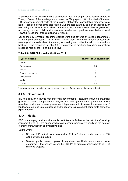In parallel, BTC undertook various stakeholder meetings as part of its assurance role in Turkey. Some of the meetings were related to SDI projects. With the start of the new CDI projects in central parts of the pipeline, stakeholder consultation meetings were held. Technical consultants also visited CDI projects quarterly as part of their regular monitoring and evaluation activities. In these visits, various stakeholders as governors and sub-governors, public institutions, co-operatives and producer organisations, local NGOs, professional organisations were visited.

Social and environmental assurance issues were also covered by various departments in the Operations team. The External Affairs team also held various consultation meetings with stakeholders. A summary of meetings and other formal communications held by BTC is presented in Table 8.6. The number of meetings held does not include meetings held by the IPs at the local level.

| <b>Type of Meeting</b> | <b>Number of Consultations*</b> |
|------------------------|---------------------------------|
| Donor                  |                                 |
| Government             | 28                              |
| <b>NGOs</b>            | 9                               |
| Private companies      | 2                               |
| <b>Universities</b>    | 5                               |
| Media                  | $\overline{\phantom{0}}$        |
| <b>TOTAL</b>           | 44                              |

#### **Table 8.6: BTC Stakeholder Meetings 2014**

\* In some cases, consultation can represent a series of meetings on the same subject.

## **8.4.3 Government**

BIL held regular follow-up meetings with governmental instituions including provincial governors, district sub-governors, mayors, the local gendarmerie, government utility providers, and other relevant government departments, to increase the awareness of landowners on land use restrictions and to resolve reinstatement complaints along the pipeline route.

## **8.4.4 Media**

BTC is managing relations with media institutions in Turkey in line with the Operating Agreement with BIL. IPs announced project accomplishments via media in the context of their communication and visibility plans.

During 2014:

- SDI and EIP projects were covered in 69 local/national media, and over 350 web news media outlets
- Several public events (protocol signature, certificate ceremonies) were organised in the project regions by SDI IPs to promote achievements in BTC financed projects.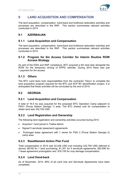

# **9 LAND ACQUISITION AND COMPENSATION**

The land acquisition, compensation, hand-back and livelihood restoration activities and processes are described in the RAP. This section summarises relevant activities conducted in 2014.

# **9.1 AZERBAIJAN**

## **9.1.1 Land Acquisition and Compensation**

The land acquisition, compensation, hand-back and livelihood restoration activities and processes are described in the RAP. This section summarises relevant activities conducted in 2014.

## **9.1.2 Program for 6m Access Corridor for Interim Routine ROW Access Strategy**

As part of the ESIA and RAP compliance, BTC acquired a 6m land strip alongside the ROW for the temporary driving of EPPD vehicles. During 2014 there was just 1 payment for 6m access.

# **9.1.3 Others**

The BTC Land team took responsibilities from the contractor Telco+ to complete the land acquisition program required for the BTC and SCP BV electrification project. It is anticipated that these activities will be concluded by the end of 2015.

# **9.2 GEORGIA**

## **9.2.1 Land Acquisition and Compensation**

A total of 16.5 ha was acquired for the proposed BTC Operation Camp adjacent to PSG1 (Pump Station Georgia 1) area. The BTC shared cost for compensation to obtain land was 332,700 USD.

# **9.2.2 Land Registration and Ownership**

The following land registration and ownership activities occurred during 2014:

- Acquired 1 land parcel in Tsalka district
- Signed 5 servitude (easement) agreements
- Prolonged lease agreement with 1 owner for PSG 2 (Pump Station Georgia 2) camp area.

# **9.2.3 Resettlement Action Plan Fund**

Total compensation in 2014 was 42,436 USD (not including 332,700 USD referred to above): \$6190 for 1 land purchasing, \$1,341 for 5 servitude agreements, \$20,090 for 1 lease agreement prolongation and \$16,155 for crop damage compensation.

# **9.2.4 Land Hand-back**

As of December. 2014, 89% of all Land Use and Servitude Agreements have been completed.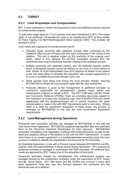# **9.3.1 Land Acquisition and Compensation**

BTC Turkey continues to monitor the acquisition of land and additional parcels required for enhancement projects.

To date land usage rights for 17,612 parcels have been transferred to BTC. The usage rights of and additional 175 parcels are ready to be transferred to BTC by Boru Hatlari ile Petrol Taşima A.Ş (BOTAŞ)/Designated State Authority (DSA). This process will proceed in 2015.

Court cases are ongoing for 24 private parcels due to:

- Disputed cases occurring after cadastral surveys were conducted by the Cadastral office as part of works that they were conducting in the vicinity of the pipeline. This had a negative impact on the resolution of the ongoing court cases, which in turn delayed the BOTAŞ acquisition process from the landowners due to land ownership disputes relating to the cadastral surveys;
- Multiple ownership and absentee owners, and old cadastral records, parties (heirs of deceased owners) cannot be defined by the court in a short period of time: Article 10 of the Expropriation Law 2010 requires all shares to be present at the title deed office to complete the acquisition with consent agreements or at court to complete the process through court; and
- Some parcels have being sold during the court process, thereby requiring BOTAŞ/DSA to initiate the court process again with the new landowners.
- Particular attention is given to the management of additional land-take by contractors responsible for reinstatement, pipeline repair works and enhancement projects on behalf of BTC. The BTC CSR team and BIL Public and Community Relations (PCREs) Team are providing day-to-day support to the contractors to ensure that contractors sign Land Entry/Exit Protocols, rental agreements with the landowners/users and to ensure crop/land and asset compensation is made in line with RAP requirements prior to land entry. Where there is a need for permanent acquisition of these areas, the process is managed by BOTAŞ/DSA in line with the Host Government Agreement requirements.

## **9.3.2 Land Management during Operations**

Permanent land acquisition activities are managed by BOTAŞ/DSA in line with the Host Government Agreement. BOTAŞ/DSA prepared expropriation files and submitted them to the Provincial Cadastral Directorates for their approval. BOTAŞ/DSA conducted consultation and negotiation meetings with landowners/users as well as title deed and cadastral officers in the districts in line with the RAP requirements. In cases where there is no consent agreement or a multiple/absentee ownership issue, the court process is initiated to identify the shareholders and the price for the land plots.

An Operating Agreement, in line with a Protocol signed between BOTAŞ/DSA and BIL, outlines roles and responsibilities of these parties during Operations. BTC ensures all additional land-take is managed in accordance with RAP principles. All additional land needs are approved by BTC Turkey prior to the acquisition of land plots.

Temporary land-take needed for reinstatement and enhancement projects are managed directly by the construction contractor under the supervision of BTC Turkey and BIL Social teams. BTC Site teams and BIL PCREs are involved in every land lease agreement (they also sign the Protocol between the contractor and the landowner/user as a witness).

66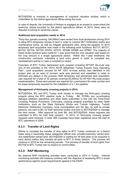

BOTAŞ/DSA is involved in management of crop/land valuation studies, which is undertaken by the district agricultural offices along the route.

In case of dispute, the University of Ankara is engaged as an expert to cross-check the land/crop values provided by the district agricultural offices. In 2014, there were no disputes involving on land/crop values.

### **Additional land acquisition needs in 2014**:

Thirty-four parcels covering 109,099m2 were rented from local landowners during 2014 to allow BTC temporary access to land in order to conduct BVT fortification works and maintenance works, as well as mitigate geohazard risks, along the pipeline. In 2014 temporary land acquisition was made in the following work locations: BVT10, BVT21, BVT22, BVT34, BVT50, KP202, KP275, KP598, KP688 and KP987. The majority of these rental contracts were made for 1 year given that the crop valuation was based on the crop amount in a single agricultural period. Within this 1-year timeframe, the construction contractor maintains a land entry permit in order to complete any reinstatement activity in case a complaint is raised.

Execution of BTC Turkey Geohazard work program including KP1007 Re-route was one of the priorities of the "2014 AGTR Midstream Turkey Exports Area Operating Plan". Land acquisition process for KP 1007 re-route activity was identified in the project plan as an area of concern work was planned and expedited in order to eliminate any delays in the process. Both temporary and permenant land acquisition was required for a total of 32 parcels covering 55,000m2 for KP1007 Re-route project implementation. These land parcels are required for a permanent 8m wide corridor and for areas temporarily required for the installation of a 1 km pipeline.

### **Management of third-party crossing projects in 2014:**

BOTAŞ/DSA, BIL and BTC Turkey work closely to manage the third-party crossing projects along the BTC pipeline route in Turkey. BIL PCREs are co-ordinating dialogue between operations and other State authorities in line with the Third-Party Crossing Projects Procedure. Third-party crossing projects submitted by other State institutions, such as the State Hydraulic Works and Turkish Highways, Turkish Electricity Distribution Company, local municipalities and the like, as well as private persons, are sent to BIL for their technical review and then to BOTAŞ/DSA to manage the land issues. After approval by both BIL and BOTAŞ/DSA, these requests are submitted to BTC for their final consent. In 2014, 21 third-party crossing project requests were received. In total, 266 crossings have been registered since the start of BTC operations in 2006.

## **9.3.3 Transfer of Land Rights**

Efforts to complete the transfer of land rights to BTC Turkey continued on a district basis using 2 ownership status categories official acts: private/customary owned land; and state/forest owned land. BOTAŞ/DSA is waiting for all land plots to be acquired in each district before they transfer all plots to BTC in those districts. The process will continue in 2015 for the remaining parcels. The process of transfer of land rights from BOTAŞ to BTC Turkey has no impact on communities.

## **9.3.4 RAP Monitoring**

No external RAP monitoring activities were conducted in 2014 in Turkey. Internal monitoring activities did however continue with the objective of assessing BTC's social performance against social requirements agreed in the ESAP.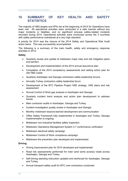# **10 SUMMARY OF KEY HEALTH AND SAFETY STATISTICS**

The majority of H&S targets and KPIs set at the beginning of 2014 for Operations have been met. All operational activities were conducted in a safe manner without any major incidents or fatalities, and no significant process safety-related incidents recorded during 2014. Operational activities were conducted across the 3 countries with safety performance maintained at a very high standard.

A priority for 2014 was the closure of the 2014 Safety and Operational Risk Audit action items. This was successfully accomplished.

The following is a summary of the main health, safety and emergency response activities in 2014.

#### **Safety**

- Quarterly review and update of midstream major risks and risk mitigation plans and barriers
- Development and implementation of the 2014 annual assurance plan
- Completion of the 2014 competency assessments and setting action plan for site H&S Leads
- Quarterly Azerbaijan and Georgia contractors safety leadership forums
- Annually Turkey contractors safety leadership forum
- Development of the BTC Pipeline Project HSE strategy, HSE plans and risk assessment
- Annual Control of Work gap analysis in Azerbaijan and Georgia
- Quarterly incident trend analysis and action plan development to address trends
- Main contractor audits in Azerbaijan, Georgia and Turkey
- Incident investigation quality review in Azerbaijan and Georgia
- Monthly midstream lessons-learned development and communication
- Office Safety Framework fully implemented in Azerbaijan and Turkey; Georgia implementation is ongoing
- Midstream non-industrial facilities safety inspection
- Midstream Operations Management System 3.7 conformance verification
- Midstream electrical safety campaign
- Midstream Control of Work compliance campaign
- Midstream fire prevention plan developed and implemented.

#### **Driving**

- Driving improvement plan for 2014 developed and implemented
- Road risk assessments performed for main (and some access) roads across Azerbaijan, Georgia and Turkey
- Self-driving standing instruction updated and reinforced for Azerbaijan, Georgia and Turkey
- Annual transport safety audit for BTC core contractors conducted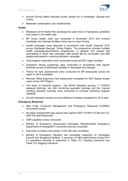

- Annual Driving Safety Standard audits carried out in Azerbaijan, Georgia and **Turkey**
- Midstream winterisation plan implemented.

#### **Health**

- Midstream 2014 Health Plan developed for each Area of Operations, published and closed in the health map
- BP Group Health audit was conducted in November 2014 and covered Azerbaijan and Georgia facilities; there was no major finding
- Health campaigns were delivered in accordance with Health Calendar 2014 across Azerbaijan-Georgia- Turkey Region. The programme included multiple health campaigns/promotional programmes. In general, 931 people had participated in Heart Day campaign, 848 people got flu vaccination and 846 people participated in smoking sessation campaign
- Food hygiene inspections were conducted across all AGT region facilities
- Substance Abuse screenings were conducted in accordance with agreed schedule across all Midstream facilities in Azerbaijan and Georgia
- Fitness for task assessments were conducted for BP employees across the region in 2014 completed
- Remedy Office Ergonomic Suit assessment completed for 88% display screen users across AGT Region
- One basic of industrial hygiene , one BOHS Asbestos training, 11 COSHH assessor trainings, two field monitoring specialist trainings and four manual handling assessor trainings were conducted to increase Indtustrial Hygiene capability
- All self-verification reviews accross Midtream facilities completed for 2014 year.

#### **Emergency Response**

- New Crisis, Continuity Management and Emergency Response (CCMER) Documents issued
- All region implemented gap closure plan against GDP 4.6-0001 (CCM) and 4.6- 0002 (Oil Spill Response)
- OSR capability review conducted
- Ministry of Emergency Responseof Azerbaijan Republic/State Emergency Department of Georgia/BTC combined exercise conducted
- Exercises including cross border in line with plan completed
- Ministry of Emergency Situation has completed inspection on Azerbaijan Exports and Sangachal facilities. A summary of H&S performance during 2014 for operations activities is presented in Table 10.1 (leading indicators) and Table 10.2 (lagging indicators).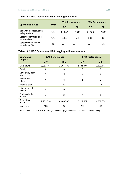| Table 10.1: BTC Operations H&S Leading Indicators |
|---------------------------------------------------|
|---------------------------------------------------|

|                                          |               | 2013 Performance |            | 2014 Performance |            |
|------------------------------------------|---------------|------------------|------------|------------------|------------|
| <b>Operations inputs</b>                 | <b>Target</b> | <b>BP</b>        | <b>BIL</b> | <b>BP</b>        | <b>BIL</b> |
| Behavioural observation<br>safety system | N/A           | 21.632           | 6.540      | 21.856           | 7.366      |
| Safety observation and<br>conversation   | N/A           | 3.855            | 505        | 3.888            | 398        |
| Safety training matrix<br>compliance (%) | >95           | <b>NA</b>        | NA         | NA               | <b>NA</b>  |

## **Table 10.2: BTC Operations H&S Lagging Indicators (Actual)**

| <b>Operations</b>            |                         | 2013 Performance | 2014 Performance |                |  |
|------------------------------|-------------------------|------------------|------------------|----------------|--|
| <b>Outputs</b>               | $BP^*$                  | <b>BIL</b>       | <b>BP</b>        | <b>BIL</b>     |  |
| Man-hours                    | 3,063,111               | 2,201,330        | 2,881,074        | 2,629,113      |  |
| Fatality                     | 0                       | 0                | 0                | 0              |  |
| Days away from<br>work cases | 1                       | 3                | 0                | $\overline{2}$ |  |
| Recordable<br>injury         | 1                       | 6                | 1                | 7              |  |
| First aid case               | 3                       | 13               | $\overline{2}$   | 15             |  |
| High potential<br>incident   | 0                       | $\Omega$         | 0                | $\mathbf{0}$   |  |
| Traffic vehicle<br>accident  | $\overline{\mathbf{4}}$ | 16               | 3                | 9              |  |
| <b>Kilometres</b><br>driven  | 9,231,010               | 4,446,767        | 7,222,559        | 4,552,839      |  |
| Near miss                    | 133                     | 47               | 222              | 98             |  |

\* BP operated section of BTC (Azerbaijan and Georgia) and the BTC Assurance team in Turkey.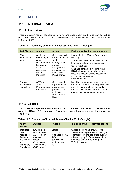

# **11 AUDITS**

## **11.1 INTERNAL REVIEWS**

## **11.1.1 Azerbaijan**

Internal environmental inspections, reviews and audits continued to be carried out at both AGIs and on the ROW. A full summary of internal reviews and audits is provided in Table  $11.1^{15}$ 

| <b>Audit/Review</b>                     | <b>Auditor</b>                                                                                                 | <b>Scope</b>                                                                                                                               | <b>Findings and/or Recommendations</b>                                                                                                                                                                                                                                                                                        |
|-----------------------------------------|----------------------------------------------------------------------------------------------------------------|--------------------------------------------------------------------------------------------------------------------------------------------|-------------------------------------------------------------------------------------------------------------------------------------------------------------------------------------------------------------------------------------------------------------------------------------------------------------------------------|
| Waste<br>management<br>audit            | Audit team<br>consisting of<br>Area<br>Environmenta<br>I Advisors<br>from<br>Azerbaijan<br>Export<br>Pipelines | Compliance with<br>requirements for<br>waste<br>management<br>processes<br>through the BTC<br>including IPA 1,<br>PSA 2 and<br>PSA 2 camp. | Incorrect filling of Waste Transfer Notes<br>(WTNs).<br>Waste was stored in unlabelled waste<br>bins and overloading of waste bins<br><b>Good Practice:</b><br>Staff and contractors working within<br>BTC had a good knowledge of their<br>roles and responsibilities associated<br>with waste management<br>implementation. |
| Regular<br>environmental<br>inspections | AGT region<br>Area<br>Environmenta<br>l Advisors                                                               | Compliance to<br>regulations and<br>environment<br>procedures and<br>instructions at<br><b>IPA 1, PSA 2,</b><br>BVs.                       | Monthly environmental inspections were<br>carried out at all AGIs during 2014. No<br>major issues were identified, and all<br>minor issues were closed-out as soon<br>as practicable on an ongoing basis.                                                                                                                     |

| Table 11.1: Summary of Internal Reviews/Audits 2014 (Azerbaijan) |  |  |
|------------------------------------------------------------------|--|--|

## **11.1.2 Georgia**

Environmental inspections and internal audits continued to be carried out at AGIs and along the ROW. A full summary of significant internal reviews and audits is given in Table 11.2.

| Audit/<br><b>Review</b>                                                                               | <b>Auditor</b>                                                                                                     | <b>Scope</b>                                                                                       | <b>Findings and/or Recommendations</b>                                                                                                                                                                                |
|-------------------------------------------------------------------------------------------------------|--------------------------------------------------------------------------------------------------------------------|----------------------------------------------------------------------------------------------------|-----------------------------------------------------------------------------------------------------------------------------------------------------------------------------------------------------------------------|
| Integrated<br>Self-<br>Assurance<br>$Review -$<br><b>ISO 14001</b><br>and<br>Regulatory<br>Compliance | Environmental<br>Advisors from<br>AGTR (other<br>than Geo<br>Exports<br>Compliance<br>&Enviroment<br>$(C&E)$ team) | Status of<br><b>BTC/SCP</b><br>readiness for ISO<br>14001<br>Surveillance<br>audit. August<br>2014 | Overall all elements of ISO14001<br>standard are in place across Georgia<br>operations. 17 findings of the audit were<br>followed up by 21 Corrective Actions<br>uploaded and tracked through the<br>Tr@ction system. |

|  | Table 11.2: Summary of Internal Reviews/Audits 2014 (Georgia) |  |  |
|--|---------------------------------------------------------------|--|--|
|  |                                                               |  |  |

l

 $15$  Note: these are treated separately from environmental monitoring, which is detailed elsewhere in this Report.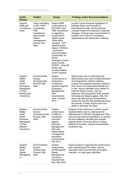| Audit/<br><b>Review</b>                                                                                             | <b>Auditor</b>                                                                                                                             | <b>Scope</b>                                                                                                                                                                                                                                                                                                                                                                                     | <b>Findings and/or Recommendations</b>                                                                                                                                                                                                                                                                                                                                                                                                                                                                                                                   |
|---------------------------------------------------------------------------------------------------------------------|--------------------------------------------------------------------------------------------------------------------------------------------|--------------------------------------------------------------------------------------------------------------------------------------------------------------------------------------------------------------------------------------------------------------------------------------------------------------------------------------------------------------------------------------------------|----------------------------------------------------------------------------------------------------------------------------------------------------------------------------------------------------------------------------------------------------------------------------------------------------------------------------------------------------------------------------------------------------------------------------------------------------------------------------------------------------------------------------------------------------------|
| Internal<br><b>EMS</b> and<br>Compliance<br>Audit                                                                   | Team consisting<br>of ISO 14001<br>Coordinator,<br><b>HSE</b><br>Compliance<br>team-leader,<br>Waste<br>management<br>advisor from<br>Baku | Assess EMS<br>conformance to<br>ISO14001 and<br><b>HSE Compliance</b><br>to regulatory<br>requirements.<br>Visited areas: -<br>Tbilisi office<br>complex, - BTC<br>pipeline pump<br>station 2 (PSG2),<br>- permanent<br>accommodation<br>construction for<br><b>PSG2, -</b><br><b>Emergency Drain-</b><br>Down Facility<br>(EDDF), - Area 80<br>facility and<br>accommodation<br>of SCP pipeline | In total 5 good practices highlighted, 6<br>findings raised, and 9 areas for<br>improvement made. Good practices<br>included waste and hazardous materials<br>storages. Findings were concentrated on<br>transfer and control of compliance<br>requirements and awareness materials.                                                                                                                                                                                                                                                                     |
| Subject<br>Matter<br>Audit:<br><b>ESAP</b><br>Ecological<br>Manageme<br>$nt$ Plan $-$<br>Biodiversity<br>monitoring | Environmental<br>Advisor<br>(Ecology);Geo<br><b>Exports C&amp;E</b><br>team                                                                | Assess<br>conformance of<br>biodiversity<br>monitoring<br>practices against<br>Ecological<br>Management<br>Plan<br>requirements:<br>June, October<br>2014                                                                                                                                                                                                                                        | Audit scope was to understand the<br>effectiveness and level of implementation<br>of arrangements made to address<br>impacts from pipeline activities related to<br>flora, fauna and associated habitat loss<br>in wild. Issues identified were related to<br>external factors mostly, such as<br>stationary field equipment theft, grazing,<br>trampling and illegal logging. Also, the<br>issue was field access complications<br>caused by security dep delaying granting<br>the permits. Further actions are to be<br>taken to eliminate the latter. |
| Subject<br>Matter<br>Audit:<br><b>ESAP</b><br>Emission<br>Manageme<br>nt Plan -<br>affluent<br>monitoring           | Environmental<br>Advisor<br>(Emissions);Geo<br>Exports C&E<br>team                                                                         | Assess<br>conformance<br>of affluent<br>monitoring<br>practices<br>against<br>Emission<br>Management<br>Plan and<br><b>Waste Water</b><br>management<br>procedure<br>requirements:<br>Dec 2014                                                                                                                                                                                                   | Purpose of the audit was to check correct<br>implementation and to understand the<br>effectiveness of effluent management. Main<br>area for improvement identified is to shorten<br>the time between sampling and sample<br>analysis itself. Corrective action is being<br>defined as involves sample transportation<br>contractor mgt.                                                                                                                                                                                                                  |
| Subject<br>Matter<br>Audit -<br>Waste<br>Manageme<br>nt                                                             | Environmental<br>Advisor<br>(Waste);Geo<br>Exports C&E<br>team                                                                             | Assess<br>conformance<br>of WM against<br>Waste<br>Management<br>procedure<br>requirements:<br>Feb, May 2014                                                                                                                                                                                                                                                                                     | Audit focused on checking the conformance<br>with maintaining WTN system. All the<br>Operation site's records were thoroughly<br>checked, no major gaps identified.                                                                                                                                                                                                                                                                                                                                                                                      |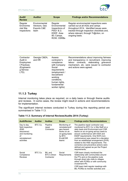

| Audit/<br><b>Review</b>                          | <b>Auditor</b>                                        | <b>Scope</b>                                                                                                 | <b>Findings and/or Recommendations</b>                                                                                                                                                                                         |
|--------------------------------------------------|-------------------------------------------------------|--------------------------------------------------------------------------------------------------------------|--------------------------------------------------------------------------------------------------------------------------------------------------------------------------------------------------------------------------------|
| Regular<br>Environme<br>ntal Site<br>Inspections | Environmental<br>Advisors, Geo<br>Exports C&E<br>team | Regular<br>Environmental<br>Inspections of<br><b>PSG1 &amp; 2:</b><br>EDDF, Area<br>80; Camps,<br>ROW, OSRBs | Regular environmental inspections were<br>carried out at all AGIs and camps<br>throughout 2014. Identified issues were<br>tracked through inspection checklists and,<br>where relevant, through Tr@ction, on<br>ongoing basis. |

| Contractor<br>Audit in<br>Employmen<br>t Practices<br>(Engineerin<br>g Service<br>LTD) | Georgia C&EA,<br>and HR | Assess<br>contractor's<br>compliance<br>with Company<br>Social<br>requirements<br>(employment /<br>recruitment/<br>working<br>conditions,<br>human rights,<br>fundamental<br>worker rights) | Recommendations about improving fairness<br>and transparency in recruitment, improving<br>contracts, elaborating<br>grievance<br>labour<br>mechanism, etc. were issued to contractor<br>and actions were agreed. |
|----------------------------------------------------------------------------------------|-------------------------|---------------------------------------------------------------------------------------------------------------------------------------------------------------------------------------------|------------------------------------------------------------------------------------------------------------------------------------------------------------------------------------------------------------------|

## **11.1.3 Turkey**

Internal monitoring takes place as required, on a daily basis or through theme audits and reviews. In some cases, the review might result in actions and recommendations for implementation.

The significant internal reviews conducted in Turkey during this reporting period are summarised in Table 11.3.

| <b>Audit/Review</b>                                                                                         | <b>Auditor</b> | <b>Auditee</b>                               | <b>Scope</b>                                                                                                 | <b>Findings and/or Recommendations</b>                                                                                                                                                                                                                                                                                                                                                                                                                              |
|-------------------------------------------------------------------------------------------------------------|----------------|----------------------------------------------|--------------------------------------------------------------------------------------------------------------|---------------------------------------------------------------------------------------------------------------------------------------------------------------------------------------------------------------------------------------------------------------------------------------------------------------------------------------------------------------------------------------------------------------------------------------------------------------------|
| Day to day<br>field inspection<br>(E&S<br>assurance)<br>and monitoring<br>οf<br>reinstatement<br>activities | BTC Co.        | Pipeline<br>repair<br>Contractor             | Monitoring of<br>reinstatement/<br>geo-hazard<br>works on an<br>on-going basis<br>by BTC<br>Env&CSR<br>teams | The pipeline repair contractor was<br>monitored by BTC Co.'s Site Staff on a<br>daily basis and Environment and CSR<br>teams on an on-going ad-hoc basis to<br>ensure conformance with ESIA and<br>ESAP requirements. One NCR (non-<br>conformance) was raised for a deviation<br>from an established arrangement (DVR)<br>related to the HSE requirements. The<br>corrective and preventive actions were<br>defined and agreed as per the Project<br>requirements. |
| Social<br>Compliance<br><b>Reviews</b>                                                                      | BTC Co.        | BIL and<br><b>BTC's Direct</b><br>Contractor | Social<br>Requirements                                                                                       | CSR team closely monitored the<br>relationship with communities around<br>the PTs and on the pipeline route<br>through direct site visits to villages<br>either with PCREs or with community<br>investment IPs.<br>CSR team held regular meetings with<br>BIL PCREs to monitor activities and                                                                                                                                                                       |

#### **Table 11.3: Summary of Internal Reviews/Audits 2014 (Turkey)**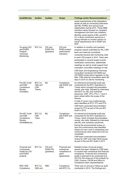| <b>Audit/Review</b>                                              | <b>Auditor</b>                            | <b>Auditee</b>                           | <b>Scope</b>                                         | <b>Findings and/or Recommendations</b>                                                                                                                                                                                                                                                                                                                                                                                                                                                                                                                                              |
|------------------------------------------------------------------|-------------------------------------------|------------------------------------------|------------------------------------------------------|-------------------------------------------------------------------------------------------------------------------------------------------------------------------------------------------------------------------------------------------------------------------------------------------------------------------------------------------------------------------------------------------------------------------------------------------------------------------------------------------------------------------------------------------------------------------------------------|
|                                                                  |                                           |                                          |                                                      | social requirements of the Operations<br>phase as well as conducting interviews<br>with BIL PCREs and various local<br>stakeholders during 2014. These M&E<br>activities mainly focused on complaint<br>management and land use violations.<br>Monthly social reports of BIL and BTC<br>Co.'s direct contractors served as a<br>strong indicator to monitor actions on<br>social requirements set in ESAP and<br>RAP.                                                                                                                                                               |
| On-going CDI<br>and EGED<br>Projects<br>Technical<br>Monitoring  | BTC Co.                                   | CDI and<br><b>EGED IPS</b><br>(grantees) | CDI and<br>EGED project<br>performance<br>indicators | In addition to monthly and quarterly<br>progress reports submitted by IPs, CSR<br>team and external consultants<br>conducted several site monitoring visits<br>to each CDI project in 2014. Team also<br>participated in several project events;<br>certification ceremonies, stakeholder<br>meetings as well as small support fund<br>evaluation committee meetings on site.<br>CSR team and Engineering Technical<br>Consultant monitored CFYGFM and<br>CEYDEM constructions regularly on the<br>field. CSR external consultants spent 96<br>days in 2014 on site for monitoring. |
| Pre-IEC Audit<br>and E&S<br>Compliance<br>Review<br>(Facilities) | BTC Co.<br>C&E and<br><b>CSR</b><br>Teams | <b>BIL</b>                               | Compliance<br>with ESAP and<br><b>ESIA</b>           | An internal environmental audit was<br>conducted for the BTC Operations in<br>Turkey which included documentation<br>review, site visits, followed by interviews<br>with BTC Co. BIL and contractor<br>personnel. CMT, IPTs, PTs 1, 3 and 4<br>were visited within the scope of the<br>Review.<br>In total, 6 Level-I non-conformances<br>were identified at IPT2, PT3 and PT4.<br>CSR team conducted documentation<br>review for PT3 as part of the pre-IEC<br>Audit in 2014.                                                                                                      |
| Pre-IEC Audit<br>and E&S<br>Compliance<br>Review<br>(RoW&Marine) | BTC Co.<br>C&E<br>Team                    | <b>BIL</b>                               | Compliance<br>with ESAP and<br><b>ESIA</b>           | An internal environmental audit was<br>conducted for the BTC Operations in<br>Turkey, which included documentation<br>review, site visits, followed by interviews<br>with BIL and contractor personnel.<br>During the environmental review no<br>new non-conformance was identified.<br>Actions for two Level II outstanding non-<br>conformances were observed to be not<br>completed.<br>CSR team conducted documentation<br>review for CMT and major RoW issues<br>as part of the pre-IEC Audit in 2014.                                                                         |
| Financial and<br>Contractual<br>Audits for CDI<br>and EGED       | BTC Co.                                   | CDI and<br><b>EGED IPS</b><br>(grantees) | Financial and<br>contractual<br>compliance to        | Detailed review of annual project<br>reports has been initiated by CSR team<br>to monitor both contractual and financial                                                                                                                                                                                                                                                                                                                                                                                                                                                            |
| projects                                                         |                                           |                                          | grant<br>agreements                                  | compliance. Financial and contractual<br>audits is planned to be conducted end<br>2015 for the close-out of the projects by<br>CSR, Finance, PSCM and Ethics &<br>Compliance team representatives.                                                                                                                                                                                                                                                                                                                                                                                  |
| <b>NRC HSE</b><br>Compliance                                     | BTC Co<br>C&E and                         | <b>NRC</b>                               | Compliance<br>with BTC Co.                           | There was no annual or follow-up audit<br>conducted in 2014. The findings and                                                                                                                                                                                                                                                                                                                                                                                                                                                                                                       |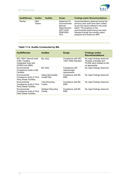

| <b>Audit/Review</b> | <b>Auditor</b> | <b>Auditee</b> | <b>Scope</b>                                                                              | <b>Findings and/or Recommendations</b>                                                                                                                                                                                                                           |
|---------------------|----------------|----------------|-------------------------------------------------------------------------------------------|------------------------------------------------------------------------------------------------------------------------------------------------------------------------------------------------------------------------------------------------------------------|
| Review              | H&S<br>Teams   |                | Statement Of<br>Environmental<br>&Social<br>Requirements<br>(BTC-SOR-<br>ESM-GEN-<br>001) | recommendations observed during the<br>previous year audit have been closed<br>as per the actions defined in the audit<br>report. The progress on the<br>environmental performance has been<br>followed through the monthly report<br>prepared and shared by NRC |
|                     |                |                |                                                                                           |                                                                                                                                                                                                                                                                  |

# **Table 11.4: Audits Conducted by BIL**

| <b>Audit/Review</b>                                                                        | <b>Auditee</b>                      | <b>Scope</b>                                      | <b>Findings and/or</b><br><b>Recommendations</b>                                                        |
|--------------------------------------------------------------------------------------------|-------------------------------------|---------------------------------------------------|---------------------------------------------------------------------------------------------------------|
| ISO 14001 Internal Audit<br>of BIL Facilities<br>(Integrated Audit with)<br>OHSAS and QMS) | <b>BIL AGIS</b>                     | Compliance with ISO<br>14001 EMS Standard         | No major findings observed.<br>Findings evaluated and<br>PCARs were initiated by BIL<br>as appropriate. |
| Environmental<br>Compliance Audits of BIL<br><b>Facilities</b>                             | <b>BIL AGIS</b>                     | Compliance with<br>national legal<br>requirements | No major findings observed.                                                                             |
| Environmental<br>Compliance Audit of Third<br><b>Party Waste Facilities</b>                | Adana Municipality<br>Landfill Site | Compliance with BIL<br><b>EMS</b>                 | No major findings observed.                                                                             |
| <b>Environmental</b><br>Compliance Audit of Third<br><b>Party Waste Facilities</b>         | Yılka Recycling<br>Facility         | Compliance with BIL<br><b>EMS</b>                 | No major findings observed.                                                                             |
| <b>Environmental</b><br>Compliance Audit of Third<br>Party Waste Facilities                | Akdösan Recycling<br>Facility       | Compliance with BIL<br><b>EMS</b>                 | No major findings observed.                                                                             |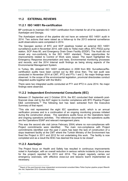## **11.2 EXTERNAL REVIEWS**

## **11.2.1 ISO 14001 Re-certification**

BP continues to maintain ISO 14001 certification from Intertek for all of its operations in Azerbaijan and Georgia.

The Azerbaijani section of the pipeline did not have an external ISO 14001 audit in 2014. Two actions that were raised as a follow-up to the 2013 external surveillance audit observations were completed in 2014.

The Georgian section of BTC and SCP pipelines hosted an external ISO 14001 surveillance audit in November 2014, with visits to Tbilisi main office, BTC PSG2 pump station, SCP Area 80, and Emergency Drain Down Facility (EDDF). The Audit did not reveal any non-confomity to the ISO 14001 standard. Three opportunities for improvements related to Control of Work were raised. The report highlighted the Emergency Response documentation and tests, Environmental monitoring processes and records, and the 2014 Internal audit findings as being strong aspects of the Environmental Management System.

In Turkey, BIL obtained ISO 14001 certification in 2008 from BSI. Surveillance/Recertification audits have been carried out by BSI since then. The last audit was conducted in November 2014 at CMT, IPT2 and PTs 1 and 2. No major findings were observed. In the scope of the environmental legislation, provincial directorates conduct integrated audits together with the MoEU.

There were two integrated audits conducted at PT1 and IPT2 in June 2014. No major findings were observed.

### **11.2.2 Independent Environmental Consultants (IEC)**

Between 21 September and 3 October 2014, the IEC conducted their sixteenth postfinancial close visit to the AGT region to monitor compliance with BTC Pipeline Project E&S commitments.16 The following text has been extracted from the Executive Summary of that report.

"This site visit represented the eight IEC operations audit, which is an annual verification process and is a continuation of an ongoing monitoring process initiated during the construction phase. The operations audits focus on the Operations team and ongoing operations activities. The reference documents for the operations audits are the Operations ESAP and relevant management plans.

This was the second site visit (since February 2004) where no non-compliances with Project commitments were identified. The main non-compliance with Project commitments identified over the past 2 years has been the lack of construction of a slops treatment facility at the CMT where the Turkish Ministry of the Environment has fined the Project in 2011 and 2012 for not undertaking this work. The facility is now completed and as a result the IESC has deemed the issue to be closed".

### **11.2.3 Azerbaijan**

The Project focus on Health and Safety has resulted in continuous improvements noted in Azerbaijan, with an overall reduction in serious vehicle incidents (a focus area for the project) reported for 2013 and 2014. The project regularly carries out emergency exercises, with effective close-out and lessons learnt implemented as necessary.

l

<sup>&</sup>lt;sup>16</sup> Report of the post-financial close independent environmental consultant Baku-Tbilisi-Ceyhan pipeline project fifteenth site visit, September 2013- Executive Summary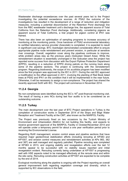

Wastewater discharge exceedances over the past several years led to the Project investigating the potential exceedance sources. At PSA2 the outcome of the investigations has resulted in the development of a range of reduction and mitigation measures, including a potential disconnection of the Retention Pond discharge line from the RBC wastewater treatment unit's discharge line, the apparent source of Total Coliforms from the Retention Pond discharge. Additionally, considering pigeons as apparent source of Total Coliforms, a trial project for pigeon control at IPA1 was framed.

There has also been an optimisation of sampling programs to increase accuracy of monitoring at the monitoring points. Once handover of PSA2 environmental laboratory to certified laboratory service provider (Azecolab) is completed, it is expected to result in significant cost savings. BTC Azerbaijan demonstrated considerable effort to ensure appropriate pipeline route reinstatement and prevent erosion, in particular at sensitive river crossings. Overall, vegetation cover along the pipelines continues to improve, while problem areas stay as the previous years (Gobustan Desert Area). While the reinstatement situation is essentially unchanged in the Gobustan area the project has reported some success from discussion with the Export Piplines Protection Department (EPPD), resulting in a reduction of EPPD driving patrols on the running track along some of the pipeline sections. The project is continuing with the reinstatement program. Regarding biodiversity, the scope of *Iris acutiloba* program has been modified since the first program was approved by the IEC in 2011. During the visit IEC approved a modification to the offset approved in 2011, involving the planting of Red Book listed trees at PSA2 and IPA1 on the condition that it will be implemented in the near future. Otherwise, it will be necessary to assign a non-compliance. The project has shared the recently approved SoW with IEC. The project will commence in November 2014.

## **11.2.4 Georgia**

No non-compliances were identified during the IEC's 16<sup>th</sup> post-financial monitoring visit. The result of having a zero NCs during last four audits is to be considered as an outstanding outcome.

## **11.2.5 Turkey**

The main development over the last year of BTC Project operations in Turkey is the completion of construction works in September 2014 of the Slops and Bilge Water Reception and Treatment Facility at the CMT, also known as the MARPOL Facility.

The Project was previously fined on two occasions by the Turkish Ministry of Environment and Urbanization (MoEU) for not building this facility, and expects to receive government approval of the MARPOL Facility in October/November 2014 and will operate under a temporary permit for about a one year verification period prior to receiving the Environmental License.

Regarding RoW management, erosion control areas and pipeline sections that have required major geotechnical stabilization efforts (including rerouting at KP383 and KP1007, and erosion control measures and reinstatement activities at KPs 983, 362 and 387) are well managed and regularly patrolled. Pipeline rerouting was completed at KP383 in 2013, and ongoing stability and revegetation efforts over the last 12 months appear to be successful with no stability issues reported and initial revegetation evident. Rerouting currently being undertaken at KP1007 is progressing well with HSE aspects noted to be managed effectively at the reroute area and within the site camp. Rerouting construction activities at KP1007 are expected to be complete by the end of 2014.

Ecological monitoring along the pipeline is ongoing with the Project reporting an overall general improvement both regarding vegetation coverage and diversity, which is supported by IEC observations in the field.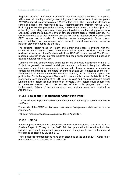Regarding pollution prevention, wastewater treatment systems continue to improve, with almost all monthly discharge monitoring results of waste water treatment plants (WWTPs) and oil water separators (OWSs) within limits. The Project has identified a series of actions, and responded to IEC recommendations, through various MoCs (including process changes and purchasing additional equipment), with the objective of enhancing the existing waste water management systems, and improving processes to effectively target and reduce the level of off spec effluent across Project facilities. The CWAAs continue to be well managed, with the IEC noting that the CWAA visited at the CMT serves as a model for effective waste management. Some minor recommendations for improvement were made to Project management regarding pollution prevention during the site visit.

The ongoing Project focus on Health and Safety awareness is evident, with the continued use of the Behaviour Observation Safety System (BOSS) to track and analyse incidents, and identify where additional H&S efforts are needed. The Project reports a reduction of year on year incidents and has planned/implemented a series of actions to further minimise risks.

Turkey is the only country where social teams are dedicated exclusively to the BTC Project. In general, the overall social performance continues to be good, with an emphasis on maintaining community relations and a focus on closing out remaining complaints and increasing land users' awareness of land use restrictions on the RoW throughout 2014. A recommendation was again made by the IEC for BIL to update and publish their Social Management Plans, which is reportedly planned for late 2014. The Sustainable Development Initiative (SDI) is still in place and has now passed a critical juncture in the Project initiative (more than 10 years). The Project would benefit from an outcomes analysis as to the success of the social program and issues implemented. Tables of recommendations and actions taken are provided in Appendix 2".

## **11.2.6 Social and Resettlement Action Plan Panel**

The SRAP Panel report on Turkey has not been submitted despite several inquiries to the Panel.

The results of the SRAP monitoring actions closure from previous visits are provided in Appendix 4.

Tables of recommendations are also provided in Appendix 4.

## **11.2.7 Polaris**

Polaris Applied Sciences Inc. conducted OSR readiness assurance review for the BTC Pipeline Project in Turkey in May 2013. BIL then prepared a list of 49 actions that included operational, contractual, government and management issues that addressed the gaps to be closed by BIL and BTC.

Thirty actions/recommendations have been closed as of the end of 2014. Other items are scheduled to be closed in 2015 and 2016.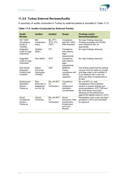

# **11.2.8 Turkey External Reviews/Audits**

A summary of audits conducted in Turkey by external parties is provided in Table 11.5.

| Audit/<br><b>Review</b>                                            | <b>Auditor</b>                                       | <b>Auditee</b>                    | <b>Scope</b>                                                                 | <b>Findings and/or</b><br><b>Recommendations</b>                                                                                                                                                                       |
|--------------------------------------------------------------------|------------------------------------------------------|-----------------------------------|------------------------------------------------------------------------------|------------------------------------------------------------------------------------------------------------------------------------------------------------------------------------------------------------------------|
| <b>ISO 14001</b><br>Surveillance<br>Audits of<br><b>Facilities</b> | <b>BSI</b><br>(certification<br>body)                | BIL (PT1,<br>IPT2, PT2,<br>CMT)   | Compliance<br>with ISO 14001<br><b>EMS Standard</b>                          | No major findings observed.<br>Findings evaluated and PCARs<br>were initiated by BIL as<br>appropriate.                                                                                                                |
| Integrated<br>Audit of Legal<br>Authorities                        | Ardahan<br>MoEU                                      | PT <sub>1</sub>                   | Compliance<br>with national<br>legal<br>requirements                         | No major findings observed.                                                                                                                                                                                            |
| Integrated<br>Audit of Legal<br>Authorities                        | Kars MoEU                                            | IPT <sub>2</sub>                  | Compliance<br>with national<br>legal<br>requirements                         | No major findings observed.                                                                                                                                                                                            |
| Ship Waste<br>Reception<br><b>Facility Audit</b><br>by MoEU        | Adana<br>Provincial<br>Directorate<br>of MoEU        | <b>CMT</b>                        | <b>MARPOL</b><br>Facility<br>compliance with<br>national<br>regulation       | One finding noted that the existing<br>vacuum truck for waste oil, sludge<br>and bilge water to be modified or<br>to be replaced with a new one<br>which has three compartments in<br>its tank.                        |
| Employment<br>Standards<br>Review -<br>Follow-up                   | Rina<br>Denizcilik ve<br>Belgelendir<br>me Ltd. Sti. | BIL and BTC<br>Co.<br>Contractors | Compliance<br>with<br>employment<br>standards<br>commitments                 | BIL and BTC Co. high<br>management held a detailed<br>session to assess findings and<br>recommendations. BTC CSR and<br>BIL PCR teams have been<br>following up the performance<br>against the agreed actions in 2014. |
| Social<br>Compliance<br>Review-<br>Follow-up                       | Ankara<br>University                                 | BIL and BTC<br>Co.<br>Contractors | Social<br>Assurance, Risk<br>Assessment.<br>Employment<br>and Land<br>Review | Remediation work scope has been<br>prioritized in 2014 and submitted<br>for approval.                                                                                                                                  |

## **Table 11.5: Audits Conducted by External Parties**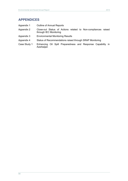# **APPENDICES**

- Appendix 1 Outline of Annual Reports
- Appendix 2 Close-out Status of Actions related to Non-compliances raised through IEC Monitoring
- Appendix 3 Environmental Monitoring Results
- Appendix 4 Status of Recommendations raised through SRAP Monitoring
- Case Study 1 Enhancing Oil Spill Preparedness and Response Capability in **Azerbaijan**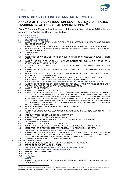

## **APPENDIX 1 – OUTLINE OF ANNUAL REPORTS**

## **ANNEX J OF THE CONSTRUCTION ESAP – OUTLINE OF PROJECT ENVIRONMENTAL AND SOCIAL ANNUAL REPORT17**

Each E&S Annual Report will address each of the topics listed below for BTC activities conducted in Azerbaijan, Georgia and Turkey.

 **EXECUTIVE SUMMARY** 

#### **1 INTRODUCTION**

- **2 ESIAS/EIA AND PERMITTING**
- 2.1 SUMMARY OF ANY MATERIAL MODIFICATIONS TO THE AZERBAIJANI, GEORGIAN AND TURKISH ESIAS DURING THE YEAR.
- 2.2 SUMMARY OF MATERIAL PERMITS ISSUED DURING THE YEAR AND ANY APPLICABLE CONDITIONS.
- 2.3 UPDATE ON STATUS OF PROJECT STATE SPECIFIC REQUIREMENTS FOR FURTHER WORK UNDER THE ESIAS OR PERMITS.
- 2.4 OTHER STUDIES
- 3 **CHANGES**
- 3.1 DESCRIPTION OF ANY CHANGES TO AN ESIA DURING THE PERIOD TO REFLECT A CLASS I, II OR III CHANGE.
- 3.2 SUMMARY OF THE TYPE OF CLASS I CHANGES IMPLEMENTED DURING THE PERIOD, OR A CONFIRMATION OF NO SUCH CHANGE.
- 3.3 LIST OF ALL CLASS II CHANGES NOTIFIED DURING THE PERIOD, OR CONFIRMATION OF NO SUCH **CHANGES**
- 3.4 SUMMARY OF ALL CLASS III CHANGES DURING THE PERIOD, OR CONFIRMATION OF NO SUCH **CHANGES**
- 3.5 UPDATE ON CONSTRUCTION STATUS IN A CHANGE AREA INCLUDING DESCRIPTION OF ANY IMPACTS OR MITIGATION MEASURES.
- 3.6 DESCRIPTION OF ANY MATERIAL AMENDMENT, SUPPLEMENT, REPLACEMENT OR MATERIAL MODIFICATION TO AN ESIA, THIS ESAP, THE RAP, THE ESMS, OR ANY OSRP.
- 4 **COMPLIANCE WITH ENVIRONMENTAL STANDARDS AND APPLICABLE ENVIRONMENTAL LAW**
- 4.1 SUMMARY OF ANY NOTICES OF NON-COMPLIANCE, REMEDIAL ACTION, ANY FINES OR PENALTIES PAID AND FINAL DISPOSITION OF ANY REGULATORY PROCEEDINGS.
- 4.2 SUMMARY OF AIR EMISSIONS.
- 4.3 SUMMARY OF ENVIRONMENTAL DISCHARGES.
- 4.4 STATEMENT INDICATING WHETHER BTC AND ITS AGENTS HAVE COMPLIED IN THE DEVELOPMENT, CONSTRUCTION AND OPERATION OF THE BTC PROJECT WITH THIS ESAP, APPLICABLE ENVIRONMENTAL LAWS AND APPLICABLE LENDER ENVIRONMENTAL AND SOCIAL POLICIES AND GUIDELINES IN ALL MATERIAL RESPECTS AND SUMMARY OF ANY (I) MATERIAL NON-COMPLIANCE AND THE STEPS BEING TAKEN TO REMEDY IT AND (II) MATERIAL MODIFICATIONS OF ESIAS, PLANS OR PROGRAMMES MATERIALLY IN CONTRAVENTION OF THE OPERATIONAL POLICIES AND DIRECTIVES LISTED IN THIS ESAP.
- 4.5 UPDATE ON SIGNIFICANT CHANGES IN APPLICABLE LAW, IF ANY.
- 5 **OIL SPILL RESPONSE**
- 5.1 SUMMARY OF OSRPS COMPLETED, UPDATED OR AMENDED DURING YEAR (AS DESCRIBED IN THIS ESAP)
- 5.2 SPILL SUMMARIES (AZERBAIJAN, GEORGIA AND TURKEY).
- 5.3 SPILL RESPONSE AND REMEDIATION SUMMARIES.
- 5.4 SUMMARY OF MATERIAL MODIFICATIONS TO THE OSRPS DESCRIBED IN THIS ESAP.
- 6 **CIP AND EIP PROGRAMMING**
- 6.1 SUMMARY OF PROGRAMMING FOR THE PAST YEAR.
- 6.1 COMPARISON OF ACTUAL TOTAL EXPENDITURES AND BUDGETED TOTAL EXPENDITURES.<br>6.3 DESCRIPTION OF EXPECTED BUDGET AND PROGRAMMING FOR THE COMING YEAR.
- DESCRIPTION OF EXPECTED BUDGET AND PROGRAMMING FOR THE COMING YEAR.
- **7 ENVIRONMENTAL AND SOCIAL MONITORING PROGRAMME**
- 7.1 SUMMARY OF ESMS MONITORING COMMITMENTS COMPLETED DURING THE YEAR, INCLUDING SUMMARY OF RESULTS, COMPARISON OF ENVIRONMENTAL PERFORMANCE TO APPLICABLE ENVIRONMENTAL STANDARDS AND SUMMARY OF PERFORMANCE AGAINST KPIS.
- 7.2 SUMMARY OF ENVIRONMENTAL AND SOCIAL TRAINING.

#### **8 PROJECT COMMUNICATION**

- 8.1 UPDATE OF ONGOING COMMUNICATION WITH EXTERNAL STAKEHOLDERS.
- 8.2 UPDATE OF COMMUNITY LIAISON ACTIVITIES.
- **9 LAND ACQUSITOIN AND SUMMARY OF RESULTS OF RAP MONITORING**
- **10 SUMMARY OF KEY HEALTH AND SAFETY STATISTICS**
- 10.1 DAYS AWAY FROM WORK CASES.
- 10.2 INJURIES.
- 10.3 FATALITIES.
- **11 AUDITS**
- 11.1 SUMMARY OF THE RESULTS OF BTC AND BOTAŞ' INTERNAL ENVIRONMENTAL AND SOCIAL AUDIT PROGRAMMES.

l

<sup>&</sup>lt;sup>17</sup> Following completion of construction, the Annual Report will not cover items that are relevant only to construction. In addition, if matters are covered in the Operations ESAP that are not reflected in the contents for the Annual Report, this Annex will be amended as appropriate to cover these matters.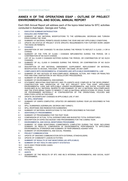## **ANNEX H OF THE OPERATIONS ESAP – OUTLINE OF PROJECT ENVIRONMENTAL AND SOCIAL ANNUAL REPORT**

Each E&S Annual Report will address each of the topics listed below for BTC activities conducted in Azerbaijan, Georgia and Turkey.

- **1 EXECUTIVE SUMMARY/INTRODUCTION**
- **2 ESIAs/EIA AND PERMITTING**
- 2.1 SUMMARY OF ANY MATERIAL MODIFICATIONS TO THE AZERBAIJANI, GEORGIAN AND TURKISH ESIAS DURING THE YEAR.
- 2.2 SUMMARY OF MATERIAL PERMITS ISSUED DURING THE YEAR AND ANY APPLICABLE CONDITIONS.
- 2.3 UPDATE ON STATUS OF PROJECT STATE SPECIFIC REQUIREMENTS FOR FURTHER WORK UNDER THE ESIAS OR PERMITS.
- **3 CHANGES**
- 3.1 DESCRIPTION OF ANY CHANGES TO AN ESIA DURING THE PERIOD TO REFLECT A CLASS I, II OR III **CHANGE**
- 3.2 SUMMARY OF THE TYPE OF CLASS I CHANGES IMPLEMENTED DURING THE PERIOD, OR A CONFIRMATION OF NO SUCH CHANGE.
- 3.3 LIST OF ALL CLASS II CHANGES NOTIFIED DURING THE PERIOD, OR CONFIRMATION OF NO SUCH **CHANGES**
- 3.4 SUMMARY OF ALL CLASS III CHANGES DURING THE PERIOD, OR CONFIRMATION OF NO SUCH CHANGES.
- 3.5 DESCRIPTION OF ANY MATERIAL AMENDMENT, SUPPLEMENT, REPLACEMENT OR MATERIAL MODIFICATION TO AN ESIA, THIS ESAP, THE RAP, THE ESMS, OR ANY OSRP.
- **4 COMPLIANCE WITH ENVIRONMENTAL STANDARDS AND APPLICABLE ENVIRONMENTAL LAW**
- 4.1 SUMMARY OF ANY NOTICES OF NON-COMPLIANCE, REMEDIAL ACTION, ANY FINES OR PENALTIES PAID AND FINAL DISPOSITION OF ANY REGULATORY PROCEEDINGS.
- 4.2 SUMMARY OF AIR EMISSIONS.
- 4.3 SUMMARY OF ENVIRONMENTAL DISCHARGES.
- 4.4 STATEMENT INDICATING WHETHER BTC AND ITS AGENTS HAVE COMPLIED IN THE DEVELOPMENT, CONSTRUCTION AND OPERATION OF THE BTC PROJECT WITH THIS ESAP, APPLICABLE ENVIRONMENTAL LAWS AND APPLICABLE LENDER ENVIRONMENTAL AND SOCIAL POLICIES AND GUIDELINES IN ALL MATERIAL RESPECTS AND SUMMARY OF ANY (I) MATERIAL NON-COMPLIANCE AND THE STEPS BEING TAKEN TO REMEDY IT AND (II) MATERIAL MODIFICATIONS OF ESIAS, PLANS OR PROGRAMMES MATERIALLY IN CONTRAVENTION OF THE OPERATIONAL POLICIES AND DIRECTIVES LISTED IN THIS ESAP.
- 4.5 UPDATE ON SIGNIFICANT CHANGES IN APPLICABLE LAW, IF ANY.
- **5 OIL SPILL RESPONSE**
- 5.1 SUMMARY OF OSRPS COMPLETED, UPDATED OR AMENDED DURING YEAR (AS DESCRIBED IN THIS ESAP).
- 5.2 SPILL SUMMARIES (AZERBAIJAN, GEORGIA AND TURKEY).
- 5.3 SPILL RESPONSE AND REMEDIATION SUMMARIES.
- 5.4 SUMMARY OF MATERIAL MODIFICATIONS TO THE OSRPS DESCRIBED IN THIS ESAP.

#### **6 ADDITIONALITY PROGRAMMING**

- 6.1 SUMMARY OF PROGRAMMING FOR THE PAST YEAR.
- 6.2 COMPARISON OF ACTUAL TOTAL EXPENDITURES AND BUDGETED TOTAL EXPENDITURES.
- 6.3 DESCRIPTION OF EXPECTED BUDGET AND PROGRAMMING FOR THE COMING YEAR.
- **7 ENVIRONMENTAL AND SOCIAL MONITORING PROGRAMME**
- 7.1 SUMMARY OF ESMS MONITORING COMMITMENTS COMPLETED DURING THE YEAR, INCLUDING SUMMARY OF RESULTS, COMPARISON OF ENVIRONMENTAL PERFORMANCE TO APPLICABLE ENVIRONMENTAL STANDARDS AND SUMMARY OF PERFORMANCE AGAINST KPIS.
- 7.2 SUMMARY OF ENVIRONMENTAL AND SOCIAL TRAINING.
- **8 PROJECT COMMUNICATION**
- 8.1 UPDATE OF ONGOING COMMUNICATION WITH EXTERNAL STAKEHOLDERS.
- 8.2 UPDATE OF COMMUNITY LIAISON ACTIVITIES.
- **9 SUMMARY OF RESULTS OF RAP MONITORING (AS APPLICABLE)**
- **10 SUMMARY OF KEY HEALTH AND SAFETY STATISTICS**
- 10.1 DAYS AWAY FROM WORK CASES.
- 10.2 INJURIES.
- 10.3 FATALITIES.
- **11 AUDITS**
- 11.1 SUMMARY OF THE RESULTS OF BTC AND BIL'S INTERNAL ENVIRONMENTAL AND SOCIAL AUDIT **PROGRAMMES**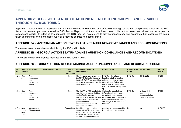

## **APPENDIX 2: CLOSE-OUT STATUS OF ACTIONS RELATED TO NON-COMPLIANCES RAISED THROUGH IEC MONITORING**

Appendix 2 contains BTC's responses and progress towards implementing and effectively closing out the non-compliances raised by the IEC. Items that remain open are reported in E&S Annual Reports until they have been closed. Items that have been closed do not appear in subsequent reports. In adopting this approach, the BTC Pipeline Project aims to provide transparency and assurance that measures are being taken to ensure follow-up and close-out of all actions to address non-compliances.

### **APPENDIX 2A – AZERBAIJAN ACTION STATUS AGAINST AUDIT NON-COMPLIANCES AND RECOMMENDATIONS**

There were no non-compliances identified by the IEC audit in 2014.

### **APPENDIX 2B – GEORGIA ACTION STATUS AGAINST AUDIT NON-COMPLIANCES AND RECOMMENDATIONS**

There were no non-compliances identified by the IEC audit in 2014.

## **APPENDIX 2C – TURKEY ACTION STATUS AGAINST AUDIT NON-COMPLIANCES AND RECOMMENDATIONS**

| Ref.<br>No. | finding                     | Date of Category                               | <b>Description of Finding</b> | Level of<br>Non-<br><b>Compliance</b> | <b>Recommendation for</b><br><b>Improvement</b>                                                                                                                                                                                                               | <b>Action Taken</b>                                                                                                                                                       | <b>Responsible Target Date</b><br><b>Party</b> |                                                                     | <b>Closure</b><br><b>Status</b> |
|-------------|-----------------------------|------------------------------------------------|-------------------------------|---------------------------------------|---------------------------------------------------------------------------------------------------------------------------------------------------------------------------------------------------------------------------------------------------------------|---------------------------------------------------------------------------------------------------------------------------------------------------------------------------|------------------------------------------------|---------------------------------------------------------------------|---------------------------------|
| 4.3.2       | Sep<br>2014                 | Non-<br>Hazardous<br>and<br>Hazardous<br>Waste |                               | Rec.                                  | The Project should ensure that BTC Co will evaluate<br>the MARPOL facility liquids at together with BIL whether<br>the CMT CWAA are stored in a existing chemical storage<br>separate storage area from the area will be sufficient after<br>hazardous waste. | use of bulk of chemicals as<br>part of MARPOL facility start-<br>up.                                                                                                      | BTC Co.                                        | 31.12.2015                                                          | <b>OPEN</b>                     |
| 4.3.2       | Sep<br>2014                 | Non-<br>Hazardous<br>and<br>Hazardous<br>Waste |                               | Rec.                                  | The CWAA at PT3 needs to be Option of a potential new<br>maintained to ensure that the<br>ageing facility remains<br>functional. The option of a new<br>CWAA to be located at the<br>proposed new PT3<br>accommodation camp site<br>should be considered.     | CWAA is being considered<br>as part of the permanent<br>facilities project. The decision<br>is awaiting the siting, scoping<br>and design of the permanent<br>facilities. | BTC Co.                                        | In line with the<br>permanent<br>accommodation<br>projects schedule | <b>OPEN</b>                     |
| 4.3.5       | Sep<br>2013/<br>Sep<br>2014 | Wastewater<br>Management                       |                               | Repeat Rec.                           | Consider adding aeration<br>systems to SWPs to improve<br>water quality and increase the<br>time that discharges can be<br>allowed. This type of simple                                                                                                       | Aerators were purchased by<br>BIL and distributed to sites.                                                                                                               | BIL                                            | n/a                                                                 | <b>CLOSED</b>                   |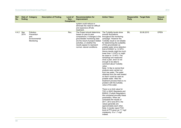| Ref.<br>No. | finding     | Date of Category                                              | <b>Description of Finding</b> | Level of<br>Non-<br><b>Compliance</b> | <b>Recommendation for</b><br><b>Improvement</b>                                                                                                                                                                                                                                                                     | <b>Action Taken</b>                                                                                                                                                                                                                                                                                                                                                                                                                                                                                                                                                                                                                                                                                                                                                                                                                                                                                                                                                                                                                                                    | <b>Responsible Target Date</b><br>Party |            | <b>Closure</b><br><b>Status</b> |
|-------------|-------------|---------------------------------------------------------------|-------------------------------|---------------------------------------|---------------------------------------------------------------------------------------------------------------------------------------------------------------------------------------------------------------------------------------------------------------------------------------------------------------------|------------------------------------------------------------------------------------------------------------------------------------------------------------------------------------------------------------------------------------------------------------------------------------------------------------------------------------------------------------------------------------------------------------------------------------------------------------------------------------------------------------------------------------------------------------------------------------------------------------------------------------------------------------------------------------------------------------------------------------------------------------------------------------------------------------------------------------------------------------------------------------------------------------------------------------------------------------------------------------------------------------------------------------------------------------------------|-----------------------------------------|------------|---------------------------------|
|             |             |                                                               |                               |                                       | system could reduce or<br>eliminate the need for difficult<br>and expensive off-site<br>treatment.                                                                                                                                                                                                                  |                                                                                                                                                                                                                                                                                                                                                                                                                                                                                                                                                                                                                                                                                                                                                                                                                                                                                                                                                                                                                                                                        |                                         |            |                                 |
| 4.4.2       | Sep<br>2014 | Pollution<br>Prevention<br>and<br>Environmental<br>Monitoring |                               | Rec.                                  | The Project should determine,<br>based on year-to-year<br>comparisons, if changes in the throughout the monitoring<br>groundwater monitoring data<br>are the result of project related Turbidity result is not reliable<br>activities, or whether the<br>results appear to represent<br>normal, natural conditions. | The Turbidity levels show<br>smooth fluctuations<br>campaign. However the<br>for determining the suitability<br>of this groundwater as<br>potable water since detection<br>limit of DOKAY is 1.0 NTU.<br>Hence results might be much<br>lower than 1.0 NTU or might<br>be close to 1.0 NTU. The<br>samplings are measured<br>once a year, and it is not<br>enough to be able to<br>comment about Turbidity<br>value.<br>Note: I'd like to remind that<br>analysis were carried out<br>from raw water. The water<br>obtained from the well treated<br>so that it could be used as<br>potable water. After the<br>treatment process there is no<br>problem with the turbidity<br>value of the water.<br>There is no limit value for<br>TOC in WHO Standards and<br>RWIHC (Turkish Regulation).<br>We compared annually these<br>parameters. When we<br>compared the results of<br>2011, 2012 and 2013, the<br>values generally are<br>approximately each other.<br>Note: In lender report TOC<br>level at PT3 given as 7.7 mg/l<br>mistakenly. It is 1.7 mg/l<br>indeed. | <b>BIL</b>                              | 30.06.2015 | <b>OPEN</b>                     |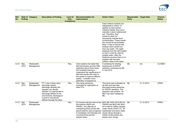

| Ref.<br>No. | finding     | Date of Category         | <b>Description of Finding</b>                                                                                                                                                                                                                | <b>Level of</b><br>Non-<br><b>Compliance</b> | <b>Recommendation for</b><br><b>Improvement</b>                                                                                                                                                                                                                                          | <b>Action Taken</b>                                                                                                                                                                                                                                                                                                                                                                                                                                                                                                                                                                    | <b>Responsible Target Date</b><br><b>Party</b> |            | <b>Closure</b><br><b>Status</b> |
|-------------|-------------|--------------------------|----------------------------------------------------------------------------------------------------------------------------------------------------------------------------------------------------------------------------------------------|----------------------------------------------|------------------------------------------------------------------------------------------------------------------------------------------------------------------------------------------------------------------------------------------------------------------------------------------|----------------------------------------------------------------------------------------------------------------------------------------------------------------------------------------------------------------------------------------------------------------------------------------------------------------------------------------------------------------------------------------------------------------------------------------------------------------------------------------------------------------------------------------------------------------------------------------|------------------------------------------------|------------|---------------------------------|
|             |             |                          |                                                                                                                                                                                                                                              |                                              |                                                                                                                                                                                                                                                                                          | Total Coliform bacteria are<br>widespread in nature. In<br>addition to their animal<br>intestine habitat, they occur<br>naturally in plant material and<br>soil. Therefore, their<br>presence does not<br>necessarily indicate fecal<br>contamination. These results<br>are normal for groundwater.<br>Note: I'd like to remind that<br>analysis were carried out<br>from raw water. The water<br>obtained from the well treated<br>so that it could be used as<br>potable water. After the<br>treatment process there is no<br>problem with the total<br>coliform value of the water. |                                                |            |                                 |
| 4.4.5       | Sep<br>2013 | Wastewater<br>Management |                                                                                                                                                                                                                                              | Rec.                                         | Care needs to be made that<br>field technicians and the HSE<br>engineers above them have<br>the complete training to<br>understand the significance of<br>field test results and react to<br>the results to improve effluent<br>quality – consider cross-<br>pollination of experience.  | A workshop for sharing<br>experiences of WWTP<br>operators conducted by BIL<br>in July 2014.                                                                                                                                                                                                                                                                                                                                                                                                                                                                                           | BIL.                                           | n/a        | <b>CLOSED</b>                   |
| 4.4.5       | Sep<br>2013 | Wastewater<br>Management | PT-1 has a three-valve<br>discharge system<br>discharge whereby the<br>operator can decide<br>whether it is appropriate to<br>discharge effluent to the<br>environment, discharge to<br>a pond or recycle the<br>effluent through the plant. | Rec.                                         | This setup should be<br>evaluated for application at<br>other PTs.                                                                                                                                                                                                                       | This issue was evaluated by<br>all sites and was also<br>discussed during workshop<br>for WWTP operators. The<br>approach was positive. An<br>MoC has been initiated by<br>BIL.                                                                                                                                                                                                                                                                                                                                                                                                        | BIL                                            | 31.12.2015 | <b>OPEN</b>                     |
| 4.4.5       | Sep<br>2013 | Wastewater<br>Management |                                                                                                                                                                                                                                              | Rec.                                         | Go forward with the plan to line MOC-BIL-ENV-2013-004 for<br>the bottoms SWPs and<br>PWHPs. The difficulty of<br>maintaining these ponds with<br>gravel bottoms was recognized wastewater and storm water<br>in Azerbaijan and Georgia and<br>concrete lining was the<br>solution there. | PWHPs and MOC-BIL-ENV-<br>2013-006 for SWPs initiated:<br>under review of BTC Co. All<br>issues will go through a<br>holistic review before any<br>actions (incl. lining)                                                                                                                                                                                                                                                                                                                                                                                                              | <b>BIL</b>                                     | 31.12.2015 | <b>OPEN</b>                     |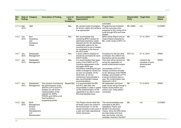| Ref.<br>No. | finding      | Date of Category                                                                                  | <b>Description of Finding</b>                                                                                                                                                                                                 | <b>Level of</b><br>Non-<br><b>Compliance</b> | <b>Recommendation for</b><br><b>Improvement</b>                                                                                                                                                                                                                                                                                                 | <b>Action Taken</b>                                                                                                                                                                                                                                                   | <b>Responsible Target Date</b><br><b>Party</b> |                                                             | <b>Closure</b><br><b>Status</b> |
|-------------|--------------|---------------------------------------------------------------------------------------------------|-------------------------------------------------------------------------------------------------------------------------------------------------------------------------------------------------------------------------------|----------------------------------------------|-------------------------------------------------------------------------------------------------------------------------------------------------------------------------------------------------------------------------------------------------------------------------------------------------------------------------------------------------|-----------------------------------------------------------------------------------------------------------------------------------------------------------------------------------------------------------------------------------------------------------------------|------------------------------------------------|-------------------------------------------------------------|---------------------------------|
|             |              |                                                                                                   |                                                                                                                                                                                                                               |                                              |                                                                                                                                                                                                                                                                                                                                                 | concluded.                                                                                                                                                                                                                                                            |                                                |                                                             |                                 |
| 4.11.2 Sep  | 2013         | <b>H&amp;S</b>                                                                                    |                                                                                                                                                                                                                               | Rec.                                         | BIL should review its program<br>for driver's safety and reinforce and the outcomes were<br>it as appropriate.                                                                                                                                                                                                                                  | Programme was reviewed<br>presented to IEC during 2014<br>audit through KPIs and case<br>studies.                                                                                                                                                                     | <b>BIL (H&amp;S)</b>                           | n/a                                                         | <b>CLOSED</b>                   |
| 4.4.3       | July<br>2012 | Non-<br>Hazardous<br>and<br>Hazardous<br>Waste                                                    |                                                                                                                                                                                                                               | Rec.                                         | IEC recommends that<br>remaining BPEO studies for<br>optimizing hazardous waste<br>disposal and for the identifying<br>sustainable options for the<br>recycling and re-use of wastes<br>be completed by the time of<br>the 2013 audit.                                                                                                          | BPEO Study Report and an<br>Output Report prepared by<br>BIL; under review of BTC Co.                                                                                                                                                                                 | <b>BIL</b>                                     | 31.12.2015                                                  | <b>OPEN</b>                     |
| 4.4.7       | July<br>2012 | Wastewater<br>Management                                                                          |                                                                                                                                                                                                                               | Rec.                                         | A quick coliform analysis kit<br>should be purchased for each<br>WWTP facility.                                                                                                                                                                                                                                                                 | Incubators for the kits were<br>purchased; the coliform kits<br>themselves will be provided                                                                                                                                                                           | BTC Co.                                        | 31.12.2015                                                  | <b>OPEN</b>                     |
| 4.4.7       | July<br>2012 | Wastewater<br>Management                                                                          |                                                                                                                                                                                                                               | Rec.                                         | It is recommended that repair<br>works of the PWHP at PT3,<br>including replacement of the<br>damaged HDPE geo-<br>membrane underlying the geo- Groundwater at PT3 is<br>textile coverage be carried out<br>as soon as possible. At the<br>same time, an ad hoc<br>monitoring of groundwater is<br>also recommended (repeat<br>recommendation). | This work will be carried out<br>during the application of<br>ponds enhancement project.<br>already monitored annually<br>so far. Because of the PWHP<br>leakage, groundwater at PT3<br>is being monitored twice a<br>year. No contamination was<br>observed in 2014. | <b>BIL</b>                                     | Linked to the<br>schedule of pond<br>enhancement<br>project | <b>OPEN</b>                     |
| 4.4.7       | July<br>2012 | Wastewater<br>Management                                                                          | The process of enhancing<br>the performances of the<br>WWTPs at PT2 and PT4<br>facilities as well as the<br>implementation of the<br>upgrade for SWPs,<br>PWHPs and OWSs at all<br>fixed facilities is<br>progressing slowly. |                                              | Repeat Rec. It is recommended that BIL<br>and BTC take their own<br>responsibility in order to speed<br>up the implementation of the<br>upgrading to be able to close<br>this long-standing issue.                                                                                                                                              | All wastewater and storm<br>water issues will go through a<br>holistic review before any<br>actions (incl. lining option)<br>concluded.                                                                                                                               | <b>BIL</b>                                     | 31.12.2015                                                  | <b>OPEN</b>                     |
| 4.5.2       | Sep<br>2014  | <b>RoW</b><br>Management,<br>Erosion<br>Control.<br>Reinstatement<br>and<br><b>Biorestoration</b> |                                                                                                                                                                                                                               |                                              | The Project should verify that<br>all facility drains are closed to<br>the environment, or can be<br>closed remotely in the event of BIL/BTC Environment<br>a spill, and make adjustments<br>where necessary.                                                                                                                                   | The recommendation was<br>evaluated by BIL/BTC<br>Operations Teams and<br>Teams. Since the DRA tanks<br>are kept empty and have<br>their own bunds, only the<br>rainwater channel in the BVT                                                                          | <b>BIL</b>                                     | n/a                                                         | <b>CLOSED</b>                   |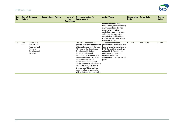

| Ref.<br>No. | finding     | Date of Category                                                                | <b>Description of Finding</b> | Level of<br>Non-<br><b>Compliance</b> | <b>Recommendation for</b><br><b>Improvement</b>                                                                                                                                                                                                                                                                                                                                                                                                                  | <b>Action Taken</b>                                                                                                                                                                                                                                                   | <b>Responsible Target Date</b><br>Party |            | <b>Closure</b><br><b>Status</b> |
|-------------|-------------|---------------------------------------------------------------------------------|-------------------------------|---------------------------------------|------------------------------------------------------------------------------------------------------------------------------------------------------------------------------------------------------------------------------------------------------------------------------------------------------------------------------------------------------------------------------------------------------------------------------------------------------------------|-----------------------------------------------------------------------------------------------------------------------------------------------------------------------------------------------------------------------------------------------------------------------|-----------------------------------------|------------|---------------------------------|
|             |             |                                                                                 |                               |                                       |                                                                                                                                                                                                                                                                                                                                                                                                                                                                  | connected to this pipe.<br>Furthermore, since the facility<br>is unmanned and it is not<br>possible to operate a<br>controlled valve, the check<br>valve that eliminates the<br>creek to flow inside of the<br>BVT will be kept as it is due<br>to these limitations. |                                         |            |                                 |
| 4.8.3       | Sep<br>2014 | Community<br>Investment<br>Program and<br>Regional<br>Development<br>Initiative |                               |                                       | The BTC Project should<br>provide an overall assessment<br>of the outcomes over the past<br>10 years of the Sustainable<br>Development Initiative<br>implemented through<br>Community Investment. The<br>assessment would assist BIL<br>in determining whether<br>communities are better off.<br>worse off or have experienced<br>little to no change over this<br>time period. This should be<br>accomplished in association<br>with an independent specialist. | An assessment study is<br>planned to be conducted by a<br>team of experts comprising of<br>BTC Co. and BIL as well as<br>external SDI Consultants<br>particularly focusing on<br>impacts to affected<br>communities over the past 12<br>vears.                        | BTC Co.                                 | 31.03.2016 | <b>OPEN</b>                     |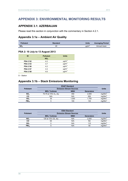## **APPENDIX 3: ENVIRONMENTAL MONITORING RESULTS**

## **APPENDIX 3.1: AZERBAIJAN**

Please read this section in conjunction with the commentary in Section 4.2.1.

### **Appendix 3.1a – Ambient Air Quality**

| <b>Pollutant</b> | <b>Standard</b> | Units | <b>Averaging Period</b> |
|------------------|-----------------|-------|-------------------------|
| NO <sub>2</sub>  | 40              | µq/m° | Annual mean             |

### **PSA 2: 10 July to 13 August 2013**

| ID              | <b>Pollutant</b> | <b>Units</b>           |
|-----------------|------------------|------------------------|
|                 | NO <sub>2</sub>  |                        |
| <b>PSA 2 S2</b> | 4.2              | $\mu$ g/m <sup>3</sup> |
| <b>PSA 2 S3</b> | 3.7              | $\mu$ g/m <sup>3</sup> |
| <b>PSA 2 S6</b> | 4.2              | $\mu$ g/m <sup>3</sup> |
| <b>PSA 2 S7</b> | 3.3              | $\overline{\mu g/m^3}$ |
| <b>PSA 2 S8</b> | 4.6              | $\frac{1}{\mu g/m^3}$  |

S – Station

## **Appendix 3.1b – Stack Emissions Monitoring**

|                  | <b>ESAP Standard</b>              |              |                   |                    |
|------------------|-----------------------------------|--------------|-------------------|--------------------|
| <b>Pollutant</b> | <b>Emission Stream Sources</b>    | <b>Units</b> |                   |                    |
|                  | <b>MOL Turbines</b>               | <b>WBH</b>   | <b>Generators</b> |                    |
| NO <sub>x</sub>  | 70-75 at 15% O <sub>2</sub> , dry | 450          | 2,000             | mq/Mm <sup>3</sup> |
| CO               | N/A                               | N/A          | 650               | mq/Nm <sup>3</sup> |
| SO <sub>2</sub>  | 35                                | 1.000        | 1,700             | mq/Nm <sup>3</sup> |
| $PM_{10}$        | 5                                 | 100          | 130               | mq/Nm <sup>3</sup> |

|                  | <b>ESIA Standard</b>           |              |                   |                    |
|------------------|--------------------------------|--------------|-------------------|--------------------|
| <b>Pollutant</b> | <b>Emission Stream Sources</b> | <b>Units</b> |                   |                    |
|                  | <b>MOL Turbines</b>            | <b>WBH</b>   | <b>Generators</b> |                    |
| NO <sub>x</sub>  | 125 at 15% O2, dry             | N/A          | 2,000             | mq/Mm <sup>3</sup> |
| CO               | 64                             | N/A          | <b>NA</b>         | mg/Nm              |
| SO <sub>2</sub>  |                                | N/A          | 110               | mg/Nm              |
| $PM_{10}$        | 5                              | N/A          | 50                | mg/Nm              |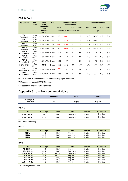

### **PSA 2/IPA 1**

| <b>Equipment</b>                       | <b>Date</b><br><b>Tested</b> | Load<br>(kWth,<br>Speed in %<br>and     | <b>Fuel</b>   |                                            | <b>Mean Stack Gas</b><br><b>Concentrations</b> |                 |           |                       |        | <b>Mass Emissions</b> |           |  |
|----------------------------------------|------------------------------|-----------------------------------------|---------------|--------------------------------------------|------------------------------------------------|-----------------|-----------|-----------------------|--------|-----------------------|-----------|--|
|                                        |                              |                                         |               | <b>NO<sub>x</sub></b>                      | CO                                             | SO <sub>2</sub> | $PM_{10}$ | <b>NO<sub>x</sub></b> | CO     | SO <sub>2</sub>       | $PM_{10}$ |  |
|                                        |                              | Tempera-<br>ture $\mathrm{^{\circ}C}$ ) |               | mg/Nm <sup>3</sup> , Corrected to 15% $O2$ |                                                |                 |           | g/h                   |        |                       |           |  |
| <b>PSA2</b><br>Turbine 1               | 18 Nov<br>2014               | 87.7% kWth                              | Gas           | 89                                         | 3062*                                          | $\Omega$        | 5         | 54.3                  | 1874.5 | 0.0                   | 3.8       |  |
| PSA <sub>2</sub><br><b>Turbine 2</b>   | 13 Dec<br>2014               | 88.8% kWth                              | Gas           | 91                                         | 2273*                                          | 5               | 5         | 59.1                  | 1434.5 | 2.3                   | 3.1       |  |
| PSA <sub>2</sub><br><b>Turbine 3</b>   | 15 Nov<br>2014               | 90.7% kWth                              | Gas           | $112**$                                    | 1765*                                          | 0               | 5         | 72.1                  | 1137.8 | 0.0                   | 4.0       |  |
| PSA <sub>2</sub><br>Turbine 4          | 16 Nov<br>2014               | 86.4% kWth                              | Gas           | 92                                         | 2929*                                          | 0               | 5         | 57.4                  | 1824.1 | 0.0                   | 0.6       |  |
| PSA <sub>2</sub><br><b>Generator A</b> | 18 Nov<br>2014               | 46.6% kWth                              | Diesel        | 515                                        | 195                                            | $\Omega$        | 50        | 46.8                  | 17.8   | 0.0                   | 5.6       |  |
| PSA <sub>2</sub><br><b>Generator B</b> | 17 Nov<br>2014               | 56.8% kWth                              | Diesel        | 568                                        | 148                                            | $\mathbf 0$     | 50        | 15.9                  | 13.2   | 0.0                   | 5.6       |  |
| PSA <sub>2</sub><br><b>Generator C</b> | 16 Nov<br>2014               | 51.5% kWth                              | Diesel        | 503                                        | 197                                            | $\mathbf 0$     | 50        | 44.0                  | 17.3   | 0.0                   | 5.4       |  |
| <b>PSA 2 WBH</b>                       | 14 Dec<br>2014               | 75 °C                                   | <b>Diesel</b> | 240                                        | 613                                            | 20              | N/A       | N/A                   | N/A    | N/A                   | N/A       |  |
| IPA <sub>1</sub><br><b>Generator A</b> | 19 Nov<br>2014               | 32.3% kWth                              | Diesel        | 3797<br>$**$                               | 3                                              | $\mathbf 0$     | 50        | 83.5                  | 0.1    | 0.0                   | 1.4       |  |
| IPA <sub>1</sub><br><b>Generator B</b> | 18 Nov<br>2014               | 32 % kWth                               | <b>Diesel</b> | 839                                        | 109                                            | $\mathbf 0$     | 50        | 15.9                  | 2.1    | 0.0                   | 1.2       |  |

NOTE: Figures in red indicate exceedance with project standards

\*\* Exceedance against ESAP Standards

\* Exceedance against ESIA standards

# **Appendix 3.1c – Environmental Noise**

|                                | <b>Standard</b> | <b>Units</b> | <b>Period</b> |
|--------------------------------|-----------------|--------------|---------------|
| <b>PSA 2: IPA 1</b><br>and BVs | 55              | dB(A)        | Day time      |

#### **PSA 2**

|             | <b>Readings</b> | Units | <b>Date</b> | <b>Duration</b> | <b>Comments</b> |
|-------------|-----------------|-------|-------------|-----------------|-----------------|
| PSA 2 NM 1p | 49              | dB(A) | Sep-2014    | 5 min           | Day time        |
| PSA 2 NM 2p | 47.6            | dB(A) | Sep-2014    | 5 min           | Day time        |

NM – Noise Monitoring

#### **IPA 1**

|                  | <b>Readings</b> | Units | <b>Date</b> | <b>Duration</b> | <b>Comments</b> |
|------------------|-----------------|-------|-------------|-----------------|-----------------|
| NM <sub>1p</sub> | 46.3            | dB(A) | Oct-2014    | 5 min           | Day time        |
| NM <sub>2p</sub> | 43.6            | dB(A) | Oct-2014    | 5 min           | Day time        |
| NM <sub>3p</sub> | 47.6            | dB(A) | Oct-2014    | 5 min           | Day time        |
|                  |                 |       |             |                 |                 |

#### **BVs**

| ID                 | <b>Readings</b> | <b>Units</b> | <b>Date</b> | <b>Duration</b> | <b>Comments</b> |
|--------------------|-----------------|--------------|-------------|-----------------|-----------------|
| AB-4 NM 1p         | 44.2            | dB(A)        | Oct-2014    | 5 min           | Day time        |
| AB-7 NM 1p         | 49.4            | dB(A)        | Sep-2014    | 5 min           | Day time        |
| <b>AB-10 NM 1p</b> | 47.3            | dB(A)        | Sep-2014    | 5 min           | Day time        |
| <b>AB-10 NM 2p</b> | 45.8            | dB(A)        | Sep-2014    | 5 min           | Day time        |
| <b>AB-11 NM 1p</b> | 48.8            | dB(A)        | Sep-2014    | 5 min           | Day time        |
| <b>AB-13 NM 1p</b> | 52.1            | dB(A)        | Sep-2014    | 5 min           | Day time        |
| <b>AB-14 NM 1p</b> | 45.5            | dB(A)        | Oct-2014    | 5 min           | Day time        |

AB – Azerbaijan Block Valve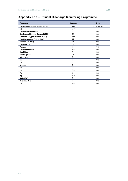# **Appendix 3.1d – Effluent Discharge Monitoring Programme**

| <b>Parameter</b>                       | <b>Standard</b> | <b>Units</b> |
|----------------------------------------|-----------------|--------------|
| Total coliform bacteria (per 100 ml)   | $<$ 400         | MPN/100 ml   |
| рH                                     | $6-9$           | -            |
| <b>Total residual chlorine</b>         | 0.2             | mg/l         |
| <b>Biochemical Oxygen Demand (BOD)</b> | 25              | mg/l         |
| <b>Chemical Oxygen Demand (COD)</b>    | 125             | mg/l         |
| <b>Total Suspended Solids (TSS)</b>    | 35              | mg/l         |
| Ammonium (NH <sub>4</sub> )            | 10              | mg/l         |
| <b>Total nitrogen</b>                  | 15              | mg/l         |
| <b>Phenols</b>                         | 0.5             | mg/l         |
| <b>Total phosphorus</b>                | 2.0             | mg/l         |
| <b>Sulphides</b>                       | 1.0             | mg/l         |
| Oil and grease                         | 10              | mg/l         |
| Silver (Ag)                            | 0.5             | mg/l         |
| As                                     | 0.1             | mg/l         |
| C <sub>d</sub>                         | 0.1             | mg/l         |
| Cr. total                              | 0.5             | mg/l         |
| Cu                                     | 0.5             | mg/l         |
| Fe                                     | 3.5             | mg/l         |
| Pb                                     | 0.1             | mg/l         |
| Hg                                     | 0.01            | mg/l         |
| Nickel (Ni)                            | 0.5             | mg/l         |
| Selenium (Se)                          | 0.1             | mg/l         |
| Zn                                     | 2.0             | mg/l         |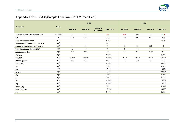

# **Appendix 3.1e – PSA 2 (Sample Location – PSA 2 Reed Bed)**

|                                        |                          |                 | IPA1            |                               |                 | PSA <sub>2</sub> |                 |                 |                 |
|----------------------------------------|--------------------------|-----------------|-----------------|-------------------------------|-----------------|------------------|-----------------|-----------------|-----------------|
| <b>Parameter</b>                       | <b>Units</b>             | <b>Mar 2014</b> | <b>Jun 2014</b> | <b>Sep 2014</b><br>(no water) | <b>Dec 2014</b> | <b>Mar 2014</b>  | <b>Jun 2014</b> | <b>Sep 2014</b> | <b>Dec 2014</b> |
| Total coliform bacteria (per 100 ml)   | per 100ml                | 24              | <1              |                               | 2420            | 575              | 220             | 31              | 1120            |
| pH                                     | $\overline{\phantom{a}}$ | 7.26            | 7.52            |                               | 6.99            | 7.12             | 6.94            | 6.85            | 6.8             |
| <b>Total residual chlorine</b>         | mg/l                     |                 |                 |                               | < 0.02          |                  |                 |                 | < 0.02          |
| <b>Biochemical Oxygen Demand (BOD)</b> | mg/l                     |                 |                 |                               | <1              |                  |                 |                 | <1              |
| <b>Chemical Oxygen Demand (COD)</b>    | mg/l                     | 18              | 28              |                               | $<$ 4           | 16               | 60              | 32.2            | 6               |
| <b>Total Suspended Solids (TSS)</b>    | mg/l                     | 6               | $<$ 4           |                               | $<$ 4           | $\overline{4}$   | $<$ 4           | $<$ 4           | $<$ 4           |
| Ammonium (NH <sub>4</sub> )            | mg/l                     | 3.7             | 0.02            |                               | 0.11            | 0.1              | 0.05            | < 0.02          | 0.22            |
| <b>Phenols</b>                         | mg/l                     |                 |                 |                               | < 0.001         |                  |                 |                 | 0.001           |
| <b>Sulphides</b>                       | mg/l                     | < 0.005         | < 0.005         |                               | < 0.005         | < 0.005          | < 0.005         | < 0.005         | < 0.005         |
| Oil and grease                         | mg/l                     | < 1.5           | < 1.5           |                               | < 1.5           | < 1.5            | 1.6             | 1.7             | < 1.5           |
| Silver (Ag)                            | mg/l                     |                 |                 |                               | < 0.001         |                  |                 |                 | < 0.001         |
| As                                     | mg/l                     |                 |                 |                               | 0.002           |                  |                 |                 | 0.019           |
| Cd                                     | mg/l                     |                 |                 |                               | < 0.001         |                  |                 |                 | < 0.001         |
| Cr, total                              | mg/l                     |                 |                 |                               | < 0.001         |                  |                 |                 | < 0.001         |
| Cu                                     | mg/l                     |                 |                 |                               | 0.004           |                  |                 |                 | 0.003           |
| Fe                                     | mg/l                     |                 |                 |                               | 0.002           |                  |                 |                 | 0.118           |
| Pb                                     | mg/l                     |                 |                 |                               | < 0.003         |                  |                 |                 | < 0.003         |
| Hg                                     | mg/l                     |                 |                 |                               | < 0.002         |                  |                 |                 | < 0.002         |
| Nickel (Ni)                            | mg/l                     |                 |                 |                               | 0.01            |                  |                 |                 | 0.008           |
| Selenium (Se)                          | mg/l                     |                 |                 |                               | < 0.008         |                  |                 |                 | < 0.008         |
| Zn                                     | mg/l                     |                 |                 |                               | 0.014           |                  |                 |                 | 0.036           |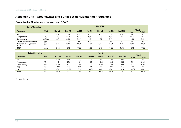# **Appendix 3.1f – Groundwater and Surface Water Monitoring Programme**

### **Groundwater Monitoring – Karayazi and PSA 2**

| Date of Sampling                          | <b>May 2014</b>          |                    |                    |                    |        |        |        |         |        |                        |
|-------------------------------------------|--------------------------|--------------------|--------------------|--------------------|--------|--------|--------|---------|--------|------------------------|
| <b>Parameter</b>                          | <b>Unit</b>              | Kar M <sub>2</sub> | Kar M <sub>3</sub> | Kar M <sub>5</sub> | Kar M6 | Kar M7 | Kar M8 | Kar M10 | Aran   | <b>PSA2</b><br>Yaldili |
| pH                                        | $\overline{\phantom{a}}$ | 6.74               | 7.09               | 7.42               | 7.13   | 7.3    | 7.3    | 6.9     | 8.8    | 9.5                    |
| Temperature                               | °C                       | 16.8               | 17.9               | 18.7               | 16.6   | 15.9   | 15.8   | 17.2    | 25.5   | 24.8                   |
| <b>Conductivity</b>                       | mS/cm                    | 4.45               | 2.69               | 9.07               | 1.3    | 0.91   | 2.17   | 11      | 1.93   | 0.58                   |
| <b>Total Hydrocarbons (THC)</b>           | $\mu$ g/L                | 22                 | $20$               | 33                 | $20$   | 22     | 34     | 25      | 37     | 37                     |
| <b>Polyaromatic Hydrocarbons</b><br>(PAH) | µg/L                     | < 0.01             | < 0.01             | < 0.01             | < 0.01 | < 0.01 | < 0.01 | < 0.01  | < 0.01 | < 0.01                 |
| <b>BTEX</b>                               | µg/L                     | < 0.02             | < 0.02             | < 0.02             | < 0.02 | < 0.02 | < 0.02 | < 0.02  | < 0.02 | < 0.02                 |
|                                           |                          |                    |                    |                    |        |        |        |         |        |                        |

|                  | Date of Sampling         | <b>Nov 2014</b>    |                    |                    |        |        |        |         |        |                  |  |
|------------------|--------------------------|--------------------|--------------------|--------------------|--------|--------|--------|---------|--------|------------------|--|
| <b>Parameter</b> | Unit                     | Kar M <sub>2</sub> | Kar M <sub>3</sub> | Kar M <sub>5</sub> | Kar M6 | Kar M7 | Kar M8 | Kar M10 |        | PSA <sub>2</sub> |  |
|                  |                          |                    |                    |                    |        |        |        |         | Aran   | Yaldili          |  |
| pH               | $\overline{\phantom{a}}$ | 6.94               | 7.39               | 7.29               | 7.31   | 7.3    | 7.19   | 7.12    | 8.35   | 9.4              |  |
| Temperature      | °С                       | 17                 | 15.6               | 16                 | 15     | 15.2   | 16.3   | 16.2    | 21.9   | 21.4             |  |
| Conductivity     | nS/cm                    | 4.59               | 2.31               | 7.89               | .24    | 0.86   | 2.59   | 9.98    | 1.89   | 0.54             |  |
| <b>THC</b>       | µg/L                     | $20$               | $20$               | $20$               | $20$   | $20$   | 20     | $20$    | $20$   | $20$             |  |
| <b>PAH</b>       | µg/L                     | < 0.01             | < 0.01             | < 0.01             | < 0.01 | < 0.01 | < 0.01 | < 0.01  | < 0.01 | < 0.01           |  |
| <b>BTEX</b>      | µg/L                     | < 0.2              | < 0.2              | < 0.2              | < 0.2  | < 0.2  | < 0.2  | < 0.2   | < 0.2  | < 0.2            |  |

M – monitoring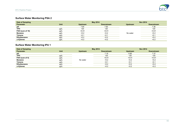

## **Surface Water Monitoring PSA 2**

| <b>Date of Sampling</b> |                          |                 | <b>May 2014</b>   | <b>Nov 2014</b> |                   |  |
|-------------------------|--------------------------|-----------------|-------------------|-----------------|-------------------|--|
| <b>Parameter</b>        | <b>Unit</b>              | <b>Upstream</b> | <b>Downstream</b> | <b>Upstream</b> | <b>Downstream</b> |  |
| рH                      | $\overline{\phantom{a}}$ | 7.84            | 7.83              |                 | 7.36              |  |
| <b>TPH</b>              | µg/L                     | $20$            | $20$              |                 | $20$              |  |
| PAH (sum of 16)         | µg/L                     | < 0.01          | < 0.01            |                 | < 0.01            |  |
| <b>Benzene</b>          | µg/L                     | < 0.2           | < 0.2             | No water        | < 0.2             |  |
| <b>Toluene</b>          | µg/L                     | < 0.1           | < 0.1             |                 | < 0.1             |  |
| Ethylbenzene            | µg/L                     | < 0.2           | < 0.2             |                 | < 0.2             |  |
| o-Xylenes               | µg/L                     | < 0.2           | < 0.2             |                 | < 0.2             |  |

## **Surface Water Monitoring IPA 1**

| Date of Sampling |                          |                 | <b>May 2014</b>   |                 | <b>Nov 2014</b>   |  |
|------------------|--------------------------|-----------------|-------------------|-----------------|-------------------|--|
| <b>Parameter</b> | <b>Unit</b>              | <b>Upstream</b> | <b>Downstream</b> | <b>Upstream</b> | <b>Downstream</b> |  |
| рH               | $\overline{\phantom{0}}$ |                 | 7.16              | 6.80            | 7.37              |  |
| TPH              | $\mu$ g/L                |                 | $20$              | $20$            | $20$              |  |
| PAH (sum of 4)   | µg/L                     |                 | < 0.01            | < 0.01          | < 0.01            |  |
| <b>Benzene</b>   | µg/L                     | No water        | < 0.2             | < 0.2           | < 0.2             |  |
| Toluene          | µg/L                     |                 | < 0.1             | < 0.7           | < 0.1             |  |
| Ethylbenzene     | µg/L                     |                 | < 0.2             | < 0.2           | < 0.2             |  |
| o-Xylenes        | µg/L                     |                 | < 0.2             | < 0.2           | < 0.2             |  |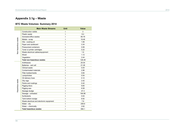# **Appendix 3.1g – Waste**

## **BTC Waste Volumes: Summary 2014**

|                     | <b>Main Waste Streams</b>                 | <b>Unit</b>  | <b>Value</b> |
|---------------------|-------------------------------------------|--------------|--------------|
|                     | Construction rubble                       | t            | 3            |
|                     | Plastic waste                             | t            | 8.4          |
| Non-hazardous waste | Domestic/office wastes                    | t            | 85.79        |
|                     | Metals - scrap                            | $\mathbf t$  | 19.46        |
|                     | Oils - cooking oil                        | $\mathsf{t}$ | 1.06         |
|                     | Paper and cardboard                       | t            | 3.34         |
|                     | Pressurized containers                    | t            | 0.06         |
|                     | Toner or printer cartridges               | t            | 0.22         |
|                     | Waste electrical cables/equipment         | t            | 1.6          |
|                     | Wood                                      | $\mathsf{t}$ | 1.12         |
|                     | Vegetation                                | $\mathsf{t}$ | 2.44         |
|                     | <b>Total non-hazardous wastes</b>         | t            | 126.49       |
|                     | Antifreezes                               | t            | 25.54        |
|                     | Batteries - wet cell                      | t            | 21.26        |
|                     | Clinical waste                            | t            | 0.04         |
|                     | Contaminated materials                    | t            | 2.96         |
|                     | Filter bodies/media                       | $\mathsf{t}$ | 0.84         |
|                     | Lamps/tubes                               | t            | 0.54         |
|                     | Oil delivery hose                         | $\mathbf{t}$ | 0.12         |
|                     | Oily rags                                 | t            | 2.42         |
| Hazardous waste     | Paints and coatings                       | t            | 0.42         |
|                     | Pigging discs                             | $\mathsf{t}$ | 9.84         |
|                     | Pigging wax                               | $\mathbf{t}$ | 8.58         |
|                     | Sewage sludge                             | t            | 47.3         |
|                     | Sewage - untreated                        | $\mathsf{t}$ | 184.86       |
|                     | Surfactants                               | t            | 0.04         |
|                     | Tank bottom sludge                        | t            | 8.92         |
|                     | Waste electrical and electronic equipment | t            | 7.8          |
|                     | Water - oily                              | t            | 259.8        |
|                     | Water - chemically                        | t            | 2.82         |
|                     | <b>Total hazardous wastes</b>             | t            | 584.1        |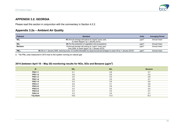

## **APPENDIX 3.2: GEORGIA**

Please read this section in conjunction with the commentary in Section 4.2.2.

## **Appendix 3.2a – Ambient Air Quality**

| <b>Pollutant</b> | <b>Standard</b>                                                                                                           | <b>Units</b>           | <b>Averaging Period</b> |
|------------------|---------------------------------------------------------------------------------------------------------------------------|------------------------|-------------------------|
| NO <sub>2</sub>  | 40 (Annual average will reduce by $2\mu g/m^3$ every year,<br>to reach $40\mu q/m^3$ by 1 January 2010)                   | $\mu$ g/m              | Annual mean             |
| SO <sub>2</sub>  | 20 (For the protection of vegetation and ecosystems)                                                                      | $\mu$ g/m <sup>3</sup> | Annual mean             |
| <b>Benzene</b>   | 5 (Annual average will reduce by $1\mu g/m^3$ every year<br>from 2006, to reach $5\mu g/m^3$ by 1 January 2010)           | $\mu q/m^3$            | Annual mean             |
| $PM_{10}$        | 20 (30 on 1 January 2005, reducing every 12 months thereafter by equal annual percentages to reach 20 by 1 January 2010)* | $\mu$ g/m $^{\circ}$   | Annual mean             |

a.  $*$  No PM<sub>10</sub> was measured in 2014 due to the system running on natural gas

#### **2014 (between April 18 – May 20) monitoring results for NOx, SOx and Benzene (µg/m3)**

| ID                | NO <sub>x</sub> | SO <sub>x</sub> | <b>Benzene</b> |
|-------------------|-----------------|-----------------|----------------|
| <b>PSG 1-1</b>    | 4.1             | 2.8             | 0.7            |
| <b>PSG 1-2</b>    | 3.6             | 2.6             | 0.4            |
| <b>PSG 1-3</b>    | 3.5             | 3.0             | 0.8            |
| <b>PSG 1-4</b>    | 3.8             | 3.5             | 0.7            |
| <b>PSG 1-5</b>    | 4.3             | 2.9             | 0.6            |
| <b>PSG 2-1</b>    | 2.9             | 3.1             | 0.8            |
| <b>PSG 2-2</b>    | 3.0             | 3.6             | 0.6            |
| <b>PSG 2-3</b>    | 3.2             | 3.2             | 0.5            |
| <b>PSG 2-4</b>    | 3.3             | 3.4             | 0.7            |
| <b>PSG 2-5</b>    | 3.5             | 3.0             | 0.7            |
| <b>Trip blank</b> | < 0.5           | 1.0             | < 0.1          |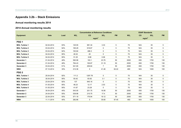# **Appendix 3.2b – Stack Emissions**

### **Annual monitoring results 2014**

## **2014 Annual monitoring results**

|                      |             |      | <b>Concentration at Reference Conditions</b> |                   |                 |       |                 | <b>ESAP Standards</b> |                 |           |
|----------------------|-------------|------|----------------------------------------------|-------------------|-----------------|-------|-----------------|-----------------------|-----------------|-----------|
| <b>Equipment</b>     | <b>Date</b> | Load | NO <sub>x</sub>                              | co                | SO <sub>2</sub> | PM    | NO <sub>x</sub> | CO <sub>2</sub>       | SO <sub>2</sub> | <b>PM</b> |
|                      |             |      |                                              | mg/m <sup>3</sup> |                 |       |                 | mg/m <sup>3</sup>     |                 |           |
| PSG <sub>1</sub>     |             |      |                                              |                   |                 |       |                 |                       |                 |           |
| <b>MOL Turbine 1</b> | 02.04.2014  | 93%  | 125.55                                       | 981.34            | 3.33            | 5     | 75              | N/A                   | 35              | 5         |
| <b>MOL Turbine 2</b> | 03.04.2014  | 94%  | 165.29                                       | 618.67            | 0               | 5     | 75              | N/A                   | 35              | 5         |
| <b>MOL Turbine 3</b> | 03.04.2014  | 94%  | 163.84                                       | 486.3             | 0               | 5     | 75              | N/A                   | 35              | 5         |
| <b>MOL Turbine 4</b> | 04.04.2014  | 95%  | 49.32                                        | 20                | $\Omega$        | 5     | 75              | N/A                   | 35              | 5         |
| <b>MOL Turbine 5</b> | 04.04.2014  | 95%  | 51.25                                        | 6.88              | 0.06            | 5     | 75              | N/A                   | 35              | 5         |
| Generator 1          | 01.04.2014  | 48%  | 590.98                                       | 193.1             | 23.76           | 50    | 2000            | 650                   | 1700            | 130       |
| <b>Generator 2</b>   | 01.04.2014  | 48%  | 764.43                                       | 106.87            | 31.19           | 50    | 2000            | 650                   | 1700            | 130       |
| Generator 3          | 03.04.2014  | 51%  | 541.65                                       | 208.84            | $\overline{7}$  | 50    | 2000            | 650                   | 1700            | 130       |
| <b>WBH</b>           | 07.10.2014  | 35%  | 212.36                                       | 0                 | 41.46           | 62.22 | 460             | N/A                   | 1000            | 100       |
| PSG <sub>2</sub>     |             |      |                                              |                   |                 |       |                 |                       |                 |           |
| <b>MOL Turbine 1</b> | 25.04.2014  | 92%  | 111.2                                        | 1297.78           | 0               | 5     | 75              | N/A                   | 35              | 5         |
| <b>MOL Turbine 2</b> | 30.04.2014  | 95%  | 93.42                                        | 83.92             | 3.1             | 5     | 75              | N/A                   | 35              | 5         |
| <b>MOL Turbine 3</b> | 23.04.2014  | 92%  | 137                                          | 845.16            | 0               | 5     | 75              | N/A                   | 35              | 5         |
| <b>MOL Turbine 4</b> | 01.05.2014  | 95%  | 48.23                                        | 12.17             | 2.53            | 5     | 75              | N/A                   | 35              | 5         |
| <b>MOL Turbine 5</b> | 01.05.2014  | 95%  | 41.67                                        | 23.28             | 0               | 5     | 75              | N/A                   | 35              | 5         |
| Generator 1          | 30.04.2014  | 45%  | 543.05                                       | 201.75            | 16.95           | 50    | 2000            | 650                   | 1700            | 130       |
| <b>Generator 2</b>   | 24.04.2014  | 55%  | 539.96                                       | 215.75            | 17.4            | 50    | 2000            | 650                   | 1700            | 130       |
| Generator 3          | 22.04.2014  | 50%  | 571.19                                       | 176.94            | 19.12           | 50    | 2000            | 650                   | 1700            | 130       |
| <b>WBH</b>           | 11.11.2014  | 40%  | 282.86                                       | 0                 | 35.60           | 97.45 | 460             | N/A                   | 1000            | 100       |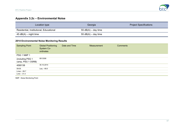

# **Appendix 3.2c – Environmental Noise**

| Location type                           | Georgia             | <b>Project Specifications</b> |
|-----------------------------------------|---------------------|-------------------------------|
| Residential, Institutional, Educational | 55 dB(A) – day time |                               |
| 45 dB(A) – night time                   | 55 dB(A) – day time |                               |

## **2014 Environmental Noise Monitoring Results**

| <b>Sampling Point</b>                 | <b>Global Positioning</b><br>System Co-<br>ordinates | Date and Time | Measurement | <b>Comments</b> |
|---------------------------------------|------------------------------------------------------|---------------|-------------|-----------------|
| PSG 1 NMP 1                           |                                                      |               |             |                 |
| (including PSG 1<br>camp, PSG 1 OSRB) | 8513308                                              |               |             |                 |
| 4590138                               | 30.10.2014                                           |               |             |                 |
| 09:05                                 | $Leq - 48.8$                                         |               |             |                 |
| $Lmax - 69.7$                         |                                                      |               |             |                 |
| $Lmin - 31.4$                         |                                                      |               |             |                 |

NMP - Noise Monitoring Point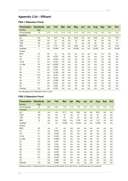### **PSG 1 Retention Pond**

| <b>Parameters</b> | <b>Standards</b> | Jan   | Feb      | <b>Mar</b> | Apr | <b>May</b> | Jun   | Jul   | Aug     | <b>Sep</b> | Oct   | <b>Nov</b> |
|-------------------|------------------|-------|----------|------------|-----|------------|-------|-------|---------|------------|-------|------------|
| Monthly           | Mg/I             |       |          |            |     |            |       |       |         |            |       |            |
| Oil and grease    | 10               | < 1.5 | 1.5      | < 1.5      | 1.5 | 1.5        | < 1.5 | < 1.5 | < 1.5   | < 1.5      | < 1.5 | < 1.5      |
| Quarterly         |                  |       |          |            |     |            |       |       |         |            |       |            |
| pH                | $6-9$            | n/a   | 8.07     | n/a        | n/a | 8.35       | n/a   | n/a   | 8.84    | n/a        | n/a   | 7.63       |
| COD               | 125              | n/a   | 24       | n/a        | n/a | 19         | n/a   | n/a   | 52      | n/a        | n/a   | 31         |
| <b>TSS</b>        | 35               | n/a   | 21       | n/a        | n/a | 17         | n/a   | n/a   | 26      | n/a        | n/a   | 14         |
| NH <sub>4</sub>   | 10               | n/a   | 0.72     | n/a        | n/a | 0.96       | n/a   | n/a   | 3.07    | n/a        | n/a   | 0.76       |
| Sulphide          | 1                | n/a   | < 0.005  | n/a        | n/a | < 0.005    | n/a   | n/a   | < 0.005 | n/a        | n/a   | < 0.005    |
| Annual            |                  |       |          |            |     |            |       |       |         |            |       |            |
| <b>BOD</b>        | 25               | n/a   | 15       | n/a        | n/a | n/a        | n/a   | n/a   | n/a     | n/a        | n/a   | n/a        |
| As                | 0.1              | n/a   | < 0.001  | n/a        | n/a | n/a        | n/a   | n/a   | n/a     | n/a        | n/a   | n/a        |
| Cd                | 0.1              | n/a   | < 0.001  | n/a        | n/a | n/a        | n/a   | n/a   | n/a     | n/a        | n/a   | n/a        |
| Cr(6)             | 0.1              | n/a   | < 0.001  | n/a        | n/a | n/a        | n/a   | n/a   | n/a     | n/a        | n/a   | n/a        |
| Cr total          | 0.5              | n/a   | < 0.0007 | n/a        | n/a | n/a        | n/a   | n/a   | n/a     | n/a        | n/a   | n/a        |
| Cu                | 0.5              | n/a   | 0.084    | n/a        | n/a | n/a        | n/a   | n/a   | n/a     | n/a        | n/a   | n/a        |
| Fe                | 3.5              | n/a   | 0.108    | n/a        | n/a | n/a        | n/a   | n/a   | n/a     | n/a        | n/a   | n/a        |
| Pb                | 0.1              | n/a   | < 0.003  | n/a        | n/a | n/a        | n/a   | n/a   | n/a     | n/a        | n/a   | n/a        |
| Hg                | 0.01             | n/a   | < 0.001  | n/a        | n/a | n/a        | n/a   | n/a   | n/a     | n/a        | n/a   | n/a        |
| Ni                | 0.5              | n/a   | < 0.001  | n/a        | n/a | n/a        | n/a   | n/a   | n/a     | n/a        | n/a   | n/a        |
| Se                | 0.1              | n/a   | < 0.008  | n/a        | n/a | n/a        | n/a   | n/a   | n/a     | n/a        | n/a   | n/a        |
| Ag                | 0.5              | n/a   | < 0.001  | n/a        | n/a | n/a        | n/a   | n/a   | n/a     | n/a        | n/a   | n/a        |
| Zn                | $\mathbf{1}$     | n/a   | 0.062    | n/a        | n/a | n/a        | n/a   | n/a   | n/a     | n/a        | n/a   | n/a        |
| Phenols           | 0.5              | n/a   | < 0.001  | n/a        | n/a | n/a        | n/a   | n/a   | n/a     | n/a        | n/a   | n/a        |

\* No discharge from Retention Pond in June

#### **PSG 2 Retention Pond**

| <b>Parameters</b> | <b>Standards</b> | Jan     | Feb      | <b>Mar</b> | Apr   | <b>May</b> | Jun   | Jul   | Aug     | <b>Sep</b> | Oct |
|-------------------|------------------|---------|----------|------------|-------|------------|-------|-------|---------|------------|-----|
| Monthly           | Mg/I             |         |          |            |       |            |       |       |         |            |     |
| Oil and grease    | 10               | $n/a^*$ | $n/a^*$  | < 1.5      | < 1.5 | < 1.5      | < 1.5 | < 1.5 | < 1.5   | < 1.5      | 1.5 |
| Quarterly         |                  |         |          |            |       |            |       |       |         |            |     |
| pH                | $6-9$            | n/a     | n/a      | 8.11       | n/a   | 8.64       | n/a   | n/a   | 8.03    | n/a        | n/a |
| COD               | 125              | n/a     | n/a      | 37         | n/a   | 37         | n/a   | n/a   | 27      | n/a        | n/a |
| <b>TSS</b>        | 35               | n/a     | n/a      | 27         | n/a   | 30         | n/a   | n/a   | 28      | n/a        | n/a |
| NH <sub>4</sub>   | 10               | n/a     | n/a      | 0.96       | n/a   | 0.85       | n/a   | n/a   | 1.47    | n/a        | n/a |
| Sulphide          | 1                | n/a     | n/a      | < 0.005    | n/a   | < 0.005    | n/a   | n/a   | < 0.005 | n/a        | n/a |
| Annual            |                  |         |          |            |       |            |       |       |         |            |     |
| <b>BOD</b>        | 25               | n/a     | 23       | n/a        | n/a   | n/a        | n/a   | n/a   | n/a     | n/a        | n/a |
| As                | 0.1              | n/a     | < 0.001  | n/a        | n/a   | n/a        | n/a   | n/a   | n/a     | n/a        | n/a |
| Cd                | 0.1              | n/a     | < 0.001  | n/a        | n/a   | n/a        | n/a   | n/a   | n/a     | n/a        | n/a |
| Cr(6)             | 0.1              | n/a     | < 0.001  | n/a        | n/a   | n/a        | n/a   | n/a   | n/a     | n/a        | n/a |
| Cr total          | 0.5              | n/a     | < 0.0007 | n/a        | n/a   | n/a        | n/a   | n/a   | n/a     | n/a        | n/a |
| Cu                | 0.5              | n/a     | 0.057    | n/a        | n/a   | n/a        | n/a   | n/a   | n/a     | n/a        | n/a |
| Fe                | 3.5              | n/a     | 0.24     | n/a        | n/a   | n/a        | n/a   | n/a   | n/a     | n/a        | n/a |
| Pb                | 0.1              | n/a     | < 0.003  | n/a        | n/a   | n/a        | n/a   | n/a   | n/a     | n/a        | n/a |
| Hg                | 0.01             | n/a     | < 0.001  | n/a        | n/a   | n/a        | n/a   | n/a   | n/a     | n/a        | n/a |
| Ni                | 0.5              | n/a     | < 0.001  | n/a        | n/a   | n/a        | n/a   | n/a   | n/a     | n/a        | n/a |
| Se                | 0.1              | n/a     | < 0.008  | n/a        | n/a   | n/a        | n/a   | n/a   | n/a     | n/a        | n/a |
| Ag                | 0.5              | n/a     | < 0.001  | n/a        | n/a   | n/a        | n/a   | n/a   | n/a     | n/a        | n/a |
| Zn                | 1                | n/a     | 0.082    | n/a        | n/a   | n/a        | n/a   | n/a   | n/a     | n/a        | n/a |
| Phenols           | 0.5              | n/a     | < 0.001  | n/a        | n/a   | n/a        | n/a   | n/a   | n/a     | n/a        | n/a |

\* Because water in retention pond in January and December 2013 was frozen, monitoring was not conducted.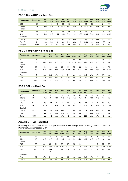#### **PSG 1 Camp STP via Reed Bed**

| <b>Parameters</b> | <b>Standards</b> | Jan<br>2013 | Feb<br>2013 | Mar<br>2013 | Apr<br>2013 | May<br>2013 | Jun<br>2013 | Jul<br>2013 | Aug<br>2013 | Sep<br>2013 | Oct<br>2013 | <b>Nov</b><br>2013 | <b>Dec</b><br>2013 |
|-------------------|------------------|-------------|-------------|-------------|-------------|-------------|-------------|-------------|-------------|-------------|-------------|--------------------|--------------------|
| <b>BOD</b>        | 25               | 14          | 13          | 16          | 22          | 13          | 18          | 24          | 15          | 23          | 16          | 21                 | 14                 |
| Oil and<br>grease | 10               | < 1.5       | < 1.5       | < 1.5       | < 1.5       | < 1.5       | < 1.5       | < 1.5       | < 1.5       | < 1.5       | < 1.5       | n/a                | n/a                |
| <b>TSS</b>        | 35               | 12          | 26          | 21          | 31          | 25          | 20          | 29          | 23          | 27          | 31          | 18                 | 27                 |
| NH <sub>4</sub>   | 10               | 1.62        | 1.13        | 1.14        | 1.44        | 0.72        | 1.1         | 0.95        | 2.05        | 0.35        | 2.9         | 1.5                | 0.92               |
| Quarterly         |                  |             |             |             |             |             |             |             |             |             |             |                    |                    |
| <b>Total N</b>    | 15               | n/a         | 4.8         | n/a         | n/a         | 3.8         | n/a         | n/a         | 2.4         | n/a         | n/a         | 3.7                | n/a                |
| <b>Total P</b>    | 2                | n/a         | 1.44        | n/a         | n/a         | 1.04        | n/a         | n/a         | 0.83        | n/a         | n/a         | 1.63               | n/a                |
| Coliform          | $<$ 400          | n/a         | <2          | n/a         | n/a         | $2$         | n/a         | n/a         | $2$         | n/a         | n/a         |                    | n/a                |

### **PSG 2 Camp STP via Reed Bed**

| <b>Parameters</b> | <b>Standards</b> | Jan<br>2013 | <b>Feb</b><br>2013 | Mar<br>2013 | Apr<br>2013 | May<br>2013 | Jun<br>2013 | Jul<br>2013 | Aug<br>2013 | <b>Sep</b><br>2013 | Oct<br>2013 | <b>Nov</b><br>2013 | <b>Dec</b><br>2013 |
|-------------------|------------------|-------------|--------------------|-------------|-------------|-------------|-------------|-------------|-------------|--------------------|-------------|--------------------|--------------------|
| <b>BOD</b>        | 25               | 16          | 15                 | 13          | 12          | 12          | 17          | 20          | 15          | 18                 | 13          | 18                 | 22                 |
| Oil and           | 10               | < 1.5       | < 1.5              | < 1.5       | < 1.5       | < 1.5       | < 1.5       | < 1.5       | < 1.5       | < 1.5              | < 1.5       | n/a                | n/a                |
| grease            |                  |             |                    |             |             |             |             |             |             |                    |             |                    |                    |
| <b>TSS</b>        | 35               | 24          | 21                 | 28          | 25          | 14          | 24          | 30          | 23          | 15                 | 24          | 14                 | 31                 |
| NH <sub>4</sub>   | 10               | 1.15        | 0.83               | 0.44        | 0.84        | 0.48        | 2.8         | 1.85        | 2.05        | 0.88               | 2.57        | 1.71               | 2.14               |
| Quarterly         |                  |             |                    |             |             |             |             |             |             |                    |             |                    |                    |
| <b>Total N</b>    | 15               | n/a         | 3.6                | n/a         | n/a         | 3.1         | n/a         | n/a         | 2.4         | n/a                | n/a         | 4.7                | n/a                |
| <b>Total P</b>    | 2                | n/a         | 1.16               | n/a         | n/a         | 1.75        | n/a         | n/a         | 0.83        | n/a                | n/a         | 1.7                | n/a                |
| Coliform          | $<$ 400          | n/a         | 8                  | n/a         | n/a         | 5           | n/a         | n/a         | $2$         | n/a                | n/a         | 280                | n/a                |

### **PSG 2 STP via Reed Bed**

| <b>Parameters</b> | <b>Standards</b> | Jan<br>2013 | Feb<br>2013 | Mar<br>2013 | Apr<br>2013 | May<br>2013 | Jun<br>2013 | Jul<br>2013 | Aug<br>2013 | <b>Sep</b><br>2013 | Oct<br>2013 | <b>Nov</b><br>2013 | <b>Dec</b><br>2013 |
|-------------------|------------------|-------------|-------------|-------------|-------------|-------------|-------------|-------------|-------------|--------------------|-------------|--------------------|--------------------|
| <b>BOD</b>        | 25               | 9           | 12          | 17          | 10          | 18          | 14          | 19          | 14          | 28                 | 20          | 16                 | 16                 |
| Oil and<br>grease | 10               | < 1.5       | < 1.5       | < 1.5       | < 1.5       | < 1.5       | < 1.5       | < 1.5       | < 1.5       | < 1.5              | < 1.5       | n/a                | n/a                |
| <b>TSS</b>        | 35               | 13          | 23          | 25          | 15          | 16          | 28          | 18          | 29          | 32                 | 19          | 13                 | 18                 |
| NH <sub>4</sub>   | 10               | 0.75        | 0.92        | 1.94        | 1.3         | 1.72        | 1.9         | 1.6         | 1.18        | 0.81               | 0.84        | 1.75               | 1.35               |
| Quarterly         |                  |             |             |             |             |             |             |             |             |                    |             |                    |                    |
| <b>Total N</b>    | 15               | n/a         | 2.6         | n/a         | n/a         | 2.1         | n/a         | n/a         | 1.1         | n/a                | n/a         | 3.1                | n/a                |
| <b>Total P</b>    | 2                | n/a         | 0.47        | n/a         | n/a         | 0.85        | n/a         | n/a         | 0.73        | n/a                | n/a         | 0.83               | n/a                |
| Coliform          | $<$ 400          | n/a         | <2          | n/a         | n/a         | $2$         | n/a         | n/a         | 220         | n/a                | n/a         | 2                  | n/a                |

## **Area 80 STP via Reed Bed**

Monitoring results placed within this report because EDDF sewage water is being treated at Area 80 Permanent Accommodation STP.

| <b>Parameters</b> | <b>Standards</b> | Jan<br>2013 | Feb<br>2013 | Mar<br>2013 | Apr<br>2013 | May<br>2013 | Jun<br>2013 | Jul<br>2013 | Aug<br>2013 | <b>Sep</b><br>2013 | Oct<br>2013 | <b>Nov</b><br>2013 | <b>Dec</b><br>2013 |
|-------------------|------------------|-------------|-------------|-------------|-------------|-------------|-------------|-------------|-------------|--------------------|-------------|--------------------|--------------------|
| <b>BOD</b>        | 25               | 17          | 20          | 19          | 16          | 13          | 23          | 22          | 10          | 26                 | 18          | 23                 | 16                 |
| Oil and<br>grease | 10               | < 1.5       | < 1.5       | .5<br>$<$ 1 | < 1.5       | < 1.5       | < 1.5       | < 1.5       | < 1.5       | < 1.5              | < 1.5       | n/a                | n/a                |
| <b>TSS</b>        | 35               | 28          | 23          | 21          | 26          | 17          | 26          | 23          | 14          | 14                 | 17          | 27                 | 26                 |
| NH <sub>4</sub>   | 10               | 0.95        | 0.54        | 0.58        | 0.95        | 0.41        | 1           | 0.48        | 0.38        | 0.38               | 0.62        | 0.84               | 1.08               |
| Coliform          | $<$ 400          | $2$         | 160<br>0    | 2           | $2$         | 920         | 14          | 7           | < 1.5       | 7                  | 14          | $2$                | $2$                |
| Quarterly         |                  |             |             |             |             |             |             |             |             |                    |             |                    |                    |
| <b>Total N</b>    | 15               | n/a         | 3.1         | n/a         | n/a         | 2.6         | n/a         | n/a         | 0.6         | n/a                | n/a         | 2.6                | n/a                |
| <b>Total P</b>    | 2                | n/a         | 1.35        | n/a         | n/a         | 0.97        | n/a         | n/a         | 0.35        | n/a                | n/a         | 0.61               | n/a                |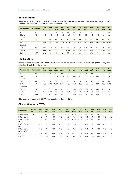Samples from Borjomi and Tsalka OSRBs cannot be collected at the reed bed final discharge points. They are collected directly from the units' final chambers.

| <b>Parameters</b> | <b>Standards</b> | Jan<br>2013 | <b>Feb</b><br>2013 | Mar<br>2013 | Apr<br>2013 | May<br>2013 | Jun<br>2013 | Jul<br>2013 | Aug<br>2013 | <b>Sep</b><br>2013 | Oct<br>2013 | <b>Nov</b><br>2013 | <b>Dec</b><br>2013 |
|-------------------|------------------|-------------|--------------------|-------------|-------------|-------------|-------------|-------------|-------------|--------------------|-------------|--------------------|--------------------|
| <b>BOD</b>        | 25               | 13          | 23                 | 16          | 8           | 12          | 25          | 14          | 6           | 18                 | 13          | 11                 | 11                 |
| Oil and<br>grease | 10               | < 1.5       | < 1.5              | .5<br><1    | < 1.5       | < 1.5       | < 1.5       | < 1.5       | < 1.5       | < 1.5              | < 1.5       | n/a                | n/a                |
| <b>TSS</b>        | 35               | 19          | 28                 | 22          | 15          | 12          | 28          | 32          | 20          | 26                 | 28          | 15                 | 13                 |
| NH <sub>4</sub>   | 10               | 1.06        | 1.62               | 1.18        | 1.04        | 0.79        | 1.5         | 1.28        | 0.47        | 0.69               | 0.75        | 0.36               | 0.52               |
| Quarterly         |                  |             |                    |             |             |             |             |             |             |                    |             |                    |                    |
| <b>Total N</b>    | 15               | n/a         | 3.2                | n/a         | n/a         | 1.6         | n/a         | n/a         | 1.9         | n/a                | n/a         | 2.9                | n/a                |
| <b>Total P</b>    | 2                | n/a         | 0.86               | n/a         | n/a         | 0.35        | n/a         | n/a         | 0.52        | n/a                | n/a         | 0.46               | n/a                |
| Coliform          | $<$ 400          | n/a         | $2$                | n/a         | n/a         | 22          | n/a         | n/a         | 13          | n/a                | n/a         | 4                  | n/a                |

#### **Tsalka OSRB**

(Samples from Borjomi and Tsalka OSRBs cannot be collected at the final discharge points. They are collected directly from the units)

| <b>Parameters</b> | <b>Standards</b> | Jan<br>2013 | Feb<br>2013 | Mar<br>2013 | Apr<br>2013 | May<br>2013 | Jun<br>2013 | Jul<br>2013 | Aug<br>2013 | Sep<br>2013 | Oct<br>2013 | <b>Nov</b><br>2013 | <b>Dec</b><br>2013 |
|-------------------|------------------|-------------|-------------|-------------|-------------|-------------|-------------|-------------|-------------|-------------|-------------|--------------------|--------------------|
| <b>BOD</b>        | 25               | 11          | 16          | 19          | 16          | 21          | 16          | 18          | 16          | 13          | 14          | 21                 | 21                 |
| Oil and<br>grease | 10               | < 1.5       | .5<br>$<$ 1 | < 1.5       | < 1.5       | < 1.5       | < 1.5       | < 1.5       | < 1.5       | < 1.5       | < 1.5       | n/a                | n/a                |
| <b>TSS</b>        | 35               | 18          | 17          | 32          | 23          | 27          | 31          | 26          | 14          | 17          | 20          | 30                 | 24                 |
| NH <sub>4</sub>   | 10               | 0.63        | 0.72        | 0.48        | 0.77        | 1.83        | 2.1         | 2.08        | 1.55        | 1.2         | 1.06        | 0.68               | 0.72               |
| Quarterly         |                  |             |             |             |             |             |             |             |             |             |             |                    |                    |
| <b>Total N</b>    | 15               | n/a         | 2.1         | n/a         | n/a         | 1.5         | n/a         | n/a         | 1.06        | n/a         | n/a         | 2.9                | n/a                |
| <b>Total P</b>    | 2                | n/a         | 0.88        | n/a         | n/a         | 0.64        | n/a         | n/a         | 0.94        | n/a         | n/a         | 0.6                | n/a                |
| Coliform          | $<$ 400          | n/a         | <2          | n/a         | n/a         | 33          | n/a         | n/a         | 17          | n/a         | n/a         | 11                 | n/a                |

\*No water was observed at STP final chamber in January 2013.

#### **Oil and Grease in OWSs**

| <b>Parameters</b>          | <b>Standa</b><br>rds | Jan<br>2013 | Feb<br>2013 | Mar<br>2013 | Apr<br>2013 | May<br>2013 | Jun<br>2013 | Jul<br>2013 | Aug<br>2013 | <b>Sep</b><br>2013 | Oct<br>2013 | <b>Nov</b><br>2013 | <b>Dec</b><br>2013 |
|----------------------------|----------------------|-------------|-------------|-------------|-------------|-------------|-------------|-------------|-------------|--------------------|-------------|--------------------|--------------------|
| PSG1 OSRB                  | 10                   | < 1.5       | < 1.5       | < 1.5       | < 1.5       | < 1.5       | < 1.5       | < 1.5       | < 1.5       | < 1.5              | < 1.5       | <1.5               | < 1.5              |
| PSG 1 Camp                 |                      | < 1.5       | < 1.5       | < 1.5       | < 1.5       | < 1.5       | < 1.5       | < 1.5       | < 1.5       | < 1.5              | < 1.5       | < 1.5              | 1.5                |
| PSG 2 Camp<br>(1)          |                      | < 1.5       | < 1.5       | < 1.5       | < 1.5       | < 1.5       | < 1.5       | < 1.5       | < 1.5       | < 1.5              | < 1.5       | < 1.5              | < 1.5              |
| PSG 2 Camp<br>(2)          |                      | <1.5        | < 1.5       | < 1.5       | < 1.5       | < 1.5       | < 1.5       | < 1.5       | < 1.5       | < 1.5              | < 1.5       | < 1.5              | < 1.5              |
| PSG 2 Camp<br>(Water Well) |                      | <1.5        | < 1.5       | < 1.5       | < 1.5       | < 1.5       | < 1.5       | < 1.5       | < 1.5       | < 1.5              | < 1.5       | < 1.5              | < 1.5              |
| EDDF <sub>1</sub>          |                      | < 1.5       | < 1.5       | < 1.5       | < 1.5       | < 1.5       | < 1.5       | < 1.5       | < 1.5       | < 1.5              | < 1.5       | < 1.5              | < 1.5              |
| EDDF <sub>2</sub>          |                      | n/a         | n/a         | n/a         | n/a         | n/a         | n/a         | n/a         | n/a         | n/a                | < 1.5       | < 1.5              | 1.5                |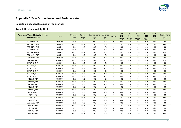

# **Appendix 3.2e – Groundwater and Surface water**

**Reports on seasonal rounds of monitoring:** 

### **Round 17: June to July 2014**

| <b>Parameters/Method Detection Limits/</b><br><b>Sampling Points</b> | <b>Date</b> | <b>Benzene</b><br>$1\mug/L$ | <b>Toluene</b><br>$1 \mu g/L$ | <b>Ethylbenzene</b><br>$1\mug/L$ | <b>Xylenes</b><br>$1\mu g/L$ | <b>BTEX</b> | $C10-$<br>C <sub>12</sub><br>10µg/L | $C13-$<br>C <sub>22</sub><br>$10\mu g/L$ | C <sub>23</sub><br>C30<br>$10\mu g/L$ | $C31-$<br>C40<br>$10\mu g/L$ | C10-<br>C40<br>$10\mu g/L$ | <b>Naphthalene</b><br>$1\mu g/L$ |
|----------------------------------------------------------------------|-------------|-----------------------------|-------------------------------|----------------------------------|------------------------------|-------------|-------------------------------------|------------------------------------------|---------------------------------------|------------------------------|----------------------------|----------------------------------|
| PSG1MW2-R17                                                          | 19/05/14    | < 0.2                       | < 0.2                         | < 0.2                            | < 0.5                        | <1          | < 0.2                               | < 10                                     | < 10                                  | < 10                         | ~10                        | < 50                             |
| PSG1MW3-R17                                                          | 19/05/14    | < 0.2                       | < 0.2                         | < 0.2                            | < 0.5                        | $<$ 1       | < 0.2                               | < 10                                     | < 10                                  | < 10                         | ~10                        | $50$                             |
| PSG1MW4-R17                                                          | 19/05/14    | < 0.2                       | < 0.2                         | < 0.2                            | < 0.5                        | <1          | < 0.2                               | < 10                                     | < 10                                  | < 10                         | < 10                       | $50$                             |
| PSG1MW5-R17                                                          | 19/05/14    | < 0.2                       | < 0.2                         | < 0.2                            | < 0.5                        | $<$ 1       | < 0.2                               | < 10                                     | ~10                                   | < 10                         | ~10                        | $50$                             |
| PSG1MW6-R17                                                          | 19/05/14    | < 0.2                       | < 0.2                         | < 0.2                            | < 0.5                        | $<$ 1       | < 0.2                               | < 10                                     | ~10                                   | < 10                         | ~10                        | $50$                             |
| <b>PSG1SW1-R17</b>                                                   | 19/05/14    | < 0.2                       | < 0.2                         | < 0.2                            | < 0.5                        | <1          | < 0.2                               | < 10                                     | < 10                                  | < 10                         | ~10                        | $50$                             |
| Duplicate1-R17                                                       | 19/05/14    | < 0.2                       | < 0.2                         | < 0.2                            | < 0.5                        | $<$ 1       | < 0.2                               | < 10                                     | < 10                                  | < 10                         | ~10                        | $50$                             |
| KTSW9_R17                                                            | 03/06/14    | < 0.2                       | < 0.2                         | < 0.2                            | < 0.5                        | <1          | < 0.2                               | < 10                                     | < 10                                  | < 10                         | < 10                       | $50$                             |
| KTSW10_R17                                                           | 03/06/14    | < 0.2                       | < 0.2                         | < 0.2                            | < 0.5                        | $<$ 1       | < 0.2                               | < 10                                     | < 10                                  | < 10                         | < 10                       | $50$                             |
| KTSW11_R17                                                           | 03/06/14    | < 0.2                       | < 0.2                         | < 0.2                            | < 0.5                        | $<$ 1       | < 0.2                               | < 10                                     | ~10                                   | < 10                         | ~10                        | $< 50$                           |
| KTSW12_R17                                                           | 03/06/14    | < 0.2                       | < 0.2                         | < 0.2                            | < 0.5                        | $<$ 1       | < 0.2                               | < 10                                     | < 10                                  | < 10                         | ~10                        | $50$                             |
| KTSW13_R17                                                           | 03/06/14    | < 0.2                       | < 0.2                         | < 0.2                            | < 0.5                        | $<$ 1       | < 0.2                               | < 10                                     | < 10                                  | < 10                         | ~10                        | $50$                             |
| KTSW15_R17                                                           | 03/06/14    | < 0.2                       | < 0.2                         | < 0.2                            | < 0.5                        | <1          | < 0.2                               | < 10                                     | < 10                                  | < 10                         | < 10                       | $50$                             |
| <b>KTSW18 R17</b>                                                    | 03/06/14    | < 0.2                       | < 0.2                         | < 0.2                            | < 0.5                        | $<$ 1       | < 0.2                               | < 10                                     | ~10                                   | < 10                         | ~10                        | $50$                             |
| KTSW3_R17                                                            | 03/06/14    | < 0.2                       | < 0.2                         | < 0.2                            | < 0.5                        | $<$ 1       | < 0.2                               | < 10                                     | < 10                                  | < 10                         | ~10                        | $50$                             |
| KTSW4_R17                                                            | 03/06/14    | < 0.2                       | < 0.2                         | < 0.2                            | < 0.5                        | $<$ 1       | < 0.2                               | < 10                                     | < 10                                  | < 10                         | ~10                        | $50$                             |
| KTSW5_R17                                                            | 03/06/14    | < 0.2                       | < 0.2                         | < 0.2                            | < 0.5                        | $<$ 1       | < 0.2                               | < 10                                     | ~10                                   | < 10                         | ~10                        | $50$                             |
| KTSW6_R17                                                            | 03/06/14    | < 0.2                       | < 0.2                         | < 0.2                            | < 0.5                        | <1          | < 0.2                               | < 10                                     | < 10                                  | < 10                         | ~10                        | $50$                             |
| KTSW7_R17                                                            | 03/06/14    | < 0.2                       | < 0.2                         | < 0.2                            | < 0.5                        | $<$ 1       | < 0.2                               | < 10                                     | < 10                                  | < 10                         | ~10                        | $50$                             |
| TMW14-R17                                                            | 03/06/14    | < 0.2                       | < 0.2                         | < 0.2                            | < 0.5                        | $<$ 1       | < 0.2                               | < 10                                     | < 10                                  | < 10                         | ~10                        | $50$                             |
| <b>BSW7-R17</b>                                                      | 03/06/14    | < 0.2                       | < 0.2                         | < 0.2                            | < 0.5                        | $<$ 1       | < 0.2                               | < 10                                     | < 10                                  | < 10                         | ~10                        | $50$                             |
| <b>BSW8-R17</b>                                                      | 03/06/14    | < 0.2                       | < 0.2                         | < 0.2                            | < 0.5                        | $<$ 1       | < 0.2                               | < 10                                     | < 10                                  | < 10                         | < 10                       | $50$                             |
| <b>BSW9-R17</b>                                                      | 03/06/14    | < 0.2                       | < 0.2                         | < 0.2                            | < 0.5                        | $<$ 1       | < 0.2                               | < 10                                     | < 10                                  | < 10                         | ~10                        | $50$                             |
| Duplicate2-R17                                                       | 03/06/14    | < 0.2                       | < 0.2                         | < 0.2                            | < 0.5                        | $<$ 1       | < 0.2                               | < 10                                     | ~10                                   | < 10                         | ~10                        | $50$                             |
| KTMW1-R17                                                            | 04/06/14    | < 0.2                       | < 0.2                         | < 0.2                            | < 0.5                        | $<$ 1       | < 0.2                               | < 10                                     | < 10                                  | < 10                         | ~10                        | $50$                             |
| KTMW2-R17                                                            | 04/06/14    | < 0.2                       | < 0.2                         | < 0.2                            | < 0.5                        | <1          | < 0.2                               | < 10                                     | ~10                                   | ~10                          | ~10                        | $50$                             |
| KTMW3-R17                                                            | 04/06/14    | < 0.2                       | < 0.2                         | < 0.2                            | < 0.5                        | $<$ 1       | < 0.2                               | < 10                                     | < 10                                  | < 10                         | ~10                        | $50$                             |
| KTMW7-R17                                                            | 04/06/14    | < 0.2                       | < 0.2                         | < 0.2                            | < 0.5                        | $<$ 1       | < 0.2                               | < 10                                     | ~10                                   | < 10                         | ~10                        | $50$                             |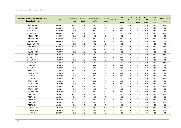| <b>Parameters/Method Detection Limits/</b> | <b>Date</b> | <b>Benzene</b> | <b>Toluene</b><br>$1\mug/L$ | Ethylbenzene<br>$1\mug/L$ | <b>Xylenes</b> | <b>BTEX</b> | $C10-$<br>C <sub>12</sub> | $C13-$<br>C <sub>22</sub> | C <sub>23</sub><br>C30 | $C31-$<br>C40 | C <sub>10</sub> -<br>C40 | <b>Naphthalene</b> |
|--------------------------------------------|-------------|----------------|-----------------------------|---------------------------|----------------|-------------|---------------------------|---------------------------|------------------------|---------------|--------------------------|--------------------|
| <b>Sampling Points</b>                     |             | $1\mug/L$      |                             |                           | $1\mu g/L$     |             | 10µg/L                    | $10\mu g/L$               | 10µg/L                 | 10µg/L        | $10\mug/L$               | $1\mu g/L$         |
| KTMW9-R17                                  | 04/06/14    | < 0.2          | < 0.2                       | < 0.2                     | < 0.5          | <1          | < 0.2                     | $10^{-1}$                 | < 10                   | ~10           | < 10                     | $50$               |
| KTMW4-R17                                  | 04/06/14    | < 0.2          | < 0.2                       | < 0.2                     | < 0.5          | $<$ 1       | < 0.2                     | $10^{-1}$                 | < 10                   | $10^{-1}$     | < 10                     | $50$               |
| <b>KTMW10-R17</b>                          | 04/06/14    | < 0.2          | < 0.2                       | < 0.2                     | < 0.5          | <1          | < 0.2                     | ~10                       | ~10                    | ~10           | ~10                      | $50$               |
| <b>KTMW13-R17</b>                          | 04/06/14    | < 0.2          | < 0.2                       | < 0.2                     | < 0.5          | $<$ 1       | < 0.2                     | ~10                       | < 10                   | ~10           | < 10                     | $50$               |
| KTSW1_R17                                  | 04/06/14    | < 0.2          | < 0.2                       | < 0.2                     | < 0.5          | $<$ 1       | < 0.2                     | $10^{-1}$                 | < 10                   | $10^{-1}$     | < 10                     | $50$               |
| KTSW2_R17                                  | 04/06/14    | < 0.2          | < 0.2                       | < 0.2                     | < 0.5          | $<$ 1       | < 0.2                     | $10^{-1}$                 | < 10                   | $10^{-1}$     | < 10                     | $50$               |
| KTSW8_R17                                  | 04/06/14    | < 0.2          | < 0.2                       | < 0.2                     | < 0.5          | $<$ 1       | < 0.2                     | ~10                       | ~10                    | ~10           | ~10                      | $50$               |
| Duplicate 3-R17                            | n/a         | < 0.2          | < 0.2                       | < 0.2                     | < 0.5          | $<$ 1       | < 0.2                     | ~10                       | < 10                   | ~10           | < 10                     | $50$               |
| <b>TSW16-R17</b>                           | 03/06/14    | < 0.2          | < 0.2                       | < 0.2                     | < 0.5          | $<$ 1       | < 0.2                     | $10^{-1}$                 | < 10                   | < 10          | < 10                     | $50$               |
| <b>KTSW17-R17</b>                          | 04/06/14    | < 0.2          | < 0.2                       | < 0.2                     | < 0.5          | $<$ 1       | < 0.2                     | $10^{-1}$                 | < 10                   | < 10          | < 10                     | $50$               |
| <b>TSW23-R17</b>                           | 19.06.14    | < 0.2          | < 0.2                       | < 0.2                     | < 0.5          | <1          | < 0.2                     | ~10                       | ~10                    | ~10           | ~10                      | $50$               |
| <b>TSW24-R17</b>                           | 19.06.14    | < 0.2          | < 0.2                       | < 0.2                     | < 0.5          | $<$ 1       | < 0.2                     | ~10                       | < 10                   | < 10          | < 10                     | $50$               |
| <b>KTMW11-R17</b>                          | 18.06.14    | < 0.2          | < 0.2                       | < 0.2                     | < 0.5          | $<$ 1       | < 0.2                     | ~10                       | < 10                   | < 10          | < 10                     | $50$               |
| <b>KTMW12-R17</b>                          | 18.06.14    | < 0.2          | < 0.2                       | < 0.2                     | < 0.5          | $<$ 1       | < 0.2                     | ~10                       | < 10                   | < 10          | < 10                     | $50$               |
| <b>KTMW15-R17</b>                          | 18.06.14    | < 0.2          | < 0.2                       | < 0.2                     | < 0.5          | $<$ 1       | < 0.2                     | ~10                       | ~10                    | ~10           | ~10                      | $50$               |
| KTMW16a                                    | 18.06.14    | < 0.2          | < 0.2                       | < 0.2                     | < 0.5          | $<$ 1       | < 0.2                     | ~10                       | < 10                   | < 10          | < 10                     | $50$               |
| <b>KTMW17-R17</b>                          | 18.06.14    | < 0.2          | < 0.2                       | < 0.2                     | < 0.5          | $<$ 1       | < 0.2                     | $10^{-1}$                 | < 10                   | $10^{-1}$     | < 10                     | $50$               |
| <b>BMW2-R17</b>                            | 17.06.14    | < 0.2          | < 0.2                       | < 0.2                     | < 0.5          | $<$ 1       | < 0.2                     | $10^{-1}$                 | < 10                   | $10^{-1}$     | < 10                     | $50$               |
| <b>TMW20-R17</b>                           | 19.06.14    | < 0.2          | < 0.2                       | < 0.2                     | < 0.5          | $<$ 1       | < 0.2                     | ~10                       | < 10                   | < 10          | < 10                     | < 50               |
| <b>TSW6-R17</b>                            | 19.06.14    | < 0.2          | < 0.2                       | < 0.2                     | < 0.5          | $<$ 1       | < 0.2                     | $10^{-1}$                 | < 10                   | < 10          | < 10                     | $<50$              |
| <b>TSW7-R17</b>                            | 19.06.14    | < 0.2          | < 0.2                       | < 0.2                     | < 0.5          | $<$ 1       | < 0.2                     | $10^{-1}$                 | < 10                   | < 10          | < 10                     | $50$               |
| <b>TSW12-R17</b>                           | 19.06.14    | < 0.2          | < 0.2                       | < 0.2                     | < 0.5          | $<$ 1       | < 0.2                     | $10^{-1}$                 | < 10                   | < 10          | < 10                     | $50$               |
| <b>TSW13-R17</b>                           | 19.06.14    | < 0.2          | < 0.2                       | < 0.2                     | < 0.5          | $<$ 1       | < 0.2                     | ~10                       | < 10                   | $<$ 10        | < 10                     | < 50               |
| <b>TSW19-R17</b>                           | 19.06.14    | < 0.2          | < 0.2                       | < 0.2                     | < 0.5          | $<$ 1       | < 0.2                     | ~10                       | < 10                   | < 10          | < 10                     | $<50$              |
| <b>TSW21-R17</b>                           | 19.06.14    | < 0.2          | < 0.2                       | < 0.2                     | < 0.5          | $<$ 1       | < 0.2                     | $10^{-1}$                 | < 10                   | < 10          | < 10                     | $<50$              |
| <b>TSW22-R17</b>                           | 19.06.14    | < 0.2          | < 0.2                       | < 0.2                     | < 0.5          | <1          | < 0.2                     | ~10                       | < 10                   | < 10          | < 10                     | < 50               |
| <b>TMW1-R17</b>                            | 26.06.14    | < 0.2          | < 0.2                       | < 0.2                     | < 0.5          | $<$ 1       | < 0.2                     | ~10                       | < 10                   | < 10          | < 10                     | < 50               |
| <b>TMW4-R17</b>                            | 26.06.14    | < 0.2          | < 0.2                       | < 0.2                     | < 0.5          | $<$ 1       | < 0.2                     | ~10                       | < 10                   | < 10          | < 10                     | $<50$              |
| <b>TMW6-R17</b>                            | 26.06.14    | < 0.2          | < 0.2                       | < 0.2                     | < 0.5          | $<$ 1       | < 0.2                     | ~10                       | < 10                   | < 10          | < 10                     | < 50               |
| <b>TMW7-R17</b>                            | 26.06.14    | < 0.2          | < 0.2                       | < 0.2                     | < 0.5          | <1          | < 0.2                     | ~10                       | < 10                   | < 10          | < 10                     | < 50               |
| <b>TMW8-R17</b>                            | 26.06.14    | < 0.2          | < 0.2                       | < 0.2                     | < 0.5          | <1          | < 0.2                     | ~10                       | < 10                   | $<$ 10        | ~10                      | $50$               |
| TMW11-R17                                  | 26.06.14    | < 0.2          | < 0.2                       | < 0.2                     | < 0.5          | $<$ 1       | < 0.2                     | ~10                       | < 10                   | < 10          | < 10                     | $<50$              |
| TMW18-R17                                  | 26.06.14    | < 0.2          | < 0.2                       | < 0.2                     | < 0.5          | $<$ 1       | < 0.2                     | ~10                       | < 10                   | < 10          | < 10                     | < 50               |
| <b>TSW1-R17</b>                            | 26.06.14    | < 0.2          | < 0.2                       | < 0.2                     | < 0.5          | $<$ 1       | < 0.2                     | $10^{-1}$                 | < 10                   | < 10          | < 10                     | $<50$              |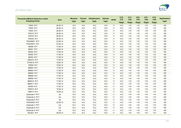

| <b>Parameters/Method Detection Limits/</b> | <b>Date</b> | <b>Benzene</b> | <b>Toluene</b><br>$1\mug/L$ | Ethylbenzene<br>$1\mu g/L$ | <b>Xylenes</b> | <b>BTEX</b> | C <sub>10</sub> -<br>C <sub>12</sub> | $C13-$<br>C <sub>22</sub> | C <sub>23</sub><br>C30 | $C31-$<br>C40 | $C10-$<br>C <sub>40</sub> | <b>Naphthalene</b> |
|--------------------------------------------|-------------|----------------|-----------------------------|----------------------------|----------------|-------------|--------------------------------------|---------------------------|------------------------|---------------|---------------------------|--------------------|
| <b>Sampling Points</b>                     |             | $1\mu g/L$     |                             |                            | $1\mu g/L$     |             | $10\mu g/L$                          | $10\mu g/L$               | 10µg/L                 | 10µg/L        | $10\mu g/L$               | $1\mu g/L$         |
| <b>TSW2-R17</b>                            | 26.06.14    | < 0.2          | < 0.2                       | < 0.2                      | < 0.5          | $<$ 1       | < 0.2                                | ~10                       | < 10                   | ~10           | < 10                      | $50$               |
| <b>TSW3-R17</b>                            | 26.06.14    | < 0.2          | < 0.2                       | < 0.2                      | < 0.5          | $<$ 1       | < 0.2                                | ~10                       | < 10                   | ~10           | < 10                      | $50$               |
| <b>TSW4-R17</b>                            | 26.06.14    | < 0.2          | < 0.2                       | < 0.2                      | < 0.5          | $<$ 1       | < 0.2                                | $10^{-1}$                 | < 10                   | $10^{-1}$     | < 10                      | $50$               |
| <b>TSW15-R17</b>                           | 26.06.14    | < 0.2          | < 0.2                       | < 0.2                      | < 0.5          | $<$ 1       | < 0.2                                | $10^{-1}$                 | < 10                   | $10^{-1}$     | < 10                      | $50$               |
| <b>TSW18-R17</b>                           | 26.06.14    | < 0.2          | < 0.2                       | < 0.2                      | < 0.5          | $<$ 1       | < 0.2                                | ~10                       | < 10                   | ~10           | ~10                       | $50$               |
| <b>TSW20-R17</b>                           | 26.06.14    | < 0.2          | < 0.2                       | < 0.2                      | < 0.5          | $<$ 1       | < 0.2                                | ~10                       | < 10                   | ~10           | ~10                       | $50$               |
| <b>PSG2MW1-R17</b>                         | 23.06.14    | < 0.2          | < 0.2                       | < 0.2                      | < 0.5          | $<$ 1       | < 0.2                                | ~10                       | < 10                   | ~10           | ~10                       | $50$               |
| PSG2SW1-R17                                | 23.06.14    | < 0.2          | < 0.2                       | < 0.2                      | < 0.5          | $<$ 1       | < 0.2                                | ~10                       | < 10                   | ~10           | ~10                       | $50$               |
| <b>BSW6-R17</b>                            | 17.06.14    | < 0.2          | < 0.2                       | < 0.2                      | < 0.5          | $<$ 1       | < 0.2                                | $10^{-1}$                 | < 10                   | $10^{-1}$     | ~10                       | $50$               |
| <b>BSW1-R17</b>                            | 18.06.14    | < 0.2          | < 0.2                       | < 0.2                      | < 0.5          | $<$ 1       | < 0.2                                | $10^{-1}$                 | < 10                   | $10^{-1}$     | ~10                       | < 50               |
| <b>BSW2-R17</b>                            | 17.06.14    | < 0.2          | < 0.2                       | < 0.2                      | < 0.5          | $<$ 1       | < 0.2                                | ~10                       | < 10                   | ~10           | ~10                       | $50$               |
| <b>BSW3-R17</b>                            | 17.06.14    | < 0.2          | < 0.2                       | < 0.2                      | < 0.5          | ≺1          | < 0.2                                | ~10                       | < 10                   | ~10           | ~10                       | $50$               |
| <b>BSW4-R17</b>                            | 17.06.14    | < 0.2          | < 0.2                       | < 0.2                      | < 0.5          | $<$ 1       | < 0.2                                | ~10                       | < 10                   | ~10           | ~10                       | $50$               |
| <b>BSW10-R17</b>                           | 17.06.14    | < 0.2          | < 0.2                       | < 0.2                      | < 0.5          | $<$ 1       | < 0.2                                | ~10                       | < 10                   | ~10           | ~10                       | $50$               |
| <b>KTSW14-R17</b>                          | 18.06.14    | < 0.2          | < 0.2                       | < 0.2                      | < 0.5          | $<$ 1       | < 0.2                                | $10^{-1}$                 | < 10                   | $10^{-1}$     | < 10                      | < 50               |
| <b>TMW5-R17</b>                            | 19.06.14    | < 0.2          | < 0.2                       | < 0.2                      | < 0.5          | $<$ 1       | < 0.2                                | $10^{-1}$                 | < 10                   | ~10           | < 10                      | < 50               |
| <b>BMW3-R17</b>                            | 17.06.14    | < 0.2          | < 0.2                       | < 0.2                      | < 0.5          | $<$ 1       | < 0.2                                | ~10                       | < 10                   | ~10           | ~10                       | $50$               |
| <b>BMW4-R17</b>                            | 17.06.14    | < 0.2          | < 0.2                       | < 0.2                      | < 0.5          | $<$ 1       | < 0.2                                | ~10                       | < 10                   | ~10           | ~10                       | $50$               |
| <b>BMW5-R17</b>                            | 17.06.14    | < 0.2          | < 0.2                       | < 0.2                      | < 0.5          | $<$ 1       | < 0.2                                | ~10                       | < 10                   | ~10           | ~10                       | $50$               |
| <b>BMW8-R17</b>                            | 17.06.14    | < 0.2          | < 0.2                       | < 0.2                      | < 0.5          | $<$ 1       | < 0.2                                | ~10                       | < 10                   | ~10           | ~10                       | $50$               |
| <b>BMW9-R17</b>                            | 17.06.14    | < 0.2          | < 0.2                       | < 0.2                      | < 0.5          | $<$ 1       | < 0.2                                | $10^{-1}$                 | < 10                   | $10^{-1}$     | ~10                       | $50$               |
| BMW10-R17                                  | 17.06.14    | < 0.2          | < 0.2                       | < 0.2                      | < 0.5          | $<$ 1       | < 0.2                                | $10^{-1}$                 | < 10                   | $10^{-1}$     | ~10                       | $50$               |
| BMW11-R17                                  | 17.06.14    | < 0.2          | < 0.2                       | < 0.2                      | < 0.5          | $<$ 1       | < 0.2                                | ~10                       | ~10                    | ~10           | ~10                       | $50$               |
| <b>BSW5-R17</b>                            | 17.06.14    | < 0.2          | < 0.2                       | < 0.2                      | < 0.5          | $<$ 1       | < 0.2                                | ~10                       | < 10                   | ~10           | ~10                       | $50$               |
| TMW10-R17                                  | 19.06.14    | < 0.2          | < 0.2                       | < 0.2                      | < 0.5          | $<$ 1       | < 0.2                                | ~10                       | < 10                   | ~10           | < 10                      | $50$               |
| TMW13-R17                                  | 19.06.14    | < 0.2          | < 0.2                       | < 0.2                      | < 0.5          | $<$ 1       | < 0.2                                | $10^{-1}$                 | < 10                   | $10^{-1}$     | < 10                      | $50$               |
| Duplicate 4-R17                            | n/a         | < 0.2          | < 0.2                       | < 0.2                      | < 0.5          | $<$ 1       | < 0.2                                | 10                        | < 10                   | $<$ 10        | $10^{-1}$                 | $50$               |
| Duplicate 5-R17                            | n/a         | < 0.2          | < 0.2                       | < 0.2                      | < 0.5          | $<$ 1       | < 0.2                                | 10<                       | < 10                   | $<$ 10        | ~10                       | < 50               |
| Duplicate 6-R17                            | n/a         | < 0.2          | < 0.2                       | < 0.2                      | < 0.5          | ≺1          | < 0.2                                | ~10                       | ~10                    | ~10           | ~10                       | $50$               |
| PSG2SW3-R17                                | 23.06.14    | < 0.2          | < 0.2                       | < 0.2                      | < 0.5          | $<$ 1       | < 0.2                                | ~10                       | < 10                   | ~10           | ~10                       | $50$               |
| Duplicate 7-R17                            | n/a         | < 0.2          | < 0.2                       | < 0.2                      | < 0.5          | $<$ 1       | < 0.2                                | < 10                      | < 10                   | ~10           | ~10                       | $50$               |
| Duplicate 8-R17                            | n/a         | < 0.2          | < 0.2                       | < 0.2                      | < 0.5          | $<$ 1       | < 0.2                                | 10                        | < 10                   | $<$ 10        | < 10                      | < 50               |
| Duplicate 9-R17                            | n/a         | < 0.2          | < 0.2                       | < 0.2                      | < 0.5          | $<$ 1       | < 0.2                                | 10<                       | < 10                   | $<$ 10        | ~10                       | $50$               |
| Rinsite1-R17                               | 26.06.14    | < 0.2          | < 0.2                       | < 0.2                      | < 0.5          | $<$ 1       | < 0.2                                | $10^{-1}$                 | < 10                   | $10^{-1}$     | ~10                       | < 50               |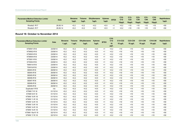| <b>Parameters/Method Detection Limits/</b><br><b>Sampling Points</b> | <b>Date</b> | <b>Benzene</b><br>$1\mug/L$ | <b>Toluene</b><br>$1\mug/L$ | <b>Ethylbenzene</b><br>$1\mug/L$ | <b>Xvienes</b><br>1µg/L | <b>BTEX</b> | C10-<br>C <sub>12</sub><br>10µg/L | C <sub>13</sub><br>C <sub>22</sub><br>10µg/L | C <sub>23</sub><br>C <sub>30</sub><br>10µg/L | C <sub>31</sub><br>C <sub>40</sub><br>$10\mug/\nu$ | $C10-$<br>C40<br>$10\mu g/L$ | <b>Naphthalene</b><br>1µg/L |
|----------------------------------------------------------------------|-------------|-----------------------------|-----------------------------|----------------------------------|-------------------------|-------------|-----------------------------------|----------------------------------------------|----------------------------------------------|----------------------------------------------------|------------------------------|-----------------------------|
| Rinsite2-R17                                                         | 26.06.14    | < 0.2                       | <0.2                        | 0.2                              | <0.5                    |             | ے.0>                              | <10                                          | ~10                                          |                                                    | ~10                          | 50<                         |
| Rinsite3-R17                                                         | 26.06.14    | < 0.2                       | < 0.2                       | < 0.2                            | < 0.5                   |             | ے.0>                              | <10                                          | ~10                                          | -16                                                | ~10                          | $50$                        |

#### **Round 18: October to November 2014**

| <b>Parameters/Method Detection Limits/</b> | <b>Date</b> | <b>Benzene</b> | <b>Toluene</b> | <b>Ethylbenzene</b> | <b>Xylenes</b> | <b>BTEX</b> | $C10-$<br>C <sub>12</sub> | C13-C22      | C23-C30      | C31-C40      | C10-C40      | <b>Naphthalene</b> |
|--------------------------------------------|-------------|----------------|----------------|---------------------|----------------|-------------|---------------------------|--------------|--------------|--------------|--------------|--------------------|
| <b>Sampling Points</b>                     |             | $1$ µg/L       | $1$ µg/L       | $1\mug/L$           | $1\mu g/L$     |             | 10<br>$\mu$ g/L           | $10 \mu g/L$ | $10 \mu g/L$ | $10 \mu g/L$ | $10 \mu g/L$ | $1\mu g/L$         |
| KTMW1-R18                                  | 23/09/14    | < 0.2          | < 0.2          | < 0.2               | < 0.5          | <1          | < 0.2                     | < 10         | ~10          | ~10          | ~10          | $50$               |
| KTMW2-R18                                  | 23/09/14    | < 0.2          | < 0.2          | < 0.2               | < 0.5          | $<$ 1       | < 0.2                     | < 10         | ~10          | < 10         | < 10         | $50$               |
| KTMW3-R18                                  | 23/09/14    | < 0.2          | < 0.2          | < 0.2               | < 0.5          | $<$ 1       | < 0.2                     | < 10         | ~10          | ~10          | ~10          | $50$               |
| KTMW4-R18                                  | 23/09/14    | < 0.2          | < 0.2          | < 0.2               | < 0.5          | $<$ 1       | < 0.2                     | < 10         | ~10          | < 10         | ~10          | $50$               |
| KTSW1-R18                                  | 23/09/14    | < 0.2          | < 0.2          | < 0.2               | < 0.5          | <1          | < 0.2                     | ~10          | ~10          | ~10          | ~10          | $50$               |
| KTSW2-R18                                  | 23/09/14    | < 0.2          | < 0.2          | < 0.2               | < 0.5          | <1          | < 0.2                     | < 10         | ~10          | < 10         | ~10          | $50$               |
| TMW14-R18                                  | 23/09/14    | < 0.2          | < 0.2          | < 0.2               | < 0.5          | <1          | < 0.2                     | ~10          | ~10          | < 10         | ~10          | $50$               |
| <b>TSW16-R18</b>                           | 23/09/14    | < 0.2          | < 0.2          | < 0.2               | < 0.5          | <1          | < 0.2                     | < 10         | ~10          | < 10         | ~10          | $50$               |
| <b>BSW3-R18</b>                            | 26/09/14    | < 0.2          | < 0.2          | < 0.2               | < 0.5          | <1          | < 0.2                     | < 10         | ~10          | ~10          | ~10          | $50$               |
| <b>BSW4-R18</b>                            | 26/09/14    | < 0.2          | < 0.2          | < 0.2               | < 0.5          | <1          | < 0.2                     | < 10         | ~10          | ~10          | ~10          | $50$               |
| <b>BSW5-R18</b>                            | 26/09/14    | < 0.2          | < 0.2          | < 0.2               | < 0.5          | <1          | < 0.2                     | < 10         | ~10          | ~10          | ~10          | $50$               |
| <b>BSW6-R18</b>                            | 26/09/14    | < 0.2          | < 0.2          | < 0.2               | < 0.5          | <1          | < 0.2                     | < 10         | ~10          | < 10         | ~10          | $50$               |
| <b>BSW7-R18</b>                            | 26/09/14    | < 0.2          | < 0.2          | < 0.2               | < 0.5          | <1          | < 0.2                     | < 10         | < 10         | ~10          | ~10          | $50$               |
| <b>BSW8-R18</b>                            | 26/09/14    | < 0.2          | < 0.2          | < 0.2               | < 0.5          | <1          | < 0.2                     | ~10          | ~10          | ~10          | ~10          | $50$               |
| <b>BSW9-R18</b>                            | 26/09/14    | < 0.2          | < 0.2          | < 0.2               | < 0.5          | <1          | < 0.2                     | < 10         | < 10         | ~10          | ~10          | $50$               |
| Duplicate1-R18                             | n/a         | < 0.2          | < 0.2          | < 0.2               | < 0.5          | <1          | < 0.2                     | < 10         | ~10          | < 10         | ~10          | $50$               |
| <b>KTMW 7-R 18</b>                         | 01/10/14    | < 0.2          | < 0.2          | < 0.2               | < 0.5          | <1          | < 0.2                     | < 10         | ~10          | < 10         | ~10          | $50$               |
| <b>KTMW 9-R 18</b>                         | 01/10/14    | < 0.2          | < 0.2          | < 0.2               | < 0.5          | <1          | < 0.2                     | < 10         | ~10          | < 10         | ~10          | $50$               |
| <b>KTMW 10-R 18</b>                        | 01/10/14    | < 0.2          | < 0.2          | < 0.2               | < 0.5          | <1          | < 0.2                     | < 10         | ~10          | < 10         | ~10          | $50$               |
| <b>KTMW 11-R 18</b>                        | 01/10/14    | < 0.2          | < 0.2          | < 0.2               | < 0.5          | <1          | < 0.2                     | < 10         | ~10          | < 10         | ~10          | $50$               |
| <b>KTMW 12-R 18</b>                        | 01/10/14    | < 0.2          | < 0.2          | < 0.2               | < 0.5          | <1          | < 0.2                     | < 10         | ~10          | < 10         | ~10          | $50$               |
| <b>KTMW 13-R 18</b>                        | 01/10/14    | < 0.2          | < 0.2          | < 0.2               | < 0.5          | $<$ 1       | < 0.2                     | < 10         | ~10          | < 10         | < 10         | $50$               |
| <b>KTMW 14-R 18</b>                        | 01/10/14    | < 0.2          | < 0.2          | < 0.2               | < 0.5          | $<$ 1       | < 0.2                     | < 10         | ~10          | < 10         | ~10          | < 50               |
| <b>KTMW 15-R 18</b>                        | 01/10/14    | < 0.2          | < 0.2          | < 0.2               | < 0.5          | <1          | < 0.2                     | < 10         | ~10          | < 10         | ~10          | $50$               |
| KTMW 16a-R 18                              | 02/10/14    | < 0.2          | < 0.2          | < 0.2               | < 0.5          | <1          | < 0.2                     | < 10         | ~10          | < 10         | ~10          | $50$               |
| <b>KTMW 17-R 18</b>                        | 02/10/14    | < 0.2          | < 0.2          | < 0.2               | < 0.5          | <1          | < 0.2                     | < 10         | ~10          | < 10         | ~10          | $50$               |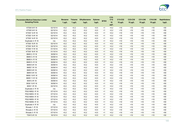

| <b>Parameters/Method Detection Limits/</b><br><b>Sampling Points</b> | <b>Date</b> | <b>Benzene</b><br>$1$ µg/L | <b>Toluene</b><br>$1 \mu g/L$ | <b>Ethylbenzene</b><br>$1\mu g/L$ | <b>Xylenes</b><br>$1\mug/L$ | <b>BTEX</b> | $C10-$<br>C <sub>12</sub><br>10<br>$\mu$ g/L | C13-C22<br>$10 \mu g/L$ | C <sub>23</sub> -C <sub>30</sub><br>$10 \mu g/L$ | C31-C40<br>$10 \mu g/L$ | C10-C40<br>$10 \mu g/L$ | <b>Naphthalene</b><br>$1\mug/L$ |
|----------------------------------------------------------------------|-------------|----------------------------|-------------------------------|-----------------------------------|-----------------------------|-------------|----------------------------------------------|-------------------------|--------------------------------------------------|-------------------------|-------------------------|---------------------------------|
| <b>KTSW 8-R 18</b>                                                   | 02/10/14    | < 0.2                      | < 0.2                         | < 0.2                             | < 0.5                       | $<$ 1       | < 0.2                                        | < 10                    | < 10                                             | < 10                    | < 10                    | < 50                            |
| <b>KTSW 9-R 18</b>                                                   | 02/10/14    | < 0.2                      | < 0.2                         | < 0.2                             | < 0.5                       | <1          | < 0.2                                        | < 10                    | < 10                                             | ~10                     | $<10$                   | $<50$                           |
| <b>KTSW 12-R 18</b>                                                  | 02/10/14    | < 0.2                      | < 0.2                         | < 0.2                             | < 0.5                       | <1          | < 0.2                                        | ~10                     | ~10                                              | ~10                     | ~10                     | $<50$                           |
| KTSW 13-R 18                                                         | 02/10/14    | < 0.2                      | < 0.2                         | 50.2                              | < 0.5                       | $<$ 1       | 50.2                                         | < 10                    | < 10                                             | ~10                     | ~10                     | $<50$                           |
| <b>KTSW 14-R 18</b>                                                  | 02/10/14    | < 0.2                      | < 0.2                         | < 0.2                             | < 0.5                       | <1          | < 0.2                                        | < 10                    | < 10                                             | < 10                    | ~10                     | $<50$                           |
| Duplicate 3-R 18                                                     | n/a         | < 0.2                      | < 0.2                         | 50.2                              | < 0.5                       | <1          | < 0.2                                        | < 10                    | < 10                                             | < 10                    | < 10                    | $50$                            |
| <b>KTSW 15-R 18</b>                                                  | 02/10/14    | < 0.2                      | < 0.2                         | < 0.2                             | < 0.5                       | <1          | < 0.2                                        | < 10                    | < 10                                             | < 10                    | ~10                     | $50$                            |
| <b>KTSW 16-R 18</b>                                                  | 02/10/14    | < 0.2                      | < 0.2                         | < 0.2                             | < 0.5                       | <1          | < 0.2                                        | ~10                     | ~10                                              | ~10                     | ~10                     | $<50$                           |
| <b>KTSW 17-R 18</b>                                                  | 01/10/14    | < 0.2                      | < 0.2                         | < 0.2                             | < 0.5                       | <1          | < 0.2                                        | < 10                    | $<10$                                            | < 10                    | ~10                     | 50                              |
| <b>KTSW 18-R 18</b>                                                  | 01/10/14    | < 0.2                      | < 0.2                         | < 0.2                             | < 0.5                       | <1          | < 0.2                                        | < 10                    | $<10$                                            | < 10                    | ~10                     | $<50$                           |
| BMW 2-R18                                                            | 30/09/14    | < 0.2                      | < 0.2                         | < 0.2                             | < 0.5                       | <1          | < 0.2                                        | < 10                    | < 10                                             | < 10                    | ~10                     | $50$                            |
| BMW 3-R 18                                                           | 30/09/14    | < 0.2                      | < 0.2                         | < 0.2                             | < 0.5                       | <1          | < 0.2                                        | ~10                     | < 10                                             | < 10                    | ~10                     | $50$                            |
| BMW 4- R 18                                                          | 30/09/14    | < 0.2                      | < 0.2                         | < 0.2                             | < 0.5                       | <1          | < 0.2                                        | < 10                    | < 10                                             | < 10                    | < 10                    | < 50                            |
| BMW 5-R 18                                                           | 30/09/14    | < 0.2                      | < 0.2                         | < 0.2                             | < 0.5                       | <1          | < 0.2                                        | < 10                    | < 10                                             | < 10                    | ~10                     | $50$                            |
| <b>BMW 6-R 18</b>                                                    | 30/09/14    | < 0.2                      | < 0.2                         | < 0.2                             | < 0.5                       | $<$ 1       | < 0.2                                        | ~10                     | ~10                                              | < 10                    | < 10                    | $< 50$                          |
| <b>BMW 7-R 18</b>                                                    | 30/09/14    | < 0.2                      | < 0.2                         | < 0.2                             | < 0.5                       | $<$ 1       | < 0.2                                        | < 10                    | < 10                                             | < 10                    | < 10                    | $< 50$                          |
| <b>BMW 8-R 18</b>                                                    | 30/09/14    | < 0.2                      | < 0.2                         | < 0.2                             | < 0.5                       | $<$ 1       | < 0.2                                        | < 10                    | < 10                                             | < 10                    | < 10                    | $< 50$                          |
| <b>BMW 9-R 18</b>                                                    | 30/09/14    | < 0.2                      | < 0.2                         | < 0.2                             | < 0.5                       | $<$ 1       | < 0.2                                        | < 10                    | < 10                                             | < 10                    | < 10                    | $50$                            |
| <b>BMW 10-R 18</b>                                                   | 30/09/14    | < 0.2                      | < 0.2                         | 50.2                              | < 0.5                       | <1          | < 0.2                                        | < 10                    | < 10                                             | < 10                    | ~10                     | $<50$                           |
| BMW 11-R 18                                                          | 30/09/14    | < 0.2                      | < 0.2                         | < 0.2                             | < 0.5                       | <1          | < 0.2                                        | ~10                     | ~10                                              | ~10                     | ~10                     | $50$                            |
| <b>BSW 2-R 18</b>                                                    | 30/09/14    | < 0.2                      | 50.2                          | 50.2                              | < 0.5                       | <1          | 50.2                                         | < 10                    | $<10$                                            | < 10                    | ~10                     | $50$                            |
| <b>BSW 10-R 18</b>                                                   | 30/09/14    | < 0.2                      | < 0.2                         | < 0.2                             | < 0.5                       | <1          | < 0.2                                        | < 10                    | ~10                                              | < 10                    | ~10                     | $50$                            |
| <b>BSW 1-R 18</b>                                                    | 02/10/14    | < 0.2                      | 50.2                          | < 0.2                             | < 0.5                       | $<$ 1       | < 0.2                                        | < 10                    | < 10                                             | < 10                    | ~10                     | < 50                            |
| Duplicate 2- R 18                                                    | n/a         | < 0.2                      | < 0.2                         | < 0.2                             | < 0.5                       | <1          | < 0.2                                        | < 10                    | $<10$                                            | < 10                    | ~10                     | $50$                            |
| <b>PSG1MW2-R18</b>                                                   | 07/10/14    | < 0.2                      | < 0.2                         | < 0.2                             | < 0.5                       | $<$ 1       | < 0.2                                        | ~10                     | ~10                                              | ~10                     | ~10                     | $50$                            |
| <b>PSG1MW3-R18</b>                                                   | 07/10/14    | < 0.2                      | < 0.2                         | < 0.2                             | < 0.5                       | <1          | < 0.2                                        | < 10                    | < 10                                             | ~10                     | ~10                     | $<50$                           |
| <b>PSG1MW4-R18</b>                                                   | 07/10/14    | < 0.2                      | < 0.2                         | < 0.2                             | < 0.5                       | $<$ 1       | < 0.2                                        | < 10                    | ~10                                              | < 10                    | ~10                     | $50$                            |
| <b>PSG1MW5-R18</b>                                                   | 07/10/14    | < 0.2                      | < 0.2                         | < 0.2                             | < 0.5                       | $<$ 1       | < 0.2                                        | < 10                    | < 10                                             | ~10                     | ~10                     | < 50                            |
| <b>PSG1MW6-R18</b>                                                   | 07/10/14    | < 0.2                      | < 0.2                         | < 0.2                             | < 0.5                       | <1          | < 0.2                                        | < 10                    | < 10                                             | < 10                    | ~10                     | $<50$                           |
| Duplicate 4- R 18                                                    | n/a         | < 0.2                      | < 0.2                         | < 0.2                             | < 0.5                       | <1          | < 0.2                                        | < 10                    | ~10                                              | < 10                    | ~10                     | $50$                            |
| Rinsate 1- R 18                                                      | 07/10/14    | < 0.2                      | < 0.2                         | < 0.2                             | < 0.5                       | <1          | < 0.2                                        | < 10                    | $<10$                                            | < 10                    | ~10                     | $<50$                           |
| Rinsate 2- R 18                                                      | 07/10/14    | < 0.2                      | < 0.2                         | < 0.2                             | < 0.5                       | <1          | < 0.2                                        | ~10                     | ~10                                              | < 10                    | ~10                     | $<50$                           |
| Rinsate 3-R 18                                                       | 07/10/14    | < 0.2                      | < 0.2                         | < 0.2                             | < 0.5                       | <1          | < 0.2                                        | < 10                    | < 10                                             | < 10                    | ~10                     | < 50                            |
| TSW13-R 18                                                           | 16/10/14    | < 0.2                      | < 0.2                         | < 0.2                             | < 0.5                       | <1          | < 0.2                                        | < 10                    | < 10                                             | < 10                    | < 10                    | $50$                            |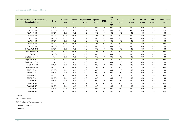| <b>Parameters/Method Detection Limits/</b><br><b>Sampling Points</b> | <b>Date</b> | <b>Benzene</b><br>$1$ µg/L | <b>Toluene</b><br>$1 \mu g/L$ | <b>Ethylbenzene</b><br>$1\mug/L$ | <b>Xylenes</b><br>$1\mu g/L$ | <b>BTEX</b> | C10-<br>C <sub>12</sub><br>10<br>$\mu$ g/L | C13-C22<br>$10 \mu g/L$ | C23-C30<br>$10 \mu g/L$ | C31-C40<br>$10 \mu g/L$ | C10-C40<br>$10 \mu g/L$ | <b>Naphthalene</b><br>$1\mug/L$ |
|----------------------------------------------------------------------|-------------|----------------------------|-------------------------------|----------------------------------|------------------------------|-------------|--------------------------------------------|-------------------------|-------------------------|-------------------------|-------------------------|---------------------------------|
| <b>TSW15-R18</b>                                                     | 15/10/14    | < 0.2                      | < 0.2                         | < 0.2                            | < 0.5                        | < 1         | < 0.2                                      | < 10                    | ~10                     | ~10                     | ~10                     | $50$                            |
| <b>TSW18-R18</b>                                                     | 17/10/14    | < 0.2                      | < 0.2                         | < 0.2                            | < 0.5                        | $<$ 1       | < 0.2                                      | < 10                    | ~10                     | ~10                     | ~10                     | $50$                            |
| <b>TSW19-R18</b>                                                     | 14/10/14    | < 0.2                      | < 0.2                         | < 0.2                            | < 0.5                        | $<$ 1       | < 0.2                                      | < 10                    | ~10                     | < 10                    | ~10                     | $50$                            |
| <b>TSW20-R18</b>                                                     | 14/10/14    | < 0.2                      | < 0.2                         | < 0.2                            | < 0.5                        | $<$ 1       | < 0.2                                      | < 10                    | ~10                     | < 10                    | < 10                    | $50$                            |
| TSW21-R 18                                                           | 16/10/14    | < 0.2                      | < 0.2                         | < 0.2                            | < 0.5                        | $<$ 1       | < 0.2                                      | ~10                     | ~10                     | ~10                     | ~10                     | $50$                            |
| <b>TSW22-R18</b>                                                     | 16/10/14    | < 0.2                      | < 0.2                         | < 0.2                            | < 0.5                        | $<$ 1       | < 0.2                                      | < 10                    | ~10                     | < 10                    | ~10                     | $50$                            |
| <b>TSW24-R18</b>                                                     | 16/10/14    | < 0.2                      | < 0.2                         | < 0.2                            | < 0.5                        | $<$ 1       | < 0.2                                      | ~10                     | ~10                     | < 10                    | < 10                    | $50$                            |
| <b>TSW23-R18</b>                                                     | 14/10/14    | < 0.2                      | < 0.2                         | < 0.2                            | < 0.5                        | $<$ 1       | < 0.2                                      | ~10                     | ~10                     | ~10                     | ~10                     | $50$                            |
| <b>PSG2MW1-R 18</b>                                                  | 15/10/14    | < 0.2                      | < 0.2                         | < 0.2                            | < 0.5                        | < 1         | < 0.2                                      | < 10                    | ~10                     | $<$ 10                  | ~10                     | $50$                            |
| <b>PSG2SW1-R18</b>                                                   | 15/10/14    | < 0.2                      | < 0.2                         | < 0.2                            | < 0.5                        | <1          | < 0.2                                      | ~10                     | ~10                     | ~10                     | ~10                     | $50$                            |
| PSG2SW3                                                              | 15/10/14    | < 0.2                      | < 0.2                         | < 0.2                            | < 0.5                        | <1          | < 0.2                                      | ~10                     | ~10                     | < 10                    | ~10                     | $50$                            |
| Duplicate 5-R 18                                                     | n/a         | < 0.2                      | < 0.2                         | < 0.2                            | < 0.5                        | $<$ 1       | < 0.2                                      | ~10                     | ~10                     | ~10                     | ~10                     | $50$                            |
| Duplicate 6-R 18                                                     | n/a         | < 0.2                      | < 0.2                         | < 0.2                            | < 0.5                        | <1          | < 0.2                                      | < 10                    | ~10                     | ~10                     | ~10                     | $50$                            |
| Duplicate 7- R 18                                                    | n/a         | < 0.2                      | < 0.2                         | < 0.2                            | < 0.5                        | $<$ 1       | < 0.2                                      | ~10                     | ~10                     | ~10                     | ~10                     | $50$                            |
| Rinsate 4-R 18                                                       | 14/10/14    | < 0.2                      | < 0.2                         | < 0.2                            | < 0.5                        | < 1         | < 0.2                                      | < 10                    | ~10                     | < 10                    | ~10                     | $50$                            |
| Rinsate 5- R 18                                                      | 15/10/14    | < 0.2                      | < 0.2                         | < 0.2                            | < 0.5                        | <1          | < 0.2                                      | ~10                     | ~10                     | < 10                    | ~10                     | $50$                            |
| <b>TMW1-R18</b>                                                      | 17/10/14    | < 0.2                      | < 0.2                         | < 0.2                            | < 0.5                        | <1          | < 0.2                                      | ~10                     | ~10                     | ~10                     | ~10                     | $50$                            |
| <b>TMW5-R18</b>                                                      | 14/10/14    | < 0.2                      | < 0.2                         | < 0.2                            | < 0.5                        | $<$ 1       | < 0.2                                      | ~10                     | ~10                     | < 10                    | ~10                     | $50$                            |
| <b>TMW6-R18</b>                                                      | 14/10/14    | < 0.2                      | < 0.2                         | < 0.2                            | < 0.5                        | $<$ 1       | < 0.2                                      | < 10                    | ~10                     | < 10                    | ~10                     | $50$                            |
| <b>TMW8-R 18</b>                                                     | 14/10/14    | < 0.2                      | < 0.2                         | < 0.2                            | < 0.5                        | < 1         | < 0.2                                      | < 10                    | < 10                    | < 10                    | < 10                    | $50$                            |
| TMW10-R 18                                                           | 14/10/14    | < 0.2                      | < 0.2                         | < 0.2                            | < 0.5                        | $<$ 1       | < 0.2                                      | < 10                    | < 10                    | < 10                    | < 10                    | $50$                            |
| TMW11-R 18                                                           | 14/10/14    | < 0.2                      | < 0.2                         | < 0.2                            | < 0.5                        | $<$ 1       | < 0.2                                      | ~10                     | $<$ 10                  | ~10                     | < 10                    | $50$                            |
| TMW13-R 18                                                           | 16/10/14    | < 0.2                      | < 0.2                         | < 0.2                            | < 0.5                        | <1          | < 0.2                                      | < 10                    | < 10                    | $<$ 10                  | ~10                     | $50$                            |
| <b>TMW17-R18</b>                                                     | 15/10/14    | < 0.2                      | < 0.2                         | < 0.2                            | < 0.5                        | < 1         | < 0.2                                      | ~10                     | $<$ 10                  | ~10                     | ~10                     | $50$                            |
| TMW18-R 18                                                           | 15/10/14    | < 0.2                      | < 0.2                         | < 0.2                            | < 0.5                        | $<$ 1       | < 0.2                                      | < 10                    | ~10                     | < 10                    | ~10                     | $50$                            |

T - Tsalka

SW - Surface Water

MW - Monitoring Well (groundwater)

KT - Ktsia Tabatskuri

B - Borjomi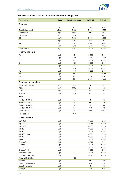

### **Non-Hazardous Landfill Groundwater monitoring 2014**

| <b>Parameters</b>          | <b>Units</b>                 | <b>Area Background</b> | <b>MW 3 Q1</b> | <b>MW 4 Q1</b> |
|----------------------------|------------------------------|------------------------|----------------|----------------|
| General                    |                              |                        |                |                |
| pH                         | $\qquad \qquad \blacksquare$ | 7.3                    | 7.95           | 7.70           |
| Electrical conductivity    | µS/cm                        | 2,093                  | 7,040          | 5,720          |
| Bicarbonate                | mg/L                         | 173.2                  | 226            | 107            |
| Carbonate                  | mg/L                         | < 0.1                  | 1.5            | < 1.5          |
| SO <sub>4</sub>            | mg/L                         | 7,800                  | 3,910          | 2,655          |
| CI                         | mg/L                         | 2251                   | 515            | 252            |
| Na                         | mg/L                         | 3,201                  | 1,740          | 892            |
| NH4                        | mg/L                         | < 0.02                 | < 0.02         | < 0.02         |
| Total cyanide              | mg/L                         | < 0.03                 | < 0.005        | < 0.005        |
| <b>Heavy metals</b>        |                              |                        |                |                |
| As                         | µg/L                         | $5$                    | < 0.001        | < 0.001        |
| B                          | µg/L                         | 3,750                  | 3,966          | 1,835          |
| Cd                         | $\mu$ g/L                    | <1                     | < 0.001        | < 0.001        |
| Cr                         | µg/L                         | $20$                   | < 0.001        | < 0.001        |
| Cu                         | µg/L                         | 30                     | < 0.003        | < 0.003        |
| Hg                         | µg/L                         | 0.024                  | < 0.002        | < 0.002        |
| Pb                         | µg/L                         | ~10                    | < 0.003        | < 0.003        |
| Zn                         | µg/L                         | 48                     | 0.018          | 0.011          |
| Se                         | µg/L                         | 28                     | 0.014          | 0.016          |
| Ni                         | µg/L                         | 20                     | 0.025          | 0.029          |
| <b>General organics</b>    |                              |                        |                |                |
| Total organic carbon       | mg/L                         | 88.5                   | 8              | 5              |
| COD                        | mg/L                         | 235.6                  | 21             | $<$ 4          |
| <b>BOD</b>                 | mg/L                         | 3.96                   | 14             | $<$ 1          |
| Phenols                    | µg/L                         | $<$ 10                 | <1             | <1             |
| <b>TPH</b>                 |                              |                        |                |                |
| Fraction C10-C12           | µg/L                         | n/a                    | <5             | $5$            |
| Fraction C13-C22           | µg/L                         | n/a                    | <5             | $5$            |
| Fraction C23-C30           | µg/L                         | n/a                    | $5$            | $5$            |
| Fraction C31-C40           | µg/L                         | n/a                    | ~10            | ~10            |
| Total C10-C40              | µg/L                         | n/a                    | $<$ MDL        | $<$ MDL        |
| Pesticides                 |                              | ~10                    |                |                |
| <b>Chlorinated</b>         |                              |                        |                |                |
| p,p'-DDT                   | µg/L                         |                        | < 0.025        | < 0.025        |
| p,p'-DDD                   | µg/L                         |                        | 50.016         | < 0.016        |
| p,p'-DDE                   | µg/L                         |                        | < 0.008        | < 0.008        |
| a-BHC                      | µg/L                         |                        | < 0.005        | < 0.005        |
| b-BHC                      | µg/L                         |                        | < 0.007        | < 0.007        |
| g-BHC(Lindan)              | $\mu$ g/L                    |                        | < 0.005        | < 0.005        |
| d-BHC                      | µg/L                         |                        | < 0.006        | < 0.006        |
| Aldrin                     | µg/L                         |                        | < 0.005        | < 0.005        |
| Endosulfan I               | µg/L                         |                        | < 0.011        | < 0.011        |
| Dieldrin                   | µg/L                         |                        | < 0.007        | < 0.007        |
| Endrin                     | µg/L                         |                        | < 0.007        | < 0.007        |
| Endosulfan II              | µg/L                         |                        | < 0.010        | < 0.010        |
| Endrin aldehyde            | µg/L                         |                        | < 0.025        | < 0.025        |
| Endosulfan sulphate        | $\mu$ g/L                    |                        | < 0.020        | < 0.020        |
| <b>Triazine Herbicides</b> |                              | $50$                   |                |                |
| Atrazine                   | µg/L                         |                        | $5$            | $5$            |
| Desisopropyl atrazine      | µg/L                         |                        | < 10           | < 10           |
| Desethyl atrazine          | µg/L                         |                        | <5             | $5$            |
| Ametryn                    | µg/L                         |                        | < 10           | < 10           |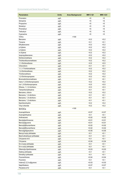| <b>Parameters</b>           | <b>Units</b> | <b>Area Background</b> | <b>MW 3 Q1</b> | <b>MW 4 Q1</b> |
|-----------------------------|--------------|------------------------|----------------|----------------|
| Prometon                    | µg/L         |                        | <5             | <5             |
| Simazine                    | µg/L         |                        | <5             | <5             |
| Propazine                   | µg/L         |                        | <5             | <5             |
| Simetryn                    | µg/L         |                        | <5             | $5$            |
| Prometryn                   | µg/L         |                        | <5             | $5$            |
| Terbutryn                   | µg/L         |                        | <5             | $5$            |
| Cyanazine                   | µg/L         |                        | <5             | $<$ 5          |
| VOCs                        |              | < 100                  |                |                |
| Benzene                     | µg/L         |                        | < 0.2          | < 0.2          |
| Toluene                     | µg/L         |                        | < 0.1          | < 0.1          |
| Ethylbenzene                | µg/L         |                        | < 0.2          | < 0.2          |
| p-Xylene                    | µg/L         |                        | < 0.2          | < 0.2          |
| o-Xylene                    | µg/L         |                        | < 0.2          | < 0.2          |
| m-Xylene                    | $\mu g/L$    |                        | < 0.2          | < 0.2          |
| Isopropylbenzene            | µg/L         |                        | < 0.2          | < 0.2          |
| Dichloromethane             | µg/L         |                        | < 0.2          | < 0.2          |
| Trichlorofluoromethane      | µg/L         |                        | < 0.2          | < 0.2          |
| 1,1-Dichlorethene           | µg/L         |                        | < 0.5          | < 0.5          |
| Chloroform                  | µg/L         |                        | < 0.1          | < 0.1          |
| 1,1,1-Trichloroethane       | µg/L         |                        | < 0.2          | < 0.2          |
| 1,2-Dichlorethane           | µg/L         |                        | < 0.2          | < 0.2          |
| Trichloroethene             | µg/L         |                        | < 0.2          | < 0.2          |
| 1,2-Dichloropropane         | µg/L         |                        | < 0.2          | < 0.2          |
| Bromodichloromethane        | µg/L         |                        | < 0.1          | < 0.1          |
| trans-1,3-Dichloropropene   | µg/L         |                        | < 0.2          | < 0.2          |
| cis-1,3-Dichloropropene     | µg/L         |                        | < 0.5          | < 0.5          |
| Ethane, 1,1,2-trichloro-    | µg/L         |                        | < 0.3          | < 0.3          |
| Tetrachloroethylene         | µg/L         |                        | < 0.1          | < 0.1          |
| Benzene, chloro-            | µg/L         |                        | < 0.2          | < 0.2          |
| Benzene, 1,2-dichloro-      | µg/L         |                        | < 0.1          | < 0.1          |
| Benzene, 1,4-dichloro-      | µg/L         |                        | < 0.1          | < 0.1          |
| Benzene, 1,3-dichloro-      | µg/L         |                        | < 0.1          | < 0.1          |
| Epichlorohydrin             | µg/L         |                        | < 0.2          | < 0.2          |
| Vinyl chloride              | µg/L         |                        | < 0.2          | < 0.2          |
| <b>SVOCs</b>                |              | < 100                  |                |                |
| Acenaphthene                | µg/L         |                        | < 0.07         | < 0.07         |
| Acenaphthylene              | µg/L         |                        | < 0.1          | < 0.1          |
| Anthracene                  | µg/L         |                        | < 0.02         | < 0.02         |
| Benz[a]anthracene           | µg/L         |                        | < 0.01         | < 0.01         |
| Benzo[a]pyrene              | µg/L         |                        | < 0.01         | < 0.01         |
| Benzo[b]fluoranthene        | µg/L         |                        | < 0.02         | < 0.02         |
| Benzo[k]fluoranthene        | µg/L         |                        | < 0.02         | < 0.02         |
| Benzo[ghi]perylene          | µg/L         |                        | < 0.05         | < 0.05         |
| Benzyl butyl phthalate      | µg/L         |                        | < 0.1          | < 0.1          |
| Bis(2-ethylhexyl) phthalate | µg/L         |                        | < 0.1          | < 0.1          |
| Chrysene-d12                | µg/L         |                        | < 0.1          | < 0.1          |
| Chrysene                    | µg/L         |                        | < 0.04         | < 0.04         |
| Di-n-butyl phthalate        | µg/L         |                        | < 0.1          | < 0.1          |
| Di-n-octyl phthalate        | µg/L         |                        | < 0.1          | < 0.1          |
| Dibenz[a,h]anthracene       | µg/L         |                        | < 0.03         | < 0.03         |
| Diethyl phthalate           | µg/L         |                        | < 0.1          | < 0.1          |
| Dimethyl phthalate          | µg/L         |                        | < 0.1          | < 0.1          |
| Fluoranthrene               | µg/L         |                        | <0.04          | < 0.04         |
| Fluorene                    | µg/L         |                        | < 0.1          | < 0.1          |
| Indeno[1,2,3-cd]pyrene      | µg/L         |                        | < 0.03         | < 0.03         |
| Naphthalene                 | µg/L         |                        | < 0.07         | < 0.07         |
| Perylene-d12                | µg/L         |                        | < 0.1          | < 0.1          |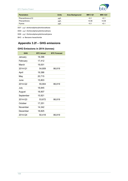

| <b>Parameters</b> | <b>Units</b> | <b>Area Background</b> | <b>MW 3 Q1</b> | <b>MW 4 Q1</b> |
|-------------------|--------------|------------------------|----------------|----------------|
| Phenanthrene-d10  | $\mu$ g/L    |                        | < 0.1          | $0.1$          |
| Phenanthrene      | $\mu$ g/L    |                        | < 0.06         | < 0.06         |
| Pyrene            | $\mu$ g/L    |                        | < 0.1          | < 0.1          |

DDT - p,p'- dichlorodiphenyltrichloroethane

DDD - p,p'- Dichlorodiphenyldichloroethane

DDE - p,p'- Dichlorodiphenyldichloroethylene

BHC - a- Benzene hexachloride

# **Appendix 3.2f – GHG emissions**

# **GHG Emissions in 2014 (tonnes)**

| <b>GHG</b> | <b>BTC Actual</b> | <b>BTC Forecast</b> |
|------------|-------------------|---------------------|
| January    | 18,396            |                     |
| February   | 17,412            |                     |
| March      | 19,001            |                     |
| 2014-Q1    | 54,809            | 86,819              |
| April      | 19,386            |                     |
| May        | 20,715            |                     |
| June       | 15,803            |                     |
| 2014-Q2    | 55,904            | 86,819              |
| July       | 18,845            |                     |
| August     | 18,907            |                     |
| September  | 15,921            |                     |
| 2014-Q3    | 53,672            | 86,819              |
| October    | 17,251            |                     |
| November   | 14,342            |                     |
| December   | 18,825            |                     |
| 2014-Q4    | 50,418            | 86,819              |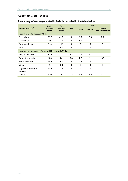# **Appendix 3.2g – Waste**

| A summary of waste generated in 2014 is provided in the table below |  |  |  |  |  |  |  |
|---------------------------------------------------------------------|--|--|--|--|--|--|--|
|---------------------------------------------------------------------|--|--|--|--|--|--|--|

|                                                | PSG <sub>1</sub>   | PSG <sub>2</sub>   |              | <b>NRC</b>    |                |                                      |  |  |  |
|------------------------------------------------|--------------------|--------------------|--------------|---------------|----------------|--------------------------------------|--|--|--|
| Type of Waste $(m^3)$                          | (Site and<br>camp) | (Site and<br>camp) | <b>BVs</b>   | <b>Tsalka</b> | <b>Borjomi</b> | <b>Rustavi</b><br>and Tbilisi office |  |  |  |
| <b>Hazardous waste disposed Off-site</b>       |                    |                    |              |               |                |                                      |  |  |  |
| Oily solids                                    | 56.5               | 41.9               | $\Omega$     | 2.6           | 0.8            | 0.7                                  |  |  |  |
| Oily liquids                                   | 15                 | 11.6               | 0            | 5.1           | 0.4            | 0                                    |  |  |  |
| Sewage sludge                                  | 310                | 119                | $\Omega$     | 0             | $\Omega$       | 0                                    |  |  |  |
| Wax                                            | 1.2                | 1.4                | 0            | 0             | 0              | 0                                    |  |  |  |
| Non-hazardous Waste Recycled/Recovered Offsite |                    |                    |              |               |                |                                      |  |  |  |
| Plastic (recycled)                             | 82.3               | 22                 | 3.4          | 2.9           | 7.1            | 1                                    |  |  |  |
| Paper (recycled)                               | 166                | 24                 | 9.4          | 1.2           | 11             | 82                                   |  |  |  |
| Metal (recycled)                               | 27.8               | 5.4                | 0            | 2.5           | 14             | 0                                    |  |  |  |
| Wood                                           | 25                 | 1.8                | $\Omega$     | $\Omega$      | $\Omega$       | $\Omega$                             |  |  |  |
| Organic wastes (food<br>wastes)                | 59.4               | 11.4               | $\mathbf{0}$ | 0             | 0              | $\mathbf{0}$                         |  |  |  |
| General                                        | 310                | 440                | 12.3         | 4.9           | 6.6            | 403                                  |  |  |  |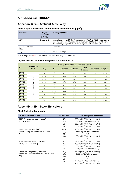

# **APPENDIX 3.2: TURKEY**

# **Appendix 3.2a – Ambient Air Quality**

#### Air Quality Standards for Ground Level Concentrations (µg/m<sup>3</sup>)

| <b>Parameter</b>               | <b>Project</b><br><b>Standards</b><br>(Turkey) | <b>Averaging Period</b>                                                                                                                                                                                                  |
|--------------------------------|------------------------------------------------|--------------------------------------------------------------------------------------------------------------------------------------------------------------------------------------------------------------------------|
| <b>VOCs</b>                    | Benzene: 5                                     | Annual average by 2010. A limit value of 10 µg/m3 (100%) must be met<br>on 13 December 2000, reducing on 1 January 2006 and every 12 months<br>thereafter by 1 $\mu q/m3$ to reach 0% (5 $\mu q/m3$ ) by 1 January 2010. |
| Oxides of Nitrogen<br>$(NO_x)$ | 40                                             | Annual mean.                                                                                                                                                                                                             |
| SO <sub>2</sub>                | 20                                             | 24 hour average.                                                                                                                                                                                                         |

NOTE: Figures in red show non-compliance with project standards.

#### **Ceyhan Marine Terminal Average Measurements 2013**

|                   |                                  | Average Ambient Concentrations (µg/m <sup>3</sup> ) |                       |                |                |                                |           |          |  |
|-------------------|----------------------------------|-----------------------------------------------------|-----------------------|----------------|----------------|--------------------------------|-----------|----------|--|
| No.               | <b>Monitoring</b><br><b>Date</b> | SO <sub>2</sub>                                     | <b>NO<sub>x</sub></b> | <b>Benzene</b> | <b>Toluene</b> | <b>Ethyl</b><br><b>Benzene</b> | mp-xylene | o-xylene |  |
| CMT <sub>1</sub>  |                                  | n/a                                                 | n/a                   | 0,05           | 0,55           | 0,09                           | 0.36      | 2,20     |  |
| CMT <sub>2</sub>  |                                  | 8,79                                                | 9,38                  | 0,22           | 0,58           | 0,08                           | 0,29      | 1,19     |  |
| CMT <sub>3</sub>  | 2013                             | 8,66                                                | 34,12                 | 0, 15          | 0.65           | 0,15                           | 0.46      | 1,99     |  |
| CMT <sub>3D</sub> |                                  | 4,55                                                | 6,27                  | n/a            | n/a            | n/a                            | n/a       | n/a      |  |
| CMT <sub>4</sub>  | Mar-Jun-Sep-Dec                  | n/a                                                 | n/a                   | 0, 10          | 0,76           | 0,08                           | 0,28      | 1,68     |  |
| <b>CMT 4D</b>     |                                  | n/a                                                 | n/a                   | 0,13           | 0,57           | 0,07                           | 0,31      | 1,85     |  |
| CMT <sub>5</sub>  |                                  | 13.51                                               | 10.78                 | 0,22           | 0,57           | 0,07                           | 0.26      | 1,72     |  |
| CMT <sub>7</sub>  |                                  | n/a                                                 | n/a                   | 0,24           | 0,30           | 0,06                           | 0,28      | 1,83     |  |
| CMT <sub>8</sub>  |                                  | 16.71                                               | 17.73                 | 0.10           | 0.53           | 0.07                           | 0.24      | 2,26     |  |
| <b>CMT 10</b>     |                                  | n/a                                                 | n/a                   | 0,26           | 3,10           | 0,25                           | 0,56      | 2,00     |  |

# **Appendix 3.2b – Stack Emissions**

#### **Stack Emission Standards**

| <b>Emission Stream Sources</b>                    | <b>Parameters</b>     | <b>Project Specified Standard</b>                      |
|---------------------------------------------------|-----------------------|--------------------------------------------------------|
| 5 MW Reciprocating engines (gas fired)            | NO <sub>x</sub>       | 500 mg/Nm <sup>3</sup> (5% Volumetric $O_2$ )          |
| (PTs 1, 2, 3 and 4)                               | SO <sub>2</sub>       | 60 mg/Nm <sup>3</sup> (5% Volumetric $O_2$ )           |
|                                                   | CO                    | 650 mg/Nm <sup>3</sup> (5% Volumetric $O_2$ )          |
|                                                   | <b>PM</b>             | 130 mg/Nm <sup>3</sup> (5% Volumetric $O_2$ )          |
| Water Heaters (diesel fired)                      | <b>NO<sub>x</sub></b> | 460 mg/Nm <sup>3</sup> (3% Volumetric O <sub>2</sub> ) |
| (Wax Handling Boilers at CMT, IPT1 and            | SO <sub>2</sub>       | 1.000 mg/Nm <sup>3</sup> (3% Volumetric                |
| IPT <sub>2</sub> )                                | CO                    | O <sub>2</sub>                                         |
|                                                   | Soot                  | 150 mg/Nm $3$ (3% Volumetric $O_2$ )                   |
|                                                   |                       | 2                                                      |
| Water Heaters (gas and LPG fired)                 | NO <sub>x</sub>       | 320 mg/Nm <sup>3</sup> (3% Volumetric $O_2$ )          |
| (CMT, PTs 1, 2, 3 and 4)                          | SO <sub>2</sub>       | 100 mg/Nm <sup>3</sup> (3% Volumetric $O_2$ )          |
|                                                   | CO.                   | 100 mg/Nm <sup>3</sup> (3% Volumetric $O_2$ )          |
|                                                   | <b>PM</b>             | 10 mg/Nm <sup>3</sup> (3% Volumetric $O_2$ )           |
| Generators/Fire pumps (diesel fired)              | NO <sub>x</sub>       | 460 mg/Nm <sup>3</sup> (3% Volumetric O <sub>2</sub> ) |
| (monitored only if the annual run time is $<$ 500 | SO <sub>2</sub>       | 1.000 mg/Nm <sup>3</sup> (3% Volumetric                |
| hrs)                                              | Soot                  | Ő,                                                     |
|                                                   | CO                    | 2                                                      |
|                                                   | <b>PM</b>             | 250 mg/Nm <sup>3</sup> (15% Volumetric $O_2$ )         |
|                                                   |                       | 75 mg/Nm <sup>3</sup> (15% Volumetric $O_2$ )          |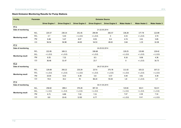#### **Stack Emission Monitoring Results for Pump Stations**

| <b>Facility</b>          | <b>Parameter</b> | <b>Emission Source</b> |                        |                        |                        |                        |                       |                       |                       |
|--------------------------|------------------|------------------------|------------------------|------------------------|------------------------|------------------------|-----------------------|-----------------------|-----------------------|
|                          |                  | <b>Driver Engine 1</b> | <b>Driver Engine 2</b> | <b>Driver Engine 3</b> | <b>Driver Engine 4</b> | <b>Driver Engine 5</b> | <b>Water Heater 1</b> | <b>Water Heater 2</b> | <b>Water Heater 3</b> |
| PT <sub>1</sub>          |                  |                        |                        |                        |                        |                        |                       |                       |                       |
| Date of monitoring       |                  |                        |                        |                        | 21-22.05.2014          |                        |                       |                       |                       |
|                          | NO <sub>x</sub>  | 225.57                 | 230.14                 | 251.45                 | 294.94                 | 282.57                 | 136.28                | 177.79                | 122.89                |
|                          | SO <sub>2</sub>  | 3.7                    | 5.43                   | $<$ L.O.D.             | $<$ L.O.D.             | $\mathbf 0$            | 4.15                  | $<$ L.O.D.            | 3.74                  |
| <b>Monitoring result</b> | <b>PM</b>        | 6.48                   | 5.47                   | 8.07                   | 8.55                   | 8.4                    | 4.74                  | 3.41                  | 5.85                  |
|                          | CO               | 56.54                  | 56.98                  | 44.83                  | 54.53                  | 49.02                  | 3.64                  | 1.33                  | 10.38                 |
| PT2                      |                  |                        |                        |                        |                        |                        |                       |                       |                       |
| Date of monitoring       |                  |                        |                        |                        | 24-25.02.2014          |                        |                       |                       |                       |
|                          | NO <sub>x</sub>  | 222.85                 | 169.11                 | $\sim$                 | 190.68                 |                        | 129.25                | 133.80                | 129.42                |
| <b>Monitoring result</b> | SO <sub>2</sub>  | $<$ L.O.D.             | $<$ L.O.D.             | $\blacksquare$         | $<$ L.O.D.             |                        | $<$ L.O.D.            | $<$ L.O.D.            | $<$ L.O.D.            |
|                          | <b>PM</b>        | 8.35                   | 7.32                   | $\sim$                 | 8.5                    |                        | 6.16                  | 9.06                  | 4.36                  |
|                          | CO               | 36.46                  | 31.47                  | ÷,                     | 23.7                   |                        | $\mathbf 0$           | $<$ L.O.D.            | 16.73                 |
| PT <sub>3</sub>          |                  |                        |                        |                        |                        |                        |                       |                       |                       |
| Date of monitoring       |                  |                        |                        |                        | 26-27.05.2014          |                        |                       |                       |                       |
|                          | NO <sub>x</sub>  | 129.08                 | 293.22                 | 233.29                 | 227.6                  | 375.78                 | 111.02                | 103.22                | 107.13                |
| <b>Monitoring result</b> | SO <sub>2</sub>  | $<$ L.O.D.             | $<$ L.O.D.             | $<$ L.O.D.             | $<$ L.O.D.             | $<$ L.O.D.             | $<$ L.O.D.            | $<$ L.O.D.            | $<$ L.O.D.            |
|                          | <b>PM</b>        | 10.04                  | 9.33                   | 6.39                   | 5.8                    | 5.57                   | 4.44                  | 4.61                  | 4.39                  |
|                          | CO               | 74.6                   | 33.2                   | 70                     | 66.24                  | 55.04                  | 1.8                   | $<$ L.O.D.            | 3.7                   |
| PT4                      |                  |                        |                        |                        |                        |                        |                       |                       |                       |
| Date of monitoring       |                  |                        |                        |                        | 30-31.05.2015          |                        |                       |                       |                       |
|                          | NO <sub>x</sub>  | 258.82                 | 289.4                  | 370.28                 | 307.33                 |                        | 129.66                | 98.61                 | 162.91                |
| <b>Monitoring result</b> | SO <sub>2</sub>  | $<$ L.O.D.             | $<$ L.O.D.             | $<$ L.O.D.             | $<$ L.O.D.             |                        | $<$ L.O.D.            | $<$ L.O.D.            | $<$ L.O.D.            |
|                          | <b>PM</b>        | 6.71                   | 6.89                   | 7.02                   | 7.21                   |                        | 7.67                  | 4.38                  | 7.34                  |
|                          | CO               | 8.8                    | 10.41                  | 12.83                  | 6.77                   |                        | $<$ L.O.D.            | 8.41                  | $<$ L.O.D.            |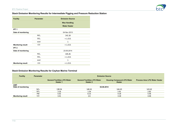

### **Stack Emission Monitoring Results for Intermediate Pigging and Pressure Reduction Station**

| <b>Facility</b>          | <b>Parameter</b> | <b>Emission Source</b> |
|--------------------------|------------------|------------------------|
|                          |                  | <b>Wax Handling</b>    |
|                          |                  | <b>Water Heater</b>    |
| IPT <sub>1</sub>         |                  |                        |
| Date of monitoring       |                  | 04 Nov 2013            |
|                          | NO <sub>x</sub>  | 141.18                 |
|                          | SO <sub>2</sub>  | $<$ L.O.D.             |
|                          | soot             | 1                      |
| <b>Monitoring result</b> | CO.              | $<$ L.O.D.             |
| IPT <sub>2</sub>         |                  |                        |
| Date of monitoring       |                  | 23.05.2014             |
|                          | NO <sub>x</sub>  | 105.26                 |
|                          | SO <sub>2</sub>  | $<$ L.O.D.             |
|                          | soot             | 1                      |
| <b>Monitoring result</b> | CO.              | $<$ L.O.D.             |

### **Stack Emission Monitoring Results for Ceyhan Marine Terminal**

| <b>Facility</b>          | <b>Parameter</b> | <b>Emission Source</b>                                 |                                                 |                                                    |                                      |  |  |
|--------------------------|------------------|--------------------------------------------------------|-------------------------------------------------|----------------------------------------------------|--------------------------------------|--|--|
|                          |                  | <b>General Facilities LPG Water</b><br><b>Heater 1</b> | <b>General Facilities LPG Water</b><br>Heater 2 | <b>Housing Compound LPG Water</b><br><b>Heater</b> | <b>Process Area LPG Water Heater</b> |  |  |
| <b>CMT</b>               |                  |                                                        |                                                 |                                                    |                                      |  |  |
| Date of monitoring       |                  |                                                        |                                                 | 02.06.2014                                         |                                      |  |  |
|                          | NO <sub>x</sub>  | 138.54                                                 | 140.41                                          | 144.43                                             | 143.42                               |  |  |
|                          | SO <sub>2</sub>  | 3.16                                                   | 1.54                                            | 2.91                                               | 2.82                                 |  |  |
|                          | <b>PM</b>        | 5.02                                                   | 6.15                                            | 4.18                                               | 5.56                                 |  |  |
| <b>Monitoring result</b> | CO               | 3.41                                                   | 2.6                                             | 3.18                                               | 4.46                                 |  |  |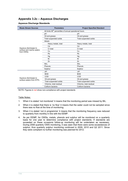# **Appendix 3.2c – Aqueous Discharges**

#### **Aqueous Discharge Standards**

| <b>Waste Stream Sources</b>                        | <b>Parameters</b>                                                    | <b>Project Specified Standard</b> |
|----------------------------------------------------|----------------------------------------------------------------------|-----------------------------------|
|                                                    | All limits 95 <sup>th</sup> percentiles of annual operational hours. |                                   |
|                                                    | pH                                                                   | рH                                |
|                                                    | Oil and grease                                                       | Oil and grease                    |
|                                                    | Total suspended solids                                               | Total suspended solids            |
|                                                    | Metals                                                               |                                   |
|                                                    | Heavy metals, total                                                  | Heavy metals, total               |
|                                                    | Cd                                                                   | Cd                                |
| Aqueous discharges to<br>surface and marine waters | Cr total                                                             | Cr total                          |
| from OWSs                                          | Cu                                                                   | Cu                                |
|                                                    | Pb                                                                   | Pb                                |
|                                                    | Hg                                                                   | Hg                                |
|                                                    | Ni                                                                   | Ni                                |
|                                                    | Zn                                                                   | Zn                                |
|                                                    | NH <sub>4</sub>                                                      | NH <sub>4</sub>                   |
|                                                    | Phenols                                                              | Phenols                           |
|                                                    | Sulphur                                                              | Sulphur                           |
|                                                    | pH                                                                   | рH                                |
|                                                    | <b>BOD</b>                                                           | <b>BOD</b>                        |
|                                                    | COD                                                                  | COD                               |
| Aqueous discharges to<br>surface waters from STPs  | Oil and grease                                                       | Oil and grease                    |
|                                                    | Total suspended solids                                               | Total suspended solids            |
|                                                    | Chlorine, total residual                                             | Chlorine, total residual          |
|                                                    | Coliform bacteria                                                    | Coliform bacteria                 |

NOTE: Figures in red show non-compliance with project standards

#### Table Notes:

- 1. When it is stated 'not monitored' it means that the monitoring period was missed by BIL.
- 2. When it is stated that there is 'no flow' it means that the water could not be sampled since there was no flow at the time of monitoring.
- 3. When it is stated 'not in programme' it means that the monitoring frequency was reduced to quarterly from monthly in line with the EEMP.
- 4. As per EEMP, for OWSs, metals, phenols and sulphur will be monitored on a quarterly basis for one year to determine compliance with project standards. If standards are exceeded on these occasions follow-up monitoring will be undertaken as necessary. During 2008 quarterly OWS monitoring, it was seen that there were some exceedances of sulphur; thus quarterly sulphur monitoring continued in 2009, 2010 and Q2 2011. Since they were compliant no further monitoring was planned for 2012.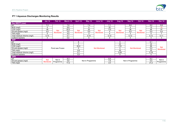

## **PT 1 Aqueous Discharges Monitoring Results**

|                                 | <b>Jan 14</b>    | Feb 14           | March 14 | April 14   | <b>May 14</b>    | June 14              | July 14 | Aug 14           | Sep 14           | <b>Oct 14</b>        | <b>Nov 14</b> | <b>Dec 14</b>    |
|---------------------------------|------------------|------------------|----------|------------|------------------|----------------------|---------|------------------|------------------|----------------------|---------------|------------------|
| Ops WWTP (new)                  |                  |                  |          |            |                  |                      |         |                  |                  |                      |               |                  |
| pH                              | 7,3              |                  | 7,6      |            | 7.4              |                      | 7,1     |                  | 6,6              |                      | 8,0           | 8,8              |
| $\overline{BOD}$ (mg/l)         |                  |                  | 8,8      |            |                  |                      | 20      |                  | 4                |                      | 15            | 31               |
| COD (mg/l)                      | 48               | <b>Not</b>       | 20,0     | <b>Not</b> | $\overline{20}$  | <b>Not</b>           | 112     | <b>Not</b>       | 38               | <b>Not</b>           | 66            | 97               |
| Oil and grease (mg/l)           | 5,0              | <b>Monitored</b> | 5,0      | Monitored  | 5,0              | <b>Monitored</b>     | 5       | <b>Monitored</b> | 5,0              | <b>Monitored</b>     | 5,0           | 5,0              |
| TSS (mg/l)                      | 5                |                  | 4,0      |            | 3                |                      |         |                  | 3                |                      | 5             |                  |
| Total residual chlorine (mg/l)  | 0, 15            |                  | 0,1      |            | 0, 10            |                      | 0,12    |                  | 0,12             |                      | 0,12          | 0,11             |
| Coliform bacteria               | 3                |                  | 0,0      |            | $\Omega$         |                      | 0       |                  | 3                |                      | 3             | 3                |
| <b>SWP</b>                      |                  |                  |          |            |                  |                      |         |                  |                  |                      |               |                  |
| pH                              |                  |                  |          | 8          |                  |                      |         | 9                |                  |                      | 8,1           |                  |
| BOD (mg/l)                      |                  |                  |          | 4          |                  |                      |         | 22               |                  |                      | 24            |                  |
| $\overline{C}$ OD (mg/l)        |                  |                  |          | 20,0       |                  |                      |         | 118              |                  |                      | 86            | <b>Not</b>       |
| Oil and grease (mg/l)           |                  | Pond was Frozen  |          | 5          |                  | <b>Not Monitored</b> |         | 5                |                  | <b>Not Monitored</b> | 5,0           | <b>Monitored</b> |
| $\overline{\text{TS}}$ S (mg/l) |                  |                  |          | 4,8        |                  |                      |         | 49               |                  |                      | 20            |                  |
| Total residual chlorine (mg/l)  |                  |                  |          | 0,1        |                  |                      |         | 0,08             |                  |                      | 0,18          |                  |
| Coliform bacteria               |                  |                  |          | 0,0        |                  |                      |         | 0                |                  |                      | 3             |                  |
| <b>OWS</b>                      |                  |                  |          |            |                  |                      |         |                  |                  |                      |               |                  |
| pH                              | <b>Not</b>       | Not in           | 8,3      |            |                  |                      | 8,9     |                  |                  |                      | 8,2           | Not in           |
| Oil and grease (mg/l)           | <b>Monitored</b> |                  | 5,6      |            | Not in Programme |                      | 7,8     |                  | Not in Programme |                      | 5,0           |                  |
| $\overline{\text{TSS}}$ (mg/l)  |                  | Programme        | 17,2     |            |                  |                      | 2,0     |                  |                  |                      | 21,2          | Programme        |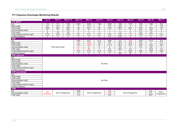|                                | <b>Jan 14</b>    | Feb 14          | March 14         | April 14       | <b>May 14</b> | June 14          | July 14        | Aug 14      | Sep 14           | <b>Oct 14</b>  | <b>Nov 14</b>     | <b>Dec 14</b>  |
|--------------------------------|------------------|-----------------|------------------|----------------|---------------|------------------|----------------|-------------|------------------|----------------|-------------------|----------------|
| <b>Ops WWTP</b>                |                  |                 |                  |                |               |                  |                |             |                  |                |                   |                |
| pH                             | 7,8              | 7,7             | 7,25             | 8,19           | 8,09          | 7,98             | 8,05           | 7,94        | 7,70             | 7,95           | 7,85              | 8,8            |
| BOD (mg/l)                     | 9,7              | 12,7            | 4,0              | 8              | 11,4          | 4                | 12,4           | 16,6        | $\overline{4}$   | 4,0            | 5                 | 11,0           |
| COD (mq/l)                     | 55,8             | 42,0            | 20,0             | 20             | 50,1          | 20               | 61,8           | 100,0       | 26,7             | 20,0           | 20,0              | 35             |
| Oil and grease (mg/l)          | 5                | 5               | 5,0              | $\overline{5}$ | 5             | $\overline{5}$   | 5              | 5           | 5                | 5,0            | 5,0               | $\overline{5}$ |
| $\overline{\text{TSS (mg/l)}}$ | $\overline{9}$   | 25              | 4,0              | $\overline{2}$ | 3             | $\overline{2}$   | $\overline{2}$ | 18          | 6                | 5,6            | 2,4               | 3              |
| Total residual chlorine (mg/l) | 0,14             | 0,14            | 0,15             | 0,11           | 0,13          | 0,11             | 0,15           | 0,14        | 1,70             | 0,05           | 0,11              | 0,11           |
| Coliform bacteria              | 3                | 3               | $\mathbf 0$      | $\mathbf 0$    | $\mathbf{0}$  | $\mathbf 0$      | 0,0            | 0,00        | $\Omega$         | $\mathbf 0$    | 3                 | 3              |
| <b>SWP</b>                     |                  |                 |                  |                |               |                  |                |             |                  |                |                   |                |
| pH                             |                  |                 |                  | 8,50           | 8,57          | 8,14             | 8,98           | 8,6         | 9,92             | 8,99           | 8,14              | 8,9            |
| BOD (mg/l)                     |                  |                 |                  | 26             | 33,8          | 7,6              | 24             | 16,4        | 19,2             | 5,6            | $\overline{4}$    | 11,7           |
| COD (mg/l)                     |                  |                 |                  | 77,3           | 152,8         | 20               | 111,2          | 88,2        | 67,5             | 20,8           | 20,0              | 32,3           |
| Oil and grease (mg/l)          |                  | Pond was Frozen |                  | 5              | 5             | 5                | 5              | 5,0         | 5                | 5,0            | 5,0               | $\overline{5}$ |
| TSS(mg/l)                      |                  |                 |                  | 51             | 68            | $\overline{7}$   | 8,4            | 29,0        | 4,0              | $\overline{4}$ | 22,0              | 2,0            |
| Total residual chlorine (mg/l) |                  |                 |                  | 0,14           | 0,15          | 0,15             | 0,15           | $\mathbf 0$ | 0,08             | 0,02           | 0,05              | 0,09           |
| Coliform bacteria              |                  |                 |                  | $\mathbf 0$    | $\mathbf 0$   | $\mathbf 0$      | $\mathbf 0$    | 200         | 22               | $\mathbf 0$    | 3                 | 3              |
| <b>SWP</b> upstream            |                  |                 |                  |                |               |                  |                |             |                  |                |                   |                |
| pH                             |                  |                 |                  |                |               |                  |                |             |                  |                |                   |                |
| BOD (mg/l)                     |                  |                 |                  |                |               |                  |                |             |                  |                |                   |                |
| $COD$ (mg/l)                   |                  |                 |                  |                |               |                  |                |             |                  |                |                   |                |
| Oil and grease (mg/l)          |                  |                 |                  |                |               |                  | No Flow        |             |                  |                |                   |                |
| TSS (mg/l)                     |                  |                 |                  |                |               |                  |                |             |                  |                |                   |                |
| Total residual chlorine (mg/l) |                  |                 |                  |                |               |                  |                |             |                  |                |                   |                |
| Coliform bacteria              |                  |                 |                  |                |               |                  |                |             |                  |                |                   |                |
| <b>SWP</b> downstream          |                  |                 |                  |                |               |                  |                |             |                  |                |                   |                |
| pH                             |                  |                 |                  |                |               |                  |                |             |                  |                |                   |                |
| BOD (mg/l)                     |                  |                 |                  |                |               |                  |                |             |                  |                |                   |                |
| COD (mg/l)                     |                  |                 |                  |                |               |                  |                |             |                  |                |                   |                |
| Oil and grease (mg/l)          |                  |                 |                  |                |               |                  | No Flow        |             |                  |                |                   |                |
| TSS (mg/l)                     |                  |                 |                  |                |               |                  |                |             |                  |                |                   |                |
| Total residual chlorine (mg/l) |                  |                 |                  |                |               |                  |                |             |                  |                |                   |                |
| Coliform bacteria              |                  |                 |                  |                |               |                  |                |             |                  |                |                   |                |
| <b>OWS</b>                     |                  |                 |                  |                |               |                  |                |             |                  |                |                   |                |
| pH                             |                  |                 |                  | 8,45           |               |                  | 7,8            |             |                  |                | 8,3               |                |
| Oil and grease (mg/l)          | <b>Not</b>       |                 | Not in Programme | 5,0            |               | Not in Programme | 19,2           |             | Not in Programme |                | 5,0               | Not in         |
| TSS(mg/l)                      | <b>Monitored</b> |                 |                  | 11,2           |               |                  | 6,8            |             |                  |                | $\overline{20.4}$ | Programme      |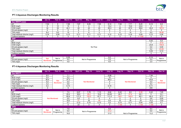

### **PT 3 Aqueous Discharges Monitoring Results**

|                                | <b>Jan 14</b>    | Feb 14    | March 14 | April 14       | <b>May 14</b>    | June 14 | July 14 | Aug 14 | Sep 14           | <b>Oct 14</b> | <b>Nov 14</b> | <b>Dec 14</b> |
|--------------------------------|------------------|-----------|----------|----------------|------------------|---------|---------|--------|------------------|---------------|---------------|---------------|
| Ops WWTP (new)                 |                  |           |          |                |                  |         |         |        |                  |               |               |               |
| pH                             | 7,52             | 8         | 7,98     | 7,87           | 8,05             | 7,95    | 8,14    | 7,92   | 7.71             | 8,20          | 8,12          | 8,5           |
| BOD (mg/l)                     | 5                | 10        | 10       | 4              | 4                | 4       | 12,2    | 4      | 15,9             | 22,6          | 4             | 33            |
| $\overline{COD}$ (mg/l)        | 34               | 39        | 40,1     | 20             | 20               | 20      | 85,3    | 40     | 67,5             | 99,6          | 20,0          | 167,0         |
| Oil and grease (mg/l)          | 5                | 5         | 5        | 5              | 5                | 5       | 5       | 5      | 5                | 5             | 5             | 5             |
| $\overline{\text{TSS}}$ (mg/l) | 8,4              | 6,0       | 10       | $\overline{2}$ | 6                | 2       |         | 6      | 14               | 17            | 6,0           | 38,80         |
| Total residual chlorine (mg/l) | 0, 16            | 0,09      | 0,13     | 0,11           | 0,11             | 0,11    | 0,12    | 0,12   | 0,16             | 0,09          | 0,12          | 0,08          |
| Coliform bacteria              | 3                | 3         | 3        | 3              | 3                | 3       | 3       | 3      | 0                | > 1100        | 3             | 3             |
| <b>SWP</b>                     |                  |           |          |                |                  |         |         |        |                  |               |               |               |
| pH                             |                  |           |          |                |                  |         |         |        |                  |               | 8,00          | 8,8           |
| BOD (mg/l)                     |                  |           |          |                |                  |         |         |        |                  |               |               | 27,9          |
| $\overline{C}$ OD (mg/l)       |                  |           |          |                |                  |         |         |        |                  |               | 23,8          | 150,9         |
| Oil and grease (mg/l)          |                  |           |          |                |                  | No Flow |         |        |                  |               | 5,0           | 5,00          |
| TSS (mg/l)                     |                  |           |          |                |                  |         |         |        |                  |               | 5,2           | 43,00         |
| Total residual chlorine (mg/l) |                  |           |          |                |                  |         |         |        |                  |               | 0,03          | 0,13          |
| Coliform bacteria              |                  |           |          |                |                  |         |         |        |                  |               | 3             | 3             |
| <b>OWS</b>                     |                  |           |          |                |                  |         |         |        |                  |               |               |               |
| pH                             | <b>Not</b>       | Not in    | 8,08     |                |                  |         | 8,2     |        |                  |               | 8,14          | Not in        |
| Oil and grease (mg/l)          | <b>Monitored</b> | Programme | 5,0      |                | Not in Programme |         | 5,0     |        | Not in Programme |               | 5,0           | Programme     |
| TSS (mg/l)                     |                  |           | 4,8      |                |                  |         | 8,0     |        |                  |               | 2,0           |               |

### **PT 4 Aqueous Discharges Monitoring Results**

|                                | <b>Jan 14</b> | <b>Feb 14</b>        | March 14     | April 14 | <b>May 14</b>        | June 14 | July 14 | Aug 14 | Sep 14               | <b>Oct 14</b> | <b>Nov 14</b> | <b>Dec 14</b> |
|--------------------------------|---------------|----------------------|--------------|----------|----------------------|---------|---------|--------|----------------------|---------------|---------------|---------------|
| Ops WWTP                       |               |                      |              |          |                      |         |         |        |                      |               |               |               |
| pH                             | 8,0           |                      | 7,1          |          |                      |         | 8,98    |        |                      |               | 7,94          |               |
| BOD (mg/l)                     | 5,4           |                      | 5,2          |          |                      |         | 10      |        |                      |               |               |               |
| $\overline{COD}$ (mg/l)        | 36,4          | <b>Not</b>           | 37,3         |          |                      |         | 85,3    |        |                      |               | 43,6          | <b>Not</b>    |
| Oil and grease (mg/l)          | 5,0           | Monitored            | 5,0          |          | <b>Not Monitored</b> |         | 5       |        | <b>Not Monitored</b> |               | 5,0           | Monitored     |
| $\overline{\text{TSS}}$ (mg/l) | 3,2           |                      | 5,6          |          |                      |         | 4       |        |                      |               | 9,2           |               |
| Total residual chlorine (mg/l) | 0,2           |                      | 0,13         |          |                      |         | 0,10    |        |                      |               | 0,11          |               |
| Coliform bacteria              | $\Omega$      |                      | 5            |          |                      |         | 3       |        |                      |               | 240           |               |
| <b>SWP</b>                     |               |                      |              |          |                      |         |         |        |                      |               |               |               |
| pH                             |               |                      | 7,5          | 8,97     | 7,78                 | 7,15    | 8,94    | 8,22   | 8,5                  | 9,39          | 8,42          | 7,95          |
| $\overline{BOD}$ (mg/l)        |               |                      | 20.4         | 38,9     | 28,2                 | 10,6    | 24,00   | 24,7   | 27,4                 | 22,1          | 11            | 12,1          |
| $\overline{COD}$ (mg/l)        |               |                      | 65,9         | 117,3    | 120,2                | 67,7    | 111.2   | 138,1  | 140,0                | 82,1          | 80,3          | 57,7          |
| Oil and grease (mg/l)          |               | <b>Not Monitored</b> | 5,0          | 5,0      | 5                    | 5       | 5       | 5      | 5                    | 5             | 5,6           | 5,00          |
| TSS (mg/l)                     |               |                      | 18,0         | 51       | 30                   | 49      | 8,4     | 33     | 35                   | 20            | 15,2          | 13,6          |
| Total residual chlorine (mg/l) |               |                      | 0,1          | 0,12     | 0, 15                | 0, 13   | 0,2     | 0,13   | 0,11                 | 0,04          | 0,05          | 0,1           |
| Coliform bacteria              |               |                      | $\mathbf{0}$ | 23       | 3                    | 3       | 3       | 1.100  | 3                    | 1.100         | 1.100         | 3             |
| <b>OWS</b>                     |               |                      |              |          |                      |         |         |        |                      |               |               |               |
| pH                             | <b>Not</b>    | Not in               | 7,8          |          |                      |         | 8,5     |        |                      |               | 8,4           | Not in        |
| Oil and grease (mg/l)          | Monitored     | Programme            | 5,0          |          | Not in Programme     |         | 31,2    |        |                      |               | 5,0           | Programme     |
| TSS (mg/l)                     |               |                      | 18,0         |          |                      |         | 21,0    |        | Not in Programme     |               | 13,2          |               |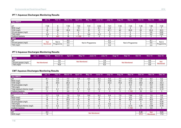### **IPT 1 Aqueous Discharges Monitoring Results**

|                       | Jan 14           | Feb <sub>14</sub> | March 14 | April 14 | <b>May 14</b>    | June 14 | July 14 | Aug 14 | Sep 14           | <b>Oct 14</b> | <b>Nov 14</b> | <b>Dec 14</b> |
|-----------------------|------------------|-------------------|----------|----------|------------------|---------|---------|--------|------------------|---------------|---------------|---------------|
| <b>Ops WWTP</b>       |                  |                   |          |          |                  |         |         |        |                  |               |               |               |
|                       |                  |                   |          |          |                  |         |         |        |                  |               |               |               |
| pH                    | 7,38             | 8                 | 7,69     | 7,84     | 7,61             | 6,52    | 7,61    | 7,53   | 7,34             | 7,36          | 7,86          | 7,30          |
| BOD (mg/l)            |                  | 8                 |          | 10       |                  | 6.1     | 4,0     |        |                  |               |               |               |
| COD (mg/l)            | 20               | 28                | 20,0     | 20.7     | 20               | 21      | 47.1    | 40     | 55,8             | 20            | 20,0          | 32,3          |
| Oil and grease (mg/l) |                  | 5                 | ٠h       | 5        |                  |         |         | ۰,     |                  | h             | 5,8           | 5,00          |
| TSS (mg/l)            | 2,8              | ◠                 | ົ        |          | 6,8              | 14,1    | 12      |        |                  |               | 9,2           | 2,00          |
| Coliform bacteria     |                  | 447               | 78       | >1100    |                  |         |         |        | 23               | 3             |               |               |
| <b>OWS</b>            |                  |                   |          |          |                  |         |         |        |                  |               |               |               |
| pH                    |                  |                   | 8,0      |          |                  |         | 8,1     |        |                  |               | 8,1           |               |
| Oil and grease (mg/l) | <b>Not</b>       | Not in            | 5,0      |          | Not in Programme |         | 5,0     |        | Not in Programme |               | 5,0           | Not in        |
| TSS (mg/l)            | <b>Monitored</b> | Programme         | 2,0      |          |                  |         | 5,0     |        |                  |               | 2,0           | Programme     |

### **IPT 2 Aqueous Discharges Monitoring Results**

|                       | Jan 14 | Feb <sub>14</sub>    | March 14 <sup>1</sup> | April 14 | May 14               | June 14 | July 14 | Aug 14 | Sep 14               | <b>Oct 14</b> | Nov 14 | Dec $14$                       |
|-----------------------|--------|----------------------|-----------------------|----------|----------------------|---------|---------|--------|----------------------|---------------|--------|--------------------------------|
| <b>OWS</b>            |        |                      |                       |          |                      |         |         |        |                      |               |        |                                |
| рH                    |        |                      |                       |          |                      |         |         |        |                      |               | 8,6    |                                |
| Oil and grease (mg/l) |        | <b>Not Monitored</b> | $\sim$ $\sim$         |          | <b>Not Monitored</b> |         | 2.0     |        | <b>Not Monitored</b> |               | 5,0    | <b>Not</b><br><b>Monitored</b> |
| TSS (mg/l)            |        |                      | 16.8                  |          |                      |         | 6.0     |        |                      |               | 8.8    |                                |

#### **CMT Aqueous Discharges Monitoring Results**

|                                | <b>Jan 14</b> | Feb <sub>14</sub> | March 14 | April 14 | <b>May 14</b> | June 14              | July 14 | <b>Aug 14</b>  | Sep 14        | <b>Oct 14</b> | <b>Nov 14</b>    | <b>Dec 14</b> |
|--------------------------------|---------------|-------------------|----------|----------|---------------|----------------------|---------|----------------|---------------|---------------|------------------|---------------|
| Ops WWTP                       |               |                   |          |          |               |                      |         |                |               |               |                  |               |
| pH                             | 8,1           | 7,9               | 7,7      | 7,8      | 8,3           | 6,3                  | 8,2     | 7,7            | 7.27          | 7,50          | 8,0              | 8,2           |
| BOD (mg/l)                     | 4             | 4,0               | 4,0      | 4        | 4             | 5,5                  | 4,00    | 9,4            | 14,9          | 4,8           | 4,0              | 6,6           |
| COD (mg/l)                     | 25            | 20,0              | 20,0     | 20       | 20            | 20                   | 44,2    | 70,6           | 87,9          | 29,6          | 26,6             | 32,3          |
| Oil and grease (mg/l)          | ۰.            | 5                 | 5,0      | 5        | 5             | 5                    | 5       | 5              | 5,0           | 5,0           | 5,0              | 5,00          |
| $TSS$ (mg/l)                   | 2,0           |                   | 2,0      | 4        | 5             | 3                    | 2       | 8              | 12            |               | 4,8              | 2,00          |
| Total residual chlorine (mg/l) | 0,1           | 0,1               | 0.1      | 0,1      | 0,2           | 0,2                  | 0,1     | 0,1            | 0,1           | 0.11          | 0.1              | 0,12          |
| Coliform bacteria              | 3             | 3                 | 3,0      | 3        | 3             | 3                    | 3       | 3              | 1.100         | 23            | 3,0              | 3             |
| <b>Construction WWTP</b>       |               |                   |          |          |               |                      |         |                |               |               |                  |               |
| pH                             | 7,7           | 7,8               | 7,8      | 7,6      | 8,6           | 6,2                  | 8,4     | 7,5            | 7,64          | 7,51          | 7,8              | 8,8           |
| $\overline{BOD \ (mg/l)}$      | 9             |                   | 4,0      |          | 4             | 6                    | 5       | 5              | 4,0           | 4,0           | 4,2              | 5,2           |
| COD (mg/l)                     | 36            | 31                | 20,0     | 75       | 20            | 59                   | 30      | 40             | 32,5          | 20,0          | 29,5             | 26,7          |
| Oil and grease (mg/l)          | 5             | 5                 | 5,0      | 5        | 5             | 5                    | 5       | 5              | 5             | 5             | 5,0              | 5,00          |
| TSS (mg/l)                     | 4             | 6                 | 3,2      | 2        | 2             | 3                    | 9,2     | $\overline{2}$ | $\mathcal{P}$ | 3             | 2,0              | 6,40          |
| Total residual chlorine (mg/l) | 0,2           | 0,2               | 0,1      | 0,1      | 0,1           | 0,1                  | 0,1     | 1.1            | 0,13          | 0,05          | 0,08             | 0, 16         |
| Coliform bacteria              | 3             | 3                 | 3,0      | 3        | 3             | 3                    | 3       | 3              | 1.100         | 3             | 3,0              | 3             |
| <b>SWP</b>                     |               |                   |          |          |               |                      |         |                |               |               |                  |               |
| pH                             | 8,5           |                   |          |          |               | <b>Not Monitored</b> |         |                |               | 8,98          | <b>Not</b>       | 8,84          |
| BOD (mg/l)                     | 14            |                   |          |          |               |                      |         |                |               | 87,8          | <b>Monitored</b> | 17,6          |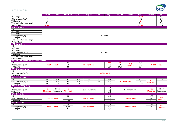|                                        | <b>Jan 14</b>    | Feb <sub>14</sub>    | March 14   | April 14 | <b>May 14</b>        | June 14 | July 14              | Aug 14               | Sep 14               | <b>Oct 14</b> | <b>Nov 14</b>    | <b>Dec 14</b>        |
|----------------------------------------|------------------|----------------------|------------|----------|----------------------|---------|----------------------|----------------------|----------------------|---------------|------------------|----------------------|
| COD (mg/l)                             | 39               |                      |            |          |                      |         |                      |                      |                      | 350,4         |                  | 46,4                 |
| Oil and grease (mg/l)                  | 5                |                      |            |          |                      |         |                      |                      |                      | 5,0           |                  | 5,00                 |
| TSS (mg/l)                             | 2                |                      |            |          |                      |         |                      |                      |                      | 124           |                  | 6                    |
| Total residual chlorine (mg/l)         | 0,1              |                      |            |          |                      |         |                      |                      |                      | 0,01          |                  | 0,10                 |
| Coliform bacteria                      | 1.100            |                      |            |          |                      |         |                      |                      |                      | >1100         |                  | $\overline{23}$      |
| <b>SWP upstream</b>                    |                  |                      |            |          |                      |         |                      |                      |                      |               |                  |                      |
| pH                                     |                  |                      |            |          |                      |         |                      |                      |                      |               |                  |                      |
| BOD (mg/l)                             |                  |                      |            |          |                      |         |                      |                      |                      |               |                  |                      |
| COD (mg/l)                             |                  |                      |            |          |                      |         |                      |                      |                      |               |                  |                      |
| Oil and grease (mg/l)                  |                  |                      |            |          |                      |         | No Flow              |                      |                      |               |                  |                      |
| TSS (mg/l)                             |                  |                      |            |          |                      |         |                      |                      |                      |               |                  |                      |
| Total residual chlorine (mg/l)         |                  |                      |            |          |                      |         |                      |                      |                      |               |                  |                      |
| Coliform bacteria                      |                  |                      |            |          |                      |         |                      |                      |                      |               |                  |                      |
| <b>SWP</b> downstream                  |                  |                      |            |          |                      |         |                      |                      |                      |               |                  |                      |
| pH                                     |                  |                      |            |          |                      |         |                      |                      |                      |               |                  |                      |
| BOD (mg/l)                             |                  |                      |            |          |                      |         |                      |                      |                      |               |                  |                      |
| COD (mg/l)                             |                  |                      |            |          |                      |         |                      |                      |                      |               |                  |                      |
| Oil and grease (mg/l)                  |                  |                      |            |          |                      |         | No Flow              |                      |                      |               |                  |                      |
| TSS (mg/l)                             |                  |                      |            |          |                      |         |                      |                      |                      |               |                  |                      |
| Total residual chlorine (mg/l)         |                  |                      |            |          |                      |         |                      |                      |                      |               |                  |                      |
| Coliform bacteria                      |                  |                      |            |          |                      |         |                      |                      |                      |               |                  |                      |
| OWS 1&2 (office and housing compounds) |                  |                      |            |          |                      |         |                      |                      |                      |               |                  |                      |
| pH                                     |                  |                      | 8,3        |          |                      |         | 11,0                 | 9,6                  |                      | 8,07          |                  |                      |
| Oil and grease (mg/l)                  |                  | <b>Not Monitored</b> | 5,0        |          | <b>Not Monitored</b> |         | 5,6                  | 5,0                  | <b>Not</b>           | 5,6           |                  | <b>Not Monitored</b> |
| TSS (mg/l)                             |                  |                      | 3,6        |          |                      |         | 20,6                 | 26,4                 | Monitored            | 33,6          |                  |                      |
| <b>OWS 3 (process area)</b>            |                  |                      |            |          |                      |         |                      |                      |                      |               |                  |                      |
| pH                                     |                  |                      |            |          |                      |         |                      |                      |                      |               |                  |                      |
| Oil and grease (mg/l)                  |                  |                      |            |          |                      |         | <b>Not Monitored</b> |                      |                      |               |                  |                      |
| TSS (mg/l)                             |                  |                      |            |          |                      |         |                      |                      |                      |               |                  |                      |
| <b>OWS 4 (tank farm)</b>               |                  |                      |            |          |                      |         |                      |                      |                      |               |                  |                      |
| pH                                     | 8,4              | 8,3                  | 8,3        | 8,8      | 8,8                  | 6,3     | 8,90                 |                      |                      | 8,47          |                  | 8,3                  |
| Oil and grease (mg/l)                  | 5,0              | 5,0                  | 5,0        | 5,0      | 5,0                  | 5,0     | 5,0                  | <b>Not Monitored</b> |                      | 5,0           | <b>Not</b>       | 5,0                  |
| TSS (mg/l)                             | 2,0              | 2,0                  | 2,0        | 2,0      | 2,0                  | 2,2     | 2,0                  |                      |                      | 2,80          | <b>Monitored</b> | 2,0                  |
| <b>OWS 5 (metering area)</b>           |                  |                      |            |          |                      |         |                      |                      |                      |               |                  |                      |
| pH                                     |                  |                      |            |          |                      |         | 7,7                  |                      |                      |               |                  |                      |
| Oil and grease (mg/l)                  | <b>Not</b>       | Not in               | <b>Not</b> |          | Not in Programme     |         | $\overline{5,0}$     |                      | Not in Programme     |               | <b>Not</b>       | Not in               |
| TSS (mg/l)                             | <b>Monitored</b> | Programme            | Monitored  |          |                      |         | 2,0                  |                      |                      |               | <b>Monitored</b> | Programme            |
| OWS 6 (jetty 1)                        |                  |                      |            |          |                      |         |                      |                      |                      |               |                  |                      |
| pH                                     |                  |                      | 8,0        |          |                      |         | 8,1                  |                      |                      |               | 8,60             |                      |
| Oil and grease (mg/l)                  |                  | <b>Not Monitored</b> | 5          |          | <b>Not Monitored</b> |         | $\overline{5,0}$     |                      | <b>Not Monitored</b> |               | 6,40             | <b>Not</b>           |
| TSS (mg/l)                             |                  |                      | 2,00       |          |                      |         | 2,0                  |                      |                      |               | 5,00             | <b>Monitored</b>     |
| OWS 7 (jetty 2)                        |                  |                      |            |          |                      |         |                      |                      |                      |               |                  |                      |
| pH                                     |                  |                      | 7,9        |          |                      |         | 8,1                  |                      |                      |               | 8,52             |                      |
| Oil and grease (mg/l)                  |                  | <b>Not Monitored</b> | 5,00       |          | <b>Not Monitored</b> |         | 5,0                  |                      | <b>Not Monitored</b> |               | 6,60             | <b>Not</b>           |
| TSS (mg/l)                             |                  |                      | 3,2        |          |                      |         | 8,0                  |                      |                      |               | 4,00             | Monitored            |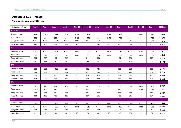# **Appendix 3.2d – Waste**

### **Total Waste Volumes 2014 (kg)**

| All figures are in kg | <b>Jan 14</b> | Feb 14 | March 14 | April 14 | <b>May.14</b> | June 14 | July 14 | Aug 14 | <b>Sep 14</b> | <b>Oct 14</b> | <b>Nov 14</b> | <b>Dec 14</b> | <b>TOTAL</b> |
|-----------------------|---------------|--------|----------|----------|---------------|---------|---------|--------|---------------|---------------|---------------|---------------|--------------|
| <b>PT1&amp;IPT2</b>   |               |        |          |          |               |         |         |        |               |               |               |               |              |
| Domestic waste        | 892           | 1.029  | 1.634    | 904      | 1.706         | 1.398   | 1.167   | 1.164  | 1.199         | 1.262         | 1.087         | 2.417         | 15.859       |
| Food waste            | 520           | 1.314  | 576      | 1.130    | 2.100         | 1.861   | 1.318   | 1.476  | 1.708         | 1.400         | 860           | 2.750         | 17.013       |
| Recyclable waste      | 1.251         | 1.720  | 2.507    | 1.376    | 1.056         | 592     | 659     | 434    | 729           | 515           | 538           | 1.581         | 12.958       |
| Hazardous waste       | 146           | 276    | 287      | 283      | 25            | 318     | 949     | 441    | 401           | 1.034         | 555           | 200           | 4.915        |
| PT <sub>2</sub>       |               |        |          |          |               |         |         |        |               |               |               |               |              |
| Domestic waste        | 2.095         | 1.742  | 1.787    | 1.628    | 1.693         | 1.368   | 1.415   | 1.545  | 1.310         | 1.339         | 1.404         | 1.201         | 18.527       |
| Food waste            | 1.967         | 1.851  | 1.726    | 1.874    | 1.429         | 1.292   | 574     | 1.474  | 1.533         | 1.604         | 1.894         | 1.525         | 18.743       |
| Recyclable waste      | 685           | 537    | 497      | 512      | 661           | 514     | 439     | 461    | 197           | 528           | 759           | 523           | 6.313        |
| Hazardous waste       | 58            | 138    | 292      | 59       | 101           | 95      | 55      | 4      | 155           | 170           | 245           | 105           | 1.476        |
| PT <sub>3</sub>       |               |        |          |          |               |         |         |        |               |               |               |               |              |
| Domestic waste        | 836           | 990    | 1.199    | 861      | 802           | 697     | 741     | 660    | 695           | 556           | 528           | 836           | 9.401        |
| Food waste            | 528           | 865    | 1.006    | 853      | 724           | 630     | 625     | 506    | 503           | 480           | 481           | 528           | 7.729        |
| Recyclable waste      | 263           | 582    | 651      | 549      | 472           | 412     | 429     | 436    | 504           | 211           | 216           | 263           | 4.988        |
| Hazardous waste       | 128           | 229    | 465      | 425      | 529           | 164     | 784     | 954    | 418           | 110           | 161           | 128           | 4.495        |
| <b>PT4</b>            |               |        |          |          |               |         |         |        |               |               |               |               |              |
| Domestic waste        | 512           | 418    | 382      | 478      | 440           | 540     | 670     | 585    | 1.097         | 1.488         | 1.657         | 1.470         | 9.737        |
| Food waste            | 1.040         | 800    | 850      | 1.413    | 563           | 909     | 1.229   | 743    | 957           | 1.524         | 1.168         | 1.281         | 12.477       |
| Recyclable waste      | 546           | 582    | 592      | 612      | 747           | 580     | 392     | 449    | 668           | 569           | 604           | 486           | 6.827        |
| Hazardous waste       | 130           | 195    | 100      | 105      | 469           | 301     | 295     | 354    | 485           | 215           | 662           | 371           | 3.682        |
| IPT1                  |               |        |          |          |               |         |         |        |               |               |               |               |              |
| Domestic waste        | 1.300         | 650    | 1.138    | 935      | 840           | 945     | 1.015   | 1.045  | 900           | 1.095         | 1.215         | 1.170         | 12.248       |
| Food waste            | 1.480         | 1.790  | 1.625    | 1.385    | 1.515         | 2.015   | 1.530   | 1.519  | 1.435         | 1.585         | 1.355         | 1.930         | 19.164       |
| Recyclable waste      | 263           | 255    | 253      | 236      | 286           | 256     | 268     | 253    | 215           | 227           | 246           | 240           | 2.998        |
| Hazardous waste       | 41            | 9      | 80       | 48       | 70            | 76      | 60      | 70     | 145           | 323           | 214           | 75            | 1.211        |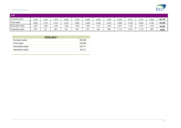#### BTC Pipeline Project



| <b>CMT</b>       |       |       |       |       |       |       |       |       |       |       |       |       |        |
|------------------|-------|-------|-------|-------|-------|-------|-------|-------|-------|-------|-------|-------|--------|
| Domestic waste   | 7.300 | 7.340 | 7.810 | 8.350 | 7.540 | 8.940 | 8.030 | 7.820 | 9.320 | 8.010 | 8.170 | 9.540 | 98.170 |
| Food waste       | 3.645 | 3.175 | 3.315 | 3.915 | 3.665 | 4.255 | 3.430 | 4.070 | 4.490 | 3.740 | 3.508 | 4.150 | 45,358 |
| Recyclable waste | .287  | 1.529 | 1.355 | 1.922 | 1.225 | .535  | 1.511 | .297  | 2.073 | .724  | i 475 | . 454 | 18.387 |
| Hazardous waste  | 478   | 56    | 864   | 591   | 390   | 470   | 483   | 666   | .713  | 2.421 | 1.116 | 386   | 9.634  |

| <b>TOTAL 2014</b> $t$ ) |         |
|-------------------------|---------|
| Domestic waste          | 163.942 |
| Food waste              | 120.484 |
| Recyclable waste        | 52.471  |
| Hazardous waste         | 25.413  |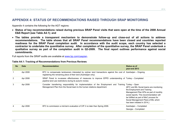# **APPENDIX 4: STATUS OF RECOMMENDATIONS RAISED THROUGH SRAP MONITORING**

Appendix 4 contains the following for the AGT regions:

- **Status of key recommendations raised during previous SRAP Panel visits that were open at the time of the 2008 Annual E&S Report (see Table A4.1); and**
- **The tables provide a transparent mechanism to demonstrate follow-up and close-out of all actions to address recommendations. The table shows that all SRAP Panel recommendations have been closed and countries reported readiness for the SRAP Panel completion audit. In accordance with the audit scope, each country has selected a contractor to undertake the quantitative survey. After completion of the quantitative survey, the SRAP Panel undertook a qualitative survey as part of the completion audit in Q3-2009. The final report outlines performance against social commitments.**

Full reports from the SRAP audits are available at www.bp.com/caspian.

| <b>No</b> | <b>Date</b> | <b>Recommendation</b>                                                                                                                                                            | Status as of<br>year-end 2013                                                                                                                                                                                                                                                     |
|-----------|-------------|----------------------------------------------------------------------------------------------------------------------------------------------------------------------------------|-----------------------------------------------------------------------------------------------------------------------------------------------------------------------------------------------------------------------------------------------------------------------------------|
|           | Apr 2008    | BTC to compensate landowners interested by orphan land transactions against the cost of Azerbaijan – Ongoing<br>registering the remaining piece of their land (Azerbaijan only). |                                                                                                                                                                                                                                                                                   |
|           | Apr 2008    | SRAP Panel to re-assess effectiveness of measures to improve EPPD understanding of Turkey – Completed<br>pipeline land use restrictions during its autumn review.                |                                                                                                                                                                                                                                                                                   |
| 3         | Apr 2008    | Consider transferring responsibility for implementation of the Employment and Training Turkey – Open<br>Management Plan from the Social team to the human relations department.  | (BTC and BIL Social teams are monitoring<br>the Employment and Training<br>Management Plan KPIs as part of monthly<br>social reports. This recommendation will<br>be fulfilled as part of MoC process for<br>Social Management Plans of BIL which<br>has been initiated in 2014.) |
| 4         | Apr 2008    | BTC to commission a mid-term evaluation of CIP 2 no later than Spring 2009.                                                                                                      | Azerbaijan - Completed<br>Georgia - Completed                                                                                                                                                                                                                                     |

#### **Table A4.1: Tracking of Recommendations from Previous Reviews**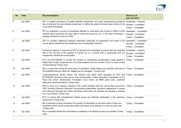#### BTC Pipeline Project



| <b>No</b>         | <b>Date</b> | Recommendation                                                                                                                                                                                                                                                                                                                                     | <b>Status as of</b><br>year-end 2013      |
|-------------------|-------------|----------------------------------------------------------------------------------------------------------------------------------------------------------------------------------------------------------------------------------------------------------------------------------------------------------------------------------------------------|-------------------------------------------|
| 5                 | Apr 2008    | BTC to update tabulations of project affected landowners and users experiencing permanent Azerbaijan - Ongoing<br>loss of land and for each affected owner/user, to define the extent of those losses relative to his<br>or her total landholding.                                                                                                 | Georgia - Completed<br>Turkey - Completed |
| 6                 | Apr 2008    | BTC to undertake a survey of households affected by permanent loss of land in 2008 to verify Azerbaijan - Completed<br>whether each household has been able to restore its income or not. In the case of Georgia, a Georgia - Completed<br>strategy should be in place by 2008.                                                                    | Turkey - Completed                        |
| 7                 | Apr 2008    | BTC to consider additional livelihood restoration measures for permanent land losers if the Azerbaijan - Completed<br>survey above establishes that livelihoods are not adequately restored.                                                                                                                                                       | Georgia - Completed<br>Turkey - Completed |
| 8                 | Apr 2008    | Continued vigilance is required by BTC in Georgia and Azerbaijan to ensure that the important Azerbaijan - Ongoing<br>role of the security of the pipeline is carried out in a manner that is appropriate and not Georgia - Completed<br>antagonistic towards the communities.                                                                     | Turkey - Completed                        |
| 9                 | Apr 2008    | BTC and BOTAŞ/DSA to monitor the number of outstanding compensation cases against a Turkey - Completed<br>stable total number of parcels and to provide evidence that the number of such is under control<br>and decreasing (Turkey only).                                                                                                         |                                           |
| 10                | Apr 2008    | BIL to ensure that during the early years of operations, Zilyet villages are carefully observed so Turkey - Completed<br>that potential tensions within the villages can be managed. (Turkey only).                                                                                                                                                |                                           |
| 11                | Apr 2008    | Landowners/users whose names and second crop areas were assessed by BTC and Turkey - Completed<br>BOTAŞ/DSA should be paid second crop compensation, unless third-party investigation by the<br>Rural and Urban Development Foundation (now known as BNB) gives clear, reasoned<br>alternative recommendations (Turkey only).                      |                                           |
| $12 \overline{ }$ | Apr 2008    | BTC to carry out a rigorous analysis of the current situation with the communities around the Turkey – Completed<br>CMT including Gölovasi fishermen (incorporating stakeholder dynamics assessment of power<br>and influence inter-play both within the fishing community and outside) and develop a strategy<br>for a way forward (Turkey only). |                                           |
| 13                | Apr 2008    | BTC to ensure that reinstatement related issues are reflected adequately in the grievance Turkey - Completed<br>mechanism (Turkey only).                                                                                                                                                                                                           |                                           |
| 14                | Apr 2008    | BIL to develop a formal mechanism for transfer of information to new land users on land use<br>restrictions which would incorporate written information to be passed on to the new land user<br>(Turkey only).                                                                                                                                     | Turkey - Completed                        |
| 15                | Apr 2008    | BIL to complete introductory and follow-up meetings in all villages as soon as possible (Turkey<br>only).                                                                                                                                                                                                                                          | Turkey - Completed                        |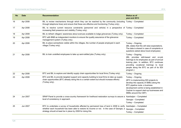| <b>No</b> | <b>Date</b> | <b>Recommendation</b>                                                                                                                                                                                                                                                               | <b>Status as of</b><br>year-end 2013                                                                                                                                                                                                                     |
|-----------|-------------|-------------------------------------------------------------------------------------------------------------------------------------------------------------------------------------------------------------------------------------------------------------------------------------|----------------------------------------------------------------------------------------------------------------------------------------------------------------------------------------------------------------------------------------------------------|
| 16        | Apr 2008    | BIL to review mechanisms through which they can be reached by the community (including Turkey - Completed<br>through telephone lines) and ensure that these are effective and functioning (Turkey only).                                                                            |                                                                                                                                                                                                                                                          |
| 17        | Apr 2008    | BIL to resolve current resource constraints (personnel and vehicle) in a perspective of Turkey - Completed<br>increasing field presence and visibility (Turkey only).                                                                                                               |                                                                                                                                                                                                                                                          |
| 18        | Apr 2008    | BIL to refresh villagers' awareness about avenues available to lodge grievances (Turkey only).                                                                                                                                                                                      | Turkey - Completed                                                                                                                                                                                                                                       |
| 19        | Apr 2008    | BTC with BNB as independent monitors to ensure the quality assurance of the grievance<br>management system (Turkey only).                                                                                                                                                           | Turkey - Completed                                                                                                                                                                                                                                       |
| 20        | Apr 2008    | BIL to place somewhere visible within the villages, the number of people employed in each<br>village (Turkey only).                                                                                                                                                                 | Turkey - Ongoing<br>(BIL states that this will raise expectations.<br>The data is shared in case of complaints or<br>questions asked about local employees)                                                                                              |
| 21        | Apr 2008    | BIL to train unskilled employees to take up semi-skilled jobs (Turkey only).                                                                                                                                                                                                        | Turkey - Ongoing<br>(BIL provides skill-based and on-job<br>trainings to its employees as part of annual<br>training plan. In addition, BTC continues<br>providing vocational trainings to local<br>people along the BTC as part of its SDI<br>program.) |
| 22        | Apr 2008    | BTC and BIL to explore and identify supply chain opportunities for local firms (Turkey only).                                                                                                                                                                                       | Turkey - Ongoing                                                                                                                                                                                                                                         |
| 23        | Apr 2008    | BTC and BIL to provide targeted support and capacity building to local firms to take up supply<br>chain opportunities (BTC already doing this to a certain extent but should increase efforts)<br>(Turkey only).                                                                    | Turkey - Ongoing<br>(BTC is implementing SDI projects to<br>develop the capacity of SMEs along the<br>BTC pipeline route- a business<br>development centre is being established in<br>Ceyhan to support start-up businesses and<br>SMEs around the CMT)  |
| 24        | Jun 2007    | SRAP Panel to provide a cross-country framework for livelihood restoration surveys to assure a<br>level of consistency in approach.                                                                                                                                                 | Azerbaijan - Completed<br>Georgia - Completed<br>Turkey - Completed                                                                                                                                                                                      |
| 25        | Jun 2007    | BTC to undertake a survey of households affected by permanent loss of land in 2008 to verify Azerbaijan - Completed<br>whether each household has been able to restore its income or not. In the case of Georgia, a<br>strategy should at least be in place by 2008 for doing this. | Georgia - Completed<br>Turkey - Completed                                                                                                                                                                                                                |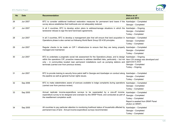#### BTC Pipeline Project



| <b>No</b> | <b>Date</b> | <b>Recommendation</b>                                                                                                                                                                                                                                                                                                                                                                                 | Status as of<br>year-end 2013           |
|-----------|-------------|-------------------------------------------------------------------------------------------------------------------------------------------------------------------------------------------------------------------------------------------------------------------------------------------------------------------------------------------------------------------------------------------------------|-----------------------------------------|
| 26        | Jun 2007    | BTC to consider additional livelihood restoration measures for permanent land losers if the Azerbaijan - Completed                                                                                                                                                                                                                                                                                    |                                         |
|           |             | survey above establishes that livelihoods are not adequately restored.                                                                                                                                                                                                                                                                                                                                | Georgia - Completed                     |
| 27        | Jun 2007    | In all 3 countries, BTC to develop action plans to address/manage situations in which the Azerbaijan - Ongoing                                                                                                                                                                                                                                                                                        |                                         |
|           |             | landowner refuses to sign the land hand-back agreements.                                                                                                                                                                                                                                                                                                                                              | Georgia - Completed                     |
|           |             |                                                                                                                                                                                                                                                                                                                                                                                                       | Turkey - Completed                      |
| 28        | Jun 2007    | In all 3 countries, BTC to develop a management plan that will ensure that land acquisition in Azerbaijan - Completed                                                                                                                                                                                                                                                                                 |                                         |
|           |             | Operations phase is also carried out following World Bank Group OD 4/30 principles.                                                                                                                                                                                                                                                                                                                   | Georgia - Completed                     |
|           |             |                                                                                                                                                                                                                                                                                                                                                                                                       | Turkey - Completed                      |
| 29        | Jun 2007    | Regular checks to be made on CIP 1 infrastructure to ensure that they are being properly Azerbaijan – Completed                                                                                                                                                                                                                                                                                       |                                         |
|           |             | managed and maintained.                                                                                                                                                                                                                                                                                                                                                                               | Georgia - Completed                     |
|           |             |                                                                                                                                                                                                                                                                                                                                                                                                       | Turkey - Completed                      |
| 30        | Jun 2007    | BTC to undertake a pragmatic social risk assessment for the Operations phase, and to design Azerbaijan - Ongoing<br>within the operations CIP, proactive measures to address identified risks, particularly - but not New CDI strategy was developed and<br>only - in communities located near permanent installations such as pumping stations and<br>terminals (carried over from previous review). |                                         |
|           |             |                                                                                                                                                                                                                                                                                                                                                                                                       |                                         |
|           |             |                                                                                                                                                                                                                                                                                                                                                                                                       | approved in 2014<br>Georgia - Completed |
|           |             |                                                                                                                                                                                                                                                                                                                                                                                                       | Turkey - Ongoing                        |
|           |             |                                                                                                                                                                                                                                                                                                                                                                                                       |                                         |
| 31        | Jun 2007    | BTC to provide training to security force patrol staff in Georgia and Azerbaijan on conduct along Azerbaijan - Completed<br>the pipeline as well as general human rights issues.                                                                                                                                                                                                                      |                                         |
|           |             |                                                                                                                                                                                                                                                                                                                                                                                                       | Georgia - Completed                     |
|           |             |                                                                                                                                                                                                                                                                                                                                                                                                       | Turkey - Completed                      |
| 32        | Sep 2006    | BTC to make stakeholders aware of avenues available to lodge complaints during operations Azerbaijan - Completed                                                                                                                                                                                                                                                                                      |                                         |
|           |             | (carried over from previous review).                                                                                                                                                                                                                                                                                                                                                                  | Georgia - Completed                     |
|           |             |                                                                                                                                                                                                                                                                                                                                                                                                       | Turkey - Completed                      |
| 33        | Sep 2005    | Annual replicate income-expenditure surveys to be superseded by a one-off income-                                                                                                                                                                                                                                                                                                                     | Azerbaijan - Completed                  |
|           |             | expenditure survey to be designed and overseen by the SRAP Panel, and conducted as part of                                                                                                                                                                                                                                                                                                            | Georgia - Completed                     |
|           |             | the resettlement completion audit.                                                                                                                                                                                                                                                                                                                                                                    | Turkey - Completed                      |
|           |             |                                                                                                                                                                                                                                                                                                                                                                                                       | Report is awaited from SRAP Panel       |
|           |             |                                                                                                                                                                                                                                                                                                                                                                                                       | (Action on SRAP)                        |
| 34        | Sep 2005    | All countries to pay particular attention to monitoring livelihood status of households affected by Azerbaijan - Completed                                                                                                                                                                                                                                                                            |                                         |
|           |             | permanent loss of land. Annual income-expenditure surveys recommended.                                                                                                                                                                                                                                                                                                                                | Georgia - Completed                     |
|           |             |                                                                                                                                                                                                                                                                                                                                                                                                       | Turkey - Completed                      |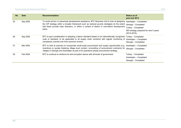| <b>No</b> | <b>Date</b> | <b>Recommendation</b>                                                                                                                                                                                                                                                                                       | Status as of<br>year-end 2013                                                                                                      |
|-----------|-------------|-------------------------------------------------------------------------------------------------------------------------------------------------------------------------------------------------------------------------------------------------------------------------------------------------------------|------------------------------------------------------------------------------------------------------------------------------------|
| 35        | Sep 2005    | To avoid ad-hoc or piecemeal development assistance, BTC Business Unit to look at designing<br>the CIP strategy within a broader framework such as national poverty strategies (to the extent<br>that these provide clear direction), or within a context of district or sub-district development<br>plans. | Azerbaijan - Completed<br>Georgia - Completed<br>Turkey - Completed<br>SDI strategy prepared for next 5 years<br>$(2012 - 2016)$ . |
| 36        | Sep 2005    | BTC to give consideration to adopting a labour standard based on an internationally recognized<br>code or standard, to be applicable to all supply chain contracts with regular monitoring of<br>compliance (carried over from previous review).                                                            | Turkey - Completed<br>Azerbaijan - Completed<br>Georgia - Completed                                                                |
| 37        | Mar 2005    | BTC to look at avenues to incorporate small-scale procurement and supply opportunities (e.g.<br>incentives or quotas fostering village level content, re-bundling of procurement contracts) for<br>villages in Georgia and Azerbaijan as part of its operations phase procurement strategy.                 | Azerbaijan - Completed<br>Georgia - Completed                                                                                      |
| 38        | Feb 2004    | BTC to continue to reinforce its anti-corruption stance with all levels of government.                                                                                                                                                                                                                      | Turkey - Completed<br>Azerbaijan - Completed<br>Georgia - Completed                                                                |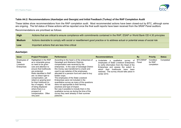

### **Table A4.2: Recommendations (Azerbaijan and Georgia) and Initial Feedback (Turkey) of the RAP Completion Audit**

These tables show recommendations from the RAP completion audit. Most recommended actions have been closed-out by BTC, although some are ongoing. The full status of these actions will be reported once the final audit reports have been received from the SRAP Panel auditors. Recommendations are prioritised as follows:

| <b>High</b>   | Actions that are critical to ensure compliance with commitments contained in the RAP, ESAP or World Bank OD 4.30 principles  |
|---------------|------------------------------------------------------------------------------------------------------------------------------|
| <b>Medium</b> | Actions desirable to comply with social or resettlement good practice or to address actual or potential areas of social risk |
| Low           | Important actions that are less time critical                                                                                |

#### **Azerbaijan**

| <b>Issue</b>                                      | <b>Project Principles</b>                                                                                                                                                                                                                                                                                                                                                                               | <b>Performance</b>                                                                                                                                                                                                                                                                                                                                                                                                                                                                                                                                                                                                                                                                            | <b>Recommendations</b>                                                                                                                                                                                                                                                                        | <b>By</b>                | <b>Priority</b>                    | <b>Status</b> |
|---------------------------------------------------|---------------------------------------------------------------------------------------------------------------------------------------------------------------------------------------------------------------------------------------------------------------------------------------------------------------------------------------------------------------------------------------------------------|-----------------------------------------------------------------------------------------------------------------------------------------------------------------------------------------------------------------------------------------------------------------------------------------------------------------------------------------------------------------------------------------------------------------------------------------------------------------------------------------------------------------------------------------------------------------------------------------------------------------------------------------------------------------------------------------------|-----------------------------------------------------------------------------------------------------------------------------------------------------------------------------------------------------------------------------------------------------------------------------------------------|--------------------------|------------------------------------|---------------|
| Employees of<br>State<br>Livestock<br>Enterprises | Highlighted in the RAP<br>as a vulnerable group<br>so need to be given<br>care and attention to<br>ensure that livelihoods<br>are protected.<br>Risks identified in RAP<br>are: no direct right to<br>compensation, yet<br>reliant on grazing land<br>for their livelihood (in<br>lieu of wages). At risk<br>of being displaced<br>where there is a<br>prospect of<br>compensation. Often<br>very poor. | According to the head s of the enterprises of<br>Garadagh and Absheron Districts.<br>compensation was received by the<br>enterprises. In the case of Garadagh District<br>this money was transferred to a bank and<br>used to pay salaries of the employees.<br>allocated to a pension fund and used to buy<br>fodder crops.<br>The employees of the State Livestock<br>Enterprises were not included in the<br>quantitative survey as many of the questions<br>were not appropriate to their farming<br>practices and type of impact.<br>Nor was it possible to include them in the<br>qualitative survey as during the time of the<br>survey they were already in their summer<br>pastures. | a. Undertake<br>qualitative<br>survey of<br>a<br>employees of State Livestock Enterprises<br>to verify information from the Head of the<br>Enterprises and assess the extent to<br>which<br>their<br>livelihoods<br>have<br>been<br>restored. The survey should take place in<br>winter 2010. | <b>BTC/SRAP</b><br>Panel | Condition<br>for RAP<br>completion | Completed     |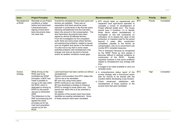| <b>Issue</b>            | <b>Project Principles</b>                                                                                                                                                                                                                                                                                                                                                                            | <b>Performance</b>                                                                                                                                                                                                                                                                                                                                                                                                                                                                                                                                                                                                                                                                                                                         | <b>Recommendations</b>                                                                                                                                                                                                                                                                                                                                                                                                                                                                                                                                                                                                                                                                                                                                                                                                                                                                                    | <b>By</b>  | <b>Priority</b> | <b>Status</b> |
|-------------------------|------------------------------------------------------------------------------------------------------------------------------------------------------------------------------------------------------------------------------------------------------------------------------------------------------------------------------------------------------------------------------------------------------|--------------------------------------------------------------------------------------------------------------------------------------------------------------------------------------------------------------------------------------------------------------------------------------------------------------------------------------------------------------------------------------------------------------------------------------------------------------------------------------------------------------------------------------------------------------------------------------------------------------------------------------------------------------------------------------------------------------------------------------------|-----------------------------------------------------------------------------------------------------------------------------------------------------------------------------------------------------------------------------------------------------------------------------------------------------------------------------------------------------------------------------------------------------------------------------------------------------------------------------------------------------------------------------------------------------------------------------------------------------------------------------------------------------------------------------------------------------------------------------------------------------------------------------------------------------------------------------------------------------------------------------------------------------------|------------|-----------------|---------------|
| Reinstatement<br>of ROW | Reinstate to pre-Project<br>conditions or better<br>before land hand-back.<br>Landowners/users<br>signing of land hand-<br>back documents does<br>not mean that.                                                                                                                                                                                                                                     | Overall the reinstatement has been good and<br>farmers are satisfied. There was an<br>expectation that there would be some<br>reduction in productivity in the first few years<br>following reinstatement and this had been<br>taken into account in the compensation. The<br>land hand-back documents have been<br>signed by almost all affected farmers.<br>From the investigation for the completion<br>audit, there are some areas where farmers<br>are experiencing problems, related to issues<br>such as irrigation and stones in the fields etc.<br>It is also true to say that in some cases<br>potential problems with reinstatement only<br>emerge over time as the land is farmed<br>and/or as weather conditions reveal gaps. | b. BTC should retain an experienced and<br>respected local agricultural specialist to<br>complete a review of reinstatement of<br>Project affected arable land. The review<br>should have 3 functions: (1) to identify<br>those farms where reinstatement is<br>incomplete or has left constraints on<br>cultivation; (2) to assess the value of lost<br>production or impaired yield for the period<br>beyond 3 years after construction<br>completion, payable to the farmer as<br>compensation; and (3) to recommend and<br>monitor BTC remedial measures.<br>This is necessary because as recognised<br>by the SRAP Panel as time passes it<br>becomes difficult to attribute problems to<br>construction of the ROW.<br>Equally<br>important however is that some problems<br>related to reinstatement only emerge with<br>time.<br>c. A budget to be made available to carry out<br>remedial works. | <b>BTC</b> | Priority        | Completed     |
| Access<br>strategy      | While driving on the<br>ROW was to be<br>prohibited per ESAP<br>principles, a MOC has<br>made it possible to<br>occupy a 6m strip within<br>the ROW, which is<br>dedicated to driving by<br>EPPD for the period<br>January to December<br>2008.<br>The Addendum to the<br>RAP accompanying this<br>applies the same<br>principles as for the<br>main land acquisition<br>carried out for the<br>ROW. | Land hand-back has been carried out without<br>reinstatement.<br>Recent communication from BTC states that<br>120 km are to be reinstated.<br>BP now only using horse patrol.<br>EPPD continues to use vehicle patrol.<br>BP has developed a strategy to influence<br>EPPD to change to horse patrol only. The<br>period over which this is to be achieved is<br>not stated.<br>29 sections of the access track have been<br>identified as needing reinstatement. Some<br>of these sections have been reinstated.                                                                                                                                                                                                                          | d. A comprehensive status report of the<br>access strategy with a time-bound action<br>plan for closure to be shared with the<br>Lenders before developing a way forward.<br>e. Check owner/user satisfaction<br>with<br>reinstatement of those sections of the<br>access track that were reinstated.                                                                                                                                                                                                                                                                                                                                                                                                                                                                                                                                                                                                     | <b>BTC</b> | High            | Completed     |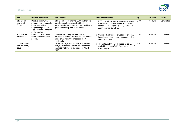

| <b>Issue</b>                                      | <b>Project Principles</b>                                                                                                                       | <b>Performance</b>                                                                                                                                                      | <b>Recommendations</b>                                                                                                                                      | <b>By</b> | <b>Priority</b> | <b>Status</b> |
|---------------------------------------------------|-------------------------------------------------------------------------------------------------------------------------------------------------|-------------------------------------------------------------------------------------------------------------------------------------------------------------------------|-------------------------------------------------------------------------------------------------------------------------------------------------------------|-----------|-----------------|---------------|
| <b>BTC Social</b><br>team and<br>CLO <sub>s</sub> | Positive community<br>engagement is essential<br>in not only mitigating<br>negative impacts but<br>also ensuring protection<br>of the pipeline. | BTC Social team and the CLOs in the field<br>have been doing an excellent job in<br>understanding concerns and also building a<br>good relationship with the community. | f. BTC operations should maintain a strong<br>field and Baku based Social team that can<br>to work closely with the<br>continue<br>community as it evolves. | BTC       | Medium          | Completed     |
| AGI affected<br>households                        | Livelihood restoration<br>for all Project-affected<br>people.                                                                                   | Quantitative survey showed that 3<br>households out of 10 surveyed said that BTC<br>had a small negative impact on their<br>livelihoods.                                | AGI<br>livelihood<br>situation<br>g. Check<br>0f<br>households that<br>have experienced a<br>negative impact.                                               | BTC       | Medium          | Completed     |
| Chobanabdali<br>land boundary<br>issue            |                                                                                                                                                 | Centre for Legal and Economic Education is<br>carrying out some work on land certificate<br>changes that were to be issued in March<br>2010.                            | h. The output of this work needs to be made<br>available to the SRAP Panel as a part of<br>RAP completion.                                                  | BTC.      | Medium          | Completed     |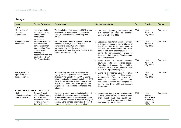### **Georgia**

| <b>Issue</b>                                          | <b>Project Principles</b>                                                                                                                                       | <b>Performance</b>                                                                                                                                                                                                                                                                                                                  | <b>Recommendations</b>                                                                                                                                                                                                                                                                                              | <b>By</b>  | <b>Priority</b>                                                          | <b>Status</b> |
|-------------------------------------------------------|-----------------------------------------------------------------------------------------------------------------------------------------------------------------|-------------------------------------------------------------------------------------------------------------------------------------------------------------------------------------------------------------------------------------------------------------------------------------------------------------------------------------|---------------------------------------------------------------------------------------------------------------------------------------------------------------------------------------------------------------------------------------------------------------------------------------------------------------------|------------|--------------------------------------------------------------------------|---------------|
| <b>LAND</b>                                           |                                                                                                                                                                 |                                                                                                                                                                                                                                                                                                                                     |                                                                                                                                                                                                                                                                                                                     |            |                                                                          |               |
| Completion of<br>land exit<br>agreements              | Use of land to be<br>restored to former<br>owners upon<br>construction<br>completion.                                                                           | The Lands team has completed 83% of land<br>use/servitude agreements. It is targeting<br>86% (all locatable owner/users) by mid<br>2010.                                                                                                                                                                                            | i. Complete outstanding land access and<br>exit agreements with all<br>locatable<br>landowners by mid-2010.                                                                                                                                                                                                         | <b>BTC</b> | High<br>(by end of<br><b>July 2010)</b>                                  | Completed     |
| Compensation for<br>absentees                         | Mechanisms for fair<br>and transparent<br>compensation for<br>land acquired from<br>private owners<br>including for<br>absentee owners are<br>established. (RAP | BTC has made reasonable efforts to locate<br>absentee owners, but it is likely that<br>payments to about 480 unlocatable<br>owner/users will be delayed until such<br>owners/users come forward sometime in the<br>future. See Section 2.1.6.                                                                                       | Establish a register of absentee owners<br>to include (i) documentary evidence of<br>the efforts that have been made to<br>establish the whereabouts and make<br>contact with each absentee; and, (ii) to<br>define the compensation payable to<br>them upon their signing of land use and<br>servitude agreements. | <b>BTC</b> | High<br>(by end of<br><b>July 2010)</b>                                  | Completed     |
|                                                       | Part C, Section 1.8).                                                                                                                                           |                                                                                                                                                                                                                                                                                                                                     | k. Block<br>funds<br>absentee<br>to<br>cover<br>interest-bearing<br>into an<br>payments<br>Georgian bank account to be held in<br>trust until such time as claimants come<br>forward for agreement signing.                                                                                                         | <b>BTC</b> | High<br>(by end of<br><b>July 2010)</b>                                  | Completed     |
| Management of<br>operations phase<br>land acquisition |                                                                                                                                                                 | A satisfactory RAP completion audit will<br>signify the ending of RAP commitments as<br>defined in the Construction ESAP. Some<br>minor ongoing land acquisition is likely. BTC<br>Georgia has prepared a draft management<br>plan to cover future operations phase land<br>acquisition. This needs to be finalised and<br>adopted. | Complete the Georgia Land Acquisition<br>Economic<br>and<br>Displacement<br>Management Plan to<br>cover<br>any<br>incidental<br>operations<br>phase<br>land<br>acquisition activities and adopted as<br>part of the BTC E&S management<br>framework.                                                                | <b>BTC</b> | High<br>(by end of<br><b>July 2010)</b>                                  | Completed     |
| LIVELIHOOD RESTORATION                                |                                                                                                                                                                 |                                                                                                                                                                                                                                                                                                                                     |                                                                                                                                                                                                                                                                                                                     |            |                                                                          |               |
| Soil<br>reinstatement/crop<br>yield impairment        | To give Project-<br>affected landowners<br>and users the<br>opportunity to fully<br>restore or improve<br>their livelihoods.                                    | Agricultural expert monitoring indicates that<br>most pipeline corridor users are close to<br>achieving equivalent to without-project crop<br>yields, but some cases of impaired crop yield<br>persist. Land handed back within the last 2<br>years needs to continue to be monitored.                                              | m. Extend agricultural expert monitoring for<br>2 more years (or not less than 3 years<br>after latest land hand-back)<br>and<br>continue crop yield top-up payments as<br>warranted by their findings.                                                                                                             | <b>BTC</b> | High<br>(Contract<br>with experts<br>in place by<br>end of July<br>2010) | Completed     |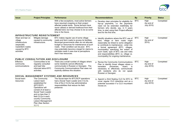

| <b>Issue</b>                                                                                                     | <b>Project Principles</b>                                                                                                                                                                                                                             | <b>Performance</b>                                                                                                                                                                                                                                                                                                                                        | <b>Recommendations</b>                                                                                                                                                                                                                                                                                                                                                                   | <b>By</b>  | <b>Priority</b>                         | <b>Status</b> |
|------------------------------------------------------------------------------------------------------------------|-------------------------------------------------------------------------------------------------------------------------------------------------------------------------------------------------------------------------------------------------------|-----------------------------------------------------------------------------------------------------------------------------------------------------------------------------------------------------------------------------------------------------------------------------------------------------------------------------------------------------------|------------------------------------------------------------------------------------------------------------------------------------------------------------------------------------------------------------------------------------------------------------------------------------------------------------------------------------------------------------------------------------------|------------|-----------------------------------------|---------------|
|                                                                                                                  |                                                                                                                                                                                                                                                       | With a few exceptions, most active farmers<br>have resumed cropping on their project<br>affected arable lands. Some farmers have<br>never utilised or derived livelihood from their<br>affected land, but may choose to do so some<br>time in the future.                                                                                                 | n. Develop clear principles for eligibility for<br>top-up payments, i.e. the payments<br>need not be extended indefinitely for<br>farmers who decide, say, in 5 years<br>time, to start using their Project-affected<br>land for the first time.                                                                                                                                         | <b>BTC</b> | High<br>(by end of<br>July 2010)        | Completed     |
|                                                                                                                  | <b>INFRASTRUCTURE REINSTATEMENT</b>                                                                                                                                                                                                                   |                                                                                                                                                                                                                                                                                                                                                           |                                                                                                                                                                                                                                                                                                                                                                                          |            |                                         |               |
| Wear and tear on<br>village<br>infrastructure<br>(especially<br>roads/farm roads)<br>caused by BTC<br>activities | Mitigate damage<br>caused to community<br>infrastructure.                                                                                                                                                                                             | BTC makes regular use of some village<br>roads and farm roads to access its facilities.<br>Municipal governments often do not allocate<br>budget or resources for maintenance of such<br>roads. Their condition can be poor. BTC<br>may potentially become a target for claims to<br>reinstate roads it uses due to perceptions<br>that it has resources. | o. Identify situations where the BTC use of<br>land, village or farm roads might<br>reasonably be linked to some obligation<br>to contribute to maintenance - enter into<br>a formal agreement (BTC, villages,<br>municipality) specifying the extent of<br>such roads, type of BTC use and roles<br>and responsibilities (BTC vs. village vs.<br>municipality) for ongoing maintenance. | <b>BTC</b> | High<br>(by end of<br>2010)             | Completed     |
|                                                                                                                  | PUBLIC CONSULTATION AND DISCLOSURE                                                                                                                                                                                                                    |                                                                                                                                                                                                                                                                                                                                                           |                                                                                                                                                                                                                                                                                                                                                                                          |            |                                         |               |
| Effective<br>community<br>communications                                                                         | Communities to be<br>regularly consulted<br>and kept fully<br>informed about BTC<br>activities.                                                                                                                                                       | There are a small number of villages where<br>some residents cannot effectively<br>communicate in Russian or Georgian. The<br>Community Communications Plan does not<br>explicitly address this situation.                                                                                                                                                | p. Revise the Community Communications<br>Plan to identify those villages where a<br>(Armenian,<br>Azeri) is<br>translator<br>necessary to effectively communicate<br>with residents who do not speak<br>Russian or Georgian.                                                                                                                                                            | <b>BTC</b> | High<br>(by end of<br>July 2010)        | Completed     |
|                                                                                                                  |                                                                                                                                                                                                                                                       | SOCIAL MANAGEMENT SYSTEMS AND RESOURCES                                                                                                                                                                                                                                                                                                                   |                                                                                                                                                                                                                                                                                                                                                                                          |            |                                         |               |
| Social team<br>resources                                                                                         | The Community<br>Liaison team<br>established for<br>(BTC/SCP)<br>Operations will<br>consist of at least a<br>Social Team Leader<br>and no less than 3<br>field CLOs in each<br>country Community<br>Liaison Management<br>Plan (See Section<br>3.2.1) | The Social team for BTC/SCP operations<br>had a Social Team Leader and 2 CLOs.<br>One of the 2 CLOs has administrative<br>responsibilities that reduce his field<br>presence.                                                                                                                                                                             | q. Appoint a third floating CLO for BTC to<br>cover regular CLO downtime and as a<br>potential successor if a CLO incumbent<br>moves on.                                                                                                                                                                                                                                                 | <b>BTC</b> | High<br>(by end of<br><b>July 2010)</b> | Completed     |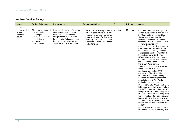### **Northern Section, Turkey**

| <b>Issue</b>                                    | <b>Project Principles</b>                                                                                                               | <b>Performance</b>                                                                                                                                                                                                          | <b>Recommendations</b>                                                                                                                                                                                            | <b>By</b>      | <b>Priority</b> | <b>Status</b>                                                                                                                                                                                                                                                                                                                                                                                                                                                                                                                                                                                                                                                                                                                                                                                                                                                                                                                                                                                                                                                                                                                                                                                                                                                                               |
|-------------------------------------------------|-----------------------------------------------------------------------------------------------------------------------------------------|-----------------------------------------------------------------------------------------------------------------------------------------------------------------------------------------------------------------------------|-------------------------------------------------------------------------------------------------------------------------------------------------------------------------------------------------------------------|----------------|-----------------|---------------------------------------------------------------------------------------------------------------------------------------------------------------------------------------------------------------------------------------------------------------------------------------------------------------------------------------------------------------------------------------------------------------------------------------------------------------------------------------------------------------------------------------------------------------------------------------------------------------------------------------------------------------------------------------------------------------------------------------------------------------------------------------------------------------------------------------------------------------------------------------------------------------------------------------------------------------------------------------------------------------------------------------------------------------------------------------------------------------------------------------------------------------------------------------------------------------------------------------------------------------------------------------------|
| <b>LAND</b>                                     |                                                                                                                                         |                                                                                                                                                                                                                             |                                                                                                                                                                                                                   |                |                 |                                                                                                                                                                                                                                                                                                                                                                                                                                                                                                                                                                                                                                                                                                                                                                                                                                                                                                                                                                                                                                                                                                                                                                                                                                                                                             |
| Understanding<br>of land<br>technical<br>issues | Clear and transparent<br>procedures for<br>acquiring land.<br>Robust processes for<br>consultation and<br>information<br>dissemination. | In some villages (e.g. Yeniköy)<br>where there were complex<br>ownership issues such as<br>village claims over Treasury<br>lands, or zilyet disputes, some<br>landowners remain confused<br>about the status of their land. | r. BIL CLOs to develop a short<br>list of villages where there are<br>ongoing landowner concerns<br>about land status for follow-up<br>visits by the DSA or Local<br>Cadastral Office to assist<br>understanding. | <b>BTC/BIL</b> | Moderate        | <b>CLOSED: BTC and BOTAŞ/DSA</b><br>carried out a separate field study in<br>2006 and 2007 on misidentified<br>zilyet owners, prepared list of<br>villages and affected landowners<br>together. Then closed-out all valid<br>complaints related with<br>misidentification of zilyet issues by<br>making second payments for the<br>same parcels to the right owners.<br>The process has been monitored<br>by the third-party NGO. This<br>NGO's view on effective close-out<br>of these complaints was stated in<br>their readiness statement sent to<br>the SRAP Panel earlier.<br>There is no zilyet land in Yeniköy<br>since cadastral survey was<br>conducted long before BTC<br>acquisition. Therefore, this<br>comment is not understood by us.<br>Land exit protocols signed for all<br>parcels (in total 74) in Yeniköy<br>during land exit process.<br>In addition, BIL CLOs and BTC<br>E&S team visited all villages along<br>the BTC route including Yeniköy<br>village to discuss open complaints<br>in 2009. Most of the complaints<br>related to reinstatement<br>were<br>issues, all of which were resolved<br>as part of reinstatement activities<br>carried out by BTC between 2009<br>and 2011.<br>BTC's Social team conducted an<br>internal audit in April and May 2010 |
|                                                 |                                                                                                                                         |                                                                                                                                                                                                                             |                                                                                                                                                                                                                   |                |                 |                                                                                                                                                                                                                                                                                                                                                                                                                                                                                                                                                                                                                                                                                                                                                                                                                                                                                                                                                                                                                                                                                                                                                                                                                                                                                             |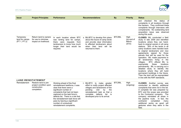

| <b>Issue</b>                                | <b>Project Principles</b>                                                     | <b>Performance</b>                                                                                                                                                                                                                                                                                                                                 | <b>Recommendations</b>                                                                                                                                                                                                                     | <b>By</b>      | <b>Priority</b>                      | <b>Status</b>                                                                                                                                                                                                                                                                                                                                                                                                                                                                                                                                                                                                                                                                                            |
|---------------------------------------------|-------------------------------------------------------------------------------|----------------------------------------------------------------------------------------------------------------------------------------------------------------------------------------------------------------------------------------------------------------------------------------------------------------------------------------------------|--------------------------------------------------------------------------------------------------------------------------------------------------------------------------------------------------------------------------------------------|----------------|--------------------------------------|----------------------------------------------------------------------------------------------------------------------------------------------------------------------------------------------------------------------------------------------------------------------------------------------------------------------------------------------------------------------------------------------------------------------------------------------------------------------------------------------------------------------------------------------------------------------------------------------------------------------------------------------------------------------------------------------------------|
|                                             |                                                                               |                                                                                                                                                                                                                                                                                                                                                    |                                                                                                                                                                                                                                            |                |                                      | and checked<br>the<br>status of<br>complaints in all locations through<br>the trackers. They confirmed these<br>complaints through interviews with<br>complainants. No outstanding land<br>acquisition issue was observed<br>during this audit.                                                                                                                                                                                                                                                                                                                                                                                                                                                          |
| Temporary<br>land for camps<br>(PT 1, PT 2) | Return land to owners<br>for use to minimise<br>impact on livelihood.         | In each location where BTC<br>was renting land for camps,<br>requests from<br>were<br>there<br>landowners to know how much<br>longer their land would be<br>required.                                                                                                                                                                              | s. BIL/BTC to develop firm plans<br>about the future of camp lands<br>and provide clear information<br>to affected landowners about<br>when their land<br>will be<br>returned to them.                                                     | <b>BTC/BIL</b> | High<br>(by end of<br>March<br>2010) | <b>CLOSED:</b> BIL conducted a field<br>study in late 2009 and identified<br>locations where they can hand-<br>back to original owners in all camp<br>stations. 38% of the lands in all<br>camp locations were handed back<br>to original landowners and new<br>agreements signed for those<br>parcels that will be used for the<br>operation. BIL made payments to<br>all landowners<br>living in the<br>BTC offered BIL to<br>villages.<br>locations<br>expropriate<br>these<br>permanently. BIL is carrying out a<br>detailed study to identify the<br>locations where they will build<br>permanent buildings in the future.<br>Then the land will be expropriated<br>in line with the RAP standards. |
|                                             | <b>LAND REINSTATEMENT</b>                                                     |                                                                                                                                                                                                                                                                                                                                                    |                                                                                                                                                                                                                                            |                |                                      |                                                                                                                                                                                                                                                                                                                                                                                                                                                                                                                                                                                                                                                                                                          |
| Reinstatement                               | Restore land to pre-<br>project condition upon<br>construction<br>completion. | Working ahead of the final<br>reinstatement taskforce, it was<br>clear that there were a<br>significant number of<br>complaints that had not been<br>captured on the task force's<br>defects list. There is a risk that<br>the reinstatement task force will<br>pass by leaving a significant<br>number of unresolved<br>reinstatement complaints. | t. BIL/BTC to make<br>greater<br>effort to notify project affected<br>villages and landowners of the<br>pending<br>visit<br>by<br>the<br>reinstatement task so that a<br>defects<br>complete<br>list is<br>developed prior to its arrival. | <b>BTC/BIL</b> | High<br>(ongoing)                    | CLOSED: Another survey was<br>conducted to identify additional<br>complaints that were not in the list.<br>A complete list was prepared by<br>BTC and the scope was provided<br>to the Contractor company. The<br>company reinstated all areas in<br>the pipeline route. In fact, the<br>contractor<br>completed<br>many<br>additional works as good will<br>gestures when they were in the<br>field.                                                                                                                                                                                                                                                                                                    |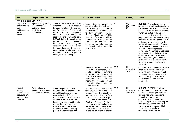| <b>Issue</b>                                                                        | <b>Project Principles</b>                                                                        | <b>Performance</b>                                                                                                                                                                                                                                                                                                                                                                                                                                                                                      | <b>Recommendations</b>                                                                                                                                                                                                                                                                                                                                                      | <b>By</b>  | <b>Priority</b>                         | <b>Status</b>                                                                                                                                                                                                                                                                                                                                                                                                                                                                                                                                                                                                                                                                                    |
|-------------------------------------------------------------------------------------|--------------------------------------------------------------------------------------------------|---------------------------------------------------------------------------------------------------------------------------------------------------------------------------------------------------------------------------------------------------------------------------------------------------------------------------------------------------------------------------------------------------------------------------------------------------------------------------------------------------------|-----------------------------------------------------------------------------------------------------------------------------------------------------------------------------------------------------------------------------------------------------------------------------------------------------------------------------------------------------------------------------|------------|-----------------------------------------|--------------------------------------------------------------------------------------------------------------------------------------------------------------------------------------------------------------------------------------------------------------------------------------------------------------------------------------------------------------------------------------------------------------------------------------------------------------------------------------------------------------------------------------------------------------------------------------------------------------------------------------------------------------------------------------------------|
| PT 1 SOGUTLUKAYA                                                                    |                                                                                                  |                                                                                                                                                                                                                                                                                                                                                                                                                                                                                                         |                                                                                                                                                                                                                                                                                                                                                                             |            |                                         |                                                                                                                                                                                                                                                                                                                                                                                                                                                                                                                                                                                                                                                                                                  |
| Disputes about<br>landownership<br>and<br>entitlement for<br>rental<br>payments     | Systematically identify<br>landowners and<br>determine their<br>eligibility for<br>compensation. | There is widespread confusion<br>Project-affected<br>amongst<br>landowners about who are the<br>rightful owners of the land<br>under<br>the PT <sub>1</sub> temporary<br>camp. One set of landowners<br>received rental payments from<br>BOTAS during the construction<br>Some<br>different<br>period.<br>allegedly<br>landowners<br>are<br>receiving rental payments for<br>the same land from BTC, post-<br>construction. Landowners have<br>requested a cadastral plan to<br>clearly show ownership. | u. Either DSA to provide a<br>cadastral plan for land under<br>the temporary camp and to<br>meet with affected landowners<br>to clarify ownership; or, the<br>General Directorate of Title<br>Deed and Cadastre should be<br>approached to resurvey the<br>area (Given the level of<br>confusion and bitterness on<br>the ground, the latter option is<br>preferable).      | <b>BTC</b> | High<br>(by end of<br>2010)             | <b>CLOSED: The cadastral survey</b><br>carried out in north-east Anatolia by<br>the General Secretary of Cadastral<br>office in 2008 and 2009 clarified the<br>ownership status of the land in<br>these villages (this is outside the<br>scope of the BTC Pipeline Project).<br>However, by the time of the SRAP<br>audit there were rejections to the<br>Cadastral survey results. Some of<br>the landowners rejected the results<br>at court. The court process<br>completed. Meanwhile BIL stopped<br>payments until resolution of court<br>cases. When the process was<br>completed, BIL signed the new<br>rental agreements with the newly<br>identified owners. This issue is<br>resolved. |
|                                                                                     |                                                                                                  |                                                                                                                                                                                                                                                                                                                                                                                                                                                                                                         | v. Based on the outcome of the<br>cadastral<br>investigation, the<br>rightful<br>rental<br>payment<br>recipients should be identified<br>and, where necessary, paid<br>rental due. Landowners who<br>incorrectly<br>received<br>rental<br>payments should not be<br>unduly penalised.                                                                                       | <b>BTC</b> | High<br>(by end of<br>2010)             | <b>CLOSED:</b> As stated above, all new<br>landowners identified through<br>cadastral survey received rental<br>payment for 2010. Landowners<br>who incorrectly received rental<br>payments in the past are not<br>penalised.                                                                                                                                                                                                                                                                                                                                                                                                                                                                    |
| Loss of<br>grazing<br>land/impact on<br>Söğütlükaya's<br>herd carrying<br>capacity. | Restore/improve<br>livelihoods of Project-<br>affected households.                               | Some villagers claim that<br>BTC/the State alienated a large<br>part of Söğütlükaya's prime<br>grazing land for PT 1 and<br>related works. There is limited<br>alternative land available for<br>lease. This has forced them to<br>reduce their livestock herds.<br>Others observe that active<br>farmers are elderly. Young<br>people are not interested in                                                                                                                                            | w. BTC to obtain information on<br>total Sogutlukaya village land<br>resources from the Ministry of<br>Agriculture and Rural Affairs<br>and have a livestock expert<br>assess the impact of the BTC<br>Pipeline Project/PT 1 land-<br>take on village land/grazing<br>resources. If BTC land-take is<br>found to be a significant factor<br>in decline of village livestock | <b>BTC</b> | High<br>(by end of<br><b>July 2010)</b> | CLOSED: Söğütlükaya village<br>owns 316ha pasture lands in total.<br>13.4ha of land was permanently<br>expropriated and an additional<br>11ha of land rented for the<br>campsite. At PT 1 site location,<br>42% of the parcels is owned by the<br>state and 58% of the parcels is<br>owned by private people. That<br>means not all parcels are<br>commonly owned pasture                                                                                                                                                                                                                                                                                                                        |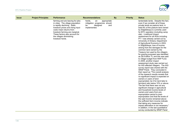

| <b>Issue</b> | <b>Project Principles</b> | <b>Performance</b>                                                                                                                                                                                                                                                                         | <b>Recommendations</b>                                                                              | <b>By</b> | <b>Priority</b> | <b>Status</b>                                                                                                                                                                                                                                                                                                                                                                                                                                                                                                                                                                                                                                                                                                                                                                                                                                                                                                                                                                                                                                                                                                                                                                                                                                                                                                                                                                                                                                                                                                                     |
|--------------|---------------------------|--------------------------------------------------------------------------------------------------------------------------------------------------------------------------------------------------------------------------------------------------------------------------------------------|-----------------------------------------------------------------------------------------------------|-----------|-----------------|-----------------------------------------------------------------------------------------------------------------------------------------------------------------------------------------------------------------------------------------------------------------------------------------------------------------------------------------------------------------------------------------------------------------------------------------------------------------------------------------------------------------------------------------------------------------------------------------------------------------------------------------------------------------------------------------------------------------------------------------------------------------------------------------------------------------------------------------------------------------------------------------------------------------------------------------------------------------------------------------------------------------------------------------------------------------------------------------------------------------------------------------------------------------------------------------------------------------------------------------------------------------------------------------------------------------------------------------------------------------------------------------------------------------------------------------------------------------------------------------------------------------------------------|
|              |                           | farming and are leaving for jobs<br>in cities. The village population<br>is rapidly declining. Static<br>livestock prices and rising input<br>costs mean returns from<br>livestock farming are marginal.<br>These factors also account for<br>the villages diminishing<br>livestock herds. | herds,<br>appropriate<br>an<br>mitigation programme should<br>designed<br>be<br>and<br>implemented. |           |                 | lands/state lands. Despite this fact,<br>even if we consider all of these<br>private lands as pasture land, in<br>total 8% of the pasture land owned<br>by Söğütlükaya is currently used<br>for BTC operation (including camp<br>site). Livelihood Impact<br>assessment for all AGIs including<br>PT 1 was already carried out by<br>University of Ankara, Department<br>of Agricultural Economy in 2003.<br>In Söğütlükaya, loss of income<br>arising from the damages for the<br>common land owned by the<br>Treasury but used by the villagers<br>for grazing purposes was identified<br>as 28.8 billion TL and this was paid<br>to village budget from RAP Fund.<br>In 2005, another impact<br>assessment study was carried out<br>for AGI affected villagers. The AGI<br>survey report was shared with the<br>SRAP Panel. They concluded in<br>their report as "The overall analysis<br>of the research results reveals that<br>no significant impact is expected on<br>owners or users of land<br>expropriated, be it for land take to<br>farmland ratio below 10% or above.<br>The fact that there was not any<br>significant change in agricultural<br>and household income levels of<br>owners and users from pre-<br>expropriation period to post-<br>expropriation and that the levels of<br>the said income remained above<br>the sufficient farm income indicate<br>that taking any measures for<br>impact alleviation is not necessary."<br>In addition, in the last quantitative<br>survey conducted by SRAP Panel |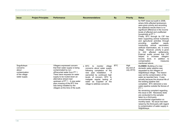| <b>Issue</b>                                                                        | <b>Project Principles</b> | <b>Performance</b>                                                                                                                                                                                                                                                                                                                                        | <b>Recommendations</b>                                                                                                                                                                                                                                                                   | <b>By</b>  | <b>Priority</b>                  | <b>Status</b>                                                                                                                                                                                                                                                                                                                                                                                                                                                                                                                                                                                                                                                                                                                        |
|-------------------------------------------------------------------------------------|---------------------------|-----------------------------------------------------------------------------------------------------------------------------------------------------------------------------------------------------------------------------------------------------------------------------------------------------------------------------------------------------------|------------------------------------------------------------------------------------------------------------------------------------------------------------------------------------------------------------------------------------------------------------------------------------------|------------|----------------------------------|--------------------------------------------------------------------------------------------------------------------------------------------------------------------------------------------------------------------------------------------------------------------------------------------------------------------------------------------------------------------------------------------------------------------------------------------------------------------------------------------------------------------------------------------------------------------------------------------------------------------------------------------------------------------------------------------------------------------------------------|
|                                                                                     |                           |                                                                                                                                                                                                                                                                                                                                                           |                                                                                                                                                                                                                                                                                          |            |                                  | for RAP close-out audit in 2008.<br>where AGIs affected landowners<br>were given priority and according<br>the statistical results there is no<br>significant difference in the income<br>levels of affected and unaffected<br>households at PT 1.<br>Finally, BTC through its CIP has<br>been supporting animal husbandry<br>and agricultural activities through<br>providing<br>qualified<br>seeds.<br>conducting<br>animal vaccination,<br>artificial insemination, etc. in every<br>village. However, priority is given<br>to AGI<br>affected settlements.<br>External audits proved that CIP<br>helped<br>to<br>increase<br>villagers'<br>income<br>level,<br>in<br>addition to<br>compensation<br>measures<br>mentioned above. |
| Sogutlukaya<br>concerns<br>about<br>contamination<br>of the village<br>water supply |                           | Villagers expressed concern<br>that their water supply is being<br>contaminated by run-<br>off/recycled water from PT 1.<br>There were requests for water<br>supply to be routed down an<br>alternative stream bed<br>upstream of PT 1. A new water<br>pipe crossing of the BTC line<br>was being installed by the<br>villagers at the time of the audit. | x. BTC<br>monitor<br>village<br>to<br>concerns about water supply<br>following completion of the<br>new pipe installation.<br>lf<br>warranted by continued high<br>levels of concern, BTC to<br>instigate regular testing of<br>water as supplied at the<br>village to address concerns. | <b>BTC</b> | High<br>(by end of<br>July 2010) | <b>CLOSED:</b> Building of a new<br>domestic water pipeline was<br>requested by the villagers of<br>Söğütlükaya village. The reason<br>was not the contamination of the<br>water as reported here. It was<br>actually because the physical life of<br>the existing pipeline was<br>completed. BTC delivered a new<br>water pipeline outside the fences of<br>PT 1.<br>No remaining complaint regarding<br>this issue is left. Necessary tests<br>are conducted to the samples<br>taken by a third-party<br>environmental organisation on<br>monthly basis. No issue has been<br>raised by the third-party with regard<br>to contamination of water supply in<br>Söğütlükaya.                                                         |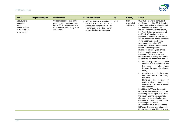

| <b>Issue</b>                                                                          | <b>Project Principles</b> | <b>Performance</b>                                                                                                                           | <b>Recommendations</b>                                                                                                                                            | <b>By</b>  | <b>Priority</b>                  | <b>Status</b>                                                                                                                                                                                                                                                                                                                                                                                                                                                                                                                                                                                                                                                                                                                                                                                                                                                                                                                                                                                                                                                                                                                                                                                                                                                                                                                                                                         |
|---------------------------------------------------------------------------------------|---------------------------|----------------------------------------------------------------------------------------------------------------------------------------------|-------------------------------------------------------------------------------------------------------------------------------------------------------------------|------------|----------------------------------|---------------------------------------------------------------------------------------------------------------------------------------------------------------------------------------------------------------------------------------------------------------------------------------------------------------------------------------------------------------------------------------------------------------------------------------------------------------------------------------------------------------------------------------------------------------------------------------------------------------------------------------------------------------------------------------------------------------------------------------------------------------------------------------------------------------------------------------------------------------------------------------------------------------------------------------------------------------------------------------------------------------------------------------------------------------------------------------------------------------------------------------------------------------------------------------------------------------------------------------------------------------------------------------------------------------------------------------------------------------------------------------|
| Sogutlukaya<br>concerns<br>about<br>contamination<br>of the livestock<br>water supply |                           | Villagers reported that cattle<br>drinking from the water trough<br>below PT 1 sometimes made<br>their animals sick. They were<br>concerned. | y. BTC to determine whether or<br>not there is a risk that run-<br>off/recycled water from PT 1 is<br>discharged into the water<br>supplied to livestock troughs. | <b>BTC</b> | High<br>(by end of<br>July 2010) | <b>CLOSED: BIL have conducted</b><br>monitoring on 11.08.2010 from the<br>trough, site perimeter channel and<br>the downstream point of the<br>stream. According to the results,<br>the Total Coliform was measured<br>as 23 MPN/100ml at the site<br>perimeter channel inlet point (that<br>can be considered as the upstream<br>of the stream and the trough)<br>whereas measured as 460<br>MPN/100ml at the trough and the<br>stream (20 times greater).<br>Ruling out any analytical errors,<br>this can be attributed to the<br>presence of another source of<br>contamination affecting the trough<br>and the stream itself which can be:<br>On the way from the perimeter<br>channel inlet to the stream and<br>the trough (in other words<br>through the perimeter channel<br>itself); or<br>Already existing on the stream<br>bed and inside the trough<br>naturally.<br>the<br>However<br>- of<br>source<br>contamination<br>be<br>cannot<br>clearly identified as there is not<br>enough evidence.<br>In addition, BTC's environmental<br>contractor (Golder) has conducted<br>monitoring on 3 August 2010 from<br>the trough and the site perimeter<br>channel. No contamination was<br>observed at both monitoring points<br>according to the results.<br>In summary, the evaluation of the<br>BIL's and Golder's analysis results<br>did not provide an evidence of any |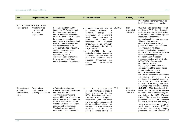| <b>Issue</b>                                           | <b>Project Principles</b>                                      | <b>Performance</b>                                                                                                                                                                                                                                                                                                                                                                                                                                                                     | <b>Recommendations</b>                                                                                                                                                                                                                                                                                                                                                                                                                                                                                                                          | <b>By</b>      | <b>Priority</b>                         | <b>Status</b>                                                                                                                                                                                                                                                                                                                                                                                                                                                                                                                                                                                                                                                                                                                                                                                                                                                                                                                                          |  |  |
|--------------------------------------------------------|----------------------------------------------------------------|----------------------------------------------------------------------------------------------------------------------------------------------------------------------------------------------------------------------------------------------------------------------------------------------------------------------------------------------------------------------------------------------------------------------------------------------------------------------------------------|-------------------------------------------------------------------------------------------------------------------------------------------------------------------------------------------------------------------------------------------------------------------------------------------------------------------------------------------------------------------------------------------------------------------------------------------------------------------------------------------------------------------------------------------------|----------------|-----------------------------------------|--------------------------------------------------------------------------------------------------------------------------------------------------------------------------------------------------------------------------------------------------------------------------------------------------------------------------------------------------------------------------------------------------------------------------------------------------------------------------------------------------------------------------------------------------------------------------------------------------------------------------------------------------------------------------------------------------------------------------------------------------------------------------------------------------------------------------------------------------------------------------------------------------------------------------------------------------------|--|--|
|                                                        |                                                                |                                                                                                                                                                                                                                                                                                                                                                                                                                                                                        |                                                                                                                                                                                                                                                                                                                                                                                                                                                                                                                                                 |                |                                         | PT 1 related discharge that would<br>justify the community complaint.                                                                                                                                                                                                                                                                                                                                                                                                                                                                                                                                                                                                                                                                                                                                                                                                                                                                                  |  |  |
| <b>PT 2 COGENDER VILLAGE</b>                           |                                                                |                                                                                                                                                                                                                                                                                                                                                                                                                                                                                        |                                                                                                                                                                                                                                                                                                                                                                                                                                                                                                                                                 |                |                                         |                                                                                                                                                                                                                                                                                                                                                                                                                                                                                                                                                                                                                                                                                                                                                                                                                                                                                                                                                        |  |  |
| Flood control                                          | Avoid/minimise<br>physical and<br>economic<br>displacement.    | Following the March 2008<br>floods, the PT 2 access road<br>has been raised and flood<br>control measures installed for<br>PT 2. No permanent measures<br>have been designed or<br>constructed to ameliorate flood<br>risks and damage to up- and<br>downstream landowners<br>adversely affected by the BTC<br>works. Landowners are<br>concerned by risks and<br>frustrated by lack of<br>consultation and information<br>they have received about<br>corrective actions being taken. | z. In consultation with affected<br><b>BIL/BTC</b><br>landowners.<br>to<br>complete<br>design<br>and<br>construction<br>of permanent<br>flood control measures to<br>protect<br>land,<br>crops<br>and<br>of<br>structures<br>adjacent<br>landowners to an immunity<br>level equivalent to the 'without<br>Project' condition.<br><b>BIL/BTC</b><br>to<br>aa.<br>pay<br>particular attention to ensuring<br>that owners are consulted and<br>kept fully informed about<br>throughout<br>the<br>progress<br>design and implementation<br>process. | <b>BIL/BTC</b> | High<br>(by end of<br><b>July 2010)</b> | <b>CLOSED: BTC conducted several</b><br>meetings at PT 2 village, Çöğender<br>and completed the detailed design<br>of PT 2 Flood permanent mitigation<br>measures. Concerns and<br>suggestions of the landowners and<br>village muhtar were also<br>considered during the design<br>phase. BIL has now finalised the<br>construction of PT 2 flood<br>permanent mitigation measures.<br><b>CLOSED:</b> Landowners participated<br>in the site investigation on PT 2<br>flood permanent mitigation<br>measures together with BTC, BIL,<br>BOTAŞ/DSA, Gendarmerie<br>commander. In addition,<br>BOTAŞ/DSA informed that the<br>expropriation of the required area<br>for dam and main culvert<br>construction was finalised.<br>BIL CLOs were also involved in the<br>consultation<br>BTC<br>process.<br>monitored the potential impacts of<br>the issue and take additional<br>measures if the design will create<br>any unexpected problems in future. |  |  |
| Reinstatement<br>of off-ROW<br>spoil disposal<br>sites | Restoration of<br>productive land to<br>pre-Project condition. | 4 Çöğender landowners<br>(remote from the ROW) signed<br>contracts with a BTC<br>construction contractor to<br>enable 50,000 $m3$ of spoil to be<br>placed on their land. Under the<br>terms of the contract the land<br>was to have been levelled and<br>restored with topsoil cover.<br>The land was not properly<br>reinstated. It was observed to                                                                                                                                  | BTC to ensure that<br>bb.<br>such off-ROW project affected<br>lands are covered by the<br>ROW Reinstatement team.<br>The land of the 4 Cogender<br>landowners (and any other<br>owners who have experienced<br>similar problems) should be<br>restored to a fully productive<br>condition.<br>To the extent<br>possible, owners should be                                                                                                                                                                                                       | <b>BTC</b>     | High<br>(by end of<br><b>July 2010)</b> | <b>CLOSED:</b> BTC investigated the<br>issue. Muhtar and other villagers<br>stated that this area was rocky and<br>dry before the BTC Pipeline<br>Project. They stated that it was not<br>productive and even the landowner<br>used to cultivate the land every 3<br>years since he could get harvest on<br>yearly basis. However, BTC still<br>reinstated the land<br>by bringing<br>productive soil and cleaned up                                                                                                                                                                                                                                                                                                                                                                                                                                                                                                                                   |  |  |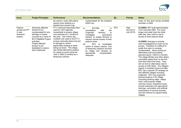

insemination of several animals) and will continue to support these

villages.

| <b>Issue</b>                                                 | <b>Project Principles</b>                                                                                                                                                                                                                    | <b>Performance</b>                                                                                                                                                                                                                                                                                                                                                                                                                         | <b>Recommendations</b>                                                                                                                                                                                                                                                                                                                                                                    | <b>By</b>  | <b>Priority</b>                  | <b>Status</b>                                                                                                                                                                                                                                                                                                                                                                                                                                                                                                                                                                                                                                                                                                                                                                                                                                                                                                                                                                                                        |
|--------------------------------------------------------------|----------------------------------------------------------------------------------------------------------------------------------------------------------------------------------------------------------------------------------------------|--------------------------------------------------------------------------------------------------------------------------------------------------------------------------------------------------------------------------------------------------------------------------------------------------------------------------------------------------------------------------------------------------------------------------------------------|-------------------------------------------------------------------------------------------------------------------------------------------------------------------------------------------------------------------------------------------------------------------------------------------------------------------------------------------------------------------------------------------|------------|----------------------------------|----------------------------------------------------------------------------------------------------------------------------------------------------------------------------------------------------------------------------------------------------------------------------------------------------------------------------------------------------------------------------------------------------------------------------------------------------------------------------------------------------------------------------------------------------------------------------------------------------------------------------------------------------------------------------------------------------------------------------------------------------------------------------------------------------------------------------------------------------------------------------------------------------------------------------------------------------------------------------------------------------------------------|
|                                                              |                                                                                                                                                                                                                                              | be uneven, rocky with patchy<br>topsoil cover leading to a<br>stunted and uneven crop.                                                                                                                                                                                                                                                                                                                                                     | compensated for the impaired<br>2009 crop.                                                                                                                                                                                                                                                                                                                                                |            |                                  | rocks on this land during remedial<br>activities in 2009.                                                                                                                                                                                                                                                                                                                                                                                                                                                                                                                                                                                                                                                                                                                                                                                                                                                                                                                                                            |
| Pasture<br>access and PT<br>2 road<br>(livestock)<br>losses) | Adversely affected<br>farmers to be<br>compensated for any<br>damage or losses<br>incurred as a result of<br><b>BTC Pipeline Project</b><br>activities.<br>Project affected<br>farmers to be<br>facilitated to restore<br>their livelihoods. | PT 2 road has historically been<br>used by 100 Cogender<br>households to access village<br>cow pastures for 7 months of<br>the year. 100-120mm dia.<br>crushed rock used to line PT 2<br>access road side drains has led<br>to damage to calves'<br>legs/trotters leading to stock<br>being put down. The village<br>has rented alternative pasture<br>for calves to avoid using the<br>road (1,500L/3 months) as a<br>temporary solution. | BTC/BIL.<br>in<br>CC.<br>the<br>consultation<br>with<br>to<br>Cogender<br>farmers,<br>investigate<br>permanent<br>solution to enable farmers to<br>resume normal access of their<br>pasture lands.<br><b>BTC</b><br>investigate<br>dd.<br>to<br>extent of losses (calves, cost<br>of temporary pasture) incurred<br>by village and develop an<br>appropriate<br>compensation<br>response. | <b>BTC</b> | High<br>(by end of<br>July 2010) | <b>CLOSED: BTC built approximately</b><br>4 km road late 2009. It is much<br>longer and wider than the initial<br>path way, they used to use to<br>access to their pasture lands.<br><b>CLOSED:</b> Damage to animals<br>were investigated but could not be<br>proved. Therefore it is difficult to<br>justify this claim to consider<br>compensation. About renting an<br>alternative road and making<br>payment about 1,500TL/3 months:<br>The village Muhtar and other elders<br>committee stated that it is the first<br>time they heard this issue. They<br>did not rent an alternative road to<br>access to their fields. The villagers<br>signed a compliant close-out letter.<br>BTC has a special CIP strategy for<br>AGI affected villages including<br>Çöğender. BTC has supported<br>several projects in the village<br>(including drinking water, village<br>road, multi-purpose village<br>common house, shepherd house,<br>animal husbandry and agricultural<br>trainings, vaccination and artificial |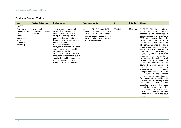#### **Issue Project Principles Performance Recommendation By By Priority Status** *LAND* Payment of compensation for land affected households, where land is in multiple ownership. Payment of compensation before land entry. There are still a number of outstanding cases on title deeds transfer for land in multiple ownership. Thus compensation cannot be paid. Reasons vary, in some cases title deeds cannot be transferred because not everyone is available, in others some people may be unwilling or unable to pay the administrative costs. Often the amount of compensation due is very limited and the urgency to receive the compensation varies between shareholders. ee. BIL CLOs and DSA to develop a short list of villages where there are ongoing compensation issues and to develop a time-bound strategy for resolving these. BTC/BIL Moderate **CLOSED:** The list of villages where the land acquisition process is not completed is being prepared and submitted to BTC on regular basis by BOTAŞ/DSA. 98.12% of the acquisition is now completed. The remaining ones are due to ongoing court cases. However, we would like to underline the point that in all court cases (Art 27) BOTAŞ paid the value of the parcel to the bank account prior to access and shareholders will receive their parts when the shares are identified by the court. BTC even accepted to pay the legal cost of administrative tasks. transportation costs, etc from RAP fund if the multiple shareholders can come together

#### **Southern Section, Turkey**

for transfer of ownership right: however, the remaining cases are generally related with absentee owners. The issue cannot be resolved without a court decision. All shareholders will receive their shares with interest at the end of the court

case.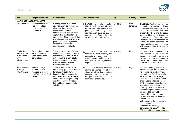

| <b>Issue</b>                                                         | <b>Project Principles</b>                                                                               | <b>Performance</b>                                                                                                                                                                                                                                                                                                                                 | <b>Recommendation</b>                                                                                                                                                                                                                             | <b>By</b>      | <b>Priority</b>   | <b>Status</b>                                                                                                                                                                                                                                                                                                                                                                                                                                                                                                                                                                                                                                         |
|----------------------------------------------------------------------|---------------------------------------------------------------------------------------------------------|----------------------------------------------------------------------------------------------------------------------------------------------------------------------------------------------------------------------------------------------------------------------------------------------------------------------------------------------------|---------------------------------------------------------------------------------------------------------------------------------------------------------------------------------------------------------------------------------------------------|----------------|-------------------|-------------------------------------------------------------------------------------------------------------------------------------------------------------------------------------------------------------------------------------------------------------------------------------------------------------------------------------------------------------------------------------------------------------------------------------------------------------------------------------------------------------------------------------------------------------------------------------------------------------------------------------------------------|
|                                                                      |                                                                                                         |                                                                                                                                                                                                                                                                                                                                                    |                                                                                                                                                                                                                                                   |                |                   |                                                                                                                                                                                                                                                                                                                                                                                                                                                                                                                                                                                                                                                       |
|                                                                      | <b>LAND REINSTATEMENT</b>                                                                               |                                                                                                                                                                                                                                                                                                                                                    |                                                                                                                                                                                                                                                   |                |                   |                                                                                                                                                                                                                                                                                                                                                                                                                                                                                                                                                                                                                                                       |
| Reinstatement                                                        | Restore land to pre-<br>Project condition<br>upon construction<br>completion.                           | Working ahead of the final<br>reinstatement taskforce, it was<br>clear that there were a<br>significant number of<br>complaints that had not been<br>captured on the task force's<br>defects list. There is a risk that<br>the reinstatement task force will<br>pass by leaving a significant<br>number of unresolved<br>reinstatement complaints. | ff. BIL/BTC<br>to<br>make<br>greater<br>effort to notify project affected<br>villages and landowners of the<br>pending<br>visit<br>by<br>the<br>reinstatement task so that a<br>complete<br>defects<br>list is<br>developed prior to its arrival. | <b>BTC/BIL</b> | High<br>(ongoing) | <b>CLOSED:</b> Another survey was<br>conducted to identify additional<br>complaints that were not in the<br>list.<br>A complete list was<br>prepared by BTC and the scope<br>was provided to the Contractor<br>company.<br>The<br>company<br>reinstated all areas successfully.<br>In fact, the contractor completed<br>many additional works as good<br>will gestures when they were in<br>the field.                                                                                                                                                                                                                                                |
| Productivity<br>problems due<br>to problems<br>with<br>reinstatement | Restore land to pre-<br>Project condition<br>upon construction<br>completion.                           | There are a number of areas<br>where productivity has reduced<br>substantially or farmers have<br>not been able to farm at all.<br>Some are enquiring whether<br>they will be compensated<br>further for this loss.                                                                                                                                | <b>BTC</b><br>BIL<br>and<br>to<br>gg.<br>develop a clear strategy for<br>productivity<br>loss<br>due<br>to<br>reinstatement problems with<br>the use of an agricultural<br>expert.                                                                | <b>BTC/BIL</b> | High              | <b>CLOSED:</b> BTC identified areas<br>that needed to be reinstated<br>though external<br>agricultural<br>experts and the reinstatement of<br>those areas were completed<br>between 2009 and 2011.                                                                                                                                                                                                                                                                                                                                                                                                                                                    |
| Reinstatement<br>of village<br>infrastructure                        | Affected village<br>infrastructure to be<br>restored to at least<br>pre-Project level if not<br>better. | There are still a number of<br>outstanding grievances related<br>to village infrastructure<br>impacted during construction.<br>For instance in Çığcık village<br>where roads damaged during<br>construction were reinstated<br>but problems remain due to<br>subsidence.                                                                           | A systematic appraisal<br>hh.<br>should be carried out of the<br>status of village infrastructure<br>impacted through review of<br>the grievance log and CLO<br>knowledge of the area.                                                            | <b>BTC/BIL</b> | High              | <b>CLOSED:</b> During construction,<br>BOTAS Project directorate and<br>its contractors used entry and<br>exit protocols for village roads.<br>All roads used by the project<br>were reinstated however, even<br>after 6 years, villagers expect<br>BTC to continue reinstatement<br>when the roads are damaged<br>naturally. This is an issue in<br>some other parts of the pipeline<br>as well. BTC cannot be<br>responsible for any damages<br>caused after reinstatement of<br>these roads.<br>With regard to the complaint in<br>Çığcık village:<br>In complaints' tracker,<br>complaints no: 597, 605, 625,<br>630 related to the same issue in |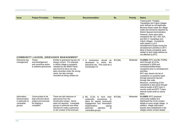| <b>Issue</b>                                                                    | <b>Project Principles</b>                                                                      | <b>Performance</b>                                                                                                                                                                                                                                       | <b>Recommendation</b>                                                                                                                                                                                                | <b>By</b>      | <b>Priority</b> | <b>Status</b>                                                                                                                                                                                                                                                                                                                                                                                                                                                                                                               |
|---------------------------------------------------------------------------------|------------------------------------------------------------------------------------------------|----------------------------------------------------------------------------------------------------------------------------------------------------------------------------------------------------------------------------------------------------------|----------------------------------------------------------------------------------------------------------------------------------------------------------------------------------------------------------------------|----------------|-----------------|-----------------------------------------------------------------------------------------------------------------------------------------------------------------------------------------------------------------------------------------------------------------------------------------------------------------------------------------------------------------------------------------------------------------------------------------------------------------------------------------------------------------------------|
|                                                                                 |                                                                                                |                                                                                                                                                                                                                                                          |                                                                                                                                                                                                                      |                |                 | Yukarıçıyanlı, Yenigün,<br>Topraktepe and Ciğcik villages<br>were defined as not legitimate.<br>Because these roads are village<br>roads and should be repaired by<br>District Special Administration.<br>However, there were other<br>complaints No: 621, 622, 623,<br>and 624 in Topraktepe and<br>Ciğcik villages. Complaints<br>were assed in Lot C<br>reinstatement Scope during the<br>reinstatement activities in 2011.<br>Most of these complaints were<br>related to land roads defined as<br>not affected by BTC. |
|                                                                                 |                                                                                                | <b>COMMUNITY LIAISON, GRIEVANCE MANAGEMENT</b>                                                                                                                                                                                                           |                                                                                                                                                                                                                      |                |                 |                                                                                                                                                                                                                                                                                                                                                                                                                                                                                                                             |
| Grievance log<br>management                                                     | Timely<br>acknowledgement<br>and corrective action<br>to address grievances                    | Entries in grievance log are not<br>always correct. For example,<br>in Akifye village a complaint<br>checked by the SRAP Panel<br>was found to have not only<br>been recorded under the wrong<br>name, but also wrongly<br>recorded as being closed-out. | ii. A<br>mechanism<br>should<br>be<br>check<br>developed<br>to<br>the<br>grievance log. This could be a<br>combination of                                                                                            | <b>BTC/BIL</b> | Moderate        | <b>CLOSED: BTC and BIL PCREs</b><br>went through all of the<br>complaints in 2009 and<br>corrected/clarified these<br>complaints prior to reinstatement<br>activities.<br>BTC also checks the list of<br>complaints on quarterly basis<br>through grievance log and<br>through site visits.<br>Moreover, monitoring of the<br>complaints is also done through<br>internal audits of BTC both 3-<br>country audit and BTC Turkey<br>internal social audit on yearly<br>basis.                                                |
| Information<br><b>Dissemination</b><br>in particular to<br>vulnerable<br>groups | Communities to be<br>kept informed about<br>project and avenues<br>for lodging a<br>complaint. | There are still instances of<br>grievances from the<br>construction phase. Some<br>were not reported. Vulnerable<br>groups in particular are either<br>reluctant to make a grievance<br>or are unclear of the avenues                                    | ii. BIL<br>CLOs<br>to have<br>clear<br>systematic<br>procedures<br>in<br>place for regular community<br>engagement and information<br>dissemination,<br>paying<br>particular<br>attention<br>to<br>vulnerable groups | <b>BTC/BIL</b> | Moderate        | <b>CLOSED: BTC prepared</b><br>community leaflets and<br>distributed the CLOs contact<br>details to every single village. In<br>addition, village information<br>boards were established in the<br>villages where contact details                                                                                                                                                                                                                                                                                           |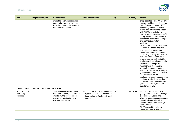

| <b>Issue</b>                               | <b>Project Principles</b>            | <b>Performance</b>                                                                                                                                     | <b>Recommendation</b>                                                                                  | <b>By</b> | <b>Priority</b> | <b>Status</b>                                                                                                                                                                                                                                                                                                                                                                                                                                                                                                                                                                                                                                                                                                                                                                                                                                                                                                                                                                        |
|--------------------------------------------|--------------------------------------|--------------------------------------------------------------------------------------------------------------------------------------------------------|--------------------------------------------------------------------------------------------------------|-----------|-----------------|--------------------------------------------------------------------------------------------------------------------------------------------------------------------------------------------------------------------------------------------------------------------------------------------------------------------------------------------------------------------------------------------------------------------------------------------------------------------------------------------------------------------------------------------------------------------------------------------------------------------------------------------------------------------------------------------------------------------------------------------------------------------------------------------------------------------------------------------------------------------------------------------------------------------------------------------------------------------------------------|
|                                            |                                      | available. Communities also<br>need to be aware of avenues<br>for lodging a complaint during<br>the operations phase.                                  |                                                                                                        |           |                 | are presented. BIL PCREs are<br>regularly visiting the villages as<br>part of their daily work. ROW<br>Monitoring and Maintenance<br>teams who are working closely<br>with PCREs are at site every<br>day. Villagers can access to BIL<br>if they want to. The number of<br>complaints from various villages<br>proves that the system is<br>working.<br>In 2011, BTC and BIL refreshed<br>land use restriction and third-<br>party crossing procedures<br>through an awareness campaign<br>in all villages along the route. A<br>film was produced and new<br>brochures were distributed to<br>landowners in all villages again.<br>In addition to complaint<br>management mechanism,<br>vulnerable groups are dealt<br>within the CIP scope. Priority is<br>given to vulnerable people in all<br>CIP projects such as<br>beekeeping, greenhouse, animal<br>husbandry, etc. In case of any<br>complaint raised by vulnerable<br>groups to CIP IPs, these are<br>transferred to BIL. |
|                                            | <b>LONG-TERM PIPELINE PROTECTION</b> |                                                                                                                                                        |                                                                                                        |           |                 |                                                                                                                                                                                                                                                                                                                                                                                                                                                                                                                                                                                                                                                                                                                                                                                                                                                                                                                                                                                      |
| Application for<br>third-party<br>crossing |                                      | The qualitative survey showed<br>that there are very few farmers<br>who know the procedure for<br>making an application for a<br>third-party crossing. | kk.<br>BIL CLOs to develop a<br>of<br>continued<br>system<br>refreshment and<br>information<br>update. | BIL       | Moderate        | <b>CLOSED: BIL PCRE's are</b><br>giving information and training to<br>all public institutions and<br>villagers about these procedures<br>periodically and when it is<br>needed refreshment trainings<br>are delivered.<br><b>BIL Technical team is now</b><br>managing the third-party                                                                                                                                                                                                                                                                                                                                                                                                                                                                                                                                                                                                                                                                                              |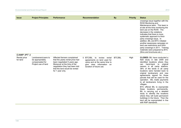| <b>Issue</b>             | <b>Project Principles</b>                                                         | <b>Performance</b>                                                                                                                                                                                                    | <b>Recommendation</b>                                                                                                                                        | <b>By</b>      | <b>Priority</b> | <b>Status</b>                                                                                                                                                                                                                                                                                                                                                                                                                                                                                                                                                                                                                                                                                               |
|--------------------------|-----------------------------------------------------------------------------------|-----------------------------------------------------------------------------------------------------------------------------------------------------------------------------------------------------------------------|--------------------------------------------------------------------------------------------------------------------------------------------------------------|----------------|-----------------|-------------------------------------------------------------------------------------------------------------------------------------------------------------------------------------------------------------------------------------------------------------------------------------------------------------------------------------------------------------------------------------------------------------------------------------------------------------------------------------------------------------------------------------------------------------------------------------------------------------------------------------------------------------------------------------------------------------|
| <b>CAMP IPT 1</b>        |                                                                                   |                                                                                                                                                                                                                       |                                                                                                                                                              |                |                 | crossings issue together with the<br>ROW Monitoring and<br>Maintenance team. This team is<br>at site all the time monitoring the<br>land use on the ROW. The<br>decrease in the violations<br>indicates that there is more<br>systematic approach to third-<br>party crossings issue. In<br>addition, BIL and BTC initiated<br>another awareness campaign on<br>land use restrictions and third-<br>party crossings in 2011. Training<br>materials were prepared by BTC<br>(films and brochures etc.).                                                                                                                                                                                                      |
| Rental price<br>for land | Landowners/users to<br>be appropriately<br>compensated for<br>Project use of land | Affected farmers complained<br>that the yearly rental price had<br>been negotiated 5 years ago.<br>Moreover at the time of the<br>negotiation they had been told<br>that the land would be rented<br>for 1 year only. | II. BTC/BIL to<br>review<br>rental<br>agreements on land used for<br>camp and at the same time to<br>give clear information<br>on<br>duration of future use. | <b>BTC/BIL</b> | High            | <b>CLOSED:</b> BIL have conducted a<br>field study in late 2009 and<br>identified locations where they<br>hand-back<br>to<br>original<br>can<br>owners in all camp stations.<br>38% of the lands in all camp<br>locations were handed back to<br>original landowners and new<br>agreements signed for those<br>parcels that will be used for the<br>operation. BIL made payments<br>to all landowners living in the<br>villages.<br>BTC offered BIL to expropriate<br>these locations permanently.<br>BIL is carrying out a detailed<br>study to identify the locations<br>where they will build permanent<br>buildings in the future. Then the<br>land will be expropriated in line<br>with RAP standards. |